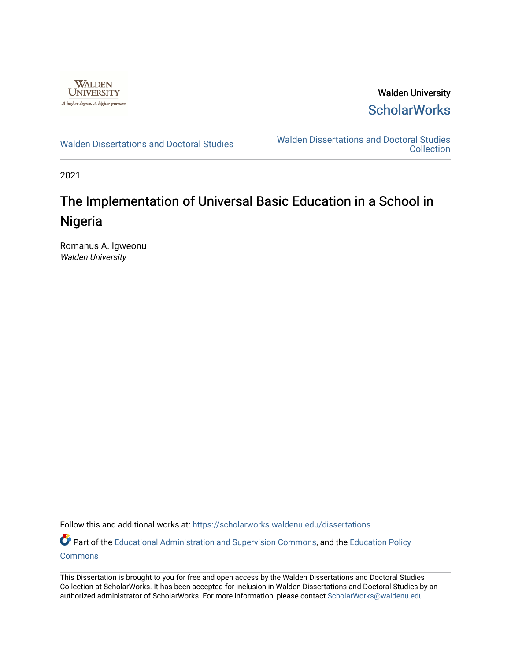

Walden University **ScholarWorks** 

[Walden Dissertations and Doctoral Studies](https://scholarworks.waldenu.edu/dissertations) Walden Dissertations and Doctoral Studies **Collection** 

2021

# The Implementation of Universal Basic Education in a School in Nigeria

Romanus A. Igweonu Walden University

Follow this and additional works at: [https://scholarworks.waldenu.edu/dissertations](https://scholarworks.waldenu.edu/dissertations?utm_source=scholarworks.waldenu.edu%2Fdissertations%2F10922&utm_medium=PDF&utm_campaign=PDFCoverPages)

Part of the [Educational Administration and Supervision Commons](http://network.bepress.com/hgg/discipline/787?utm_source=scholarworks.waldenu.edu%2Fdissertations%2F10922&utm_medium=PDF&utm_campaign=PDFCoverPages), and the [Education Policy](http://network.bepress.com/hgg/discipline/1026?utm_source=scholarworks.waldenu.edu%2Fdissertations%2F10922&utm_medium=PDF&utm_campaign=PDFCoverPages)  **[Commons](http://network.bepress.com/hgg/discipline/1026?utm_source=scholarworks.waldenu.edu%2Fdissertations%2F10922&utm_medium=PDF&utm_campaign=PDFCoverPages)** 

This Dissertation is brought to you for free and open access by the Walden Dissertations and Doctoral Studies Collection at ScholarWorks. It has been accepted for inclusion in Walden Dissertations and Doctoral Studies by an authorized administrator of ScholarWorks. For more information, please contact [ScholarWorks@waldenu.edu](mailto:ScholarWorks@waldenu.edu).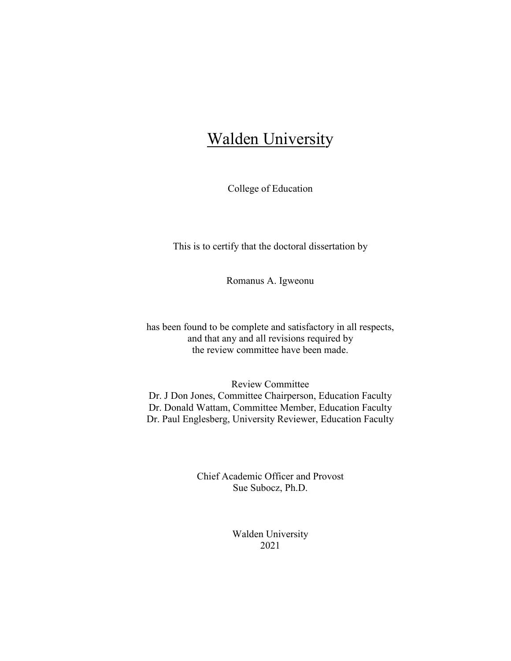# **Walden University**

College of Education

This is to certify that the doctoral dissertation by

Romanus A. Igweonu

has been found to be complete and satisfactory in all respects, and that any and all revisions required by the review committee have been made.

Review Committee Dr. J Don Jones, Committee Chairperson, Education Faculty Dr. Donald Wattam, Committee Member, Education Faculty Dr. Paul Englesberg, University Reviewer, Education Faculty

> Chief Academic Officer and Provost Sue Subocz, Ph.D.

> > Walden University 2021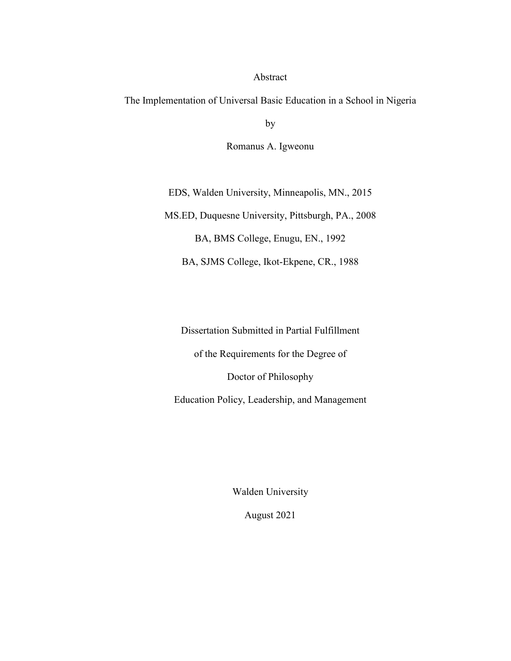# Abstract

The Implementation of Universal Basic Education in a School in Nigeria

by

Romanus A. Igweonu

EDS, Walden University, Minneapolis, MN., 2015 MS.ED, Duquesne University, Pittsburgh, PA., 2008 BA, BMS College, Enugu, EN., 1992 BA, SJMS College, Ikot-Ekpene, CR., 1988

Dissertation Submitted in Partial Fulfillment of the Requirements for the Degree of Doctor of Philosophy Education Policy, Leadership, and Management

Walden University

August 2021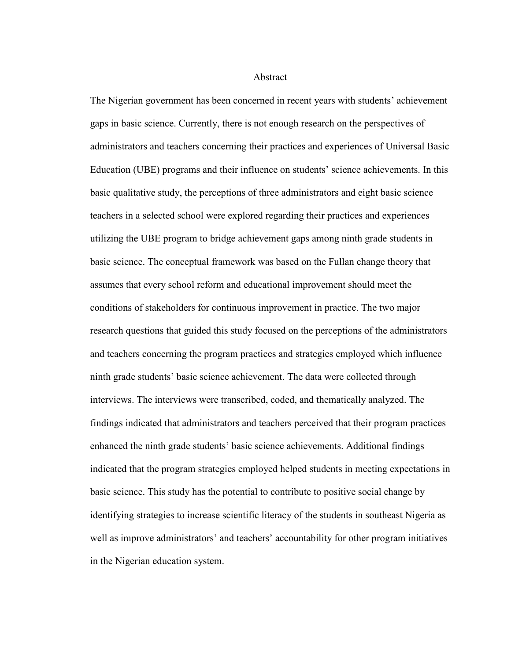#### Abstract

The Nigerian government has been concerned in recent years with students' achievement gaps in basic science. Currently, there is not enough research on the perspectives of administrators and teachers concerning their practices and experiences of Universal Basic Education (UBE) programs and their influence on students' science achievements. In this basic qualitative study, the perceptions of three administrators and eight basic science teachers in a selected school were explored regarding their practices and experiences utilizing the UBE program to bridge achievement gaps among ninth grade students in basic science. The conceptual framework was based on the Fullan change theory that assumes that every school reform and educational improvement should meet the conditions of stakeholders for continuous improvement in practice. The two major research questions that guided this study focused on the perceptions of the administrators and teachers concerning the program practices and strategies employed which influence ninth grade students' basic science achievement. The data were collected through interviews. The interviews were transcribed, coded, and thematically analyzed. The findings indicated that administrators and teachers perceived that their program practices enhanced the ninth grade students' basic science achievements. Additional findings indicated that the program strategies employed helped students in meeting expectations in basic science. This study has the potential to contribute to positive social change by identifying strategies to increase scientific literacy of the students in southeast Nigeria as well as improve administrators' and teachers' accountability for other program initiatives in the Nigerian education system.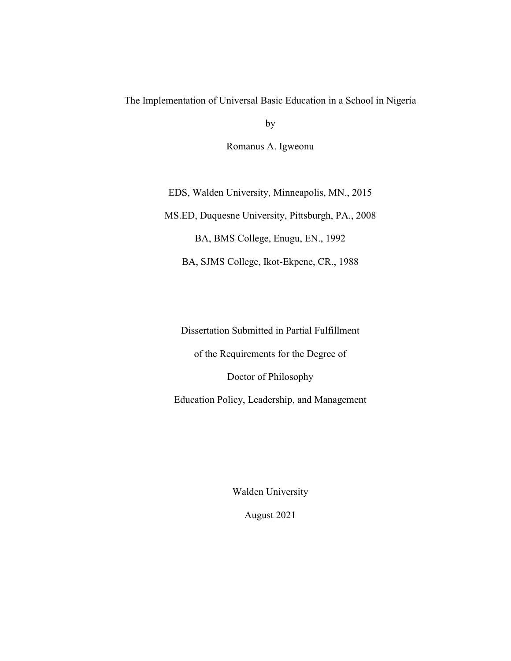The Implementation of Universal Basic Education in a School in Nigeria

by

Romanus A. Igweonu

EDS, Walden University, Minneapolis, MN., 2015 MS.ED, Duquesne University, Pittsburgh, PA., 2008 BA, BMS College, Enugu, EN., 1992 BA, SJMS College, Ikot-Ekpene, CR., 1988

Dissertation Submitted in Partial Fulfillment of the Requirements for the Degree of Doctor of Philosophy Education Policy, Leadership, and Management

Walden University

August 2021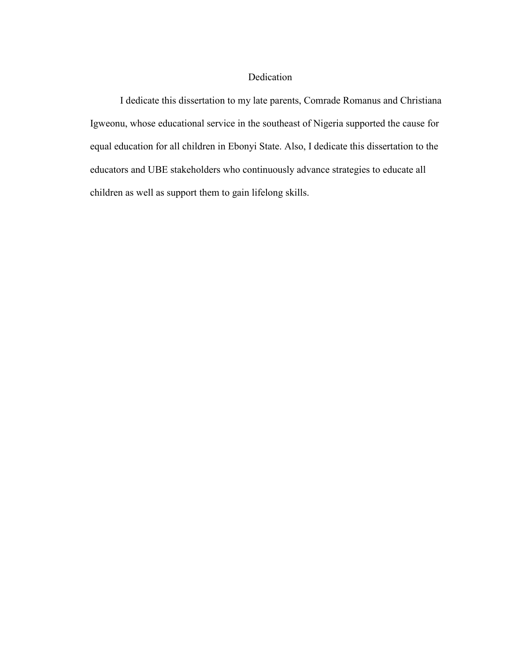# Dedication

I dedicate this dissertation to my late parents, Comrade Romanus and Christiana Igweonu, whose educational service in the southeast of Nigeria supported the cause for equal education for all children in Ebonyi State. Also, I dedicate this dissertation to the educators and UBE stakeholders who continuously advance strategies to educate all children as well as support them to gain lifelong skills.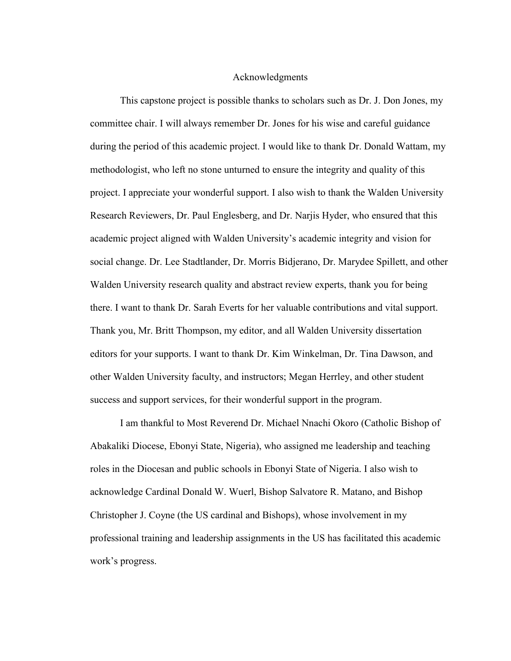# Acknowledgments

This capstone project is possible thanks to scholars such as Dr. J. Don Jones, my committee chair. I will always remember Dr. Jones for his wise and careful guidance during the period of this academic project. I would like to thank Dr. Donald Wattam, my methodologist, who left no stone unturned to ensure the integrity and quality of this project. I appreciate your wonderful support. I also wish to thank the Walden University Research Reviewers, Dr. Paul Englesberg, and Dr. Narjis Hyder, who ensured that this academic project aligned with Walden University's academic integrity and vision for social change. Dr. Lee Stadtlander, Dr. Morris Bidjerano, Dr. Marydee Spillett, and other Walden University research quality and abstract review experts, thank you for being there. I want to thank Dr. Sarah Everts for her valuable contributions and vital support. Thank you, Mr. Britt Thompson, my editor, and all Walden University dissertation editors for your supports. I want to thank Dr. Kim Winkelman, Dr. Tina Dawson, and other Walden University faculty, and instructors; Megan Herrley, and other student success and support services, for their wonderful support in the program.

I am thankful to Most Reverend Dr. Michael Nnachi Okoro (Catholic Bishop of Abakaliki Diocese, Ebonyi State, Nigeria), who assigned me leadership and teaching roles in the Diocesan and public schools in Ebonyi State of Nigeria. I also wish to acknowledge Cardinal Donald W. Wuerl, Bishop Salvatore R. Matano, and Bishop Christopher J. Coyne (the US cardinal and Bishops), whose involvement in my professional training and leadership assignments in the US has facilitated this academic work's progress.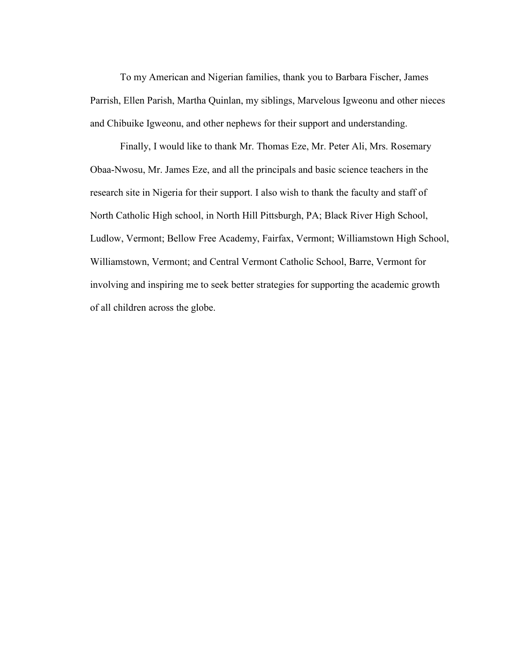To my American and Nigerian families, thank you to Barbara Fischer, James Parrish, Ellen Parish, Martha Quinlan, my siblings, Marvelous Igweonu and other nieces and Chibuike Igweonu, and other nephews for their support and understanding.

Finally, I would like to thank Mr. Thomas Eze, Mr. Peter Ali, Mrs. Rosemary Obaa-Nwosu, Mr. James Eze, and all the principals and basic science teachers in the research site in Nigeria for their support. I also wish to thank the faculty and staff of North Catholic High school, in North Hill Pittsburgh, PA; Black River High School, Ludlow, Vermont; Bellow Free Academy, Fairfax, Vermont; Williamstown High School, Williamstown, Vermont; and Central Vermont Catholic School, Barre, Vermont for involving and inspiring me to seek better strategies for supporting the academic growth of all children across the globe.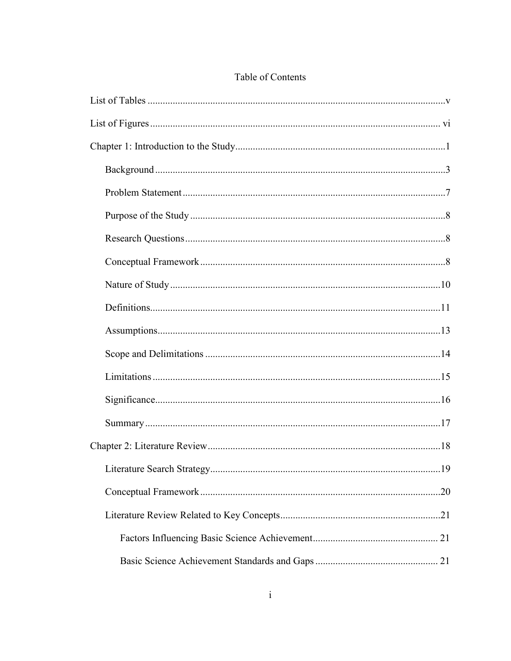# Table of Contents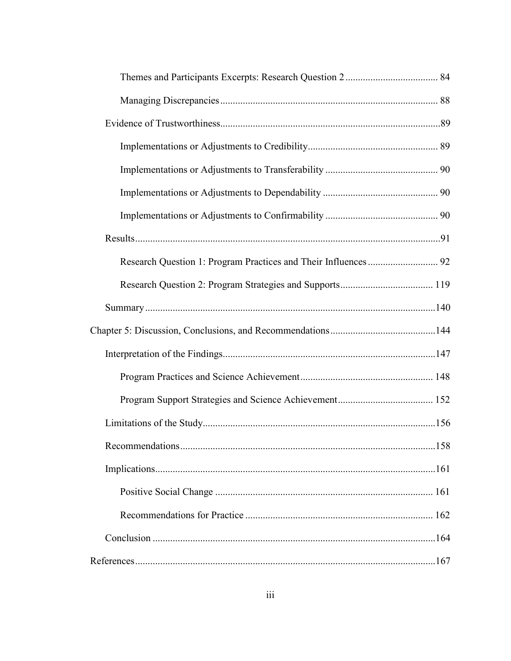| .158 |
|------|
|      |
|      |
|      |
|      |
|      |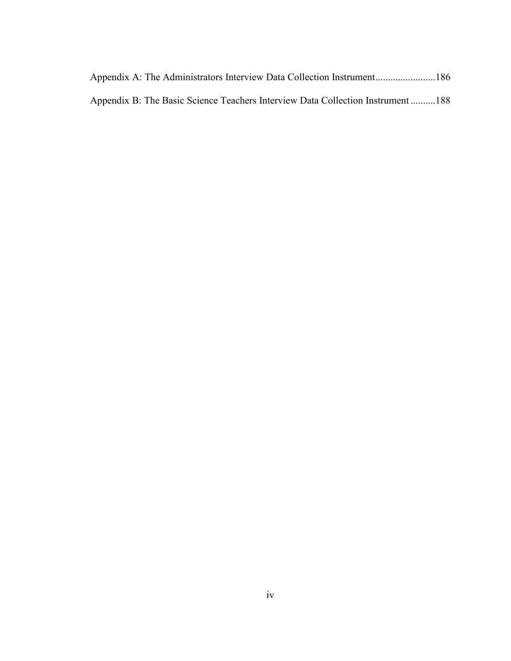| Appendix A: The Administrators Interview Data Collection Instrument186         |  |
|--------------------------------------------------------------------------------|--|
| Appendix B: The Basic Science Teachers Interview Data Collection Instrument188 |  |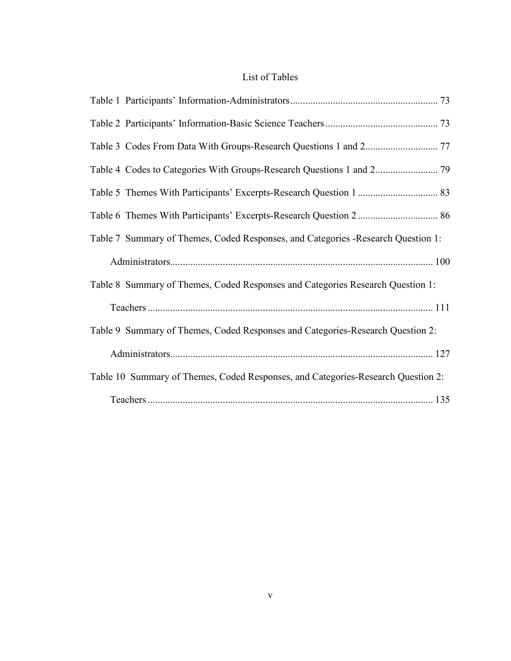# List of Tables

| Table 7 Summary of Themes, Coded Responses, and Categories -Research Question 1: |  |
|----------------------------------------------------------------------------------|--|
|                                                                                  |  |
| Table 8 Summary of Themes, Coded Responses and Categories Research Question 1:   |  |
|                                                                                  |  |
| Table 9 Summary of Themes, Coded Responses and Categories-Research Question 2:   |  |
|                                                                                  |  |
| Table 10 Summary of Themes, Coded Responses, and Categories-Research Question 2: |  |
|                                                                                  |  |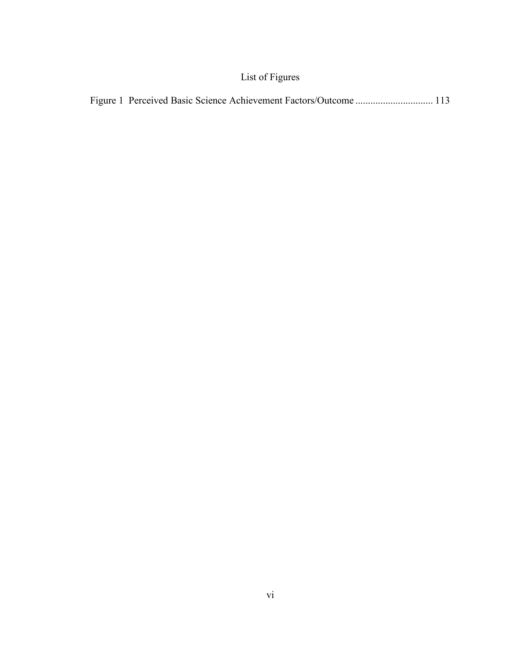# List of Figures

|--|--|--|--|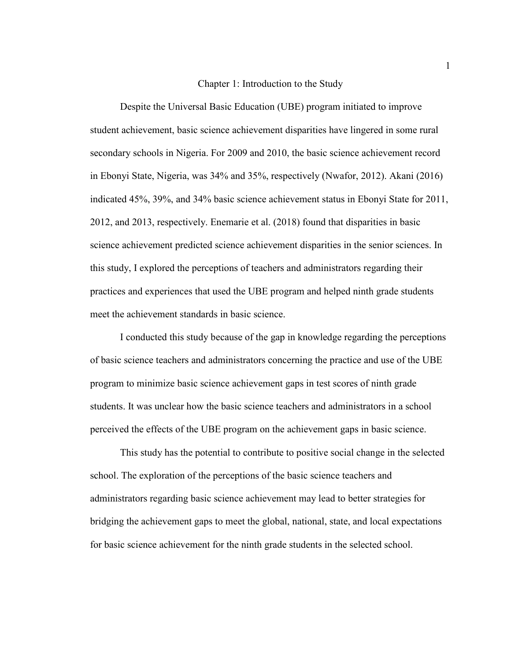#### Chapter 1: Introduction to the Study

Despite the Universal Basic Education (UBE) program initiated to improve student achievement, basic science achievement disparities have lingered in some rural secondary schools in Nigeria. For 2009 and 2010, the basic science achievement record in Ebonyi State, Nigeria, was 34% and 35%, respectively (Nwafor, 2012). Akani (2016) indicated 45%, 39%, and 34% basic science achievement status in Ebonyi State for 2011, 2012, and 2013, respectively. Enemarie et al. (2018) found that disparities in basic science achievement predicted science achievement disparities in the senior sciences. In this study, I explored the perceptions of teachers and administrators regarding their practices and experiences that used the UBE program and helped ninth grade students meet the achievement standards in basic science.

I conducted this study because of the gap in knowledge regarding the perceptions of basic science teachers and administrators concerning the practice and use of the UBE program to minimize basic science achievement gaps in test scores of ninth grade students. It was unclear how the basic science teachers and administrators in a school perceived the effects of the UBE program on the achievement gaps in basic science.

This study has the potential to contribute to positive social change in the selected school. The exploration of the perceptions of the basic science teachers and administrators regarding basic science achievement may lead to better strategies for bridging the achievement gaps to meet the global, national, state, and local expectations for basic science achievement for the ninth grade students in the selected school.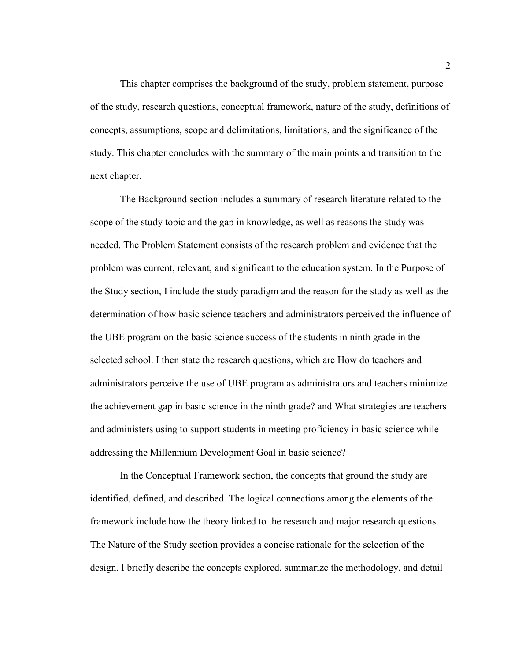This chapter comprises the background of the study, problem statement, purpose of the study, research questions, conceptual framework, nature of the study, definitions of concepts, assumptions, scope and delimitations, limitations, and the significance of the study. This chapter concludes with the summary of the main points and transition to the next chapter.

The Background section includes a summary of research literature related to the scope of the study topic and the gap in knowledge, as well as reasons the study was needed. The Problem Statement consists of the research problem and evidence that the problem was current, relevant, and significant to the education system. In the Purpose of the Study section, I include the study paradigm and the reason for the study as well as the determination of how basic science teachers and administrators perceived the influence of the UBE program on the basic science success of the students in ninth grade in the selected school. I then state the research questions, which are How do teachers and administrators perceive the use of UBE program as administrators and teachers minimize the achievement gap in basic science in the ninth grade? and What strategies are teachers and administers using to support students in meeting proficiency in basic science while addressing the Millennium Development Goal in basic science?

In the Conceptual Framework section, the concepts that ground the study are identified, defined, and described. The logical connections among the elements of the framework include how the theory linked to the research and major research questions. The Nature of the Study section provides a concise rationale for the selection of the design. I briefly describe the concepts explored, summarize the methodology, and detail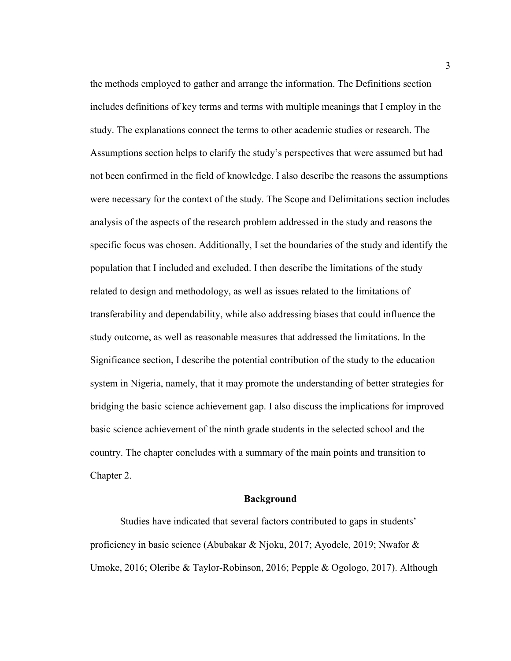the methods employed to gather and arrange the information. The Definitions section includes definitions of key terms and terms with multiple meanings that I employ in the study. The explanations connect the terms to other academic studies or research. The Assumptions section helps to clarify the study's perspectives that were assumed but had not been confirmed in the field of knowledge. I also describe the reasons the assumptions were necessary for the context of the study. The Scope and Delimitations section includes analysis of the aspects of the research problem addressed in the study and reasons the specific focus was chosen. Additionally, I set the boundaries of the study and identify the population that I included and excluded. I then describe the limitations of the study related to design and methodology, as well as issues related to the limitations of transferability and dependability, while also addressing biases that could influence the study outcome, as well as reasonable measures that addressed the limitations. In the Significance section, I describe the potential contribution of the study to the education system in Nigeria, namely, that it may promote the understanding of better strategies for bridging the basic science achievement gap. I also discuss the implications for improved basic science achievement of the ninth grade students in the selected school and the country. The chapter concludes with a summary of the main points and transition to Chapter 2.

### **Background**

Studies have indicated that several factors contributed to gaps in students' proficiency in basic science (Abubakar & Njoku, 2017; Ayodele, 2019; Nwafor & Umoke, 2016; Oleribe & Taylor-Robinson, 2016; Pepple & Ogologo, 2017). Although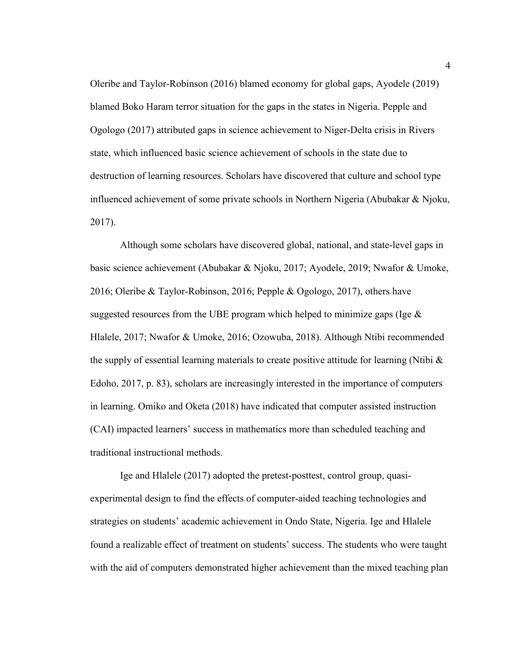Oleribe and Taylor-Robinson (2016) blamed economy for global gaps, Ayodele (2019) blamed Boko Haram terror situation for the gaps in the states in Nigeria. Pepple and Ogologo (2017) attributed gaps in science achievement to Niger-Delta crisis in Rivers state, which influenced basic science achievement of schools in the state due to destruction of learning resources. Scholars have discovered that culture and school type influenced achievement of some private schools in Northern Nigeria (Abubakar & Njoku, 2017).

Although some scholars have discovered global, national, and state-level gaps in basic science achievement (Abubakar & Njoku, 2017; Ayodele, 2019; Nwafor & Umoke, 2016; Oleribe & Taylor-Robinson, 2016; Pepple & Ogologo, 2017), others have suggested resources from the UBE program which helped to minimize gaps (Ige  $\&$ Hlalele, 2017; Nwafor & Umoke, 2016; Ozowuba, 2018). Although Ntibi recommended the supply of essential learning materials to create positive attitude for learning (Ntibi  $\&$ Edoho, 2017, p. 83), scholars are increasingly interested in the importance of computers in learning. Omiko and Oketa (2018) have indicated that computer assisted instruction (CAI) impacted learners' success in mathematics more than scheduled teaching and traditional instructional methods.

Ige and Hlalele (2017) adopted the pretest-posttest, control group, quasiexperimental design to find the effects of computer-aided teaching technologies and strategies on students' academic achievement in Ondo State, Nigeria. Ige and Hlalele found a realizable effect of treatment on students' success. The students who were taught with the aid of computers demonstrated higher achievement than the mixed teaching plan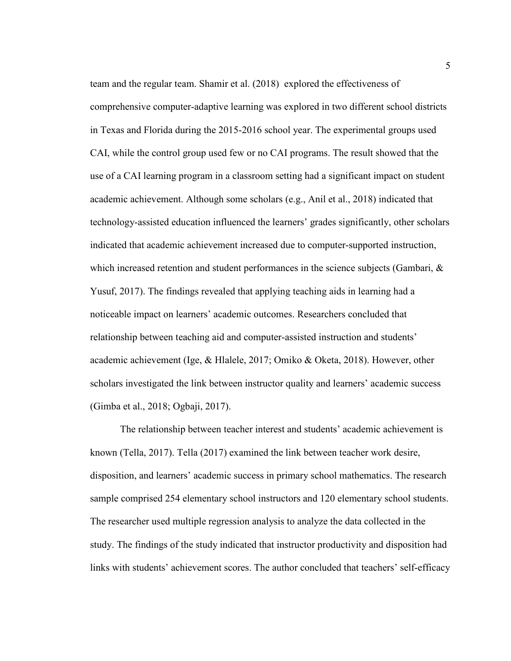team and the regular team. Shamir et al. (2018) explored the effectiveness of comprehensive computer-adaptive learning was explored in two different school districts in Texas and Florida during the 2015-2016 school year. The experimental groups used CAI, while the control group used few or no CAI programs. The result showed that the use of a CAI learning program in a classroom setting had a significant impact on student academic achievement. Although some scholars (e.g., Anil et al., 2018) indicated that technology-assisted education influenced the learners' grades significantly, other scholars indicated that academic achievement increased due to computer-supported instruction, which increased retention and student performances in the science subjects (Gambari, & Yusuf, 2017). The findings revealed that applying teaching aids in learning had a noticeable impact on learners' academic outcomes. Researchers concluded that relationship between teaching aid and computer-assisted instruction and students' academic achievement (Ige, & Hlalele, 2017; Omiko & Oketa, 2018). However, other scholars investigated the link between instructor quality and learners' academic success (Gimba et al., 2018; Ogbaji, 2017).

The relationship between teacher interest and students' academic achievement is known (Tella, 2017). Tella (2017) examined the link between teacher work desire, disposition, and learners' academic success in primary school mathematics. The research sample comprised 254 elementary school instructors and 120 elementary school students. The researcher used multiple regression analysis to analyze the data collected in the study. The findings of the study indicated that instructor productivity and disposition had links with students' achievement scores. The author concluded that teachers' self-efficacy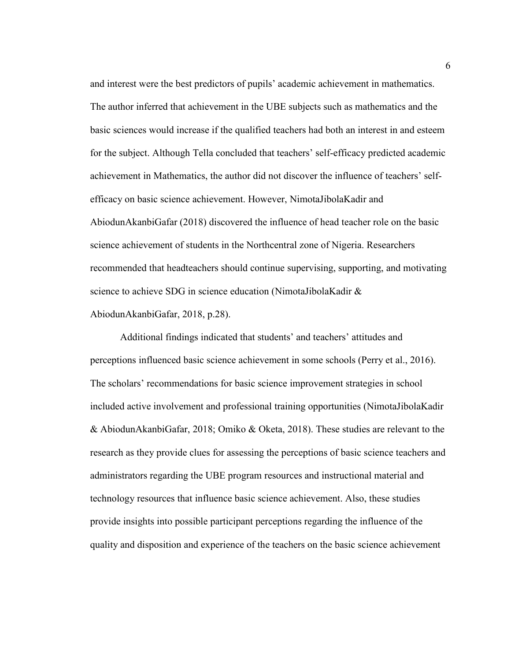and interest were the best predictors of pupils' academic achievement in mathematics. The author inferred that achievement in the UBE subjects such as mathematics and the basic sciences would increase if the qualified teachers had both an interest in and esteem for the subject. Although Tella concluded that teachers' self-efficacy predicted academic achievement in Mathematics, the author did not discover the influence of teachers' selfefficacy on basic science achievement. However, NimotaJibolaKadir and AbiodunAkanbiGafar (2018) discovered the influence of head teacher role on the basic science achievement of students in the Northcentral zone of Nigeria. Researchers recommended that headteachers should continue supervising, supporting, and motivating science to achieve SDG in science education (NimotaJibolaKadir & AbiodunAkanbiGafar, 2018, p.28).

Additional findings indicated that students' and teachers' attitudes and perceptions influenced basic science achievement in some schools (Perry et al., 2016). The scholars' recommendations for basic science improvement strategies in school included active involvement and professional training opportunities (NimotaJibolaKadir & AbiodunAkanbiGafar, 2018; Omiko & Oketa, 2018). These studies are relevant to the research as they provide clues for assessing the perceptions of basic science teachers and administrators regarding the UBE program resources and instructional material and technology resources that influence basic science achievement. Also, these studies provide insights into possible participant perceptions regarding the influence of the quality and disposition and experience of the teachers on the basic science achievement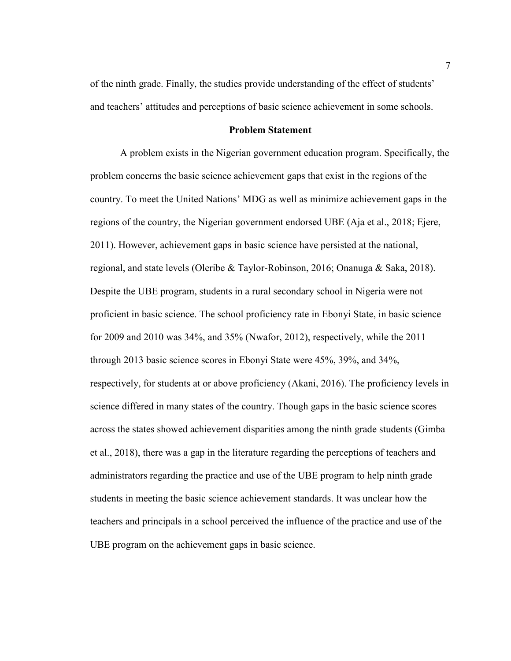of the ninth grade. Finally, the studies provide understanding of the effect of students' and teachers' attitudes and perceptions of basic science achievement in some schools.

# **Problem Statement**

A problem exists in the Nigerian government education program. Specifically, the problem concerns the basic science achievement gaps that exist in the regions of the country. To meet the United Nations' MDG as well as minimize achievement gaps in the regions of the country, the Nigerian government endorsed UBE (Aja et al., 2018; Ejere, 2011). However, achievement gaps in basic science have persisted at the national, regional, and state levels (Oleribe & Taylor-Robinson, 2016; Onanuga & Saka, 2018). Despite the UBE program, students in a rural secondary school in Nigeria were not proficient in basic science. The school proficiency rate in Ebonyi State, in basic science for 2009 and 2010 was 34%, and 35% (Nwafor, 2012), respectively, while the 2011 through 2013 basic science scores in Ebonyi State were 45%, 39%, and 34%, respectively, for students at or above proficiency (Akani, 2016). The proficiency levels in science differed in many states of the country. Though gaps in the basic science scores across the states showed achievement disparities among the ninth grade students (Gimba et al., 2018), there was a gap in the literature regarding the perceptions of teachers and administrators regarding the practice and use of the UBE program to help ninth grade students in meeting the basic science achievement standards. It was unclear how the teachers and principals in a school perceived the influence of the practice and use of the UBE program on the achievement gaps in basic science.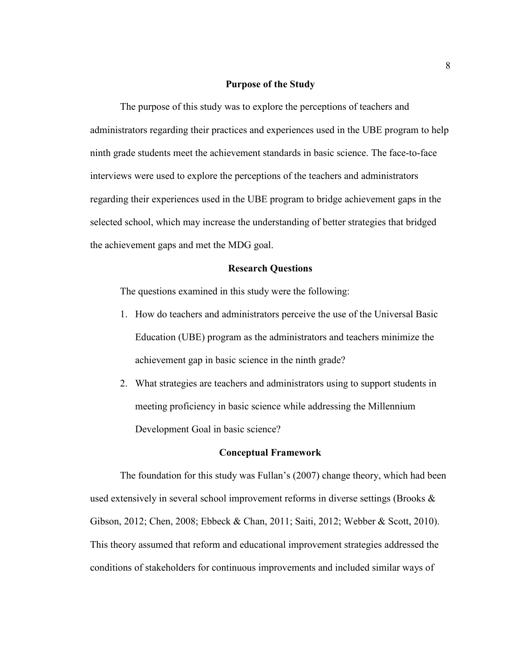#### **Purpose of the Study**

The purpose of this study was to explore the perceptions of teachers and administrators regarding their practices and experiences used in the UBE program to help ninth grade students meet the achievement standards in basic science. The face-to-face interviews were used to explore the perceptions of the teachers and administrators regarding their experiences used in the UBE program to bridge achievement gaps in the selected school, which may increase the understanding of better strategies that bridged the achievement gaps and met the MDG goal.

### **Research Questions**

The questions examined in this study were the following:

- 1. How do teachers and administrators perceive the use of the Universal Basic Education (UBE) program as the administrators and teachers minimize the achievement gap in basic science in the ninth grade?
- 2. What strategies are teachers and administrators using to support students in meeting proficiency in basic science while addressing the Millennium Development Goal in basic science?

#### **Conceptual Framework**

The foundation for this study was Fullan's (2007) change theory, which had been used extensively in several school improvement reforms in diverse settings (Brooks  $\&$ Gibson, 2012; Chen, 2008; Ebbeck & Chan, 2011; Saiti, 2012; Webber & Scott, 2010). This theory assumed that reform and educational improvement strategies addressed the conditions of stakeholders for continuous improvements and included similar ways of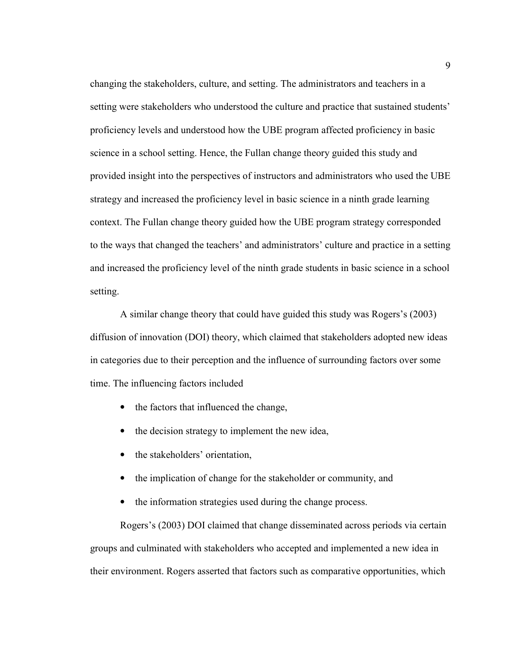changing the stakeholders, culture, and setting. The administrators and teachers in a setting were stakeholders who understood the culture and practice that sustained students' proficiency levels and understood how the UBE program affected proficiency in basic science in a school setting. Hence, the Fullan change theory guided this study and provided insight into the perspectives of instructors and administrators who used the UBE strategy and increased the proficiency level in basic science in a ninth grade learning context. The Fullan change theory guided how the UBE program strategy corresponded to the ways that changed the teachers' and administrators' culture and practice in a setting and increased the proficiency level of the ninth grade students in basic science in a school setting.

A similar change theory that could have guided this study was Rogers's (2003) diffusion of innovation (DOI) theory, which claimed that stakeholders adopted new ideas in categories due to their perception and the influence of surrounding factors over some time. The influencing factors included

- the factors that influenced the change,
- the decision strategy to implement the new idea,
- the stakeholders' orientation,
- the implication of change for the stakeholder or community, and
- the information strategies used during the change process.

Rogers's (2003) DOI claimed that change disseminated across periods via certain groups and culminated with stakeholders who accepted and implemented a new idea in their environment. Rogers asserted that factors such as comparative opportunities, which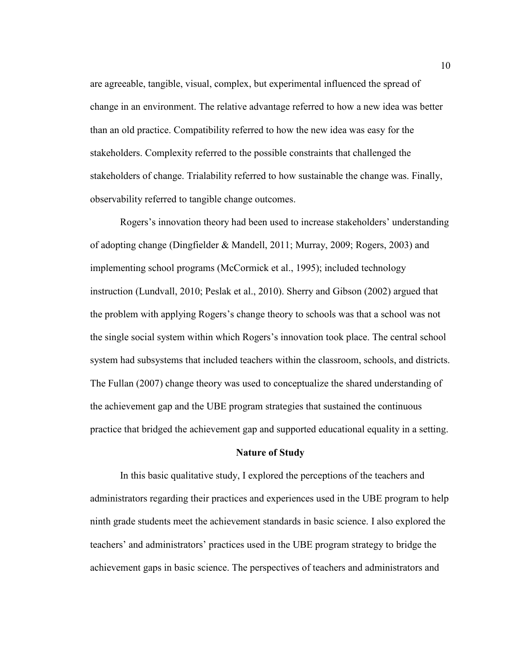are agreeable, tangible, visual, complex, but experimental influenced the spread of change in an environment. The relative advantage referred to how a new idea was better than an old practice. Compatibility referred to how the new idea was easy for the stakeholders. Complexity referred to the possible constraints that challenged the stakeholders of change. Trialability referred to how sustainable the change was. Finally, observability referred to tangible change outcomes.

Rogers's innovation theory had been used to increase stakeholders' understanding of adopting change (Dingfielder & Mandell, 2011; Murray, 2009; Rogers, 2003) and implementing school programs (McCormick et al., 1995); included technology instruction (Lundvall, 2010; Peslak et al., 2010). Sherry and Gibson (2002) argued that the problem with applying Rogers's change theory to schools was that a school was not the single social system within which Rogers's innovation took place. The central school system had subsystems that included teachers within the classroom, schools, and districts. The Fullan (2007) change theory was used to conceptualize the shared understanding of the achievement gap and the UBE program strategies that sustained the continuous practice that bridged the achievement gap and supported educational equality in a setting.

#### **Nature of Study**

In this basic qualitative study, I explored the perceptions of the teachers and administrators regarding their practices and experiences used in the UBE program to help ninth grade students meet the achievement standards in basic science. I also explored the teachers' and administrators' practices used in the UBE program strategy to bridge the achievement gaps in basic science. The perspectives of teachers and administrators and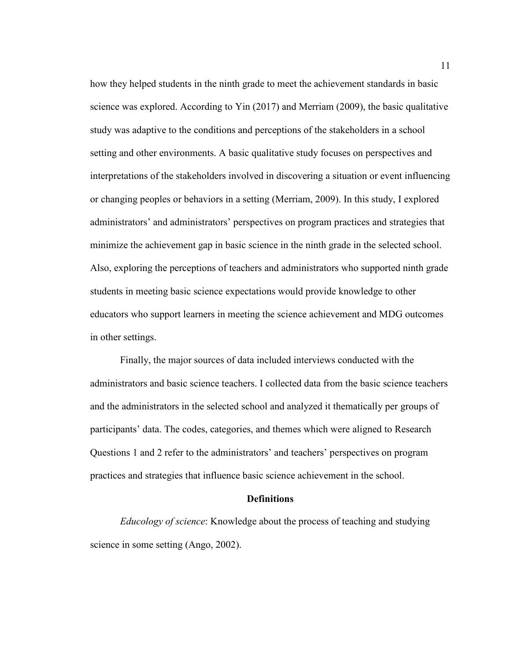how they helped students in the ninth grade to meet the achievement standards in basic science was explored. According to Yin (2017) and Merriam (2009), the basic qualitative study was adaptive to the conditions and perceptions of the stakeholders in a school setting and other environments. A basic qualitative study focuses on perspectives and interpretations of the stakeholders involved in discovering a situation or event influencing or changing peoples or behaviors in a setting (Merriam, 2009). In this study, I explored administrators' and administrators' perspectives on program practices and strategies that minimize the achievement gap in basic science in the ninth grade in the selected school. Also, exploring the perceptions of teachers and administrators who supported ninth grade students in meeting basic science expectations would provide knowledge to other educators who support learners in meeting the science achievement and MDG outcomes in other settings.

Finally, the major sources of data included interviews conducted with the administrators and basic science teachers. I collected data from the basic science teachers and the administrators in the selected school and analyzed it thematically per groups of participants' data. The codes, categories, and themes which were aligned to Research Questions 1 and 2 refer to the administrators' and teachers' perspectives on program practices and strategies that influence basic science achievement in the school.

#### **Definitions**

*Educology of science*: Knowledge about the process of teaching and studying science in some setting (Ango, 2002).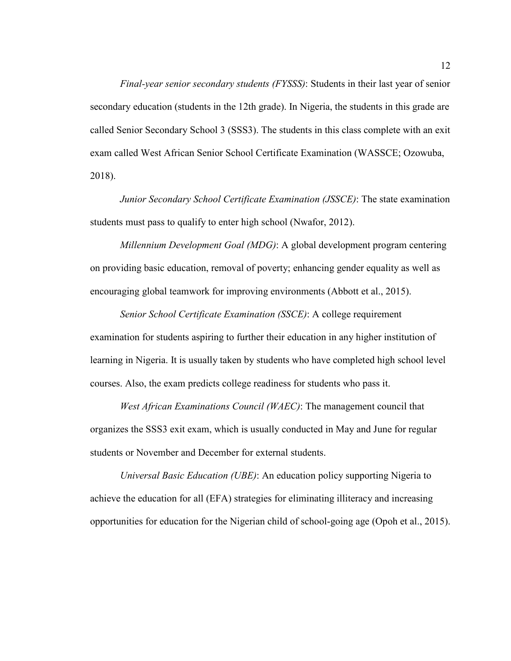*Final-year senior secondary students (FYSSS)*: Students in their last year of senior secondary education (students in the 12th grade). In Nigeria, the students in this grade are called Senior Secondary School 3 (SSS3). The students in this class complete with an exit exam called West African Senior School Certificate Examination (WASSCE; Ozowuba, 2018).

*Junior Secondary School Certificate Examination (JSSCE)*: The state examination students must pass to qualify to enter high school (Nwafor, 2012).

*Millennium Development Goal (MDG)*: A global development program centering on providing basic education, removal of poverty; enhancing gender equality as well as encouraging global teamwork for improving environments (Abbott et al., 2015).

*Senior School Certificate Examination (SSCE)*: A college requirement examination for students aspiring to further their education in any higher institution of learning in Nigeria. It is usually taken by students who have completed high school level courses. Also, the exam predicts college readiness for students who pass it.

*West African Examinations Council (WAEC)*: The management council that organizes the SSS3 exit exam, which is usually conducted in May and June for regular students or November and December for external students.

*Universal Basic Education (UBE)*: An education policy supporting Nigeria to achieve the education for all (EFA) strategies for eliminating illiteracy and increasing opportunities for education for the Nigerian child of school-going age (Opoh et al., 2015).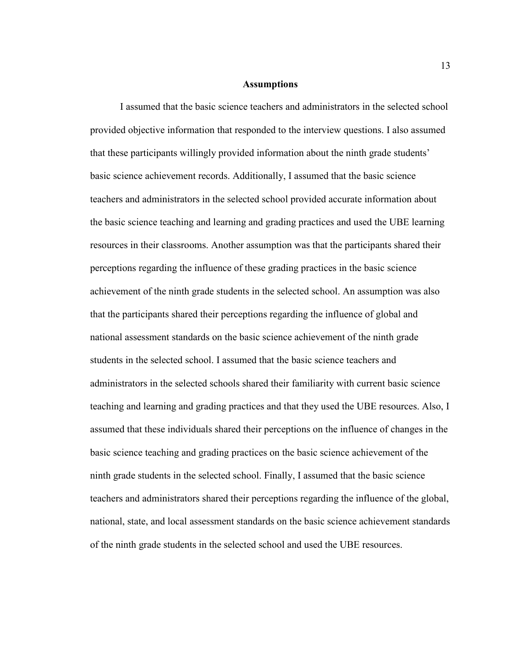#### **Assumptions**

I assumed that the basic science teachers and administrators in the selected school provided objective information that responded to the interview questions. I also assumed that these participants willingly provided information about the ninth grade students' basic science achievement records. Additionally, I assumed that the basic science teachers and administrators in the selected school provided accurate information about the basic science teaching and learning and grading practices and used the UBE learning resources in their classrooms. Another assumption was that the participants shared their perceptions regarding the influence of these grading practices in the basic science achievement of the ninth grade students in the selected school. An assumption was also that the participants shared their perceptions regarding the influence of global and national assessment standards on the basic science achievement of the ninth grade students in the selected school. I assumed that the basic science teachers and administrators in the selected schools shared their familiarity with current basic science teaching and learning and grading practices and that they used the UBE resources. Also, I assumed that these individuals shared their perceptions on the influence of changes in the basic science teaching and grading practices on the basic science achievement of the ninth grade students in the selected school. Finally, I assumed that the basic science teachers and administrators shared their perceptions regarding the influence of the global, national, state, and local assessment standards on the basic science achievement standards of the ninth grade students in the selected school and used the UBE resources.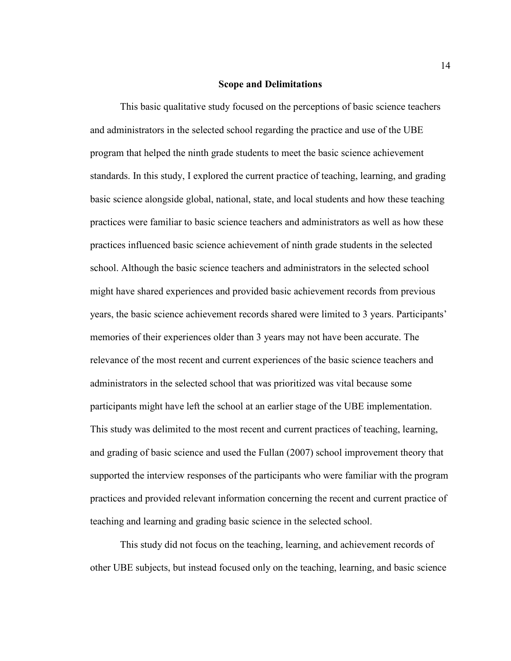#### **Scope and Delimitations**

This basic qualitative study focused on the perceptions of basic science teachers and administrators in the selected school regarding the practice and use of the UBE program that helped the ninth grade students to meet the basic science achievement standards. In this study, I explored the current practice of teaching, learning, and grading basic science alongside global, national, state, and local students and how these teaching practices were familiar to basic science teachers and administrators as well as how these practices influenced basic science achievement of ninth grade students in the selected school. Although the basic science teachers and administrators in the selected school might have shared experiences and provided basic achievement records from previous years, the basic science achievement records shared were limited to 3 years. Participants' memories of their experiences older than 3 years may not have been accurate. The relevance of the most recent and current experiences of the basic science teachers and administrators in the selected school that was prioritized was vital because some participants might have left the school at an earlier stage of the UBE implementation. This study was delimited to the most recent and current practices of teaching, learning, and grading of basic science and used the Fullan (2007) school improvement theory that supported the interview responses of the participants who were familiar with the program practices and provided relevant information concerning the recent and current practice of teaching and learning and grading basic science in the selected school.

This study did not focus on the teaching, learning, and achievement records of other UBE subjects, but instead focused only on the teaching, learning, and basic science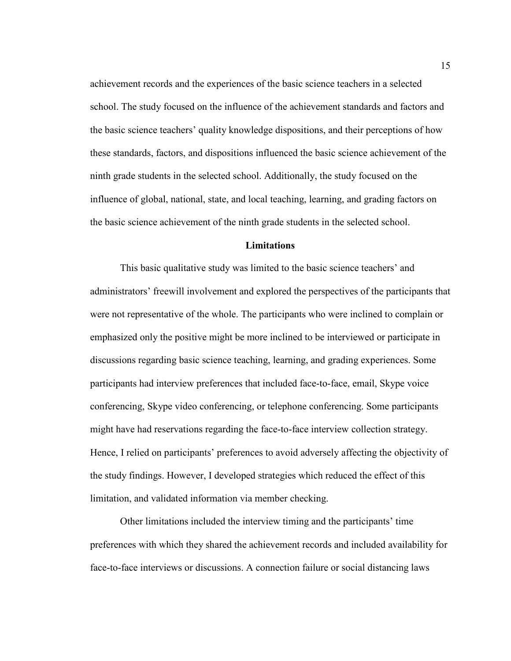achievement records and the experiences of the basic science teachers in a selected school. The study focused on the influence of the achievement standards and factors and the basic science teachers' quality knowledge dispositions, and their perceptions of how these standards, factors, and dispositions influenced the basic science achievement of the ninth grade students in the selected school. Additionally, the study focused on the influence of global, national, state, and local teaching, learning, and grading factors on the basic science achievement of the ninth grade students in the selected school.

## **Limitations**

This basic qualitative study was limited to the basic science teachers' and administrators' freewill involvement and explored the perspectives of the participants that were not representative of the whole. The participants who were inclined to complain or emphasized only the positive might be more inclined to be interviewed or participate in discussions regarding basic science teaching, learning, and grading experiences. Some participants had interview preferences that included face-to-face, email, Skype voice conferencing, Skype video conferencing, or telephone conferencing. Some participants might have had reservations regarding the face-to-face interview collection strategy. Hence, I relied on participants' preferences to avoid adversely affecting the objectivity of the study findings. However, I developed strategies which reduced the effect of this limitation, and validated information via member checking.

Other limitations included the interview timing and the participants' time preferences with which they shared the achievement records and included availability for face-to-face interviews or discussions. A connection failure or social distancing laws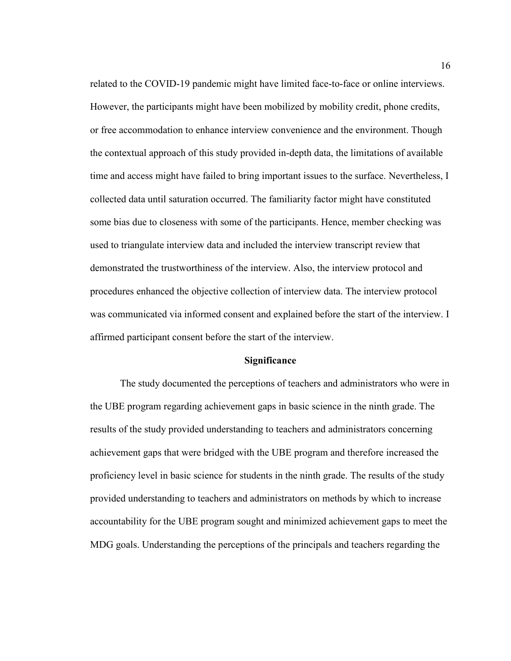related to the COVID-19 pandemic might have limited face-to-face or online interviews. However, the participants might have been mobilized by mobility credit, phone credits, or free accommodation to enhance interview convenience and the environment. Though the contextual approach of this study provided in-depth data, the limitations of available time and access might have failed to bring important issues to the surface. Nevertheless, I collected data until saturation occurred. The familiarity factor might have constituted some bias due to closeness with some of the participants. Hence, member checking was used to triangulate interview data and included the interview transcript review that demonstrated the trustworthiness of the interview. Also, the interview protocol and procedures enhanced the objective collection of interview data. The interview protocol was communicated via informed consent and explained before the start of the interview. I affirmed participant consent before the start of the interview.

# **Significance**

The study documented the perceptions of teachers and administrators who were in the UBE program regarding achievement gaps in basic science in the ninth grade. The results of the study provided understanding to teachers and administrators concerning achievement gaps that were bridged with the UBE program and therefore increased the proficiency level in basic science for students in the ninth grade. The results of the study provided understanding to teachers and administrators on methods by which to increase accountability for the UBE program sought and minimized achievement gaps to meet the MDG goals. Understanding the perceptions of the principals and teachers regarding the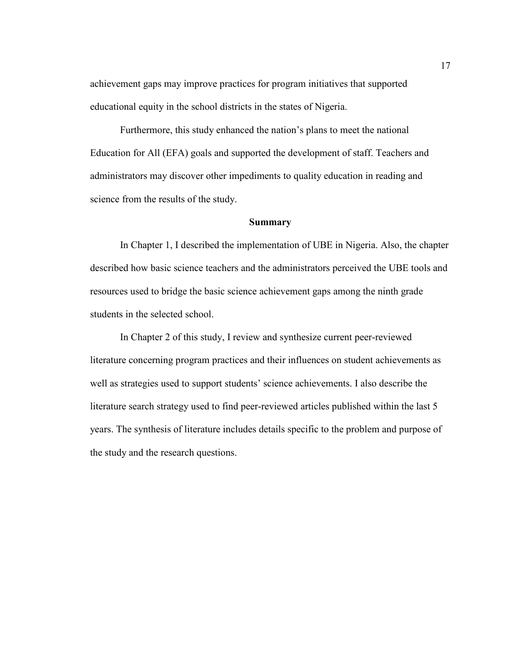achievement gaps may improve practices for program initiatives that supported educational equity in the school districts in the states of Nigeria.

Furthermore, this study enhanced the nation's plans to meet the national Education for All (EFA) goals and supported the development of staff. Teachers and administrators may discover other impediments to quality education in reading and science from the results of the study.

# **Summary**

In Chapter 1, I described the implementation of UBE in Nigeria. Also, the chapter described how basic science teachers and the administrators perceived the UBE tools and resources used to bridge the basic science achievement gaps among the ninth grade students in the selected school.

In Chapter 2 of this study, I review and synthesize current peer-reviewed literature concerning program practices and their influences on student achievements as well as strategies used to support students' science achievements. I also describe the literature search strategy used to find peer-reviewed articles published within the last 5 years. The synthesis of literature includes details specific to the problem and purpose of the study and the research questions.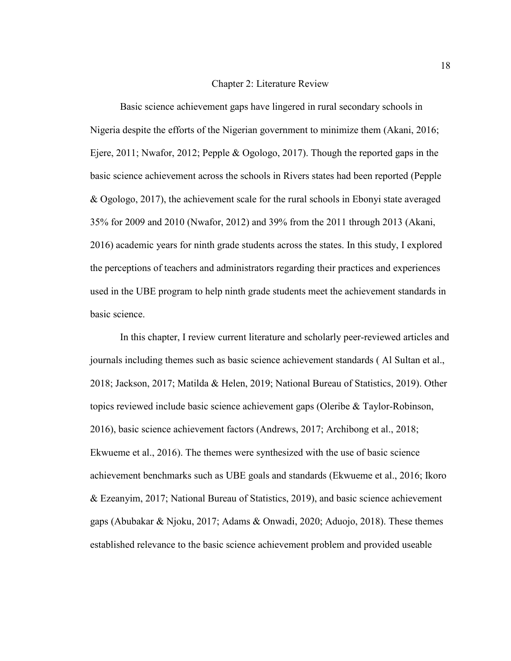#### Chapter 2: Literature Review

Basic science achievement gaps have lingered in rural secondary schools in Nigeria despite the efforts of the Nigerian government to minimize them (Akani, 2016; Ejere, 2011; Nwafor, 2012; Pepple & Ogologo, 2017). Though the reported gaps in the basic science achievement across the schools in Rivers states had been reported (Pepple & Ogologo, 2017), the achievement scale for the rural schools in Ebonyi state averaged 35% for 2009 and 2010 (Nwafor, 2012) and 39% from the 2011 through 2013 (Akani, 2016) academic years for ninth grade students across the states. In this study, I explored the perceptions of teachers and administrators regarding their practices and experiences used in the UBE program to help ninth grade students meet the achievement standards in basic science.

In this chapter, I review current literature and scholarly peer-reviewed articles and journals including themes such as basic science achievement standards ( Al Sultan et al., 2018; Jackson, 2017; Matilda & Helen, 2019; National Bureau of Statistics, 2019). Other topics reviewed include basic science achievement gaps (Oleribe & Taylor-Robinson, 2016), basic science achievement factors (Andrews, 2017; Archibong et al., 2018; Ekwueme et al., 2016). The themes were synthesized with the use of basic science achievement benchmarks such as UBE goals and standards (Ekwueme et al., 2016; Ikoro & Ezeanyim, 2017; National Bureau of Statistics, 2019), and basic science achievement gaps (Abubakar & Njoku, 2017; Adams & Onwadi, 2020; Aduojo, 2018). These themes established relevance to the basic science achievement problem and provided useable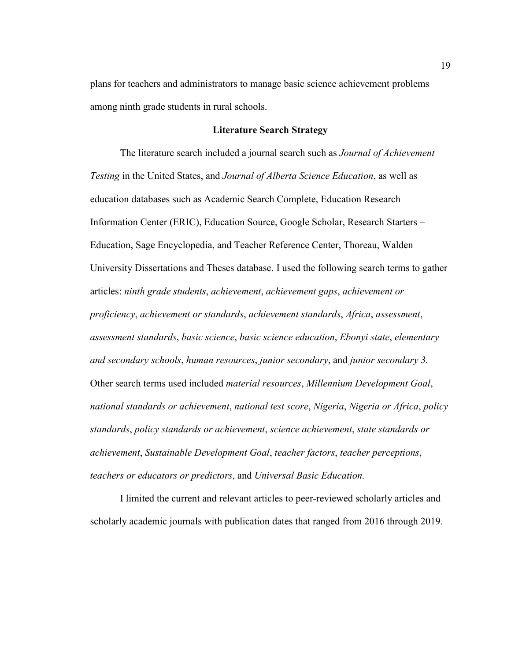plans for teachers and administrators to manage basic science achievement problems among ninth grade students in rural schools.

# **Literature Search Strategy**

The literature search included a journal search such as *Journal of Achievement Testing* in the United States, and *Journal of Alberta Science Education*, as well as education databases such as Academic Search Complete, Education Research Information Center (ERIC), Education Source, Google Scholar, Research Starters – Education, Sage Encyclopedia, and Teacher Reference Center, Thoreau, Walden University Dissertations and Theses database. I used the following search terms to gather articles: *ninth grade students*, *achievement*, *achievement gaps*, *achievement or proficiency*, *achievement or standards*, *achievement standards*, *Africa*, *assessment*, *assessment standards*, *basic science*, *basic science education*, *Ebonyi state*, *elementary and secondary schools*, *human resources*, *junior secondary*, and *junior secondary 3.*  Other search terms used included *material resources*, *Millennium Development Goal*, *national standards or achievement*, *national test score*, *Nigeria*, *Nigeria or Africa*, *policy standards*, *policy standards or achievement*, *science achievement*, *state standards or achievement*, *Sustainable Development Goal*, *teacher factors*, *teacher perceptions*, *teachers or educators or predictors*, and *Universal Basic Education.*

I limited the current and relevant articles to peer-reviewed scholarly articles and scholarly academic journals with publication dates that ranged from 2016 through 2019.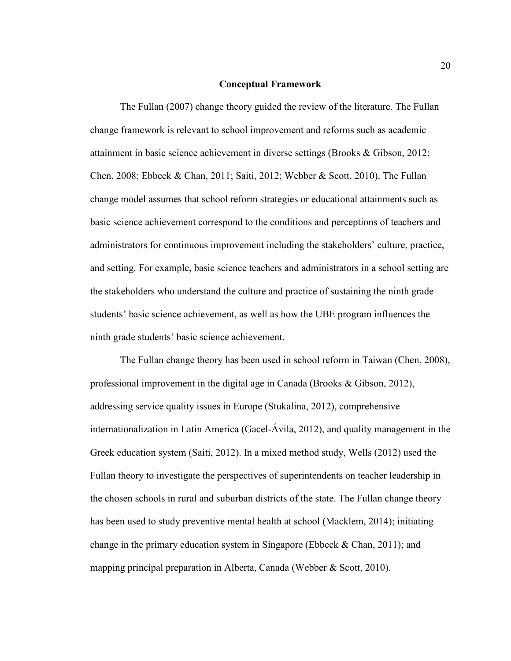#### **Conceptual Framework**

The Fullan (2007) change theory guided the review of the literature. The Fullan change framework is relevant to school improvement and reforms such as academic attainment in basic science achievement in diverse settings (Brooks & Gibson, 2012; Chen, 2008; Ebbeck & Chan, 2011; Saiti, 2012; Webber & Scott, 2010). The Fullan change model assumes that school reform strategies or educational attainments such as basic science achievement correspond to the conditions and perceptions of teachers and administrators for continuous improvement including the stakeholders' culture, practice, and setting. For example, basic science teachers and administrators in a school setting are the stakeholders who understand the culture and practice of sustaining the ninth grade students' basic science achievement, as well as how the UBE program influences the ninth grade students' basic science achievement.

The Fullan change theory has been used in school reform in Taiwan (Chen, 2008), professional improvement in the digital age in Canada (Brooks & Gibson, 2012), addressing service quality issues in Europe (Stukalina, 2012), comprehensive internationalization in Latin America (Gacel-Ávila, 2012), and quality management in the Greek education system (Saiti, 2012). In a mixed method study, Wells (2012) used the Fullan theory to investigate the perspectives of superintendents on teacher leadership in the chosen schools in rural and suburban districts of the state. The Fullan change theory has been used to study preventive mental health at school (Macklem, 2014); initiating change in the primary education system in Singapore (Ebbeck  $\&$  Chan, 2011); and mapping principal preparation in Alberta, Canada (Webber & Scott, 2010).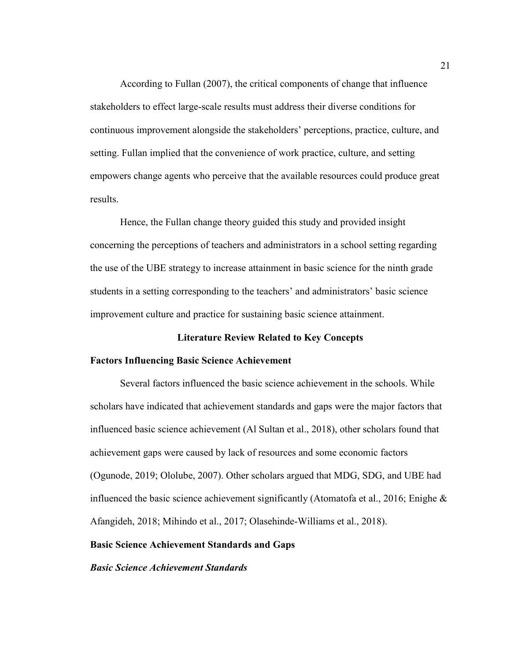According to Fullan (2007), the critical components of change that influence stakeholders to effect large-scale results must address their diverse conditions for continuous improvement alongside the stakeholders' perceptions, practice, culture, and setting. Fullan implied that the convenience of work practice, culture, and setting empowers change agents who perceive that the available resources could produce great results.

Hence, the Fullan change theory guided this study and provided insight concerning the perceptions of teachers and administrators in a school setting regarding the use of the UBE strategy to increase attainment in basic science for the ninth grade students in a setting corresponding to the teachers' and administrators' basic science improvement culture and practice for sustaining basic science attainment.

#### **Literature Review Related to Key Concepts**

#### **Factors Influencing Basic Science Achievement**

Several factors influenced the basic science achievement in the schools. While scholars have indicated that achievement standards and gaps were the major factors that influenced basic science achievement (Al Sultan et al., 2018), other scholars found that achievement gaps were caused by lack of resources and some economic factors (Ogunode, 2019; Ololube, 2007). Other scholars argued that MDG, SDG, and UBE had influenced the basic science achievement significantly (Atomatofa et al., 2016; Enighe & Afangideh, 2018; Mihindo et al., 2017; Olasehinde-Williams et al., 2018).

# **Basic Science Achievement Standards and Gaps**

#### *Basic Science Achievement Standards*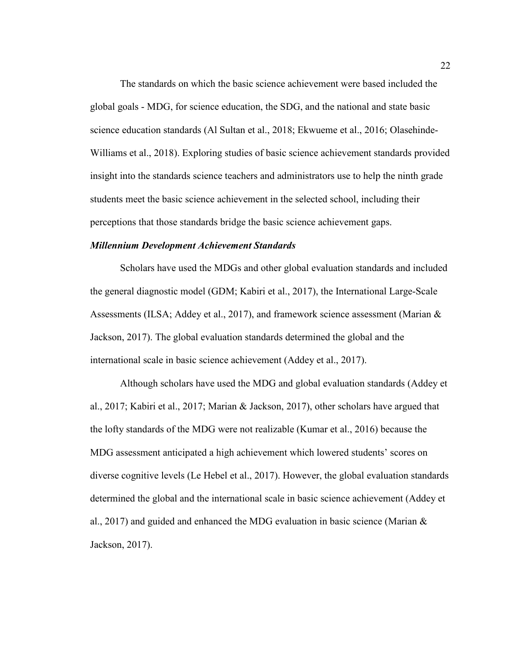The standards on which the basic science achievement were based included the global goals - MDG, for science education, the SDG, and the national and state basic science education standards (Al Sultan et al., 2018; Ekwueme et al., 2016; Olasehinde-Williams et al., 2018). Exploring studies of basic science achievement standards provided insight into the standards science teachers and administrators use to help the ninth grade students meet the basic science achievement in the selected school, including their perceptions that those standards bridge the basic science achievement gaps.

## *Millennium Development Achievement Standards*

Scholars have used the MDGs and other global evaluation standards and included the general diagnostic model (GDM; Kabiri et al., 2017), the International Large-Scale Assessments (ILSA; Addey et al., 2017), and framework science assessment (Marian & Jackson, 2017). The global evaluation standards determined the global and the international scale in basic science achievement (Addey et al., 2017).

Although scholars have used the MDG and global evaluation standards (Addey et al., 2017; Kabiri et al., 2017; Marian & Jackson, 2017), other scholars have argued that the lofty standards of the MDG were not realizable (Kumar et al., 2016) because the MDG assessment anticipated a high achievement which lowered students' scores on diverse cognitive levels (Le Hebel et al., 2017). However, the global evaluation standards determined the global and the international scale in basic science achievement (Addey et al., 2017) and guided and enhanced the MDG evaluation in basic science (Marian & Jackson, 2017).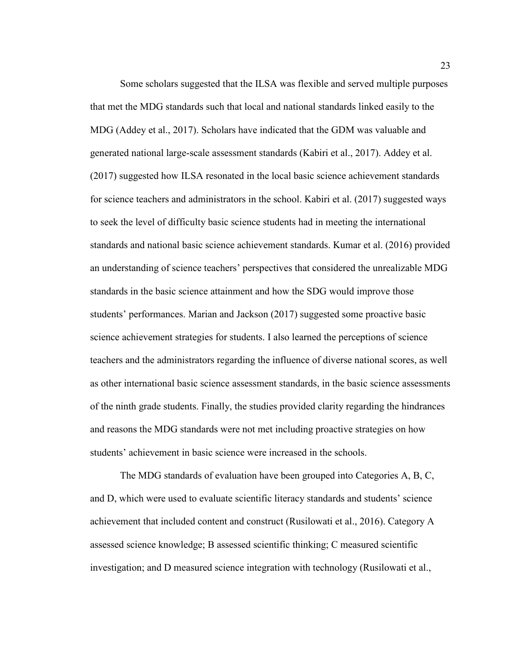Some scholars suggested that the ILSA was flexible and served multiple purposes that met the MDG standards such that local and national standards linked easily to the MDG (Addey et al., 2017). Scholars have indicated that the GDM was valuable and generated national large-scale assessment standards (Kabiri et al., 2017). Addey et al. (2017) suggested how ILSA resonated in the local basic science achievement standards for science teachers and administrators in the school. Kabiri et al. (2017) suggested ways to seek the level of difficulty basic science students had in meeting the international standards and national basic science achievement standards. Kumar et al. (2016) provided an understanding of science teachers' perspectives that considered the unrealizable MDG standards in the basic science attainment and how the SDG would improve those students' performances. Marian and Jackson (2017) suggested some proactive basic science achievement strategies for students. I also learned the perceptions of science teachers and the administrators regarding the influence of diverse national scores, as well as other international basic science assessment standards, in the basic science assessments of the ninth grade students. Finally, the studies provided clarity regarding the hindrances and reasons the MDG standards were not met including proactive strategies on how students' achievement in basic science were increased in the schools.

The MDG standards of evaluation have been grouped into Categories A, B, C, and D, which were used to evaluate scientific literacy standards and students' science achievement that included content and construct (Rusilowati et al., 2016). Category A assessed science knowledge; B assessed scientific thinking; C measured scientific investigation; and D measured science integration with technology (Rusilowati et al.,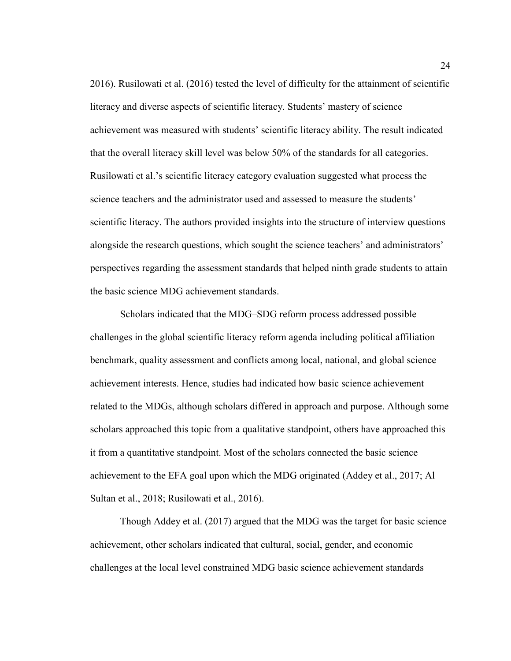2016). Rusilowati et al. (2016) tested the level of difficulty for the attainment of scientific literacy and diverse aspects of scientific literacy. Students' mastery of science achievement was measured with students' scientific literacy ability. The result indicated that the overall literacy skill level was below 50% of the standards for all categories. Rusilowati et al.'s scientific literacy category evaluation suggested what process the science teachers and the administrator used and assessed to measure the students' scientific literacy. The authors provided insights into the structure of interview questions alongside the research questions, which sought the science teachers' and administrators' perspectives regarding the assessment standards that helped ninth grade students to attain the basic science MDG achievement standards.

Scholars indicated that the MDG–SDG reform process addressed possible challenges in the global scientific literacy reform agenda including political affiliation benchmark, quality assessment and conflicts among local, national, and global science achievement interests. Hence, studies had indicated how basic science achievement related to the MDGs, although scholars differed in approach and purpose. Although some scholars approached this topic from a qualitative standpoint, others have approached this it from a quantitative standpoint. Most of the scholars connected the basic science achievement to the EFA goal upon which the MDG originated (Addey et al., 2017; Al Sultan et al., 2018; Rusilowati et al., 2016).

Though Addey et al. (2017) argued that the MDG was the target for basic science achievement, other scholars indicated that cultural, social, gender, and economic challenges at the local level constrained MDG basic science achievement standards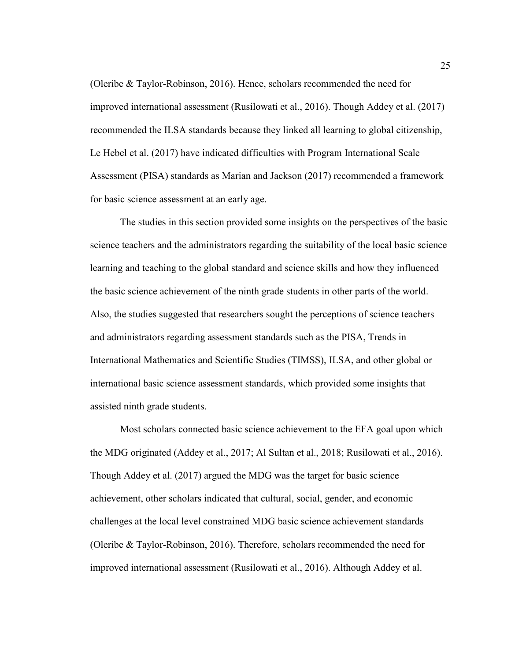(Oleribe & Taylor-Robinson, 2016). Hence, scholars recommended the need for improved international assessment (Rusilowati et al., 2016). Though Addey et al. (2017) recommended the ILSA standards because they linked all learning to global citizenship, Le Hebel et al. (2017) have indicated difficulties with Program International Scale Assessment (PISA) standards as Marian and Jackson (2017) recommended a framework for basic science assessment at an early age.

The studies in this section provided some insights on the perspectives of the basic science teachers and the administrators regarding the suitability of the local basic science learning and teaching to the global standard and science skills and how they influenced the basic science achievement of the ninth grade students in other parts of the world. Also, the studies suggested that researchers sought the perceptions of science teachers and administrators regarding assessment standards such as the PISA, Trends in International Mathematics and Scientific Studies (TIMSS), ILSA, and other global or international basic science assessment standards, which provided some insights that assisted ninth grade students.

Most scholars connected basic science achievement to the EFA goal upon which the MDG originated (Addey et al., 2017; Al Sultan et al., 2018; Rusilowati et al., 2016). Though Addey et al. (2017) argued the MDG was the target for basic science achievement, other scholars indicated that cultural, social, gender, and economic challenges at the local level constrained MDG basic science achievement standards (Oleribe & Taylor-Robinson, 2016). Therefore, scholars recommended the need for improved international assessment (Rusilowati et al., 2016). Although Addey et al.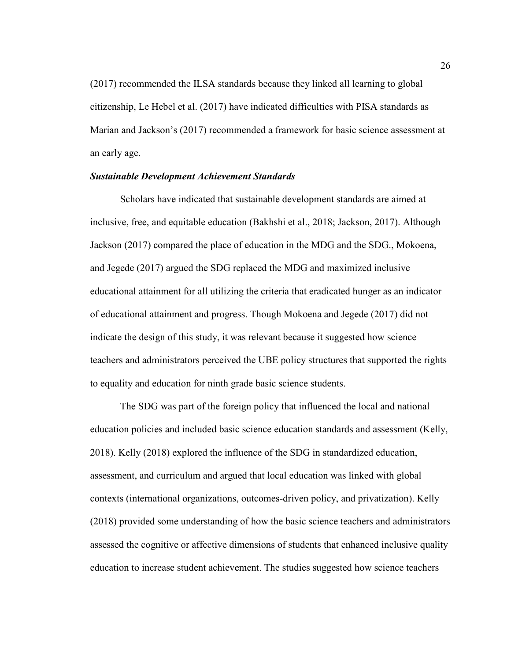(2017) recommended the ILSA standards because they linked all learning to global citizenship, Le Hebel et al. (2017) have indicated difficulties with PISA standards as Marian and Jackson's (2017) recommended a framework for basic science assessment at an early age.

## *Sustainable Development Achievement Standards*

Scholars have indicated that sustainable development standards are aimed at inclusive, free, and equitable education (Bakhshi et al., 2018; Jackson, 2017). Although Jackson (2017) compared the place of education in the MDG and the SDG., Mokoena, and Jegede (2017) argued the SDG replaced the MDG and maximized inclusive educational attainment for all utilizing the criteria that eradicated hunger as an indicator of educational attainment and progress. Though Mokoena and Jegede (2017) did not indicate the design of this study, it was relevant because it suggested how science teachers and administrators perceived the UBE policy structures that supported the rights to equality and education for ninth grade basic science students.

The SDG was part of the foreign policy that influenced the local and national education policies and included basic science education standards and assessment (Kelly, 2018). Kelly (2018) explored the influence of the SDG in standardized education, assessment, and curriculum and argued that local education was linked with global contexts (international organizations, outcomes-driven policy, and privatization). Kelly (2018) provided some understanding of how the basic science teachers and administrators assessed the cognitive or affective dimensions of students that enhanced inclusive quality education to increase student achievement. The studies suggested how science teachers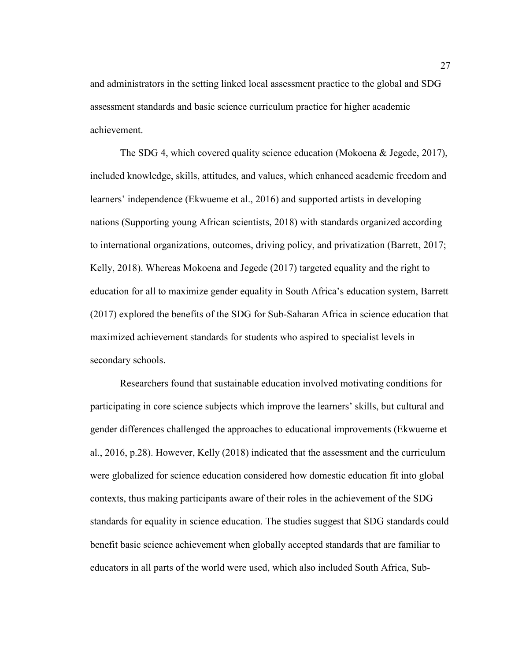and administrators in the setting linked local assessment practice to the global and SDG assessment standards and basic science curriculum practice for higher academic achievement.

The SDG 4, which covered quality science education (Mokoena & Jegede, 2017), included knowledge, skills, attitudes, and values, which enhanced academic freedom and learners' independence (Ekwueme et al., 2016) and supported artists in developing nations (Supporting young African scientists, 2018) with standards organized according to international organizations, outcomes, driving policy, and privatization (Barrett, 2017; Kelly, 2018). Whereas Mokoena and Jegede (2017) targeted equality and the right to education for all to maximize gender equality in South Africa's education system, Barrett (2017) explored the benefits of the SDG for Sub-Saharan Africa in science education that maximized achievement standards for students who aspired to specialist levels in secondary schools.

Researchers found that sustainable education involved motivating conditions for participating in core science subjects which improve the learners' skills, but cultural and gender differences challenged the approaches to educational improvements (Ekwueme et al., 2016, p.28). However, Kelly (2018) indicated that the assessment and the curriculum were globalized for science education considered how domestic education fit into global contexts, thus making participants aware of their roles in the achievement of the SDG standards for equality in science education. The studies suggest that SDG standards could benefit basic science achievement when globally accepted standards that are familiar to educators in all parts of the world were used, which also included South Africa, Sub-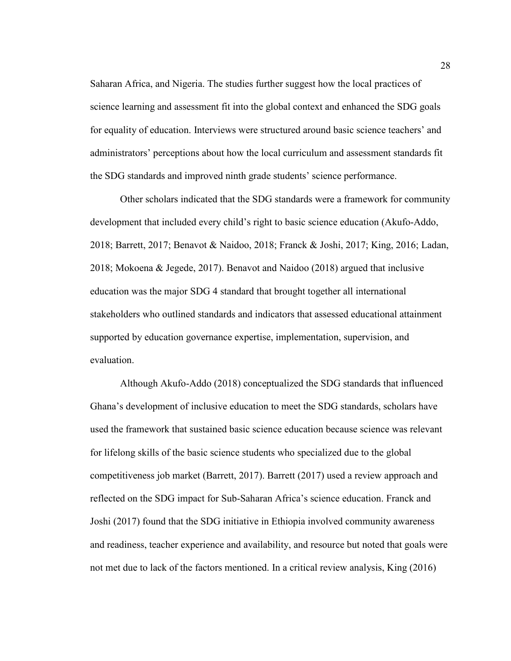Saharan Africa, and Nigeria. The studies further suggest how the local practices of science learning and assessment fit into the global context and enhanced the SDG goals for equality of education. Interviews were structured around basic science teachers' and administrators' perceptions about how the local curriculum and assessment standards fit the SDG standards and improved ninth grade students' science performance.

Other scholars indicated that the SDG standards were a framework for community development that included every child's right to basic science education (Akufo-Addo, 2018; Barrett, 2017; Benavot & Naidoo, 2018; Franck & Joshi, 2017; King, 2016; Ladan, 2018; Mokoena & Jegede, 2017). Benavot and Naidoo (2018) argued that inclusive education was the major SDG 4 standard that brought together all international stakeholders who outlined standards and indicators that assessed educational attainment supported by education governance expertise, implementation, supervision, and evaluation.

Although Akufo-Addo (2018) conceptualized the SDG standards that influenced Ghana's development of inclusive education to meet the SDG standards, scholars have used the framework that sustained basic science education because science was relevant for lifelong skills of the basic science students who specialized due to the global competitiveness job market (Barrett, 2017). Barrett (2017) used a review approach and reflected on the SDG impact for Sub-Saharan Africa's science education. Franck and Joshi (2017) found that the SDG initiative in Ethiopia involved community awareness and readiness, teacher experience and availability, and resource but noted that goals were not met due to lack of the factors mentioned. In a critical review analysis, King (2016)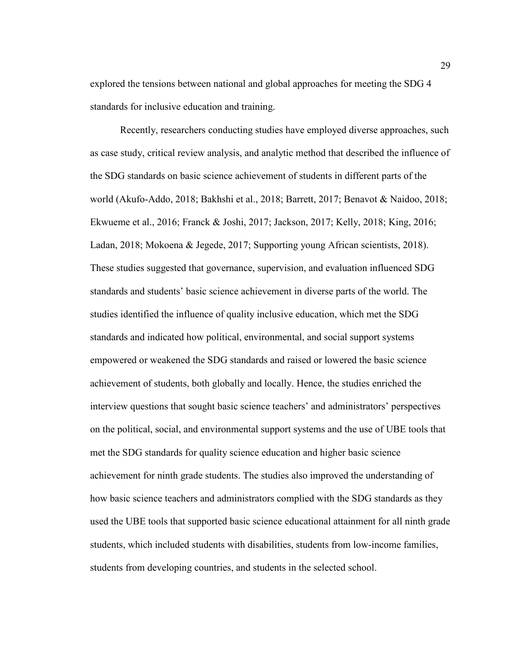explored the tensions between national and global approaches for meeting the SDG 4 standards for inclusive education and training.

Recently, researchers conducting studies have employed diverse approaches, such as case study, critical review analysis, and analytic method that described the influence of the SDG standards on basic science achievement of students in different parts of the world (Akufo-Addo, 2018; Bakhshi et al., 2018; Barrett, 2017; Benavot & Naidoo, 2018; Ekwueme et al., 2016; Franck & Joshi, 2017; Jackson, 2017; Kelly, 2018; King, 2016; Ladan, 2018; Mokoena & Jegede, 2017; Supporting young African scientists, 2018). These studies suggested that governance, supervision, and evaluation influenced SDG standards and students' basic science achievement in diverse parts of the world. The studies identified the influence of quality inclusive education, which met the SDG standards and indicated how political, environmental, and social support systems empowered or weakened the SDG standards and raised or lowered the basic science achievement of students, both globally and locally. Hence, the studies enriched the interview questions that sought basic science teachers' and administrators' perspectives on the political, social, and environmental support systems and the use of UBE tools that met the SDG standards for quality science education and higher basic science achievement for ninth grade students. The studies also improved the understanding of how basic science teachers and administrators complied with the SDG standards as they used the UBE tools that supported basic science educational attainment for all ninth grade students, which included students with disabilities, students from low-income families, students from developing countries, and students in the selected school.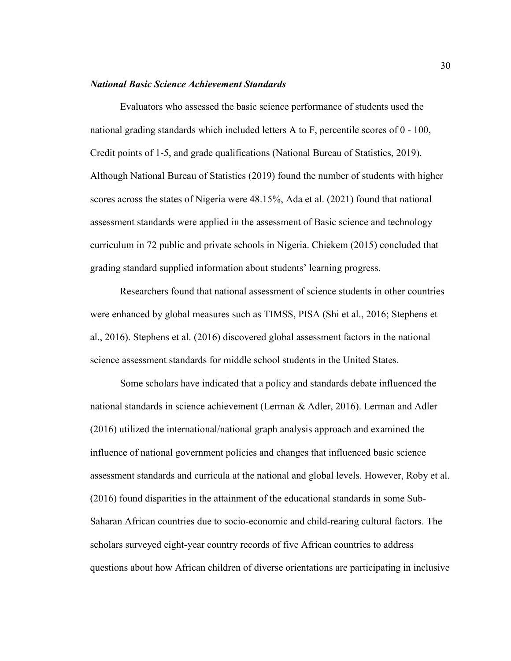### *National Basic Science Achievement Standards*

Evaluators who assessed the basic science performance of students used the national grading standards which included letters A to F, percentile scores of 0 - 100, Credit points of 1-5, and grade qualifications (National Bureau of Statistics, 2019). Although National Bureau of Statistics (2019) found the number of students with higher scores across the states of Nigeria were 48.15%, Ada et al. (2021) found that national assessment standards were applied in the assessment of Basic science and technology curriculum in 72 public and private schools in Nigeria. Chiekem (2015) concluded that grading standard supplied information about students' learning progress.

Researchers found that national assessment of science students in other countries were enhanced by global measures such as TIMSS, PISA (Shi et al., 2016; Stephens et al., 2016). Stephens et al. (2016) discovered global assessment factors in the national science assessment standards for middle school students in the United States.

Some scholars have indicated that a policy and standards debate influenced the national standards in science achievement (Lerman & Adler, 2016). Lerman and Adler (2016) utilized the international/national graph analysis approach and examined the influence of national government policies and changes that influenced basic science assessment standards and curricula at the national and global levels. However, Roby et al. (2016) found disparities in the attainment of the educational standards in some Sub-Saharan African countries due to socio-economic and child-rearing cultural factors. The scholars surveyed eight-year country records of five African countries to address questions about how African children of diverse orientations are participating in inclusive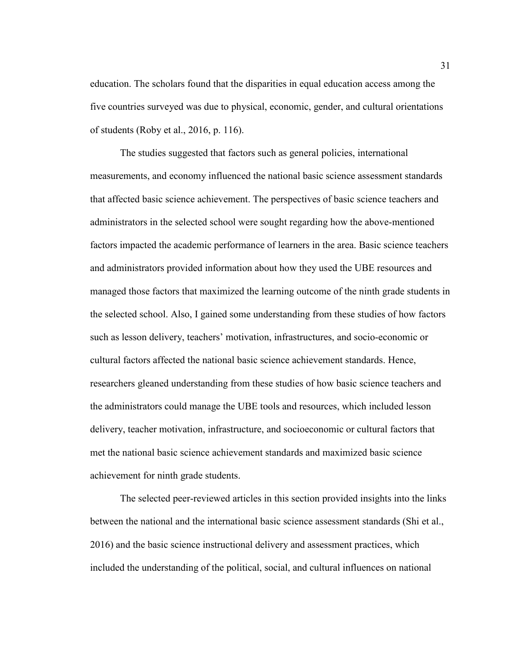education. The scholars found that the disparities in equal education access among the five countries surveyed was due to physical, economic, gender, and cultural orientations of students (Roby et al., 2016, p. 116).

The studies suggested that factors such as general policies, international measurements, and economy influenced the national basic science assessment standards that affected basic science achievement. The perspectives of basic science teachers and administrators in the selected school were sought regarding how the above-mentioned factors impacted the academic performance of learners in the area. Basic science teachers and administrators provided information about how they used the UBE resources and managed those factors that maximized the learning outcome of the ninth grade students in the selected school. Also, I gained some understanding from these studies of how factors such as lesson delivery, teachers' motivation, infrastructures, and socio-economic or cultural factors affected the national basic science achievement standards. Hence, researchers gleaned understanding from these studies of how basic science teachers and the administrators could manage the UBE tools and resources, which included lesson delivery, teacher motivation, infrastructure, and socioeconomic or cultural factors that met the national basic science achievement standards and maximized basic science achievement for ninth grade students.

The selected peer-reviewed articles in this section provided insights into the links between the national and the international basic science assessment standards (Shi et al., 2016) and the basic science instructional delivery and assessment practices, which included the understanding of the political, social, and cultural influences on national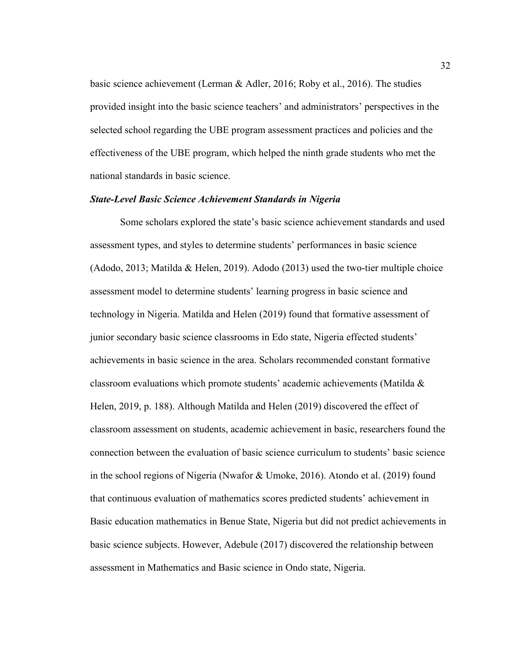basic science achievement (Lerman & Adler, 2016; Roby et al., 2016). The studies provided insight into the basic science teachers' and administrators' perspectives in the selected school regarding the UBE program assessment practices and policies and the effectiveness of the UBE program, which helped the ninth grade students who met the national standards in basic science.

## *State-Level Basic Science Achievement Standards in Nigeria*

Some scholars explored the state's basic science achievement standards and used assessment types, and styles to determine students' performances in basic science (Adodo, 2013; Matilda & Helen, 2019). Adodo (2013) used the two-tier multiple choice assessment model to determine students' learning progress in basic science and technology in Nigeria. Matilda and Helen (2019) found that formative assessment of junior secondary basic science classrooms in Edo state, Nigeria effected students' achievements in basic science in the area. Scholars recommended constant formative classroom evaluations which promote students' academic achievements (Matilda  $\&$ Helen, 2019, p. 188). Although Matilda and Helen (2019) discovered the effect of classroom assessment on students, academic achievement in basic, researchers found the connection between the evaluation of basic science curriculum to students' basic science in the school regions of Nigeria (Nwafor & Umoke, 2016). Atondo et al. (2019) found that continuous evaluation of mathematics scores predicted students' achievement in Basic education mathematics in Benue State, Nigeria but did not predict achievements in basic science subjects. However, Adebule (2017) discovered the relationship between assessment in Mathematics and Basic science in Ondo state, Nigeria.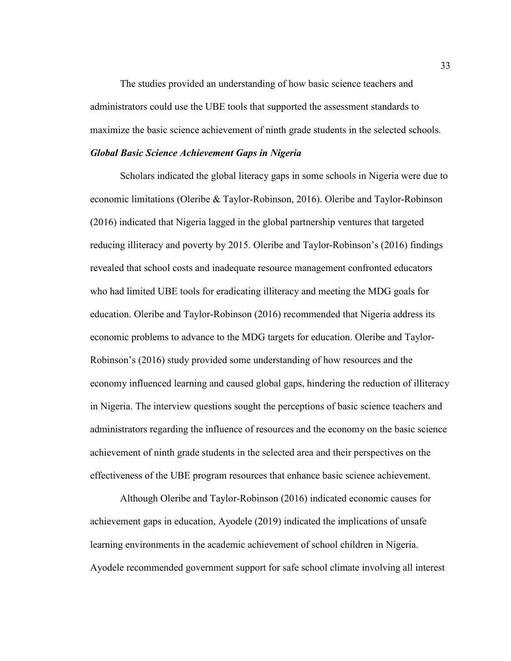The studies provided an understanding of how basic science teachers and administrators could use the UBE tools that supported the assessment standards to maximize the basic science achievement of ninth grade students in the selected schools.

# *Global Basic Science Achievement Gaps in Nigeria*

Scholars indicated the global literacy gaps in some schools in Nigeria were due to economic limitations (Oleribe & Taylor-Robinson, 2016). Oleribe and Taylor-Robinson (2016) indicated that Nigeria lagged in the global partnership ventures that targeted reducing illiteracy and poverty by 2015. Oleribe and Taylor-Robinson's (2016) findings revealed that school costs and inadequate resource management confronted educators who had limited UBE tools for eradicating illiteracy and meeting the MDG goals for education. Oleribe and Taylor-Robinson (2016) recommended that Nigeria address its economic problems to advance to the MDG targets for education. Oleribe and Taylor-Robinson's (2016) study provided some understanding of how resources and the economy influenced learning and caused global gaps, hindering the reduction of illiteracy in Nigeria. The interview questions sought the perceptions of basic science teachers and administrators regarding the influence of resources and the economy on the basic science achievement of ninth grade students in the selected area and their perspectives on the effectiveness of the UBE program resources that enhance basic science achievement.

Although Oleribe and Taylor-Robinson (2016) indicated economic causes for achievement gaps in education, Ayodele (2019) indicated the implications of unsafe learning environments in the academic achievement of school children in Nigeria. Ayodele recommended government support for safe school climate involving all interest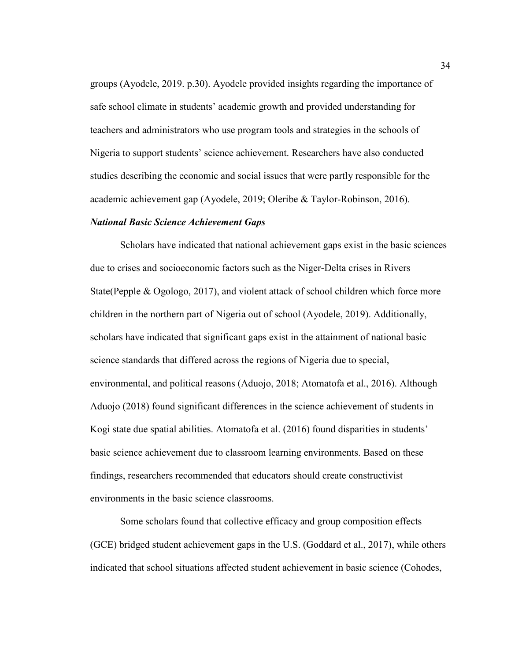groups (Ayodele, 2019. p.30). Ayodele provided insights regarding the importance of safe school climate in students' academic growth and provided understanding for teachers and administrators who use program tools and strategies in the schools of Nigeria to support students' science achievement. Researchers have also conducted studies describing the economic and social issues that were partly responsible for the academic achievement gap (Ayodele, 2019; Oleribe & Taylor-Robinson, 2016).

### *National Basic Science Achievement Gaps*

Scholars have indicated that national achievement gaps exist in the basic sciences due to crises and socioeconomic factors such as the Niger-Delta crises in Rivers State(Pepple & Ogologo, 2017), and violent attack of school children which force more children in the northern part of Nigeria out of school (Ayodele, 2019). Additionally, scholars have indicated that significant gaps exist in the attainment of national basic science standards that differed across the regions of Nigeria due to special, environmental, and political reasons (Aduojo, 2018; Atomatofa et al., 2016). Although Aduojo (2018) found significant differences in the science achievement of students in Kogi state due spatial abilities. Atomatofa et al. (2016) found disparities in students' basic science achievement due to classroom learning environments. Based on these findings, researchers recommended that educators should create constructivist environments in the basic science classrooms.

Some scholars found that collective efficacy and group composition effects (GCE) bridged student achievement gaps in the U.S. (Goddard et al., 2017), while others indicated that school situations affected student achievement in basic science (Cohodes,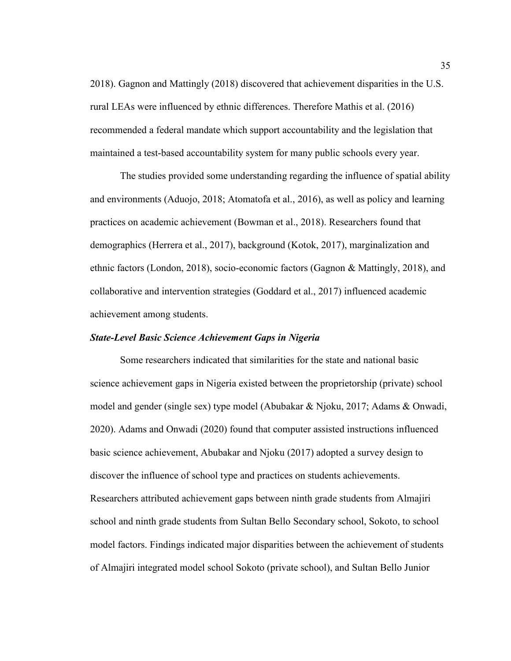2018). Gagnon and Mattingly (2018) discovered that achievement disparities in the U.S. rural LEAs were influenced by ethnic differences. Therefore Mathis et al. (2016) recommended a federal mandate which support accountability and the legislation that maintained a test-based accountability system for many public schools every year.

The studies provided some understanding regarding the influence of spatial ability and environments (Aduojo, 2018; Atomatofa et al., 2016), as well as policy and learning practices on academic achievement (Bowman et al., 2018). Researchers found that demographics (Herrera et al., 2017), background (Kotok, 2017), marginalization and ethnic factors (London, 2018), socio-economic factors (Gagnon & Mattingly, 2018), and collaborative and intervention strategies (Goddard et al., 2017) influenced academic achievement among students.

## *State-Level Basic Science Achievement Gaps in Nigeria*

Some researchers indicated that similarities for the state and national basic science achievement gaps in Nigeria existed between the proprietorship (private) school model and gender (single sex) type model (Abubakar & Njoku, 2017; Adams & Onwadi, 2020). Adams and Onwadi (2020) found that computer assisted instructions influenced basic science achievement, Abubakar and Njoku (2017) adopted a survey design to discover the influence of school type and practices on students achievements. Researchers attributed achievement gaps between ninth grade students from Almajiri school and ninth grade students from Sultan Bello Secondary school, Sokoto, to school model factors. Findings indicated major disparities between the achievement of students of Almajiri integrated model school Sokoto (private school), and Sultan Bello Junior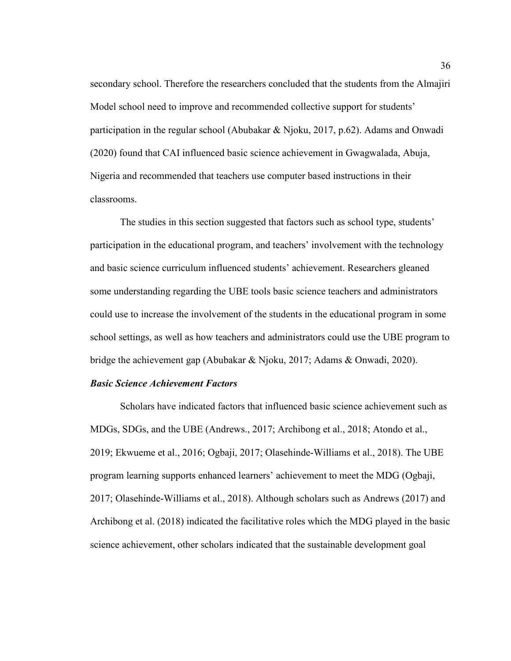secondary school. Therefore the researchers concluded that the students from the Almajiri Model school need to improve and recommended collective support for students' participation in the regular school (Abubakar & Njoku, 2017, p.62). Adams and Onwadi (2020) found that CAI influenced basic science achievement in Gwagwalada, Abuja, Nigeria and recommended that teachers use computer based instructions in their classrooms.

The studies in this section suggested that factors such as school type, students' participation in the educational program, and teachers' involvement with the technology and basic science curriculum influenced students' achievement. Researchers gleaned some understanding regarding the UBE tools basic science teachers and administrators could use to increase the involvement of the students in the educational program in some school settings, as well as how teachers and administrators could use the UBE program to bridge the achievement gap (Abubakar & Njoku, 2017; Adams & Onwadi, 2020).

## *Basic Science Achievement Factors*

Scholars have indicated factors that influenced basic science achievement such as MDGs, SDGs, and the UBE (Andrews., 2017; Archibong et al., 2018; Atondo et al., 2019; Ekwueme et al., 2016; Ogbaji, 2017; Olasehinde-Williams et al., 2018). The UBE program learning supports enhanced learners' achievement to meet the MDG (Ogbaji, 2017; Olasehinde-Williams et al., 2018). Although scholars such as Andrews (2017) and Archibong et al. (2018) indicated the facilitative roles which the MDG played in the basic science achievement, other scholars indicated that the sustainable development goal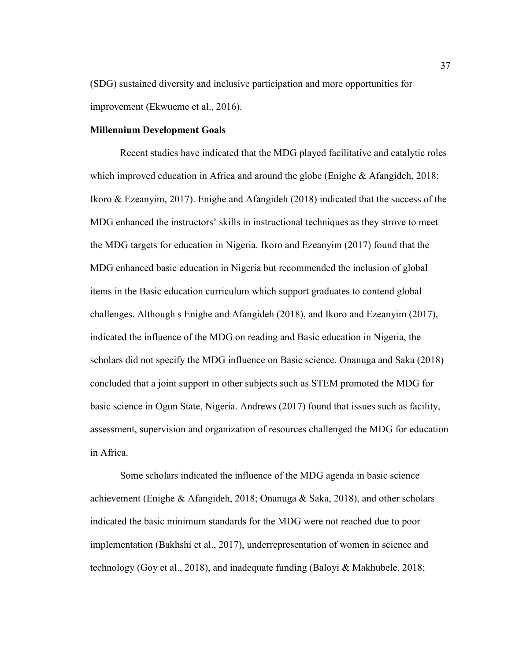(SDG) sustained diversity and inclusive participation and more opportunities for improvement (Ekwueme et al., 2016).

#### **Millennium Development Goals**

Recent studies have indicated that the MDG played facilitative and catalytic roles which improved education in Africa and around the globe (Enighe & Afangideh, 2018; Ikoro & Ezeanyim, 2017). Enighe and Afangideh (2018) indicated that the success of the MDG enhanced the instructors' skills in instructional techniques as they strove to meet the MDG targets for education in Nigeria. Ikoro and Ezeanyim (2017) found that the MDG enhanced basic education in Nigeria but recommended the inclusion of global items in the Basic education curriculum which support graduates to contend global challenges. Although s Enighe and Afangideh (2018), and Ikoro and Ezeanyim (2017), indicated the influence of the MDG on reading and Basic education in Nigeria, the scholars did not specify the MDG influence on Basic science. Onanuga and Saka (2018) concluded that a joint support in other subjects such as STEM promoted the MDG for basic science in Ogun State, Nigeria. Andrews (2017) found that issues such as facility, assessment, supervision and organization of resources challenged the MDG for education in Africa.

Some scholars indicated the influence of the MDG agenda in basic science achievement (Enighe & Afangideh, 2018; Onanuga & Saka, 2018), and other scholars indicated the basic minimum standards for the MDG were not reached due to poor implementation (Bakhshi et al., 2017), underrepresentation of women in science and technology (Goy et al., 2018), and inadequate funding (Baloyi & Makhubele, 2018;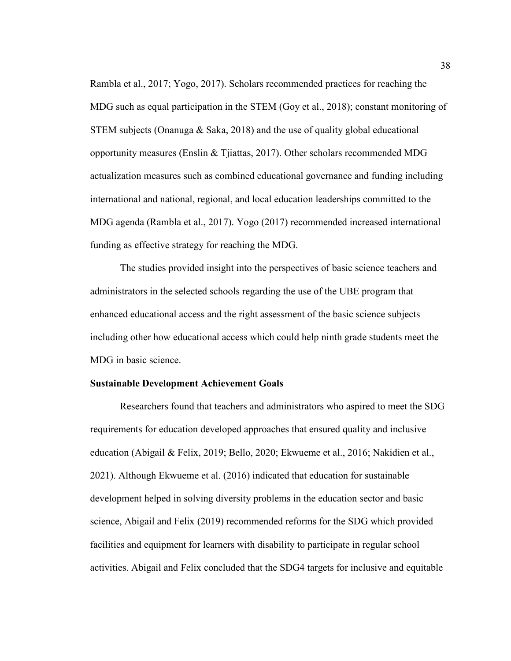Rambla et al., 2017; Yogo, 2017). Scholars recommended practices for reaching the MDG such as equal participation in the STEM (Goy et al., 2018); constant monitoring of STEM subjects (Onanuga  $\&$  Saka, 2018) and the use of quality global educational opportunity measures (Enslin & Tjiattas, 2017). Other scholars recommended MDG actualization measures such as combined educational governance and funding including international and national, regional, and local education leaderships committed to the MDG agenda (Rambla et al., 2017). Yogo (2017) recommended increased international funding as effective strategy for reaching the MDG.

The studies provided insight into the perspectives of basic science teachers and administrators in the selected schools regarding the use of the UBE program that enhanced educational access and the right assessment of the basic science subjects including other how educational access which could help ninth grade students meet the MDG in basic science.

# **Sustainable Development Achievement Goals**

Researchers found that teachers and administrators who aspired to meet the SDG requirements for education developed approaches that ensured quality and inclusive education (Abigail & Felix, 2019; Bello, 2020; Ekwueme et al., 2016; Nakidien et al., 2021). Although Ekwueme et al. (2016) indicated that education for sustainable development helped in solving diversity problems in the education sector and basic science, Abigail and Felix (2019) recommended reforms for the SDG which provided facilities and equipment for learners with disability to participate in regular school activities. Abigail and Felix concluded that the SDG4 targets for inclusive and equitable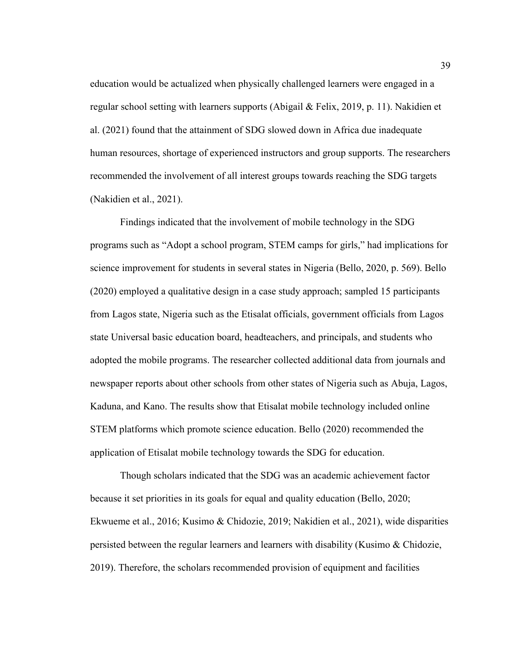education would be actualized when physically challenged learners were engaged in a regular school setting with learners supports (Abigail & Felix, 2019, p. 11). Nakidien et al. (2021) found that the attainment of SDG slowed down in Africa due inadequate human resources, shortage of experienced instructors and group supports. The researchers recommended the involvement of all interest groups towards reaching the SDG targets (Nakidien et al., 2021).

Findings indicated that the involvement of mobile technology in the SDG programs such as "Adopt a school program, STEM camps for girls," had implications for science improvement for students in several states in Nigeria (Bello, 2020, p. 569). Bello (2020) employed a qualitative design in a case study approach; sampled 15 participants from Lagos state, Nigeria such as the Etisalat officials, government officials from Lagos state Universal basic education board, headteachers, and principals, and students who adopted the mobile programs. The researcher collected additional data from journals and newspaper reports about other schools from other states of Nigeria such as Abuja, Lagos, Kaduna, and Kano. The results show that Etisalat mobile technology included online STEM platforms which promote science education. Bello (2020) recommended the application of Etisalat mobile technology towards the SDG for education.

Though scholars indicated that the SDG was an academic achievement factor because it set priorities in its goals for equal and quality education (Bello, 2020; Ekwueme et al., 2016; Kusimo & Chidozie, 2019; Nakidien et al., 2021), wide disparities persisted between the regular learners and learners with disability (Kusimo & Chidozie, 2019). Therefore, the scholars recommended provision of equipment and facilities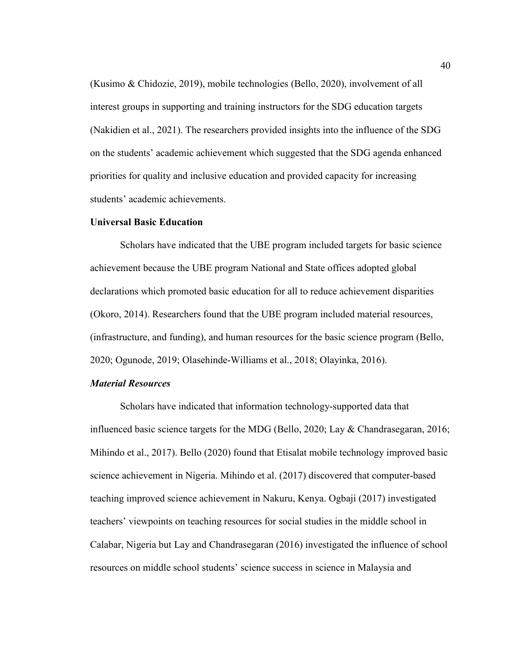(Kusimo & Chidozie, 2019), mobile technologies (Bello, 2020), involvement of all interest groups in supporting and training instructors for the SDG education targets (Nakidien et al., 2021). The researchers provided insights into the influence of the SDG on the students' academic achievement which suggested that the SDG agenda enhanced priorities for quality and inclusive education and provided capacity for increasing students' academic achievements.

# **Universal Basic Education**

Scholars have indicated that the UBE program included targets for basic science achievement because the UBE program National and State offices adopted global declarations which promoted basic education for all to reduce achievement disparities (Okoro, 2014). Researchers found that the UBE program included material resources, (infrastructure, and funding), and human resources for the basic science program (Bello, 2020; Ogunode, 2019; Olasehinde-Williams et al., 2018; Olayinka, 2016).

# *Material Resources*

Scholars have indicated that information technology-supported data that influenced basic science targets for the MDG (Bello, 2020; Lay & Chandrasegaran, 2016; Mihindo et al., 2017). Bello (2020) found that Etisalat mobile technology improved basic science achievement in Nigeria. Mihindo et al. (2017) discovered that computer-based teaching improved science achievement in Nakuru, Kenya. Ogbaji (2017) investigated teachers' viewpoints on teaching resources for social studies in the middle school in Calabar, Nigeria but Lay and Chandrasegaran (2016) investigated the influence of school resources on middle school students' science success in science in Malaysia and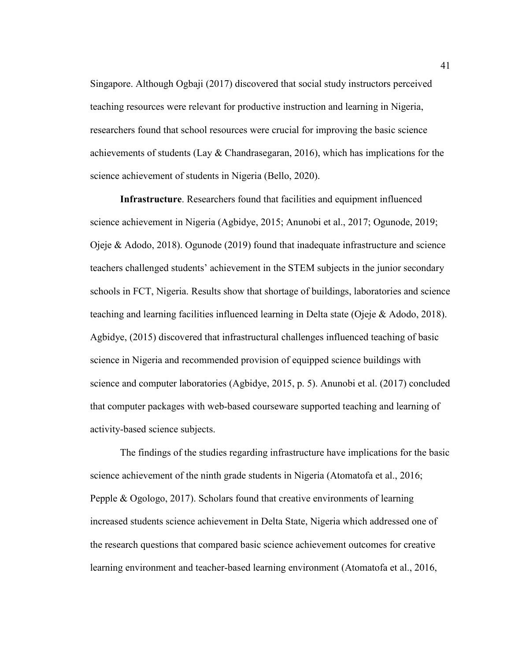Singapore. Although Ogbaji (2017) discovered that social study instructors perceived teaching resources were relevant for productive instruction and learning in Nigeria, researchers found that school resources were crucial for improving the basic science achievements of students (Lay & Chandrasegaran, 2016), which has implications for the science achievement of students in Nigeria (Bello, 2020).

**Infrastructure**. Researchers found that facilities and equipment influenced science achievement in Nigeria (Agbidye, 2015; Anunobi et al., 2017; Ogunode, 2019; Ojeje  $\&$  Adodo, 2018). Ogunode (2019) found that inadequate infrastructure and science teachers challenged students' achievement in the STEM subjects in the junior secondary schools in FCT, Nigeria. Results show that shortage of buildings, laboratories and science teaching and learning facilities influenced learning in Delta state (Ojeje & Adodo, 2018). Agbidye, (2015) discovered that infrastructural challenges influenced teaching of basic science in Nigeria and recommended provision of equipped science buildings with science and computer laboratories (Agbidye, 2015, p. 5). Anunobi et al. (2017) concluded that computer packages with web-based courseware supported teaching and learning of activity-based science subjects.

The findings of the studies regarding infrastructure have implications for the basic science achievement of the ninth grade students in Nigeria (Atomatofa et al., 2016; Pepple & Ogologo, 2017). Scholars found that creative environments of learning increased students science achievement in Delta State, Nigeria which addressed one of the research questions that compared basic science achievement outcomes for creative learning environment and teacher-based learning environment (Atomatofa et al., 2016,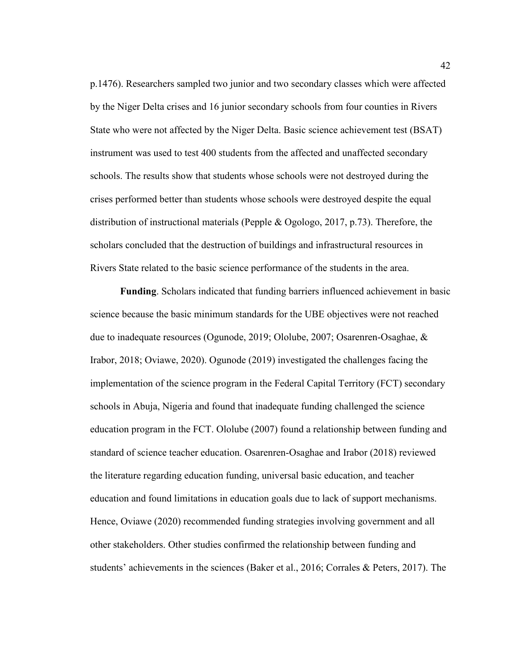p.1476). Researchers sampled two junior and two secondary classes which were affected by the Niger Delta crises and 16 junior secondary schools from four counties in Rivers State who were not affected by the Niger Delta. Basic science achievement test (BSAT) instrument was used to test 400 students from the affected and unaffected secondary schools. The results show that students whose schools were not destroyed during the crises performed better than students whose schools were destroyed despite the equal distribution of instructional materials (Pepple & Ogologo, 2017, p.73). Therefore, the scholars concluded that the destruction of buildings and infrastructural resources in Rivers State related to the basic science performance of the students in the area.

**Funding**. Scholars indicated that funding barriers influenced achievement in basic science because the basic minimum standards for the UBE objectives were not reached due to inadequate resources (Ogunode, 2019; Ololube, 2007; Osarenren-Osaghae, & Irabor, 2018; Oviawe, 2020). Ogunode (2019) investigated the challenges facing the implementation of the science program in the Federal Capital Territory (FCT) secondary schools in Abuja, Nigeria and found that inadequate funding challenged the science education program in the FCT. Ololube (2007) found a relationship between funding and standard of science teacher education. Osarenren-Osaghae and Irabor (2018) reviewed the literature regarding education funding, universal basic education, and teacher education and found limitations in education goals due to lack of support mechanisms. Hence, Oviawe (2020) recommended funding strategies involving government and all other stakeholders. Other studies confirmed the relationship between funding and students' achievements in the sciences (Baker et al., 2016; Corrales & Peters, 2017). The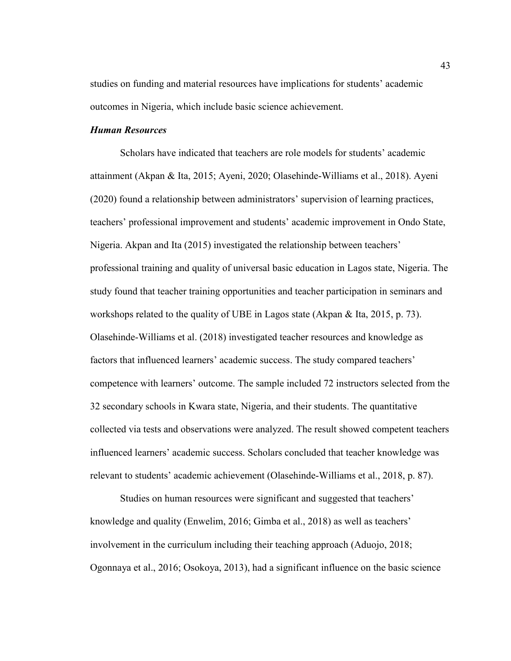studies on funding and material resources have implications for students' academic outcomes in Nigeria, which include basic science achievement.

# *Human Resources*

Scholars have indicated that teachers are role models for students' academic attainment (Akpan & Ita, 2015; Ayeni, 2020; Olasehinde-Williams et al., 2018). Ayeni (2020) found a relationship between administrators' supervision of learning practices, teachers' professional improvement and students' academic improvement in Ondo State, Nigeria. Akpan and Ita (2015) investigated the relationship between teachers' professional training and quality of universal basic education in Lagos state, Nigeria. The study found that teacher training opportunities and teacher participation in seminars and workshops related to the quality of UBE in Lagos state (Akpan & Ita, 2015, p. 73). Olasehinde-Williams et al. (2018) investigated teacher resources and knowledge as factors that influenced learners' academic success. The study compared teachers' competence with learners' outcome. The sample included 72 instructors selected from the 32 secondary schools in Kwara state, Nigeria, and their students. The quantitative collected via tests and observations were analyzed. The result showed competent teachers influenced learners' academic success. Scholars concluded that teacher knowledge was relevant to students' academic achievement (Olasehinde-Williams et al., 2018, p. 87).

Studies on human resources were significant and suggested that teachers' knowledge and quality (Enwelim, 2016; Gimba et al., 2018) as well as teachers' involvement in the curriculum including their teaching approach (Aduojo, 2018; Ogonnaya et al., 2016; Osokoya, 2013), had a significant influence on the basic science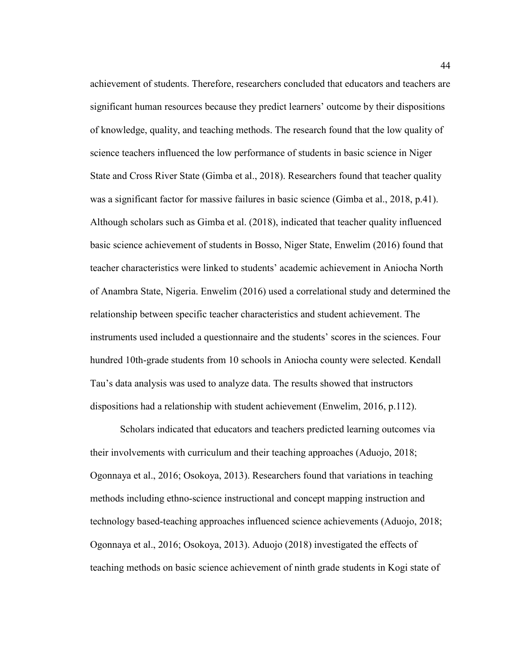achievement of students. Therefore, researchers concluded that educators and teachers are significant human resources because they predict learners' outcome by their dispositions of knowledge, quality, and teaching methods. The research found that the low quality of science teachers influenced the low performance of students in basic science in Niger State and Cross River State (Gimba et al., 2018). Researchers found that teacher quality was a significant factor for massive failures in basic science (Gimba et al., 2018, p.41). Although scholars such as Gimba et al. (2018), indicated that teacher quality influenced basic science achievement of students in Bosso, Niger State, Enwelim (2016) found that teacher characteristics were linked to students' academic achievement in Aniocha North of Anambra State, Nigeria. Enwelim (2016) used a correlational study and determined the relationship between specific teacher characteristics and student achievement. The instruments used included a questionnaire and the students' scores in the sciences. Four hundred 10th-grade students from 10 schools in Aniocha county were selected. Kendall Tau's data analysis was used to analyze data. The results showed that instructors dispositions had a relationship with student achievement (Enwelim, 2016, p.112).

Scholars indicated that educators and teachers predicted learning outcomes via their involvements with curriculum and their teaching approaches (Aduojo, 2018; Ogonnaya et al., 2016; Osokoya, 2013). Researchers found that variations in teaching methods including ethno-science instructional and concept mapping instruction and technology based-teaching approaches influenced science achievements (Aduojo, 2018; Ogonnaya et al., 2016; Osokoya, 2013). Aduojo (2018) investigated the effects of teaching methods on basic science achievement of ninth grade students in Kogi state of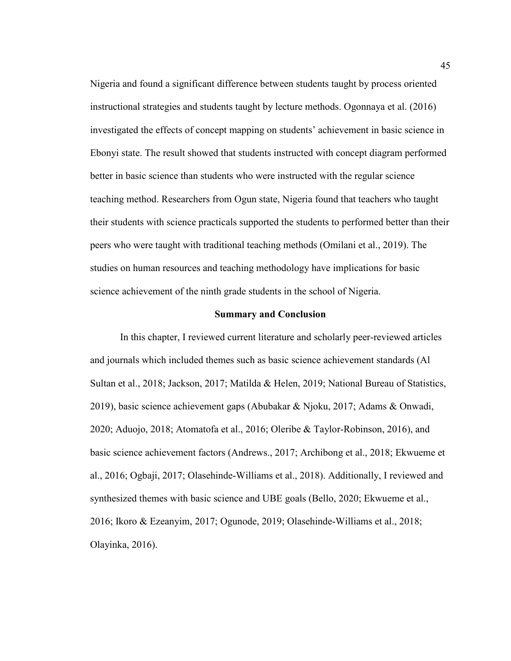Nigeria and found a significant difference between students taught by process oriented instructional strategies and students taught by lecture methods. Ogonnaya et al. (2016) investigated the effects of concept mapping on students' achievement in basic science in Ebonyi state. The result showed that students instructed with concept diagram performed better in basic science than students who were instructed with the regular science teaching method. Researchers from Ogun state, Nigeria found that teachers who taught their students with science practicals supported the students to performed better than their peers who were taught with traditional teaching methods (Omilani et al., 2019). The studies on human resources and teaching methodology have implications for basic science achievement of the ninth grade students in the school of Nigeria.

### **Summary and Conclusion**

In this chapter, I reviewed current literature and scholarly peer-reviewed articles and journals which included themes such as basic science achievement standards (Al Sultan et al., 2018; Jackson, 2017; Matilda & Helen, 2019; National Bureau of Statistics, 2019), basic science achievement gaps (Abubakar & Njoku, 2017; Adams & Onwadi, 2020; Aduojo, 2018; Atomatofa et al., 2016; Oleribe & Taylor-Robinson, 2016), and basic science achievement factors (Andrews., 2017; Archibong et al., 2018; Ekwueme et al., 2016; Ogbaji, 2017; Olasehinde-Williams et al., 2018). Additionally, I reviewed and synthesized themes with basic science and UBE goals (Bello, 2020; Ekwueme et al., 2016; Ikoro & Ezeanyim, 2017; Ogunode, 2019; Olasehinde-Williams et al., 2018; Olayinka, 2016).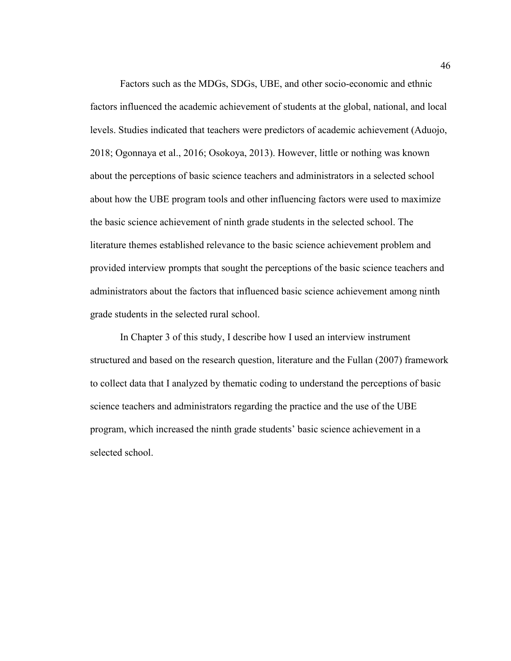Factors such as the MDGs, SDGs, UBE, and other socio-economic and ethnic factors influenced the academic achievement of students at the global, national, and local levels. Studies indicated that teachers were predictors of academic achievement (Aduojo, 2018; Ogonnaya et al., 2016; Osokoya, 2013). However, little or nothing was known about the perceptions of basic science teachers and administrators in a selected school about how the UBE program tools and other influencing factors were used to maximize the basic science achievement of ninth grade students in the selected school. The literature themes established relevance to the basic science achievement problem and provided interview prompts that sought the perceptions of the basic science teachers and administrators about the factors that influenced basic science achievement among ninth grade students in the selected rural school.

In Chapter 3 of this study, I describe how I used an interview instrument structured and based on the research question, literature and the Fullan (2007) framework to collect data that I analyzed by thematic coding to understand the perceptions of basic science teachers and administrators regarding the practice and the use of the UBE program, which increased the ninth grade students' basic science achievement in a selected school.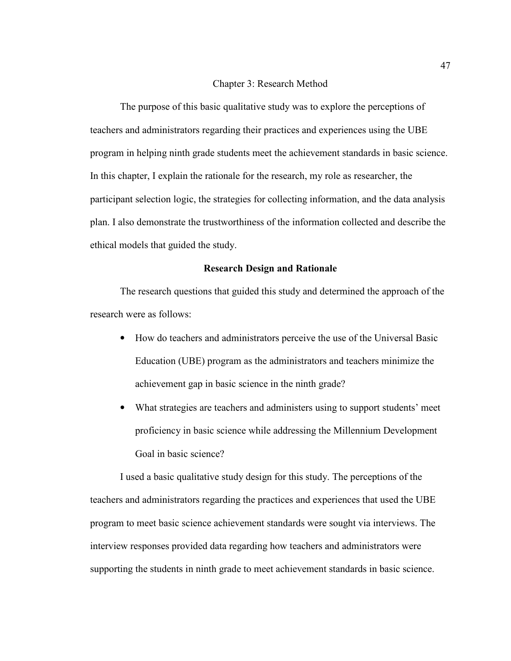#### Chapter 3: Research Method

The purpose of this basic qualitative study was to explore the perceptions of teachers and administrators regarding their practices and experiences using the UBE program in helping ninth grade students meet the achievement standards in basic science. In this chapter, I explain the rationale for the research, my role as researcher, the participant selection logic, the strategies for collecting information, and the data analysis plan. I also demonstrate the trustworthiness of the information collected and describe the ethical models that guided the study.

### **Research Design and Rationale**

The research questions that guided this study and determined the approach of the research were as follows:

- How do teachers and administrators perceive the use of the Universal Basic Education (UBE) program as the administrators and teachers minimize the achievement gap in basic science in the ninth grade?
- What strategies are teachers and administers using to support students' meet proficiency in basic science while addressing the Millennium Development Goal in basic science?

I used a basic qualitative study design for this study. The perceptions of the teachers and administrators regarding the practices and experiences that used the UBE program to meet basic science achievement standards were sought via interviews. The interview responses provided data regarding how teachers and administrators were supporting the students in ninth grade to meet achievement standards in basic science.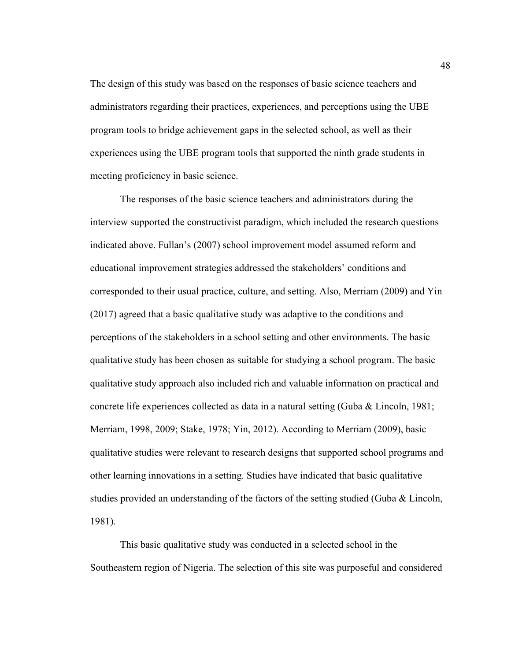The design of this study was based on the responses of basic science teachers and administrators regarding their practices, experiences, and perceptions using the UBE program tools to bridge achievement gaps in the selected school, as well as their experiences using the UBE program tools that supported the ninth grade students in meeting proficiency in basic science.

The responses of the basic science teachers and administrators during the interview supported the constructivist paradigm, which included the research questions indicated above. Fullan's (2007) school improvement model assumed reform and educational improvement strategies addressed the stakeholders' conditions and corresponded to their usual practice, culture, and setting. Also, Merriam (2009) and Yin (2017) agreed that a basic qualitative study was adaptive to the conditions and perceptions of the stakeholders in a school setting and other environments. The basic qualitative study has been chosen as suitable for studying a school program. The basic qualitative study approach also included rich and valuable information on practical and concrete life experiences collected as data in a natural setting (Guba & Lincoln, 1981; Merriam, 1998, 2009; Stake, 1978; Yin, 2012). According to Merriam (2009), basic qualitative studies were relevant to research designs that supported school programs and other learning innovations in a setting. Studies have indicated that basic qualitative studies provided an understanding of the factors of the setting studied (Guba & Lincoln, 1981).

This basic qualitative study was conducted in a selected school in the Southeastern region of Nigeria. The selection of this site was purposeful and considered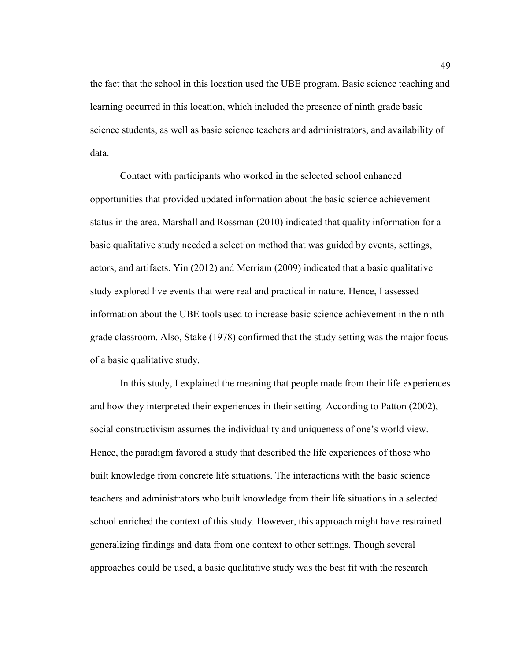the fact that the school in this location used the UBE program. Basic science teaching and learning occurred in this location, which included the presence of ninth grade basic science students, as well as basic science teachers and administrators, and availability of data.

Contact with participants who worked in the selected school enhanced opportunities that provided updated information about the basic science achievement status in the area. Marshall and Rossman (2010) indicated that quality information for a basic qualitative study needed a selection method that was guided by events, settings, actors, and artifacts. Yin (2012) and Merriam (2009) indicated that a basic qualitative study explored live events that were real and practical in nature. Hence, I assessed information about the UBE tools used to increase basic science achievement in the ninth grade classroom. Also, Stake (1978) confirmed that the study setting was the major focus of a basic qualitative study.

In this study, I explained the meaning that people made from their life experiences and how they interpreted their experiences in their setting. According to Patton (2002), social constructivism assumes the individuality and uniqueness of one's world view. Hence, the paradigm favored a study that described the life experiences of those who built knowledge from concrete life situations. The interactions with the basic science teachers and administrators who built knowledge from their life situations in a selected school enriched the context of this study. However, this approach might have restrained generalizing findings and data from one context to other settings. Though several approaches could be used, a basic qualitative study was the best fit with the research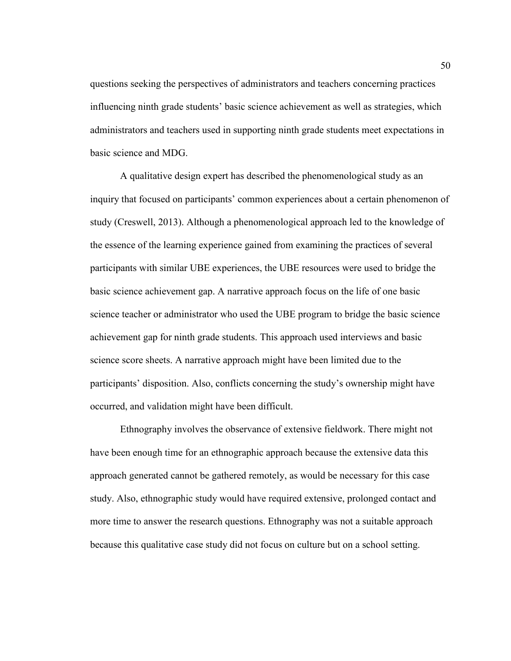questions seeking the perspectives of administrators and teachers concerning practices influencing ninth grade students' basic science achievement as well as strategies, which administrators and teachers used in supporting ninth grade students meet expectations in basic science and MDG.

A qualitative design expert has described the phenomenological study as an inquiry that focused on participants' common experiences about a certain phenomenon of study (Creswell, 2013). Although a phenomenological approach led to the knowledge of the essence of the learning experience gained from examining the practices of several participants with similar UBE experiences, the UBE resources were used to bridge the basic science achievement gap. A narrative approach focus on the life of one basic science teacher or administrator who used the UBE program to bridge the basic science achievement gap for ninth grade students. This approach used interviews and basic science score sheets. A narrative approach might have been limited due to the participants' disposition. Also, conflicts concerning the study's ownership might have occurred, and validation might have been difficult.

Ethnography involves the observance of extensive fieldwork. There might not have been enough time for an ethnographic approach because the extensive data this approach generated cannot be gathered remotely, as would be necessary for this case study. Also, ethnographic study would have required extensive, prolonged contact and more time to answer the research questions. Ethnography was not a suitable approach because this qualitative case study did not focus on culture but on a school setting.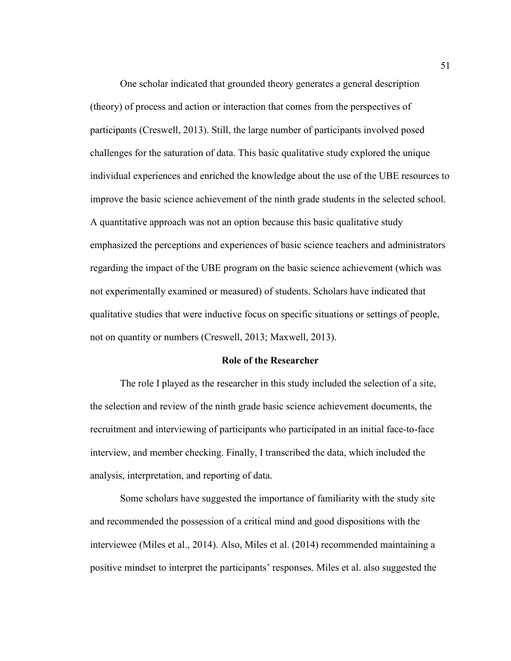One scholar indicated that grounded theory generates a general description (theory) of process and action or interaction that comes from the perspectives of participants (Creswell, 2013). Still, the large number of participants involved posed challenges for the saturation of data. This basic qualitative study explored the unique individual experiences and enriched the knowledge about the use of the UBE resources to improve the basic science achievement of the ninth grade students in the selected school. A quantitative approach was not an option because this basic qualitative study emphasized the perceptions and experiences of basic science teachers and administrators regarding the impact of the UBE program on the basic science achievement (which was not experimentally examined or measured) of students. Scholars have indicated that qualitative studies that were inductive focus on specific situations or settings of people, not on quantity or numbers (Creswell, 2013; Maxwell, 2013).

## **Role of the Researcher**

The role I played as the researcher in this study included the selection of a site, the selection and review of the ninth grade basic science achievement documents, the recruitment and interviewing of participants who participated in an initial face-to-face interview, and member checking. Finally, I transcribed the data, which included the analysis, interpretation, and reporting of data.

Some scholars have suggested the importance of familiarity with the study site and recommended the possession of a critical mind and good dispositions with the interviewee (Miles et al., 2014). Also, Miles et al. (2014) recommended maintaining a positive mindset to interpret the participants' responses. Miles et al. also suggested the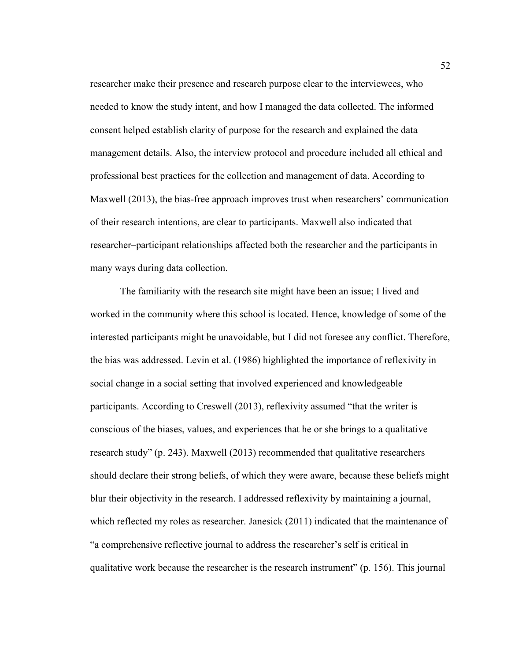researcher make their presence and research purpose clear to the interviewees, who needed to know the study intent, and how I managed the data collected. The informed consent helped establish clarity of purpose for the research and explained the data management details. Also, the interview protocol and procedure included all ethical and professional best practices for the collection and management of data. According to Maxwell (2013), the bias-free approach improves trust when researchers' communication of their research intentions, are clear to participants. Maxwell also indicated that researcher–participant relationships affected both the researcher and the participants in many ways during data collection.

The familiarity with the research site might have been an issue; I lived and worked in the community where this school is located. Hence, knowledge of some of the interested participants might be unavoidable, but I did not foresee any conflict. Therefore, the bias was addressed. Levin et al. (1986) highlighted the importance of reflexivity in social change in a social setting that involved experienced and knowledgeable participants. According to Creswell (2013), reflexivity assumed "that the writer is conscious of the biases, values, and experiences that he or she brings to a qualitative research study" (p. 243). Maxwell (2013) recommended that qualitative researchers should declare their strong beliefs, of which they were aware, because these beliefs might blur their objectivity in the research. I addressed reflexivity by maintaining a journal, which reflected my roles as researcher. Janesick (2011) indicated that the maintenance of "a comprehensive reflective journal to address the researcher's self is critical in qualitative work because the researcher is the research instrument" (p. 156). This journal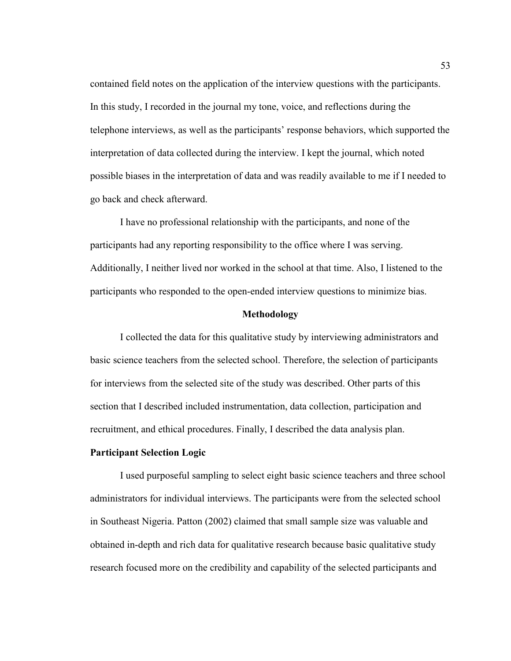contained field notes on the application of the interview questions with the participants. In this study, I recorded in the journal my tone, voice, and reflections during the telephone interviews, as well as the participants' response behaviors, which supported the interpretation of data collected during the interview. I kept the journal, which noted possible biases in the interpretation of data and was readily available to me if I needed to go back and check afterward.

I have no professional relationship with the participants, and none of the participants had any reporting responsibility to the office where I was serving. Additionally, I neither lived nor worked in the school at that time. Also, I listened to the participants who responded to the open-ended interview questions to minimize bias.

#### **Methodology**

I collected the data for this qualitative study by interviewing administrators and basic science teachers from the selected school. Therefore, the selection of participants for interviews from the selected site of the study was described. Other parts of this section that I described included instrumentation, data collection, participation and recruitment, and ethical procedures. Finally, I described the data analysis plan.

#### **Participant Selection Logic**

I used purposeful sampling to select eight basic science teachers and three school administrators for individual interviews. The participants were from the selected school in Southeast Nigeria. Patton (2002) claimed that small sample size was valuable and obtained in-depth and rich data for qualitative research because basic qualitative study research focused more on the credibility and capability of the selected participants and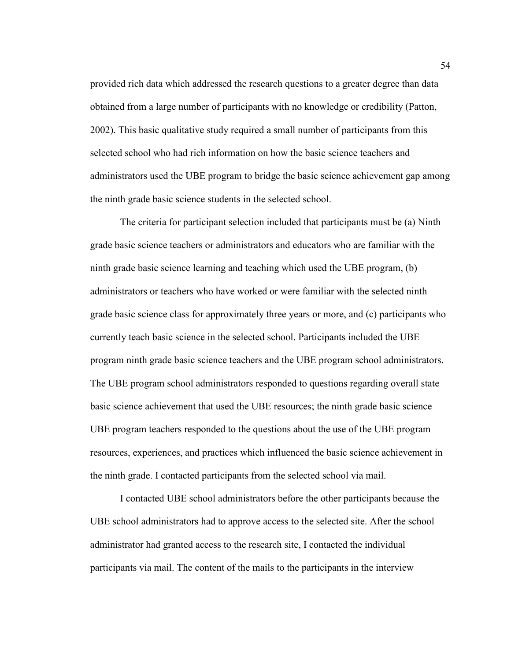provided rich data which addressed the research questions to a greater degree than data obtained from a large number of participants with no knowledge or credibility (Patton, 2002). This basic qualitative study required a small number of participants from this selected school who had rich information on how the basic science teachers and administrators used the UBE program to bridge the basic science achievement gap among the ninth grade basic science students in the selected school.

The criteria for participant selection included that participants must be (a) Ninth grade basic science teachers or administrators and educators who are familiar with the ninth grade basic science learning and teaching which used the UBE program, (b) administrators or teachers who have worked or were familiar with the selected ninth grade basic science class for approximately three years or more, and (c) participants who currently teach basic science in the selected school. Participants included the UBE program ninth grade basic science teachers and the UBE program school administrators. The UBE program school administrators responded to questions regarding overall state basic science achievement that used the UBE resources; the ninth grade basic science UBE program teachers responded to the questions about the use of the UBE program resources, experiences, and practices which influenced the basic science achievement in the ninth grade. I contacted participants from the selected school via mail.

I contacted UBE school administrators before the other participants because the UBE school administrators had to approve access to the selected site. After the school administrator had granted access to the research site, I contacted the individual participants via mail. The content of the mails to the participants in the interview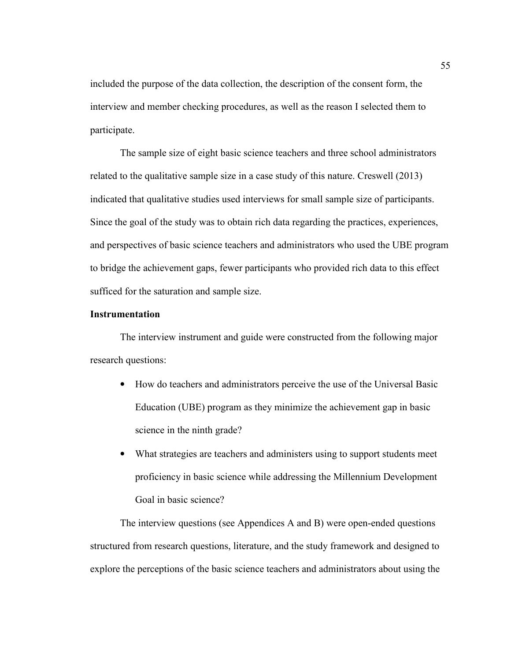included the purpose of the data collection, the description of the consent form, the interview and member checking procedures, as well as the reason I selected them to participate.

The sample size of eight basic science teachers and three school administrators related to the qualitative sample size in a case study of this nature. Creswell (2013) indicated that qualitative studies used interviews for small sample size of participants. Since the goal of the study was to obtain rich data regarding the practices, experiences, and perspectives of basic science teachers and administrators who used the UBE program to bridge the achievement gaps, fewer participants who provided rich data to this effect sufficed for the saturation and sample size.

## **Instrumentation**

The interview instrument and guide were constructed from the following major research questions:

- How do teachers and administrators perceive the use of the Universal Basic Education (UBE) program as they minimize the achievement gap in basic science in the ninth grade?
- What strategies are teachers and administers using to support students meet proficiency in basic science while addressing the Millennium Development Goal in basic science?

The interview questions (see Appendices A and B) were open-ended questions structured from research questions, literature, and the study framework and designed to explore the perceptions of the basic science teachers and administrators about using the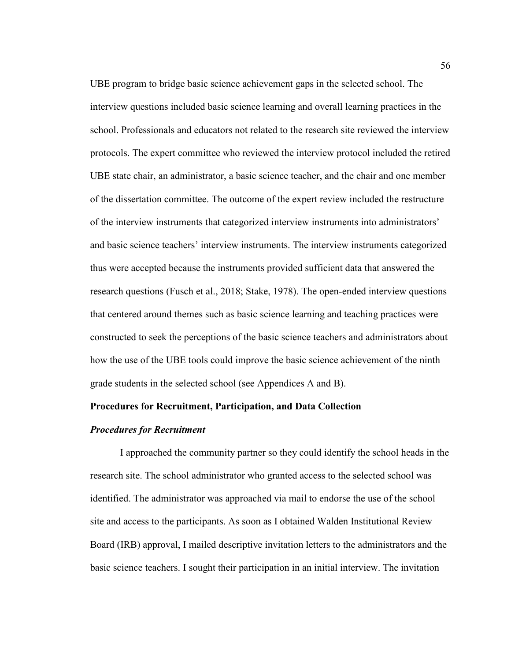UBE program to bridge basic science achievement gaps in the selected school. The interview questions included basic science learning and overall learning practices in the school. Professionals and educators not related to the research site reviewed the interview protocols. The expert committee who reviewed the interview protocol included the retired UBE state chair, an administrator, a basic science teacher, and the chair and one member of the dissertation committee. The outcome of the expert review included the restructure of the interview instruments that categorized interview instruments into administrators' and basic science teachers' interview instruments. The interview instruments categorized thus were accepted because the instruments provided sufficient data that answered the research questions (Fusch et al., 2018; Stake, 1978). The open-ended interview questions that centered around themes such as basic science learning and teaching practices were constructed to seek the perceptions of the basic science teachers and administrators about how the use of the UBE tools could improve the basic science achievement of the ninth grade students in the selected school (see Appendices A and B).

#### **Procedures for Recruitment, Participation, and Data Collection**

#### *Procedures for Recruitment*

I approached the community partner so they could identify the school heads in the research site. The school administrator who granted access to the selected school was identified. The administrator was approached via mail to endorse the use of the school site and access to the participants. As soon as I obtained Walden Institutional Review Board (IRB) approval, I mailed descriptive invitation letters to the administrators and the basic science teachers. I sought their participation in an initial interview. The invitation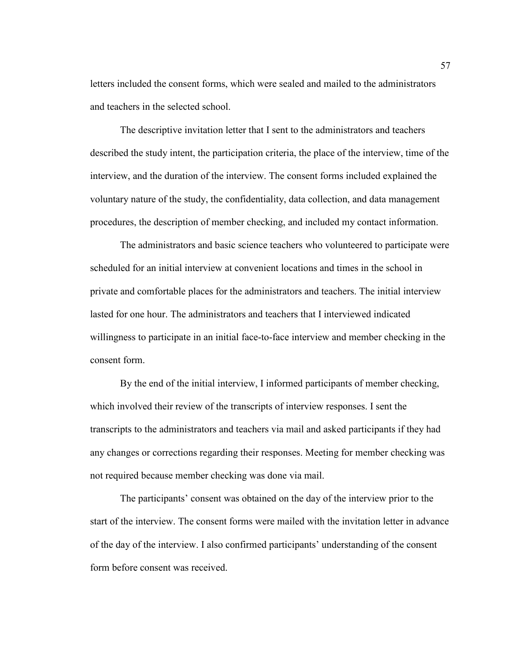letters included the consent forms, which were sealed and mailed to the administrators and teachers in the selected school.

The descriptive invitation letter that I sent to the administrators and teachers described the study intent, the participation criteria, the place of the interview, time of the interview, and the duration of the interview. The consent forms included explained the voluntary nature of the study, the confidentiality, data collection, and data management procedures, the description of member checking, and included my contact information.

The administrators and basic science teachers who volunteered to participate were scheduled for an initial interview at convenient locations and times in the school in private and comfortable places for the administrators and teachers. The initial interview lasted for one hour. The administrators and teachers that I interviewed indicated willingness to participate in an initial face-to-face interview and member checking in the consent form.

By the end of the initial interview, I informed participants of member checking, which involved their review of the transcripts of interview responses. I sent the transcripts to the administrators and teachers via mail and asked participants if they had any changes or corrections regarding their responses. Meeting for member checking was not required because member checking was done via mail.

The participants' consent was obtained on the day of the interview prior to the start of the interview. The consent forms were mailed with the invitation letter in advance of the day of the interview. I also confirmed participants' understanding of the consent form before consent was received.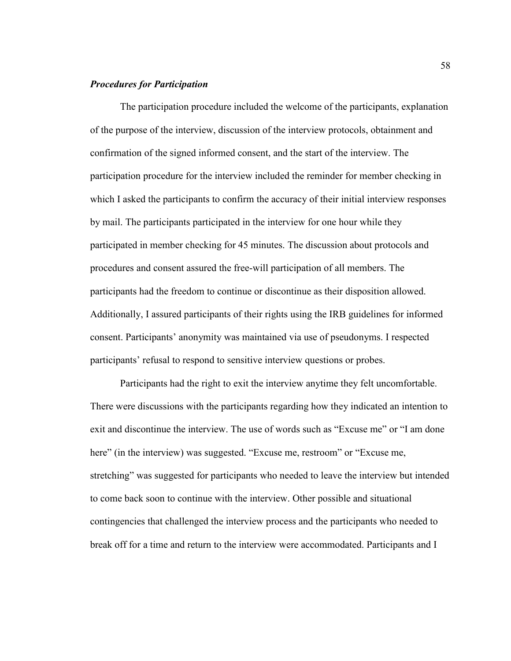# *Procedures for Participation*

The participation procedure included the welcome of the participants, explanation of the purpose of the interview, discussion of the interview protocols, obtainment and confirmation of the signed informed consent, and the start of the interview. The participation procedure for the interview included the reminder for member checking in which I asked the participants to confirm the accuracy of their initial interview responses by mail. The participants participated in the interview for one hour while they participated in member checking for 45 minutes. The discussion about protocols and procedures and consent assured the free-will participation of all members. The participants had the freedom to continue or discontinue as their disposition allowed. Additionally, I assured participants of their rights using the IRB guidelines for informed consent. Participants' anonymity was maintained via use of pseudonyms. I respected participants' refusal to respond to sensitive interview questions or probes.

Participants had the right to exit the interview anytime they felt uncomfortable. There were discussions with the participants regarding how they indicated an intention to exit and discontinue the interview. The use of words such as "Excuse me" or "I am done here" (in the interview) was suggested. "Excuse me, restroom" or "Excuse me, stretching" was suggested for participants who needed to leave the interview but intended to come back soon to continue with the interview. Other possible and situational contingencies that challenged the interview process and the participants who needed to break off for a time and return to the interview were accommodated. Participants and I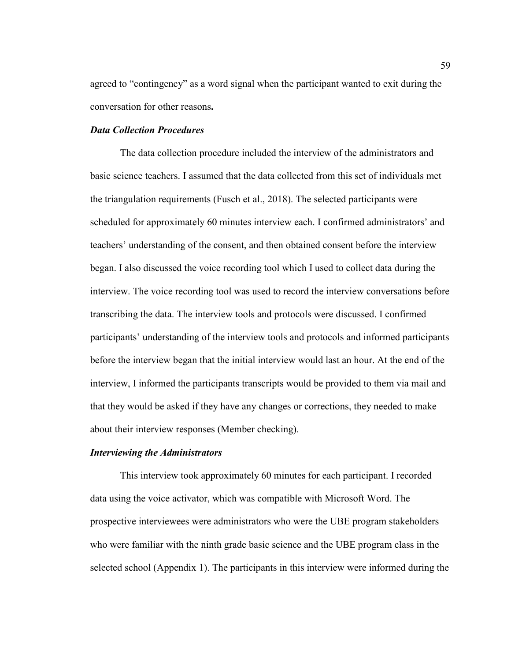agreed to "contingency" as a word signal when the participant wanted to exit during the conversation for other reasons**.**

# *Data Collection Procedures*

The data collection procedure included the interview of the administrators and basic science teachers. I assumed that the data collected from this set of individuals met the triangulation requirements (Fusch et al., 2018). The selected participants were scheduled for approximately 60 minutes interview each. I confirmed administrators' and teachers' understanding of the consent, and then obtained consent before the interview began. I also discussed the voice recording tool which I used to collect data during the interview. The voice recording tool was used to record the interview conversations before transcribing the data. The interview tools and protocols were discussed. I confirmed participants' understanding of the interview tools and protocols and informed participants before the interview began that the initial interview would last an hour. At the end of the interview, I informed the participants transcripts would be provided to them via mail and that they would be asked if they have any changes or corrections, they needed to make about their interview responses (Member checking).

#### *Interviewing the Administrators*

This interview took approximately 60 minutes for each participant. I recorded data using the voice activator, which was compatible with Microsoft Word. The prospective interviewees were administrators who were the UBE program stakeholders who were familiar with the ninth grade basic science and the UBE program class in the selected school (Appendix 1). The participants in this interview were informed during the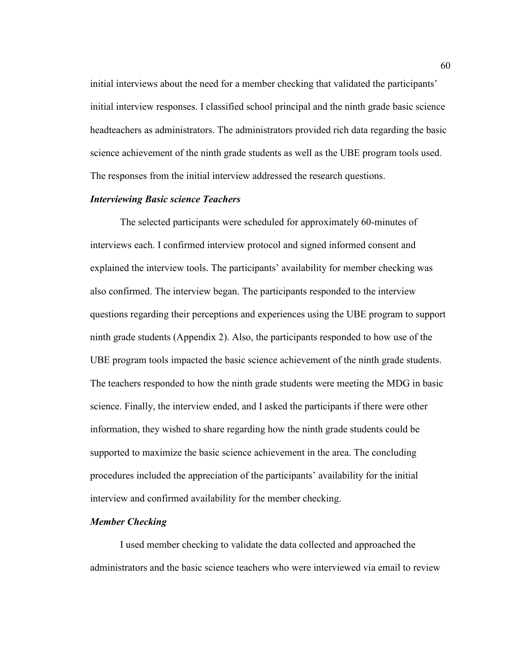initial interviews about the need for a member checking that validated the participants' initial interview responses. I classified school principal and the ninth grade basic science headteachers as administrators. The administrators provided rich data regarding the basic science achievement of the ninth grade students as well as the UBE program tools used. The responses from the initial interview addressed the research questions.

# *Interviewing Basic science Teachers*

The selected participants were scheduled for approximately 60-minutes of interviews each. I confirmed interview protocol and signed informed consent and explained the interview tools. The participants' availability for member checking was also confirmed. The interview began. The participants responded to the interview questions regarding their perceptions and experiences using the UBE program to support ninth grade students (Appendix 2). Also, the participants responded to how use of the UBE program tools impacted the basic science achievement of the ninth grade students. The teachers responded to how the ninth grade students were meeting the MDG in basic science. Finally, the interview ended, and I asked the participants if there were other information, they wished to share regarding how the ninth grade students could be supported to maximize the basic science achievement in the area. The concluding procedures included the appreciation of the participants' availability for the initial interview and confirmed availability for the member checking.

# *Member Checking*

I used member checking to validate the data collected and approached the administrators and the basic science teachers who were interviewed via email to review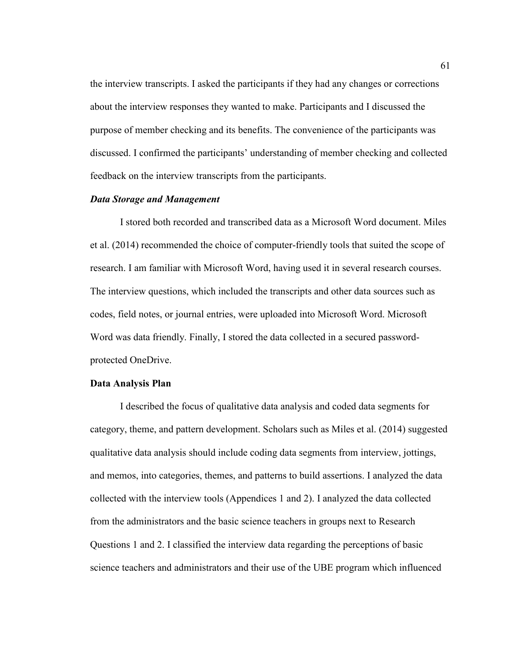the interview transcripts. I asked the participants if they had any changes or corrections about the interview responses they wanted to make. Participants and I discussed the purpose of member checking and its benefits. The convenience of the participants was discussed. I confirmed the participants' understanding of member checking and collected feedback on the interview transcripts from the participants.

## *Data Storage and Management*

I stored both recorded and transcribed data as a Microsoft Word document. Miles et al. (2014) recommended the choice of computer-friendly tools that suited the scope of research. I am familiar with Microsoft Word, having used it in several research courses. The interview questions, which included the transcripts and other data sources such as codes, field notes, or journal entries, were uploaded into Microsoft Word. Microsoft Word was data friendly. Finally, I stored the data collected in a secured passwordprotected OneDrive.

#### **Data Analysis Plan**

I described the focus of qualitative data analysis and coded data segments for category, theme, and pattern development. Scholars such as Miles et al. (2014) suggested qualitative data analysis should include coding data segments from interview, jottings, and memos, into categories, themes, and patterns to build assertions. I analyzed the data collected with the interview tools (Appendices 1 and 2). I analyzed the data collected from the administrators and the basic science teachers in groups next to Research Questions 1 and 2. I classified the interview data regarding the perceptions of basic science teachers and administrators and their use of the UBE program which influenced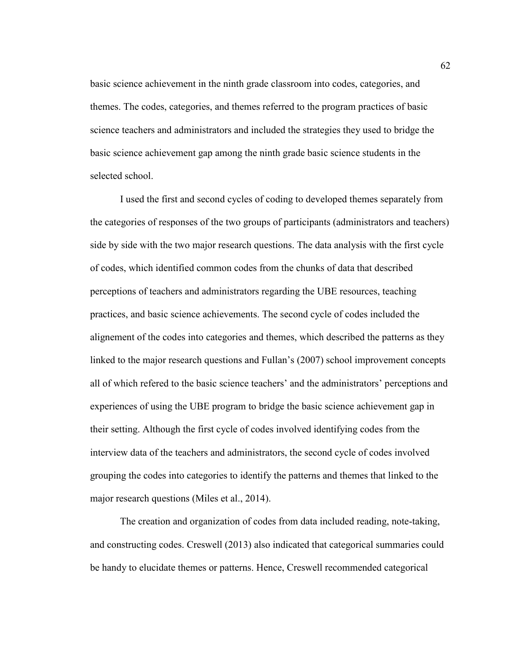basic science achievement in the ninth grade classroom into codes, categories, and themes. The codes, categories, and themes referred to the program practices of basic science teachers and administrators and included the strategies they used to bridge the basic science achievement gap among the ninth grade basic science students in the selected school.

I used the first and second cycles of coding to developed themes separately from the categories of responses of the two groups of participants (administrators and teachers) side by side with the two major research questions. The data analysis with the first cycle of codes, which identified common codes from the chunks of data that described perceptions of teachers and administrators regarding the UBE resources, teaching practices, and basic science achievements. The second cycle of codes included the alignement of the codes into categories and themes, which described the patterns as they linked to the major research questions and Fullan's (2007) school improvement concepts all of which refered to the basic science teachers' and the administrators' perceptions and experiences of using the UBE program to bridge the basic science achievement gap in their setting. Although the first cycle of codes involved identifying codes from the interview data of the teachers and administrators, the second cycle of codes involved grouping the codes into categories to identify the patterns and themes that linked to the major research questions (Miles et al., 2014).

The creation and organization of codes from data included reading, note-taking, and constructing codes. Creswell (2013) also indicated that categorical summaries could be handy to elucidate themes or patterns. Hence, Creswell recommended categorical

62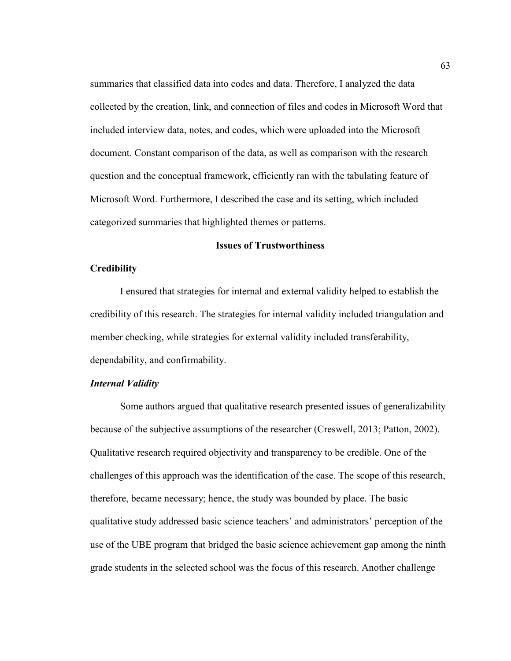summaries that classified data into codes and data. Therefore, I analyzed the data collected by the creation, link, and connection of files and codes in Microsoft Word that included interview data, notes, and codes, which were uploaded into the Microsoft document. Constant comparison of the data, as well as comparison with the research question and the conceptual framework, efficiently ran with the tabulating feature of Microsoft Word. Furthermore, I described the case and its setting, which included categorized summaries that highlighted themes or patterns.

# **Issues of Trustworthiness**

#### **Credibility**

I ensured that strategies for internal and external validity helped to establish the credibility of this research. The strategies for internal validity included triangulation and member checking, while strategies for external validity included transferability, dependability, and confirmability.

# *Internal Validity*

Some authors argued that qualitative research presented issues of generalizability because of the subjective assumptions of the researcher (Creswell, 2013; Patton, 2002). Qualitative research required objectivity and transparency to be credible. One of the challenges of this approach was the identification of the case. The scope of this research, therefore, became necessary; hence, the study was bounded by place. The basic qualitative study addressed basic science teachers' and administrators' perception of the use of the UBE program that bridged the basic science achievement gap among the ninth grade students in the selected school was the focus of this research. Another challenge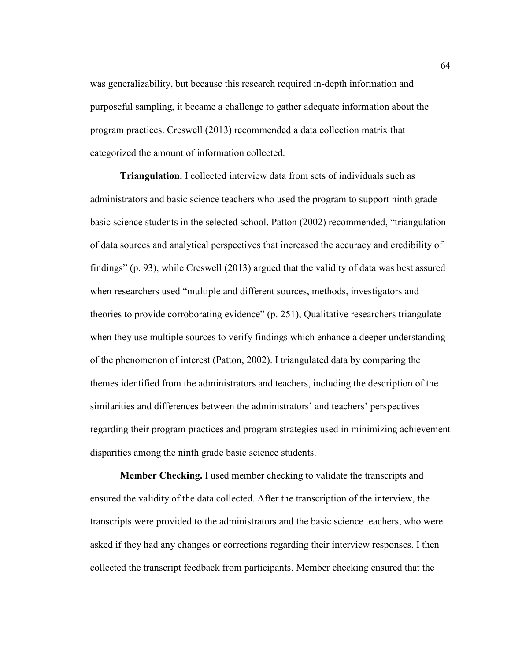was generalizability, but because this research required in-depth information and purposeful sampling, it became a challenge to gather adequate information about the program practices. Creswell (2013) recommended a data collection matrix that categorized the amount of information collected.

**Triangulation.** I collected interview data from sets of individuals such as administrators and basic science teachers who used the program to support ninth grade basic science students in the selected school. Patton (2002) recommended, "triangulation of data sources and analytical perspectives that increased the accuracy and credibility of findings" (p. 93), while Creswell (2013) argued that the validity of data was best assured when researchers used "multiple and different sources, methods, investigators and theories to provide corroborating evidence" (p. 251), Qualitative researchers triangulate when they use multiple sources to verify findings which enhance a deeper understanding of the phenomenon of interest (Patton, 2002). I triangulated data by comparing the themes identified from the administrators and teachers, including the description of the similarities and differences between the administrators' and teachers' perspectives regarding their program practices and program strategies used in minimizing achievement disparities among the ninth grade basic science students.

**Member Checking.** I used member checking to validate the transcripts and ensured the validity of the data collected. After the transcription of the interview, the transcripts were provided to the administrators and the basic science teachers, who were asked if they had any changes or corrections regarding their interview responses. I then collected the transcript feedback from participants. Member checking ensured that the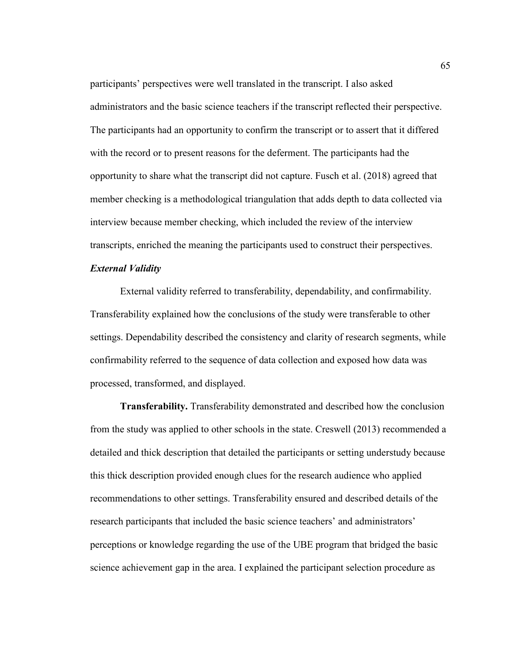participants' perspectives were well translated in the transcript. I also asked administrators and the basic science teachers if the transcript reflected their perspective. The participants had an opportunity to confirm the transcript or to assert that it differed with the record or to present reasons for the deferment. The participants had the opportunity to share what the transcript did not capture. Fusch et al. (2018) agreed that member checking is a methodological triangulation that adds depth to data collected via interview because member checking, which included the review of the interview transcripts, enriched the meaning the participants used to construct their perspectives.

# *External Validity*

External validity referred to transferability, dependability, and confirmability. Transferability explained how the conclusions of the study were transferable to other settings. Dependability described the consistency and clarity of research segments, while confirmability referred to the sequence of data collection and exposed how data was processed, transformed, and displayed.

**Transferability.** Transferability demonstrated and described how the conclusion from the study was applied to other schools in the state. Creswell (2013) recommended a detailed and thick description that detailed the participants or setting understudy because this thick description provided enough clues for the research audience who applied recommendations to other settings. Transferability ensured and described details of the research participants that included the basic science teachers' and administrators' perceptions or knowledge regarding the use of the UBE program that bridged the basic science achievement gap in the area. I explained the participant selection procedure as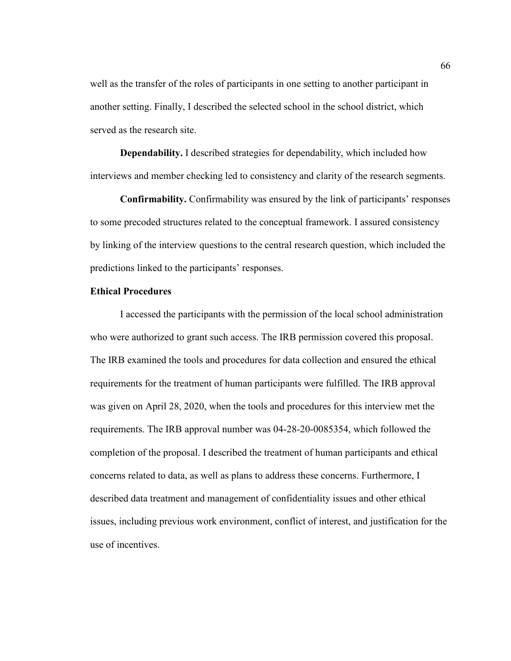well as the transfer of the roles of participants in one setting to another participant in another setting. Finally, I described the selected school in the school district, which served as the research site.

**Dependability.** I described strategies for dependability, which included how interviews and member checking led to consistency and clarity of the research segments.

**Confirmability.** Confirmability was ensured by the link of participants' responses to some precoded structures related to the conceptual framework. I assured consistency by linking of the interview questions to the central research question, which included the predictions linked to the participants' responses.

## **Ethical Procedures**

I accessed the participants with the permission of the local school administration who were authorized to grant such access. The IRB permission covered this proposal. The IRB examined the tools and procedures for data collection and ensured the ethical requirements for the treatment of human participants were fulfilled. The IRB approval was given on April 28, 2020, when the tools and procedures for this interview met the requirements. The IRB approval number was 04-28-20-0085354, which followed the completion of the proposal. I described the treatment of human participants and ethical concerns related to data, as well as plans to address these concerns. Furthermore, I described data treatment and management of confidentiality issues and other ethical issues, including previous work environment, conflict of interest, and justification for the use of incentives.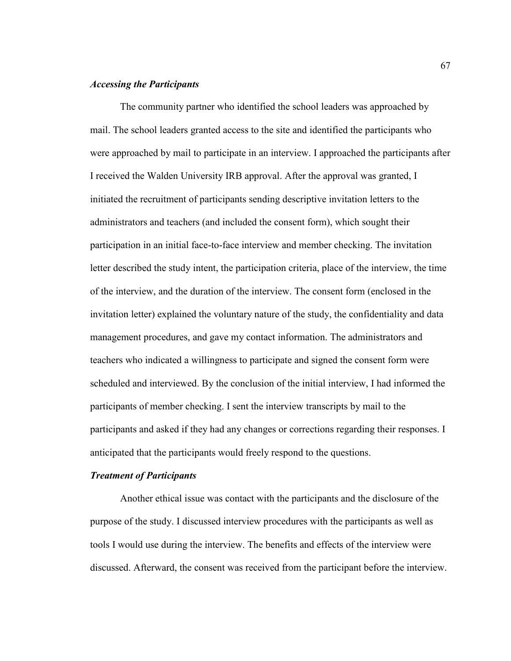# *Accessing the Participants*

The community partner who identified the school leaders was approached by mail. The school leaders granted access to the site and identified the participants who were approached by mail to participate in an interview. I approached the participants after I received the Walden University IRB approval. After the approval was granted, I initiated the recruitment of participants sending descriptive invitation letters to the administrators and teachers (and included the consent form), which sought their participation in an initial face-to-face interview and member checking. The invitation letter described the study intent, the participation criteria, place of the interview, the time of the interview, and the duration of the interview. The consent form (enclosed in the invitation letter) explained the voluntary nature of the study, the confidentiality and data management procedures, and gave my contact information. The administrators and teachers who indicated a willingness to participate and signed the consent form were scheduled and interviewed. By the conclusion of the initial interview, I had informed the participants of member checking. I sent the interview transcripts by mail to the participants and asked if they had any changes or corrections regarding their responses. I anticipated that the participants would freely respond to the questions.

## *Treatment of Participants*

Another ethical issue was contact with the participants and the disclosure of the purpose of the study. I discussed interview procedures with the participants as well as tools I would use during the interview. The benefits and effects of the interview were discussed. Afterward, the consent was received from the participant before the interview.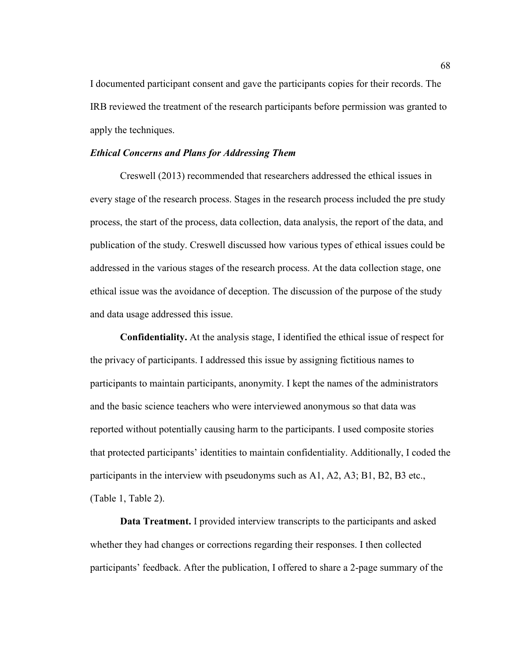I documented participant consent and gave the participants copies for their records. The IRB reviewed the treatment of the research participants before permission was granted to apply the techniques.

# *Ethical Concerns and Plans for Addressing Them*

Creswell (2013) recommended that researchers addressed the ethical issues in every stage of the research process. Stages in the research process included the pre study process, the start of the process, data collection, data analysis, the report of the data, and publication of the study. Creswell discussed how various types of ethical issues could be addressed in the various stages of the research process. At the data collection stage, one ethical issue was the avoidance of deception. The discussion of the purpose of the study and data usage addressed this issue.

**Confidentiality.** At the analysis stage, I identified the ethical issue of respect for the privacy of participants. I addressed this issue by assigning fictitious names to participants to maintain participants, anonymity. I kept the names of the administrators and the basic science teachers who were interviewed anonymous so that data was reported without potentially causing harm to the participants. I used composite stories that protected participants' identities to maintain confidentiality. Additionally, I coded the participants in the interview with pseudonyms such as A1, A2, A3; B1, B2, B3 etc., (Table 1, Table 2).

**Data Treatment.** I provided interview transcripts to the participants and asked whether they had changes or corrections regarding their responses. I then collected participants' feedback. After the publication, I offered to share a 2-page summary of the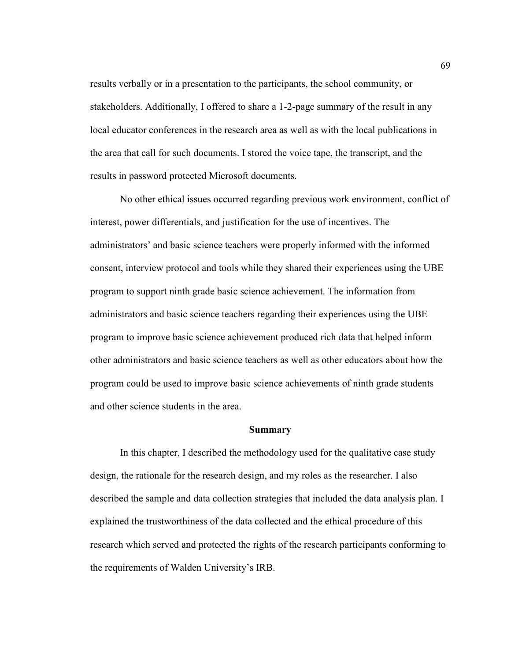results verbally or in a presentation to the participants, the school community, or stakeholders. Additionally, I offered to share a 1-2-page summary of the result in any local educator conferences in the research area as well as with the local publications in the area that call for such documents. I stored the voice tape, the transcript, and the results in password protected Microsoft documents.

No other ethical issues occurred regarding previous work environment, conflict of interest, power differentials, and justification for the use of incentives. The administrators' and basic science teachers were properly informed with the informed consent, interview protocol and tools while they shared their experiences using the UBE program to support ninth grade basic science achievement. The information from administrators and basic science teachers regarding their experiences using the UBE program to improve basic science achievement produced rich data that helped inform other administrators and basic science teachers as well as other educators about how the program could be used to improve basic science achievements of ninth grade students and other science students in the area.

#### **Summary**

In this chapter, I described the methodology used for the qualitative case study design, the rationale for the research design, and my roles as the researcher. I also described the sample and data collection strategies that included the data analysis plan. I explained the trustworthiness of the data collected and the ethical procedure of this research which served and protected the rights of the research participants conforming to the requirements of Walden University's IRB.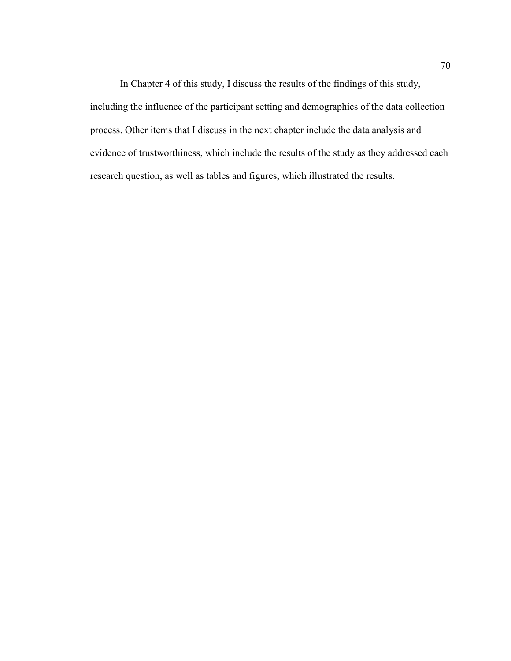In Chapter 4 of this study, I discuss the results of the findings of this study, including the influence of the participant setting and demographics of the data collection process. Other items that I discuss in the next chapter include the data analysis and evidence of trustworthiness, which include the results of the study as they addressed each research question, as well as tables and figures, which illustrated the results.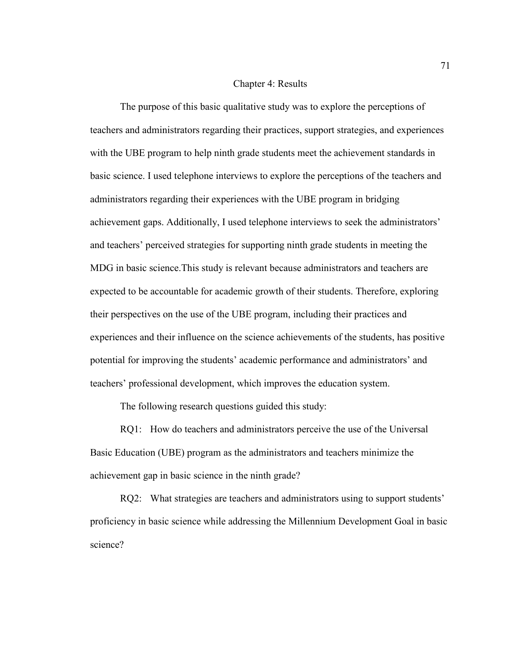#### Chapter 4: Results

The purpose of this basic qualitative study was to explore the perceptions of teachers and administrators regarding their practices, support strategies, and experiences with the UBE program to help ninth grade students meet the achievement standards in basic science. I used telephone interviews to explore the perceptions of the teachers and administrators regarding their experiences with the UBE program in bridging achievement gaps. Additionally, I used telephone interviews to seek the administrators' and teachers' perceived strategies for supporting ninth grade students in meeting the MDG in basic science.This study is relevant because administrators and teachers are expected to be accountable for academic growth of their students. Therefore, exploring their perspectives on the use of the UBE program, including their practices and experiences and their influence on the science achievements of the students, has positive potential for improving the students' academic performance and administrators' and teachers' professional development, which improves the education system.

The following research questions guided this study:

RQ1: How do teachers and administrators perceive the use of the Universal Basic Education (UBE) program as the administrators and teachers minimize the achievement gap in basic science in the ninth grade?

RQ2: What strategies are teachers and administrators using to support students' proficiency in basic science while addressing the Millennium Development Goal in basic science?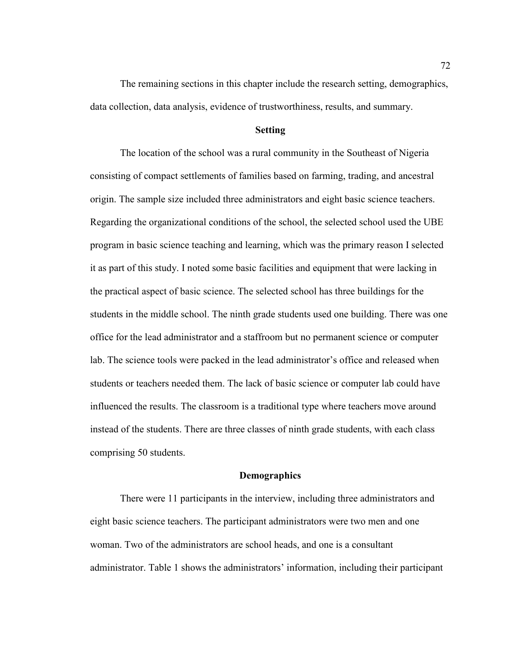The remaining sections in this chapter include the research setting, demographics, data collection, data analysis, evidence of trustworthiness, results, and summary.

# **Setting**

The location of the school was a rural community in the Southeast of Nigeria consisting of compact settlements of families based on farming, trading, and ancestral origin. The sample size included three administrators and eight basic science teachers. Regarding the organizational conditions of the school, the selected school used the UBE program in basic science teaching and learning, which was the primary reason I selected it as part of this study. I noted some basic facilities and equipment that were lacking in the practical aspect of basic science. The selected school has three buildings for the students in the middle school. The ninth grade students used one building. There was one office for the lead administrator and a staffroom but no permanent science or computer lab. The science tools were packed in the lead administrator's office and released when students or teachers needed them. The lack of basic science or computer lab could have influenced the results. The classroom is a traditional type where teachers move around instead of the students. There are three classes of ninth grade students, with each class comprising 50 students.

#### **Demographics**

There were 11 participants in the interview, including three administrators and eight basic science teachers. The participant administrators were two men and one woman. Two of the administrators are school heads, and one is a consultant administrator. Table 1 shows the administrators' information, including their participant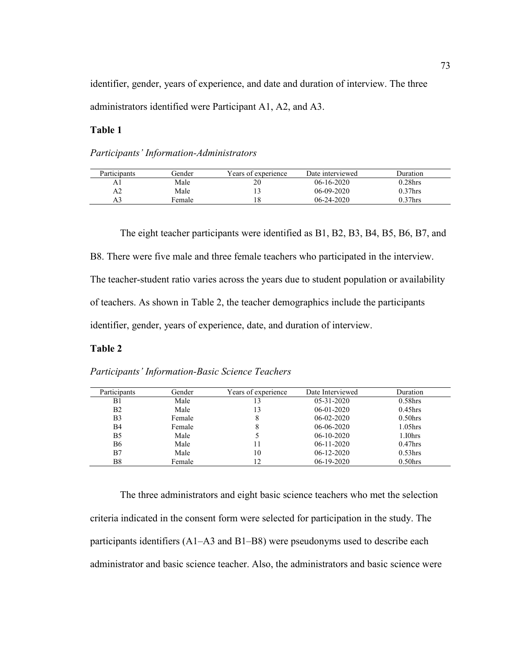identifier, gender, years of experience, and date and duration of interview. The three administrators identified were Participant A1, A2, and A3.

# **Table 1**

*Participants' Information-Administrators*

| Participants | Gender | Years of experience | Date interviewed | Duration       |  |
|--------------|--------|---------------------|------------------|----------------|--|
| $\mathbf{a}$ | Male   |                     | $06-16-2020$     | $0.28$ hrs     |  |
|              | Male   |                     | $06-09-2020$     | $0.37$ hrs     |  |
|              | Female | Ιð                  | $06 - 24 - 2020$ | $\gamma$ 37hrs |  |

The eight teacher participants were identified as B1, B2, B3, B4, B5, B6, B7, and B8. There were five male and three female teachers who participated in the interview. The teacher-student ratio varies across the years due to student population or availability of teachers. As shown in Table 2, the teacher demographics include the participants identifier, gender, years of experience, date, and duration of interview.

#### **Table 2**

*Participants' Information-Basic Science Teachers*

| Participants   | Gender | Years of experience | Date Interviewed | Duration            |
|----------------|--------|---------------------|------------------|---------------------|
| B1             | Male   |                     | $05 - 31 - 2020$ | $0.58$ hrs          |
| B <sub>2</sub> | Male   | 13                  | $06-01-2020$     | $0.45$ hrs          |
| B <sub>3</sub> | Female |                     | $06-02-2020$     | $0.50$ hrs          |
| <b>B4</b>      | Female | 8                   | $06-06-2020$     | $1.05$ hrs          |
| B <sub>5</sub> | Male   |                     | $06-10-2020$     | 1.10 <sub>hrs</sub> |
| <b>B6</b>      | Male   |                     | $06-11-2020$     | $0.47$ hrs          |
| B7             | Male   | 10                  | $06-12-2020$     | 0.53 <sub>hrs</sub> |
| B8             | Female | 12                  | $06-19-2020$     | $0.50$ hrs          |

The three administrators and eight basic science teachers who met the selection criteria indicated in the consent form were selected for participation in the study. The participants identifiers (A1–A3 and B1–B8) were pseudonyms used to describe each administrator and basic science teacher. Also, the administrators and basic science were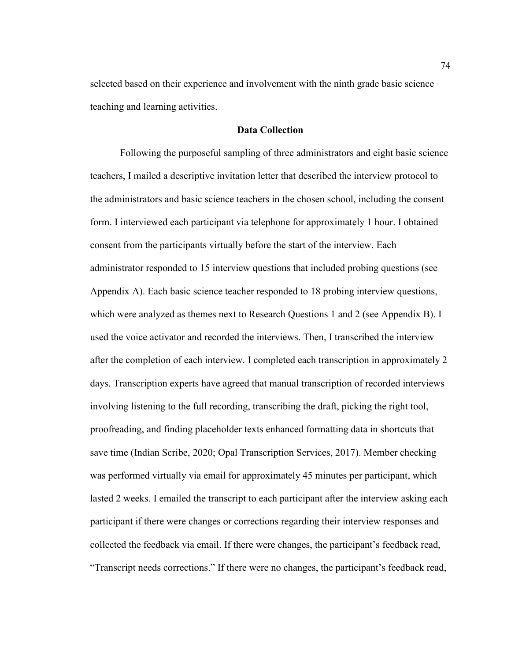selected based on their experience and involvement with the ninth grade basic science teaching and learning activities.

# **Data Collection**

Following the purposeful sampling of three administrators and eight basic science teachers, I mailed a descriptive invitation letter that described the interview protocol to the administrators and basic science teachers in the chosen school, including the consent form. I interviewed each participant via telephone for approximately 1 hour. I obtained consent from the participants virtually before the start of the interview. Each administrator responded to 15 interview questions that included probing questions (see Appendix A). Each basic science teacher responded to 18 probing interview questions, which were analyzed as themes next to Research Questions 1 and 2 (see Appendix B). I used the voice activator and recorded the interviews. Then, I transcribed the interview after the completion of each interview. I completed each transcription in approximately 2 days. Transcription experts have agreed that manual transcription of recorded interviews involving listening to the full recording, transcribing the draft, picking the right tool, proofreading, and finding placeholder texts enhanced formatting data in shortcuts that save time (Indian Scribe, 2020; Opal Transcription Services, 2017). Member checking was performed virtually via email for approximately 45 minutes per participant, which lasted 2 weeks. I emailed the transcript to each participant after the interview asking each participant if there were changes or corrections regarding their interview responses and collected the feedback via email. If there were changes, the participant's feedback read, "Transcript needs corrections." If there were no changes, the participant's feedback read,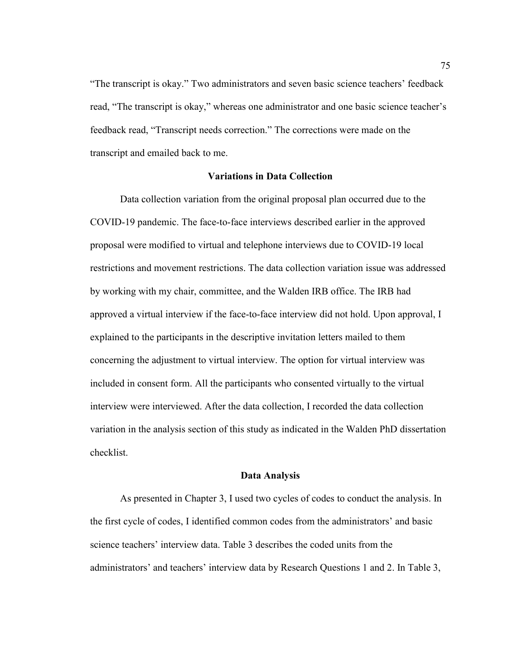"The transcript is okay." Two administrators and seven basic science teachers' feedback read, "The transcript is okay," whereas one administrator and one basic science teacher's feedback read, "Transcript needs correction." The corrections were made on the transcript and emailed back to me.

## **Variations in Data Collection**

Data collection variation from the original proposal plan occurred due to the COVID-19 pandemic. The face-to-face interviews described earlier in the approved proposal were modified to virtual and telephone interviews due to COVID-19 local restrictions and movement restrictions. The data collection variation issue was addressed by working with my chair, committee, and the Walden IRB office. The IRB had approved a virtual interview if the face-to-face interview did not hold. Upon approval, I explained to the participants in the descriptive invitation letters mailed to them concerning the adjustment to virtual interview. The option for virtual interview was included in consent form. All the participants who consented virtually to the virtual interview were interviewed. After the data collection, I recorded the data collection variation in the analysis section of this study as indicated in the Walden PhD dissertation checklist.

#### **Data Analysis**

As presented in Chapter 3, I used two cycles of codes to conduct the analysis. In the first cycle of codes, I identified common codes from the administrators' and basic science teachers' interview data. Table 3 describes the coded units from the administrators' and teachers' interview data by Research Questions 1 and 2. In Table 3,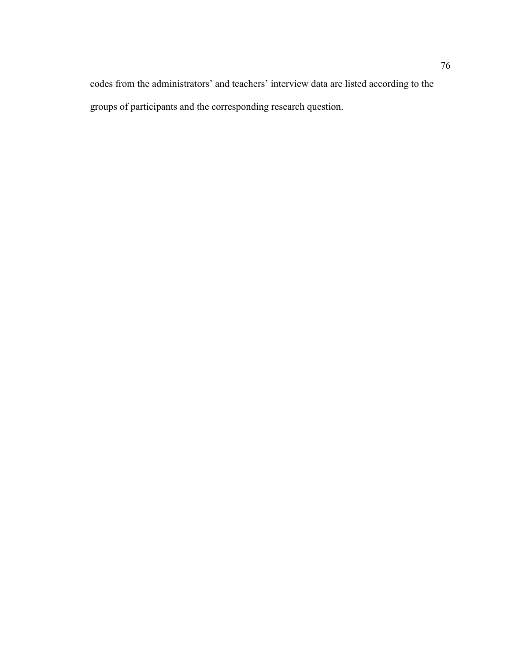codes from the administrators' and teachers' interview data are listed according to the groups of participants and the corresponding research question.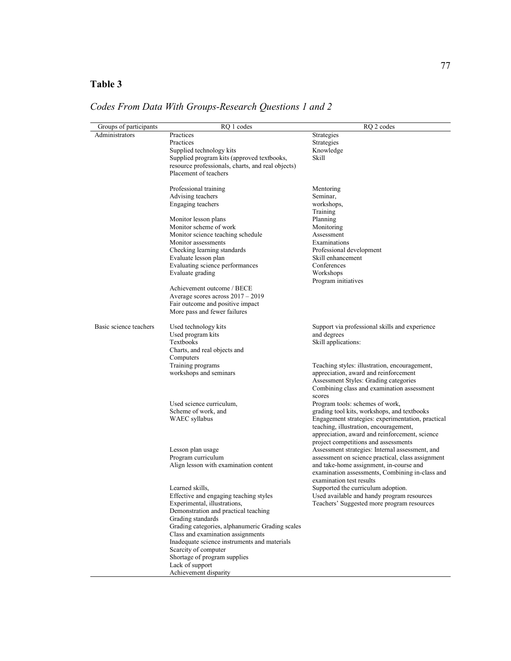# **Table 3**

| Groups of participants | RQ 1 codes                                        | RQ 2 codes                                        |
|------------------------|---------------------------------------------------|---------------------------------------------------|
| Administrators         | Practices                                         | Strategies                                        |
|                        | Practices                                         | Strategies                                        |
|                        | Supplied technology kits                          | Knowledge                                         |
|                        | Supplied program kits (approved textbooks,        | Skill                                             |
|                        | resource professionals, charts, and real objects) |                                                   |
|                        | Placement of teachers                             |                                                   |
|                        |                                                   |                                                   |
|                        | Professional training                             | Mentoring                                         |
|                        | Advising teachers                                 | Seminar,                                          |
|                        | Engaging teachers                                 | workshops,                                        |
|                        |                                                   | Training                                          |
|                        | Monitor lesson plans                              | Planning                                          |
|                        | Monitor scheme of work                            | Monitoring                                        |
|                        | Monitor science teaching schedule                 | Assessment                                        |
|                        | Monitor assessments                               | Examinations                                      |
|                        | Checking learning standards                       | Professional development                          |
|                        | Evaluate lesson plan                              | Skill enhancement                                 |
|                        | Evaluating science performances                   | Conferences                                       |
|                        | Evaluate grading                                  | Workshops                                         |
|                        |                                                   | Program initiatives                               |
|                        | Achievement outcome / BECE                        |                                                   |
|                        | Average scores across $2017 - 2019$               |                                                   |
|                        | Fair outcome and positive impact                  |                                                   |
|                        | More pass and fewer failures                      |                                                   |
|                        |                                                   |                                                   |
| Basic science teachers | Used technology kits                              | Support via professional skills and experience    |
|                        | Used program kits                                 | and degrees                                       |
|                        | Textbooks                                         | Skill applications:                               |
|                        | Charts, and real objects and                      |                                                   |
|                        | Computers                                         |                                                   |
|                        | Training programs                                 | Teaching styles: illustration, encouragement,     |
|                        | workshops and seminars                            | appreciation, award and reinforcement             |
|                        |                                                   | Assessment Styles: Grading categories             |
|                        |                                                   | Combining class and examination assessment        |
|                        |                                                   | scores                                            |
|                        | Used science curriculum,                          | Program tools: schemes of work,                   |
|                        | Scheme of work, and                               | grading tool kits, workshops, and textbooks       |
|                        | WAEC syllabus                                     | Engagement strategies: experimentation, practical |
|                        |                                                   | teaching, illustration, encouragement,            |
|                        |                                                   | appreciation, award and reinforcement, science    |
|                        |                                                   | project competitions and assessments              |
|                        | Lesson plan usage                                 | Assessment strategies: Internal assessment, and   |
|                        | Program curriculum                                | assessment on science practical, class assignment |
|                        | Align lesson with examination content             | and take-home assignment, in-course and           |
|                        |                                                   | examination assessments, Combining in-class and   |
|                        |                                                   | examination test results                          |
|                        | Learned skills,                                   | Supported the curriculum adoption.                |
|                        | Effective and engaging teaching styles            | Used available and handy program resources        |
|                        | Experimental, illustrations,                      | Teachers' Suggested more program resources        |
|                        | Demonstration and practical teaching              |                                                   |
|                        | Grading standards                                 |                                                   |
|                        | Grading categories, alphanumeric Grading scales   |                                                   |
|                        | Class and examination assignments                 |                                                   |
|                        | Inadequate science instruments and materials      |                                                   |
|                        | Scarcity of computer                              |                                                   |
|                        | Shortage of program supplies                      |                                                   |
|                        | Lack of support                                   |                                                   |
|                        | Achievement disparity                             |                                                   |

# *Codes From Data With Groups-Research Questions 1 and 2*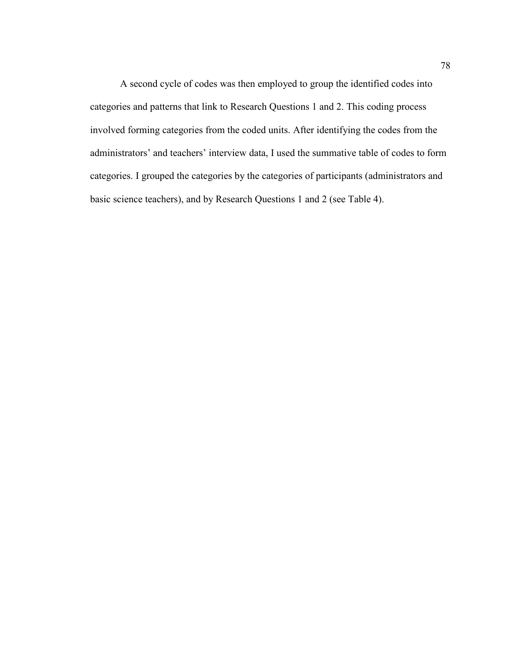A second cycle of codes was then employed to group the identified codes into categories and patterns that link to Research Questions 1 and 2. This coding process involved forming categories from the coded units. After identifying the codes from the administrators' and teachers' interview data, I used the summative table of codes to form categories. I grouped the categories by the categories of participants (administrators and basic science teachers), and by Research Questions 1 and 2 (see Table 4).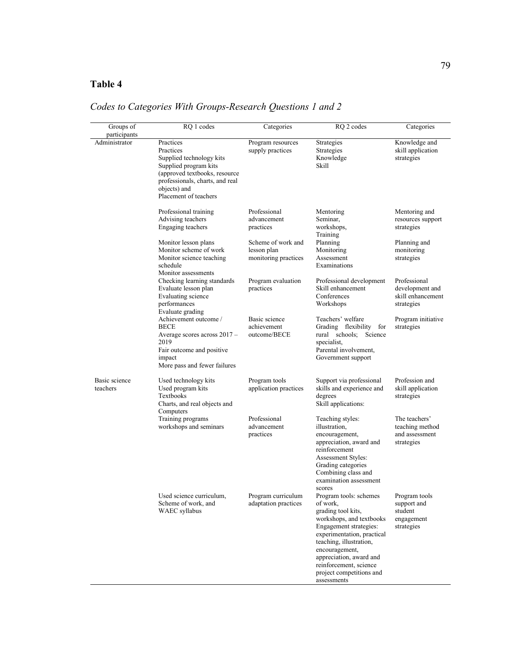# **Table 4**

| Groups of<br>participants | RQ 1 codes                                                                                                                                                                               | Categories                                                | RQ 2 codes                                                                                                                                                                                                                                                                                | Categories                                                          |
|---------------------------|------------------------------------------------------------------------------------------------------------------------------------------------------------------------------------------|-----------------------------------------------------------|-------------------------------------------------------------------------------------------------------------------------------------------------------------------------------------------------------------------------------------------------------------------------------------------|---------------------------------------------------------------------|
| Administrator             | Practices<br>Practices<br>Supplied technology kits<br>Supplied program kits<br>(approved textbooks, resource<br>professionals, charts, and real<br>objects) and<br>Placement of teachers | Program resources<br>supply practices                     | Strategies<br>Strategies<br>Knowledge<br>Skill                                                                                                                                                                                                                                            | Knowledge and<br>skill application<br>strategies                    |
|                           | Professional training<br>Advising teachers<br>Engaging teachers                                                                                                                          | Professional<br>advancement<br>practices                  | Mentoring<br>Seminar,<br>workshops,                                                                                                                                                                                                                                                       | Mentoring and<br>resources support<br>strategies                    |
|                           | Monitor lesson plans<br>Monitor scheme of work<br>Monitor science teaching<br>schedule<br>Monitor assessments                                                                            | Scheme of work and<br>lesson plan<br>monitoring practices | Training<br>Planning<br>Monitoring<br>Assessment<br>Examinations                                                                                                                                                                                                                          | Planning and<br>monitoring<br>strategies                            |
|                           | Checking learning standards<br>Evaluate lesson plan<br>Evaluating science<br>performances<br>Evaluate grading                                                                            | Program evaluation<br>practices                           | Professional development<br>Skill enhancement<br>Conferences<br>Workshops                                                                                                                                                                                                                 | Professional<br>development and<br>skill enhancement<br>strategies  |
|                           | Achievement outcome /<br><b>BECE</b><br>Average scores across $2017 -$<br>2019<br>Fair outcome and positive<br>impact<br>More pass and fewer failures                                    | Basic science<br>achievement<br>outcome/BECE              | Teachers' welfare<br>Grading flexibility for<br>rural schools;<br>Science<br>specialist.<br>Parental involvement,<br>Government support                                                                                                                                                   | Program initiative<br>strategies                                    |
| Basic science<br>teachers | Used technology kits<br>Used program kits<br>Textbooks<br>Charts, and real objects and<br>Computers                                                                                      | Program tools<br>application practices                    | Support via professional<br>skills and experience and<br>degrees<br>Skill applications:                                                                                                                                                                                                   | Profession and<br>skill application<br>strategies                   |
|                           | Training programs<br>workshops and seminars                                                                                                                                              | Professional<br>advancement<br>practices                  | Teaching styles:<br>illustration,<br>encouragement,<br>appreciation, award and<br>reinforcement<br>Assessment Styles:<br>Grading categories<br>Combining class and<br>examination assessment<br>scores                                                                                    | The teachers'<br>teaching method<br>and assessment<br>strategies    |
|                           | Used science curriculum,<br>Scheme of work, and<br><b>WAEC</b> syllabus                                                                                                                  | Program curriculum<br>adaptation practices                | Program tools: schemes<br>of work,<br>grading tool kits,<br>workshops, and textbooks<br>Engagement strategies:<br>experimentation, practical<br>teaching, illustration,<br>encouragement,<br>appreciation, award and<br>reinforcement, science<br>project competitions and<br>assessments | Program tools<br>support and<br>student<br>engagement<br>strategies |

# *Codes to Categories With Groups-Research Questions 1 and 2*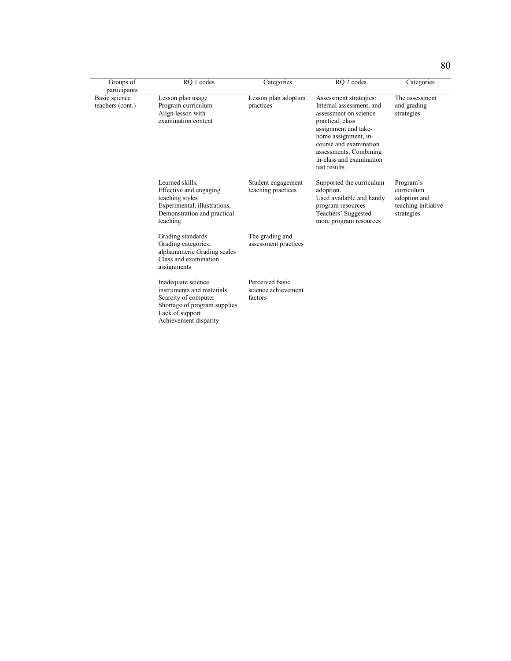| Groups of<br>participants         | RO 1 codes                                                                                                                                          | Categories                                        | RO <sub>2</sub> codes                                                                                                                                                                                                                           | Categories                                                                   |
|-----------------------------------|-----------------------------------------------------------------------------------------------------------------------------------------------------|---------------------------------------------------|-------------------------------------------------------------------------------------------------------------------------------------------------------------------------------------------------------------------------------------------------|------------------------------------------------------------------------------|
| Basic science<br>teachers (cont.) | Lesson plan usage<br>Program curriculum<br>Align lesson with<br>examination content                                                                 | Lesson plan adoption<br>practices                 | Assessment strategies:<br>Internal assessment, and<br>assessment on science<br>practical, class<br>assignment and take-<br>home assignment, in-<br>course and examination<br>assessments, Combining<br>in-class and examination<br>test results | The assessment<br>and grading<br>strategies                                  |
|                                   | Learned skills.<br>Effective and engaging<br>teaching styles<br>Experimental, illustrations,<br>Demonstration and practical<br>teaching             | Student engagement<br>teaching practices          | Supported the curriculum<br>adoption.<br>Used available and handy<br>program resources<br>Teachers' Suggested<br>more program resources                                                                                                         | Program's<br>curriculum<br>adoption and<br>teaching initiative<br>strategies |
|                                   | Grading standards<br>Grading categories,<br>alphanumeric Grading scales<br>Class and examination<br>assignments                                     | The grading and<br>assessment practices           |                                                                                                                                                                                                                                                 |                                                                              |
|                                   | Inadequate science<br>instruments and materials<br>Scarcity of computer<br>Shortage of program supplies<br>Lack of support<br>Achievement disparity | Perceived basic<br>science achievement<br>factors |                                                                                                                                                                                                                                                 |                                                                              |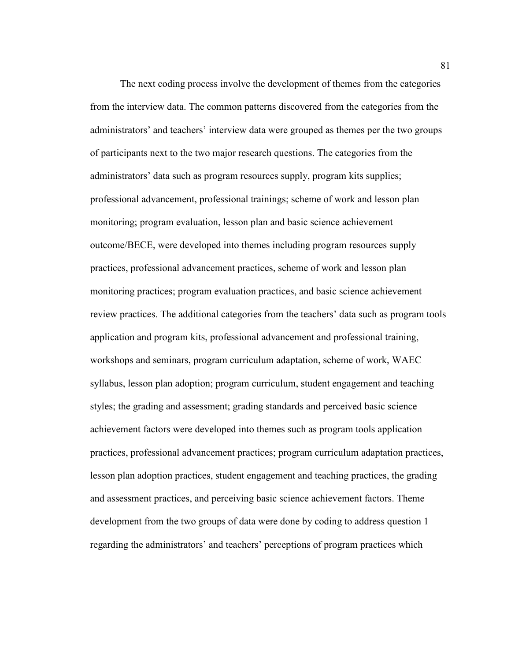The next coding process involve the development of themes from the categories from the interview data. The common patterns discovered from the categories from the administrators' and teachers' interview data were grouped as themes per the two groups of participants next to the two major research questions. The categories from the administrators' data such as program resources supply, program kits supplies; professional advancement, professional trainings; scheme of work and lesson plan monitoring; program evaluation, lesson plan and basic science achievement outcome/BECE, were developed into themes including program resources supply practices, professional advancement practices, scheme of work and lesson plan monitoring practices; program evaluation practices, and basic science achievement review practices. The additional categories from the teachers' data such as program tools application and program kits, professional advancement and professional training, workshops and seminars, program curriculum adaptation, scheme of work, WAEC syllabus, lesson plan adoption; program curriculum, student engagement and teaching styles; the grading and assessment; grading standards and perceived basic science achievement factors were developed into themes such as program tools application practices, professional advancement practices; program curriculum adaptation practices, lesson plan adoption practices, student engagement and teaching practices, the grading and assessment practices, and perceiving basic science achievement factors. Theme development from the two groups of data were done by coding to address question 1 regarding the administrators' and teachers' perceptions of program practices which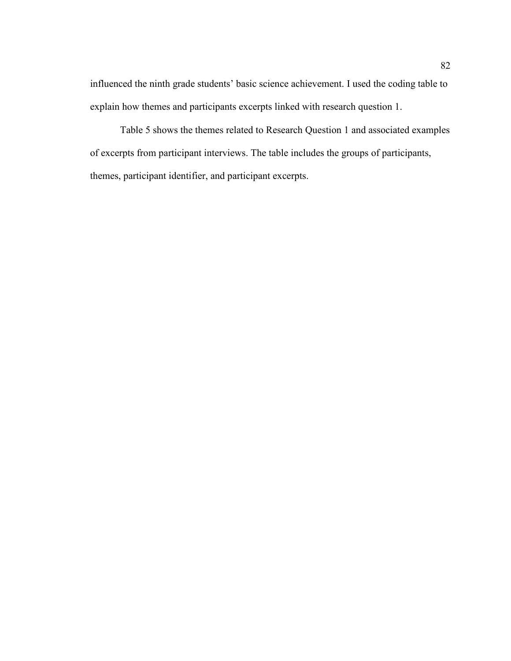influenced the ninth grade students' basic science achievement. I used the coding table to explain how themes and participants excerpts linked with research question 1.

Table 5 shows the themes related to Research Question 1 and associated examples of excerpts from participant interviews. The table includes the groups of participants, themes, participant identifier, and participant excerpts.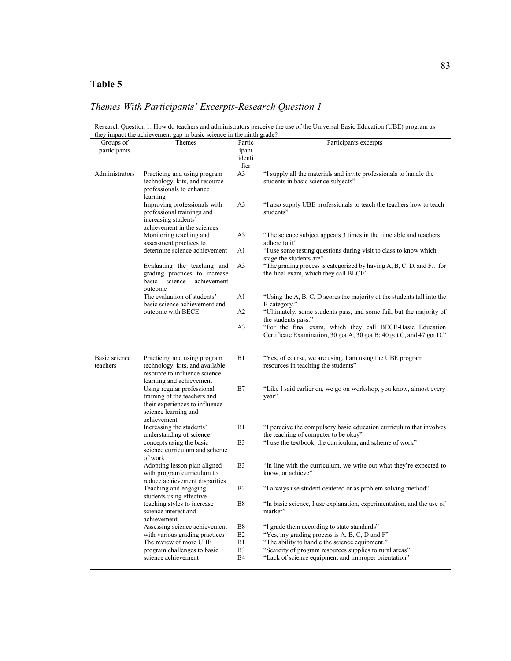# **Table 5**

|                           | they impact the achievement gap in basic science in the ninth grade?                                                                |                                   | Research Question 1: How do teachers and administrators perceive the use of the Universal Basic Education (UBE) program as         |
|---------------------------|-------------------------------------------------------------------------------------------------------------------------------------|-----------------------------------|------------------------------------------------------------------------------------------------------------------------------------|
| Groups of<br>participants | Themes                                                                                                                              | Partic<br>ipant<br>identi<br>fier | Participants excerpts                                                                                                              |
| Administrators            | Practicing and using program<br>technology, kits, and resource<br>professionals to enhance<br>learning                              | A3                                | "I supply all the materials and invite professionals to handle the<br>students in basic science subjects"                          |
|                           | Improving professionals with<br>professional trainings and<br>increasing students'<br>achievement in the sciences                   | A <sub>3</sub>                    | "I also supply UBE professionals to teach the teachers how to teach<br>students"                                                   |
|                           | Monitoring teaching and<br>assessment practices to                                                                                  | A3                                | "The science subject appears 3 times in the timetable and teachers<br>adhere to it"                                                |
|                           | determine science achievement                                                                                                       | A1                                | "I use some testing questions during visit to class to know which<br>stage the students are"                                       |
|                           | Evaluating the teaching and<br>grading practices to increase<br>basic science<br>achievement<br>outcome                             | A3                                | "The grading process is categorized by having A, B, C, D, and Ffor<br>the final exam, which they call BECE"                        |
|                           | The evaluation of students'<br>basic science achievement and                                                                        | A1                                | "Using the A, B, C, D scores the majority of the students fall into the<br>B category."                                            |
|                           | outcome with BECE                                                                                                                   | A2                                | "Ultimately, some students pass, and some fail, but the majority of<br>the students pass."                                         |
|                           |                                                                                                                                     | A <sub>3</sub>                    | "For the final exam, which they call BECE-Basic Education<br>Certificate Examination, 30 got A; 30 got B; 40 got C, and 47 got D." |
| Basic science<br>teachers | Practicing and using program<br>technology, kits, and available<br>resource to influence science<br>learning and achievement        | B1                                | "Yes, of course, we are using, I am using the UBE program<br>resources in teaching the students"                                   |
|                           | Using regular professional<br>training of the teachers and<br>their experiences to influence<br>science learning and<br>achievement | B7                                | "Like I said earlier on, we go on workshop, you know, almost every<br>year"                                                        |
|                           | Increasing the students'<br>understanding of science                                                                                | B1                                | "I perceive the compulsory basic education curriculum that involves<br>the teaching of computer to be okay"                        |
|                           | concepts using the basic<br>science curriculum and scheme<br>of work                                                                | B3                                | "I use the textbook, the curriculum, and scheme of work"                                                                           |
|                           | Adopting lesson plan aligned<br>with program curriculum to<br>reduce achievement disparities                                        | B3                                | "In line with the curriculum, we write out what they're expected to<br>know, or achieve"                                           |
|                           | Teaching and engaging<br>students using effective                                                                                   | B <sub>2</sub>                    | "I always use student centered or as problem solving method"                                                                       |
|                           | teaching styles to increase<br>science interest and<br>achievement.                                                                 | <b>B8</b>                         | "In basic science, I use explanation, experimentation, and the use of<br>marker"                                                   |
|                           | Assessing science achievement                                                                                                       | B8                                | "I grade them according to state standards"                                                                                        |
|                           | with various grading practices                                                                                                      | B2                                | "Yes, my grading process is A, B, C, D and F"                                                                                      |
|                           | The review of more UBE<br>program challenges to basic                                                                               | B1<br>B <sub>3</sub>              | "The ability to handle the science equipment."<br>"Scarcity of program resources supplies to rural areas"                          |
|                           | science achievement                                                                                                                 | B4                                | "Lack of science equipment and improper orientation"                                                                               |
|                           |                                                                                                                                     |                                   |                                                                                                                                    |

# *Themes With Participants' Excerpts-Research Question 1*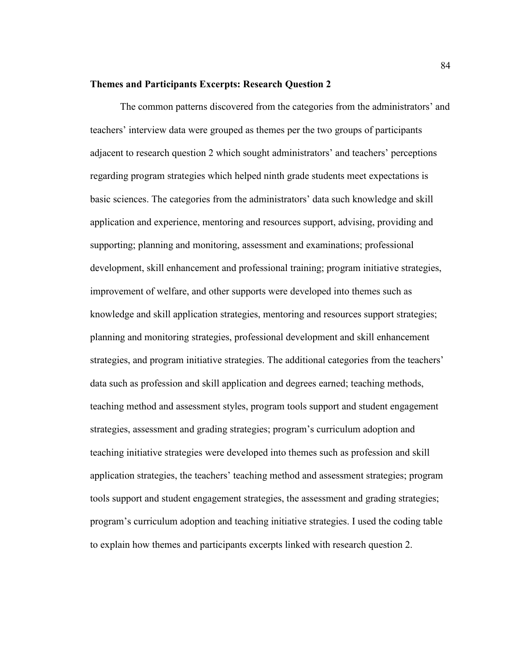#### **Themes and Participants Excerpts: Research Question 2**

The common patterns discovered from the categories from the administrators' and teachers' interview data were grouped as themes per the two groups of participants adjacent to research question 2 which sought administrators' and teachers' perceptions regarding program strategies which helped ninth grade students meet expectations is basic sciences. The categories from the administrators' data such knowledge and skill application and experience, mentoring and resources support, advising, providing and supporting; planning and monitoring, assessment and examinations; professional development, skill enhancement and professional training; program initiative strategies, improvement of welfare, and other supports were developed into themes such as knowledge and skill application strategies, mentoring and resources support strategies; planning and monitoring strategies, professional development and skill enhancement strategies, and program initiative strategies. The additional categories from the teachers' data such as profession and skill application and degrees earned; teaching methods, teaching method and assessment styles, program tools support and student engagement strategies, assessment and grading strategies; program's curriculum adoption and teaching initiative strategies were developed into themes such as profession and skill application strategies, the teachers' teaching method and assessment strategies; program tools support and student engagement strategies, the assessment and grading strategies; program's curriculum adoption and teaching initiative strategies. I used the coding table to explain how themes and participants excerpts linked with research question 2.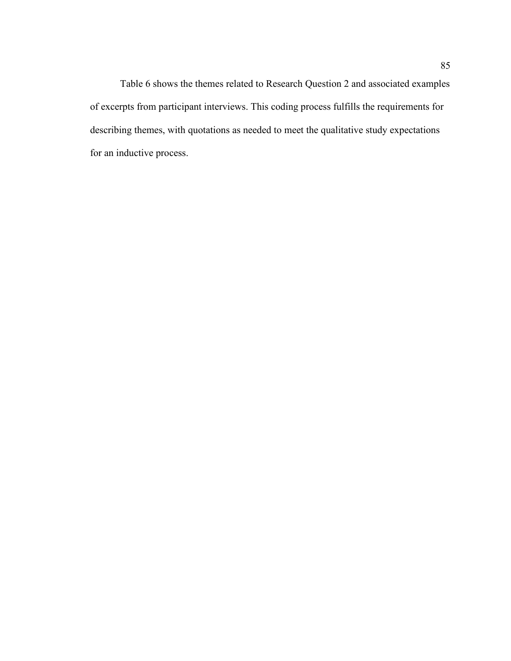Table 6 shows the themes related to Research Question 2 and associated examples of excerpts from participant interviews. This coding process fulfills the requirements for describing themes, with quotations as needed to meet the qualitative study expectations for an inductive process.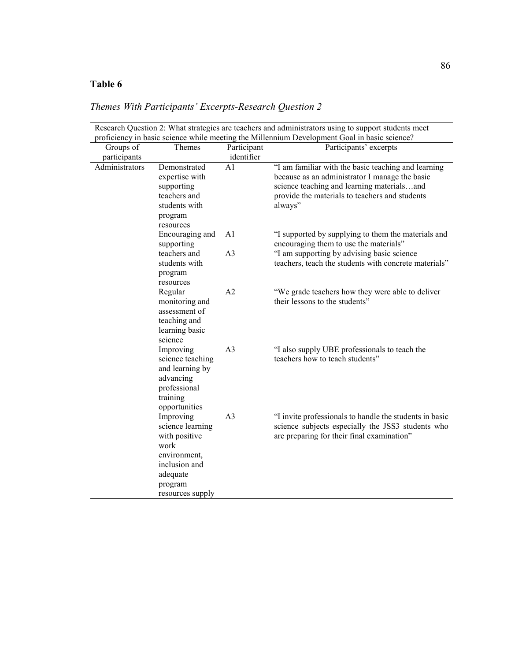# **Table 6**

| Groups of      | Themes                                                                                                         | Participant    | proficiency in basic science while meeting the Millennium Development Goal in basic science?<br>Participants' excerpts                                                                                           |
|----------------|----------------------------------------------------------------------------------------------------------------|----------------|------------------------------------------------------------------------------------------------------------------------------------------------------------------------------------------------------------------|
| participants   |                                                                                                                | identifier     |                                                                                                                                                                                                                  |
| Administrators | Demonstrated<br>expertise with<br>supporting<br>teachers and<br>students with<br>program<br>resources          | A <sub>1</sub> | "I am familiar with the basic teaching and learning<br>because as an administrator I manage the basic<br>science teaching and learning materialsand<br>provide the materials to teachers and students<br>always" |
|                | Encouraging and<br>supporting                                                                                  | A1             | "I supported by supplying to them the materials and<br>encouraging them to use the materials"                                                                                                                    |
|                | teachers and<br>students with<br>program<br>resources                                                          | A <sub>3</sub> | "I am supporting by advising basic science<br>teachers, teach the students with concrete materials"                                                                                                              |
|                | Regular<br>monitoring and<br>assessment of<br>teaching and<br>learning basic<br>science                        | A <sub>2</sub> | "We grade teachers how they were able to deliver<br>their lessons to the students"                                                                                                                               |
|                | Improving<br>science teaching<br>and learning by<br>advancing<br>professional<br>training<br>opportunities     | A <sub>3</sub> | "I also supply UBE professionals to teach the<br>teachers how to teach students"                                                                                                                                 |
|                | Improving<br>science learning<br>with positive<br>work<br>environment,<br>inclusion and<br>adequate<br>program | A <sub>3</sub> | "I invite professionals to handle the students in basic<br>science subjects especially the JSS3 students who<br>are preparing for their final examination"                                                       |

*Themes With Participants' Excerpts-Research Question 2*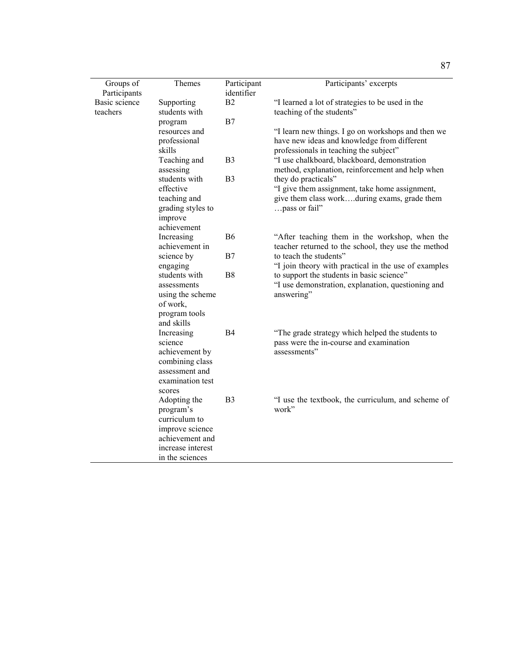| Groups of                 | Themes                       | Participant    | Participants' excerpts                                                        |
|---------------------------|------------------------------|----------------|-------------------------------------------------------------------------------|
| Participants              |                              | identifier     |                                                                               |
| Basic science<br>teachers | Supporting<br>students with  | B2             | "I learned a lot of strategies to be used in the<br>teaching of the students" |
|                           |                              | B7             |                                                                               |
|                           | program<br>resources and     |                | "I learn new things. I go on workshops and then we                            |
|                           | professional                 |                | have new ideas and knowledge from different                                   |
|                           | skills                       |                | professionals in teaching the subject"                                        |
|                           | Teaching and                 | B <sub>3</sub> | "I use chalkboard, blackboard, demonstration                                  |
|                           | assessing                    |                | method, explanation, reinforcement and help when                              |
|                           | students with                | B <sub>3</sub> | they do practicals"                                                           |
|                           | effective                    |                | "I give them assignment, take home assignment,                                |
|                           | teaching and                 |                | give them class workduring exams, grade them                                  |
|                           | grading styles to            |                | pass or fail"                                                                 |
|                           | improve                      |                |                                                                               |
|                           | achievement                  |                |                                                                               |
|                           | Increasing                   | <b>B6</b>      | "After teaching them in the workshop, when the                                |
|                           | achievement in               |                | teacher returned to the school, they use the method                           |
|                           | science by                   | B7             | to teach the students"                                                        |
|                           | engaging                     |                | "I join theory with practical in the use of examples                          |
|                           | students with                | B <sub>8</sub> | to support the students in basic science"                                     |
|                           | assessments                  |                | "I use demonstration, explanation, questioning and                            |
|                           | using the scheme<br>of work, |                | answering"                                                                    |
|                           | program tools                |                |                                                                               |
|                           | and skills                   |                |                                                                               |
|                           | Increasing                   | <b>B4</b>      | "The grade strategy which helped the students to                              |
|                           | science                      |                | pass were the in-course and examination                                       |
|                           | achievement by               |                | assessments"                                                                  |
|                           | combining class              |                |                                                                               |
|                           | assessment and               |                |                                                                               |
|                           | examination test             |                |                                                                               |
|                           | scores                       |                |                                                                               |
|                           | Adopting the                 | B <sub>3</sub> | "I use the textbook, the curriculum, and scheme of                            |
|                           | program's                    |                | work"                                                                         |
|                           | curriculum to                |                |                                                                               |
|                           | improve science              |                |                                                                               |
|                           | achievement and              |                |                                                                               |
|                           | increase interest            |                |                                                                               |
|                           | in the sciences              |                |                                                                               |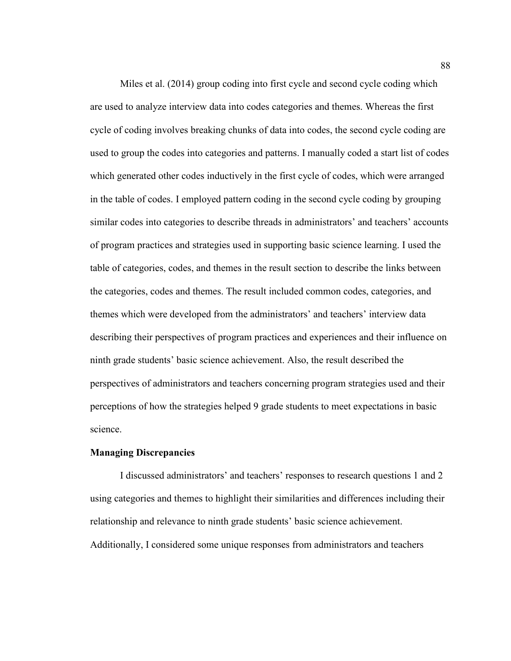Miles et al. (2014) group coding into first cycle and second cycle coding which are used to analyze interview data into codes categories and themes. Whereas the first cycle of coding involves breaking chunks of data into codes, the second cycle coding are used to group the codes into categories and patterns. I manually coded a start list of codes which generated other codes inductively in the first cycle of codes, which were arranged in the table of codes. I employed pattern coding in the second cycle coding by grouping similar codes into categories to describe threads in administrators' and teachers' accounts of program practices and strategies used in supporting basic science learning. I used the table of categories, codes, and themes in the result section to describe the links between the categories, codes and themes. The result included common codes, categories, and themes which were developed from the administrators' and teachers' interview data describing their perspectives of program practices and experiences and their influence on ninth grade students' basic science achievement. Also, the result described the perspectives of administrators and teachers concerning program strategies used and their perceptions of how the strategies helped 9 grade students to meet expectations in basic science.

# **Managing Discrepancies**

I discussed administrators' and teachers' responses to research questions 1 and 2 using categories and themes to highlight their similarities and differences including their relationship and relevance to ninth grade students' basic science achievement. Additionally, I considered some unique responses from administrators and teachers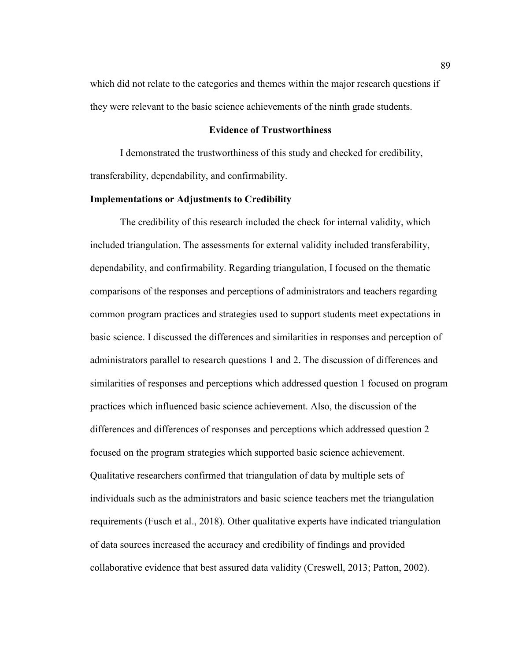which did not relate to the categories and themes within the major research questions if they were relevant to the basic science achievements of the ninth grade students.

# **Evidence of Trustworthiness**

I demonstrated the trustworthiness of this study and checked for credibility, transferability, dependability, and confirmability.

## **Implementations or Adjustments to Credibility**

The credibility of this research included the check for internal validity, which included triangulation. The assessments for external validity included transferability, dependability, and confirmability. Regarding triangulation, I focused on the thematic comparisons of the responses and perceptions of administrators and teachers regarding common program practices and strategies used to support students meet expectations in basic science. I discussed the differences and similarities in responses and perception of administrators parallel to research questions 1 and 2. The discussion of differences and similarities of responses and perceptions which addressed question 1 focused on program practices which influenced basic science achievement. Also, the discussion of the differences and differences of responses and perceptions which addressed question 2 focused on the program strategies which supported basic science achievement. Qualitative researchers confirmed that triangulation of data by multiple sets of individuals such as the administrators and basic science teachers met the triangulation requirements (Fusch et al., 2018). Other qualitative experts have indicated triangulation of data sources increased the accuracy and credibility of findings and provided collaborative evidence that best assured data validity (Creswell, 2013; Patton, 2002).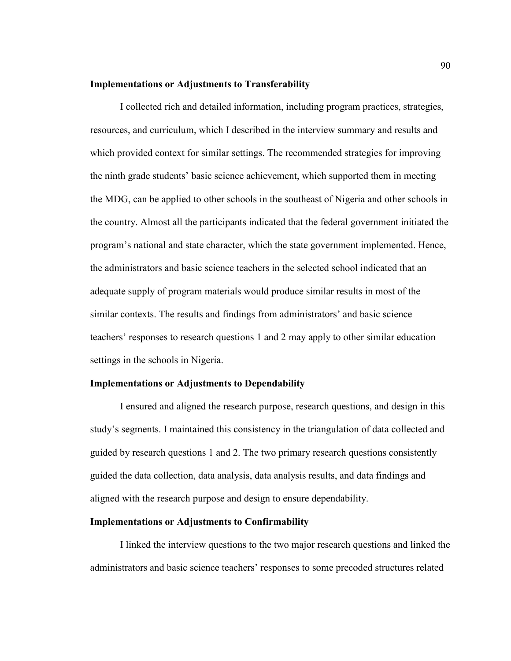#### **Implementations or Adjustments to Transferability**

I collected rich and detailed information, including program practices, strategies, resources, and curriculum, which I described in the interview summary and results and which provided context for similar settings. The recommended strategies for improving the ninth grade students' basic science achievement, which supported them in meeting the MDG, can be applied to other schools in the southeast of Nigeria and other schools in the country. Almost all the participants indicated that the federal government initiated the program's national and state character, which the state government implemented. Hence, the administrators and basic science teachers in the selected school indicated that an adequate supply of program materials would produce similar results in most of the similar contexts. The results and findings from administrators' and basic science teachers' responses to research questions 1 and 2 may apply to other similar education settings in the schools in Nigeria.

# **Implementations or Adjustments to Dependability**

I ensured and aligned the research purpose, research questions, and design in this study's segments. I maintained this consistency in the triangulation of data collected and guided by research questions 1 and 2. The two primary research questions consistently guided the data collection, data analysis, data analysis results, and data findings and aligned with the research purpose and design to ensure dependability.

# **Implementations or Adjustments to Confirmability**

I linked the interview questions to the two major research questions and linked the administrators and basic science teachers' responses to some precoded structures related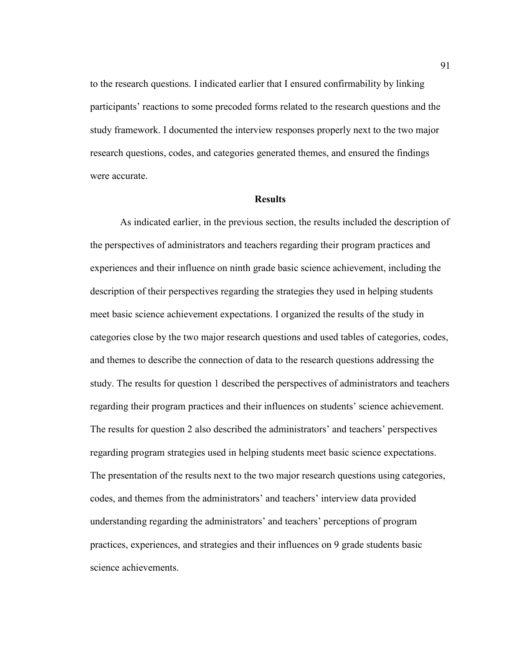to the research questions. I indicated earlier that I ensured confirmability by linking participants' reactions to some precoded forms related to the research questions and the study framework. I documented the interview responses properly next to the two major research questions, codes, and categories generated themes, and ensured the findings were accurate.

# **Results**

As indicated earlier, in the previous section, the results included the description of the perspectives of administrators and teachers regarding their program practices and experiences and their influence on ninth grade basic science achievement, including the description of their perspectives regarding the strategies they used in helping students meet basic science achievement expectations. I organized the results of the study in categories close by the two major research questions and used tables of categories, codes, and themes to describe the connection of data to the research questions addressing the study. The results for question 1 described the perspectives of administrators and teachers regarding their program practices and their influences on students' science achievement. The results for question 2 also described the administrators' and teachers' perspectives regarding program strategies used in helping students meet basic science expectations. The presentation of the results next to the two major research questions using categories, codes, and themes from the administrators' and teachers' interview data provided understanding regarding the administrators' and teachers' perceptions of program practices, experiences, and strategies and their influences on 9 grade students basic science achievements.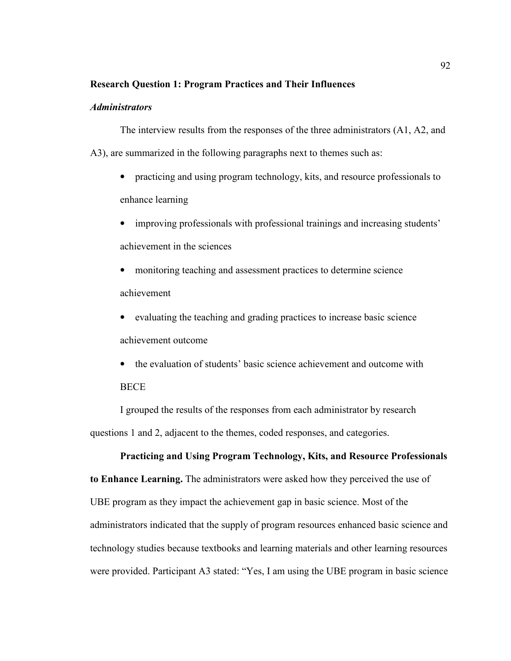### **Research Question 1: Program Practices and Their Influences**

## *Administrators*

The interview results from the responses of the three administrators (A1, A2, and A3), are summarized in the following paragraphs next to themes such as:

- practicing and using program technology, kits, and resource professionals to enhance learning
- improving professionals with professional trainings and increasing students' achievement in the sciences
- monitoring teaching and assessment practices to determine science achievement
- evaluating the teaching and grading practices to increase basic science achievement outcome
- the evaluation of students' basic science achievement and outcome with **BECE**

I grouped the results of the responses from each administrator by research questions 1 and 2, adjacent to the themes, coded responses, and categories.

# **Practicing and Using Program Technology, Kits, and Resource Professionals**

**to Enhance Learning.** The administrators were asked how they perceived the use of UBE program as they impact the achievement gap in basic science. Most of the administrators indicated that the supply of program resources enhanced basic science and technology studies because textbooks and learning materials and other learning resources were provided. Participant A3 stated: "Yes, I am using the UBE program in basic science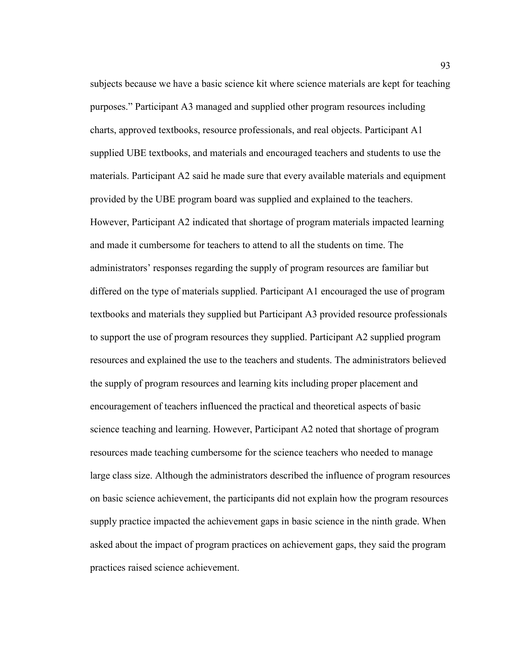subjects because we have a basic science kit where science materials are kept for teaching purposes." Participant A3 managed and supplied other program resources including charts, approved textbooks, resource professionals, and real objects. Participant A1 supplied UBE textbooks, and materials and encouraged teachers and students to use the materials. Participant A2 said he made sure that every available materials and equipment provided by the UBE program board was supplied and explained to the teachers. However, Participant A2 indicated that shortage of program materials impacted learning and made it cumbersome for teachers to attend to all the students on time. The administrators' responses regarding the supply of program resources are familiar but differed on the type of materials supplied. Participant A1 encouraged the use of program textbooks and materials they supplied but Participant A3 provided resource professionals to support the use of program resources they supplied. Participant A2 supplied program resources and explained the use to the teachers and students. The administrators believed the supply of program resources and learning kits including proper placement and encouragement of teachers influenced the practical and theoretical aspects of basic science teaching and learning. However, Participant A2 noted that shortage of program resources made teaching cumbersome for the science teachers who needed to manage large class size. Although the administrators described the influence of program resources on basic science achievement, the participants did not explain how the program resources supply practice impacted the achievement gaps in basic science in the ninth grade. When asked about the impact of program practices on achievement gaps, they said the program practices raised science achievement.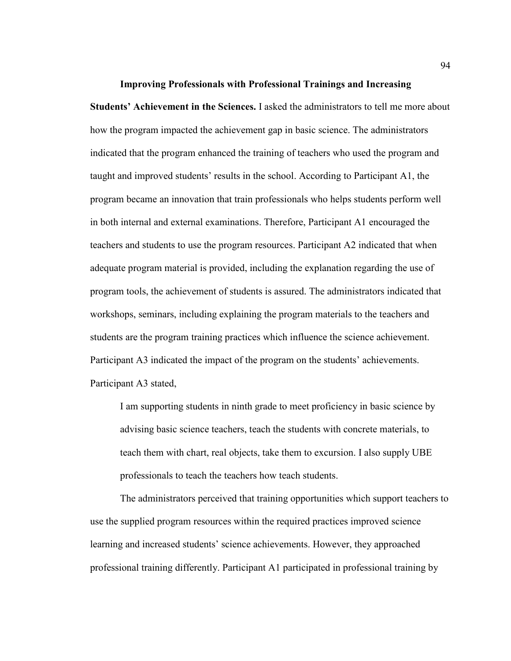**Improving Professionals with Professional Trainings and Increasing Students' Achievement in the Sciences.** I asked the administrators to tell me more about how the program impacted the achievement gap in basic science. The administrators indicated that the program enhanced the training of teachers who used the program and taught and improved students' results in the school. According to Participant A1, the program became an innovation that train professionals who helps students perform well in both internal and external examinations. Therefore, Participant A1 encouraged the teachers and students to use the program resources. Participant A2 indicated that when adequate program material is provided, including the explanation regarding the use of program tools, the achievement of students is assured. The administrators indicated that workshops, seminars, including explaining the program materials to the teachers and students are the program training practices which influence the science achievement. Participant A3 indicated the impact of the program on the students' achievements. Participant A3 stated,

I am supporting students in ninth grade to meet proficiency in basic science by advising basic science teachers, teach the students with concrete materials, to teach them with chart, real objects, take them to excursion. I also supply UBE professionals to teach the teachers how teach students.

The administrators perceived that training opportunities which support teachers to use the supplied program resources within the required practices improved science learning and increased students' science achievements. However, they approached professional training differently. Participant A1 participated in professional training by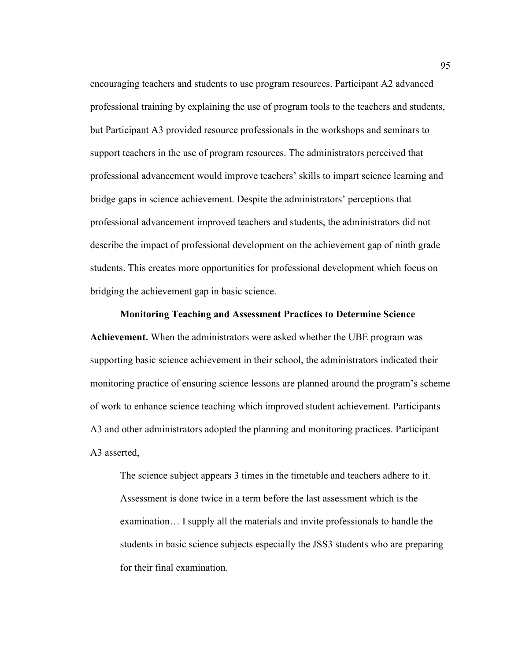encouraging teachers and students to use program resources. Participant A2 advanced professional training by explaining the use of program tools to the teachers and students, but Participant A3 provided resource professionals in the workshops and seminars to support teachers in the use of program resources. The administrators perceived that professional advancement would improve teachers' skills to impart science learning and bridge gaps in science achievement. Despite the administrators' perceptions that professional advancement improved teachers and students, the administrators did not describe the impact of professional development on the achievement gap of ninth grade students. This creates more opportunities for professional development which focus on bridging the achievement gap in basic science.

**Monitoring Teaching and Assessment Practices to Determine Science** 

**Achievement.** When the administrators were asked whether the UBE program was supporting basic science achievement in their school, the administrators indicated their monitoring practice of ensuring science lessons are planned around the program's scheme of work to enhance science teaching which improved student achievement. Participants A3 and other administrators adopted the planning and monitoring practices. Participant A3 asserted,

The science subject appears 3 times in the timetable and teachers adhere to it. Assessment is done twice in a term before the last assessment which is the examination… I supply all the materials and invite professionals to handle the students in basic science subjects especially the JSS3 students who are preparing for their final examination.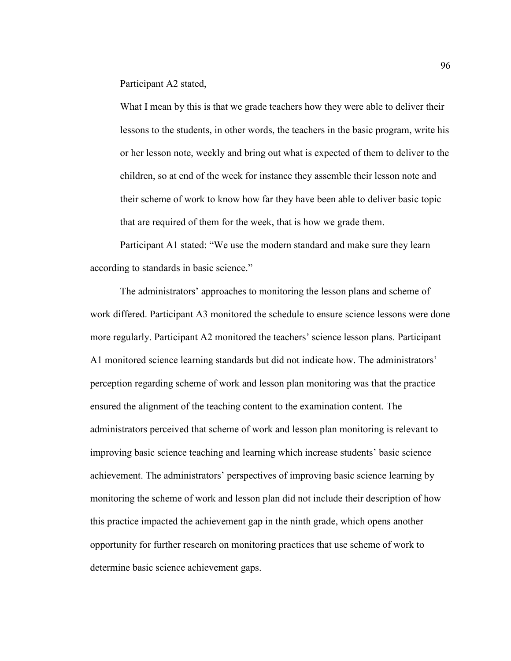Participant A2 stated,

What I mean by this is that we grade teachers how they were able to deliver their lessons to the students, in other words, the teachers in the basic program, write his or her lesson note, weekly and bring out what is expected of them to deliver to the children, so at end of the week for instance they assemble their lesson note and their scheme of work to know how far they have been able to deliver basic topic that are required of them for the week, that is how we grade them.

Participant A1 stated: "We use the modern standard and make sure they learn according to standards in basic science."

The administrators' approaches to monitoring the lesson plans and scheme of work differed. Participant A3 monitored the schedule to ensure science lessons were done more regularly. Participant A2 monitored the teachers' science lesson plans. Participant A1 monitored science learning standards but did not indicate how. The administrators' perception regarding scheme of work and lesson plan monitoring was that the practice ensured the alignment of the teaching content to the examination content. The administrators perceived that scheme of work and lesson plan monitoring is relevant to improving basic science teaching and learning which increase students' basic science achievement. The administrators' perspectives of improving basic science learning by monitoring the scheme of work and lesson plan did not include their description of how this practice impacted the achievement gap in the ninth grade, which opens another opportunity for further research on monitoring practices that use scheme of work to determine basic science achievement gaps.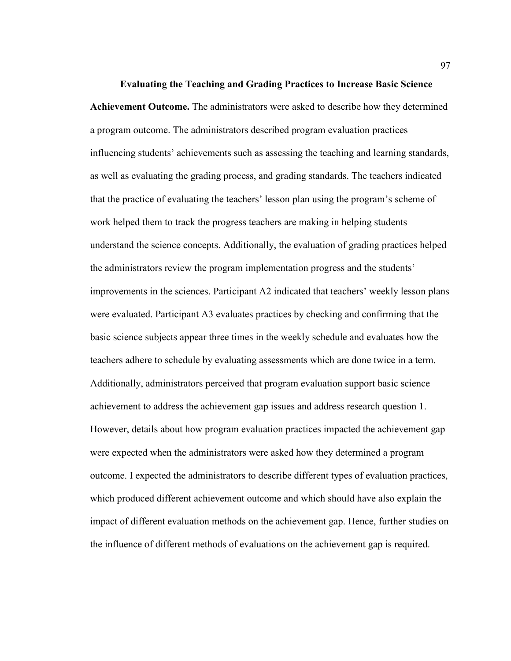**Evaluating the Teaching and Grading Practices to Increase Basic Science Achievement Outcome.** The administrators were asked to describe how they determined a program outcome. The administrators described program evaluation practices influencing students' achievements such as assessing the teaching and learning standards, as well as evaluating the grading process, and grading standards. The teachers indicated that the practice of evaluating the teachers' lesson plan using the program's scheme of work helped them to track the progress teachers are making in helping students understand the science concepts. Additionally, the evaluation of grading practices helped the administrators review the program implementation progress and the students' improvements in the sciences. Participant A2 indicated that teachers' weekly lesson plans were evaluated. Participant A3 evaluates practices by checking and confirming that the basic science subjects appear three times in the weekly schedule and evaluates how the teachers adhere to schedule by evaluating assessments which are done twice in a term. Additionally, administrators perceived that program evaluation support basic science achievement to address the achievement gap issues and address research question 1. However, details about how program evaluation practices impacted the achievement gap were expected when the administrators were asked how they determined a program outcome. I expected the administrators to describe different types of evaluation practices, which produced different achievement outcome and which should have also explain the impact of different evaluation methods on the achievement gap. Hence, further studies on the influence of different methods of evaluations on the achievement gap is required.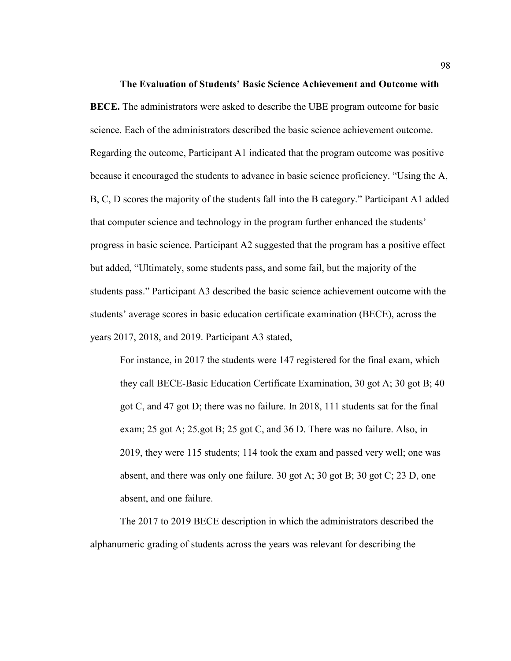**The Evaluation of Students' Basic Science Achievement and Outcome with BECE.** The administrators were asked to describe the UBE program outcome for basic science. Each of the administrators described the basic science achievement outcome. Regarding the outcome, Participant A1 indicated that the program outcome was positive because it encouraged the students to advance in basic science proficiency. "Using the A, B, C, D scores the majority of the students fall into the B category." Participant A1 added that computer science and technology in the program further enhanced the students' progress in basic science. Participant A2 suggested that the program has a positive effect but added, "Ultimately, some students pass, and some fail, but the majority of the students pass." Participant A3 described the basic science achievement outcome with the students' average scores in basic education certificate examination (BECE), across the years 2017, 2018, and 2019. Participant A3 stated,

For instance, in 2017 the students were 147 registered for the final exam, which they call BECE-Basic Education Certificate Examination, 30 got A; 30 got B; 40 got C, and 47 got D; there was no failure. In 2018, 111 students sat for the final exam; 25 got A; 25.got B; 25 got C, and 36 D. There was no failure. Also, in 2019, they were 115 students; 114 took the exam and passed very well; one was absent, and there was only one failure. 30 got A; 30 got B; 30 got C; 23 D, one absent, and one failure.

The 2017 to 2019 BECE description in which the administrators described the alphanumeric grading of students across the years was relevant for describing the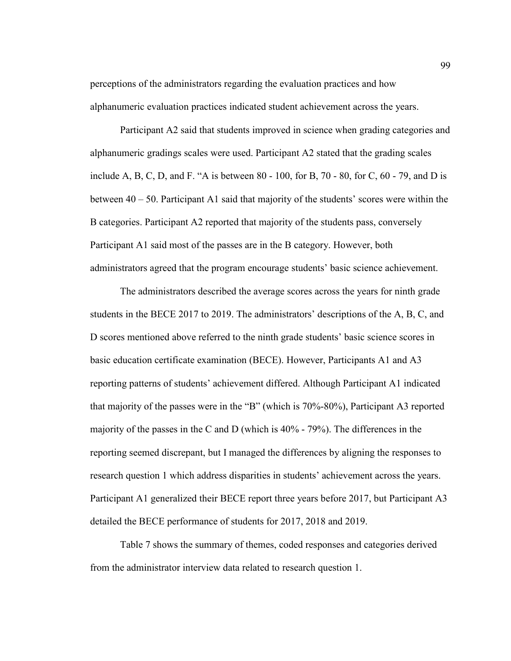perceptions of the administrators regarding the evaluation practices and how alphanumeric evaluation practices indicated student achievement across the years.

Participant A2 said that students improved in science when grading categories and alphanumeric gradings scales were used. Participant A2 stated that the grading scales include A, B, C, D, and F. "A is between  $80 - 100$ , for B,  $70 - 80$ , for C,  $60 - 79$ , and D is between 40 – 50. Participant A1 said that majority of the students' scores were within the B categories. Participant A2 reported that majority of the students pass, conversely Participant A1 said most of the passes are in the B category. However, both administrators agreed that the program encourage students' basic science achievement.

The administrators described the average scores across the years for ninth grade students in the BECE 2017 to 2019. The administrators' descriptions of the A, B, C, and D scores mentioned above referred to the ninth grade students' basic science scores in basic education certificate examination (BECE). However, Participants A1 and A3 reporting patterns of students' achievement differed. Although Participant A1 indicated that majority of the passes were in the "B" (which is 70%-80%), Participant A3 reported majority of the passes in the C and D (which is 40% - 79%). The differences in the reporting seemed discrepant, but I managed the differences by aligning the responses to research question 1 which address disparities in students' achievement across the years. Participant A1 generalized their BECE report three years before 2017, but Participant A3 detailed the BECE performance of students for 2017, 2018 and 2019.

Table 7 shows the summary of themes, coded responses and categories derived from the administrator interview data related to research question 1.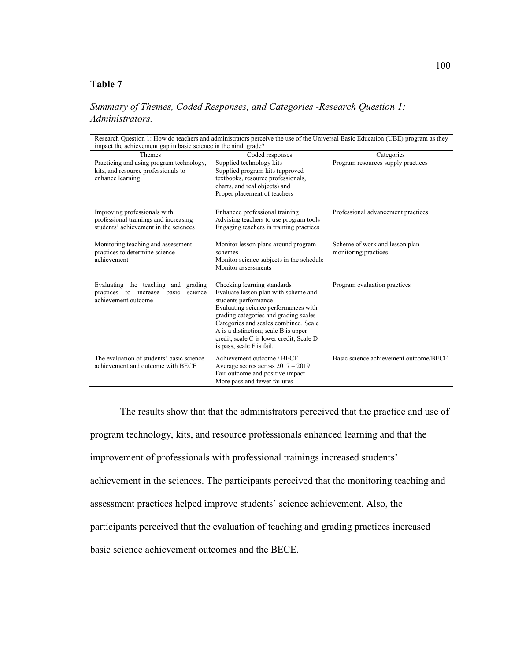# **Table 7**

# *Summary of Themes, Coded Responses, and Categories -Research Question 1: Administrators.*

|                                                                                                                | Research Question 1: How do teachers and administrators perceive the use of the Universal Basic Education (UBE) program as they                                                                                                                                                                                                        |                                                        |  |  |  |  |
|----------------------------------------------------------------------------------------------------------------|----------------------------------------------------------------------------------------------------------------------------------------------------------------------------------------------------------------------------------------------------------------------------------------------------------------------------------------|--------------------------------------------------------|--|--|--|--|
| impact the achievement gap in basic science in the ninth grade?                                                |                                                                                                                                                                                                                                                                                                                                        |                                                        |  |  |  |  |
| Themes                                                                                                         | Coded responses                                                                                                                                                                                                                                                                                                                        | Categories                                             |  |  |  |  |
| Practicing and using program technology,<br>kits, and resource professionals to<br>enhance learning            | Supplied technology kits<br>Supplied program kits (approved<br>textbooks, resource professionals,<br>charts, and real objects) and<br>Proper placement of teachers                                                                                                                                                                     | Program resources supply practices                     |  |  |  |  |
| Improving professionals with<br>professional trainings and increasing<br>students' achievement in the sciences | Enhanced professional training<br>Advising teachers to use program tools<br>Engaging teachers in training practices                                                                                                                                                                                                                    | Professional advancement practices                     |  |  |  |  |
| Monitoring teaching and assessment<br>practices to determine science<br>achievement                            | Monitor lesson plans around program<br>schemes<br>Monitor science subjects in the schedule<br>Monitor assessments                                                                                                                                                                                                                      | Scheme of work and lesson plan<br>monitoring practices |  |  |  |  |
| Evaluating the teaching and<br>grading<br>practices to increase<br>basic<br>science<br>achievement outcome     | Checking learning standards<br>Evaluate lesson plan with scheme and<br>students performance<br>Evaluating science performances with<br>grading categories and grading scales<br>Categories and scales combined. Scale<br>A is a distinction; scale B is upper<br>credit, scale C is lower credit, Scale D<br>is pass, scale F is fail. | Program evaluation practices                           |  |  |  |  |
| The evaluation of students' basic science<br>achievement and outcome with BECE                                 | Achievement outcome / BECE<br>Average scores across $2017 - 2019$<br>Fair outcome and positive impact<br>More pass and fewer failures                                                                                                                                                                                                  | Basic science achievement outcome/BECE                 |  |  |  |  |

The results show that that the administrators perceived that the practice and use of program technology, kits, and resource professionals enhanced learning and that the improvement of professionals with professional trainings increased students' achievement in the sciences. The participants perceived that the monitoring teaching and assessment practices helped improve students' science achievement. Also, the participants perceived that the evaluation of teaching and grading practices increased basic science achievement outcomes and the BECE.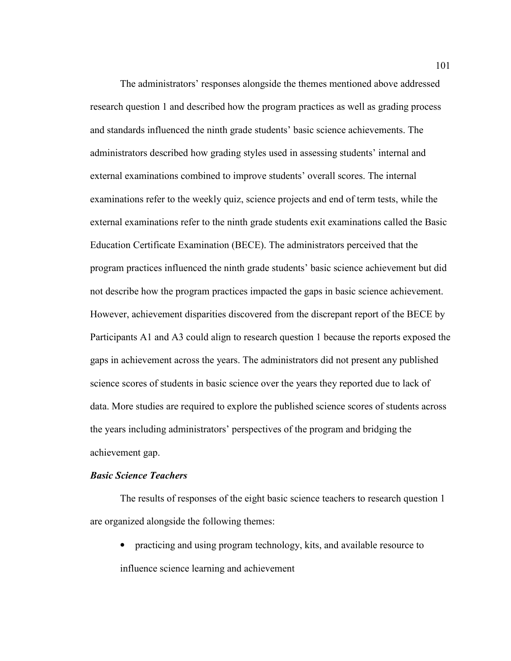The administrators' responses alongside the themes mentioned above addressed research question 1 and described how the program practices as well as grading process and standards influenced the ninth grade students' basic science achievements. The administrators described how grading styles used in assessing students' internal and external examinations combined to improve students' overall scores. The internal examinations refer to the weekly quiz, science projects and end of term tests, while the external examinations refer to the ninth grade students exit examinations called the Basic Education Certificate Examination (BECE). The administrators perceived that the program practices influenced the ninth grade students' basic science achievement but did not describe how the program practices impacted the gaps in basic science achievement. However, achievement disparities discovered from the discrepant report of the BECE by Participants A1 and A3 could align to research question 1 because the reports exposed the gaps in achievement across the years. The administrators did not present any published science scores of students in basic science over the years they reported due to lack of data. More studies are required to explore the published science scores of students across the years including administrators' perspectives of the program and bridging the achievement gap.

#### *Basic Science Teachers*

The results of responses of the eight basic science teachers to research question 1 are organized alongside the following themes:

• practicing and using program technology, kits, and available resource to influence science learning and achievement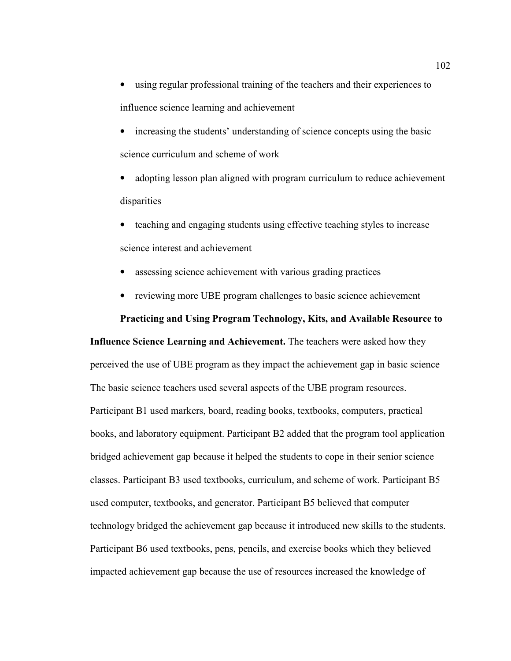- using regular professional training of the teachers and their experiences to influence science learning and achievement
- increasing the students' understanding of science concepts using the basic science curriculum and scheme of work
- adopting lesson plan aligned with program curriculum to reduce achievement disparities
- teaching and engaging students using effective teaching styles to increase science interest and achievement
- assessing science achievement with various grading practices
- reviewing more UBE program challenges to basic science achievement

#### **Practicing and Using Program Technology, Kits, and Available Resource to**

**Influence Science Learning and Achievement.** The teachers were asked how they perceived the use of UBE program as they impact the achievement gap in basic science The basic science teachers used several aspects of the UBE program resources. Participant B1 used markers, board, reading books, textbooks, computers, practical books, and laboratory equipment. Participant B2 added that the program tool application bridged achievement gap because it helped the students to cope in their senior science classes. Participant B3 used textbooks, curriculum, and scheme of work. Participant B5 used computer, textbooks, and generator. Participant B5 believed that computer technology bridged the achievement gap because it introduced new skills to the students. Participant B6 used textbooks, pens, pencils, and exercise books which they believed impacted achievement gap because the use of resources increased the knowledge of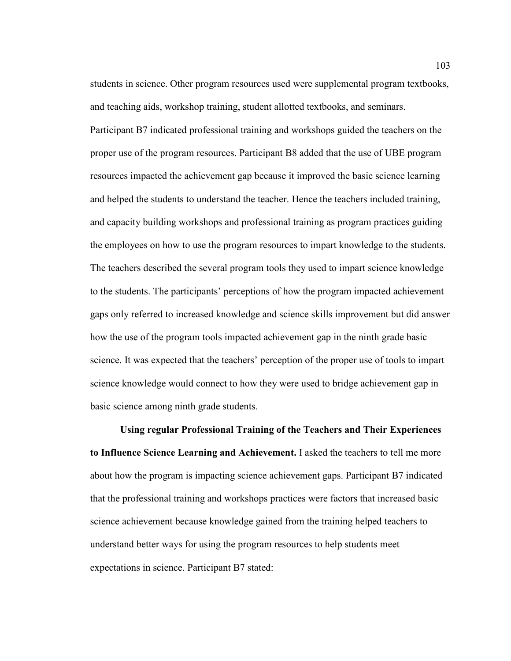students in science. Other program resources used were supplemental program textbooks, and teaching aids, workshop training, student allotted textbooks, and seminars. Participant B7 indicated professional training and workshops guided the teachers on the proper use of the program resources. Participant B8 added that the use of UBE program resources impacted the achievement gap because it improved the basic science learning and helped the students to understand the teacher. Hence the teachers included training, and capacity building workshops and professional training as program practices guiding the employees on how to use the program resources to impart knowledge to the students. The teachers described the several program tools they used to impart science knowledge to the students. The participants' perceptions of how the program impacted achievement gaps only referred to increased knowledge and science skills improvement but did answer how the use of the program tools impacted achievement gap in the ninth grade basic science. It was expected that the teachers' perception of the proper use of tools to impart science knowledge would connect to how they were used to bridge achievement gap in basic science among ninth grade students.

**Using regular Professional Training of the Teachers and Their Experiences to Influence Science Learning and Achievement.** I asked the teachers to tell me more about how the program is impacting science achievement gaps. Participant B7 indicated that the professional training and workshops practices were factors that increased basic science achievement because knowledge gained from the training helped teachers to understand better ways for using the program resources to help students meet expectations in science. Participant B7 stated: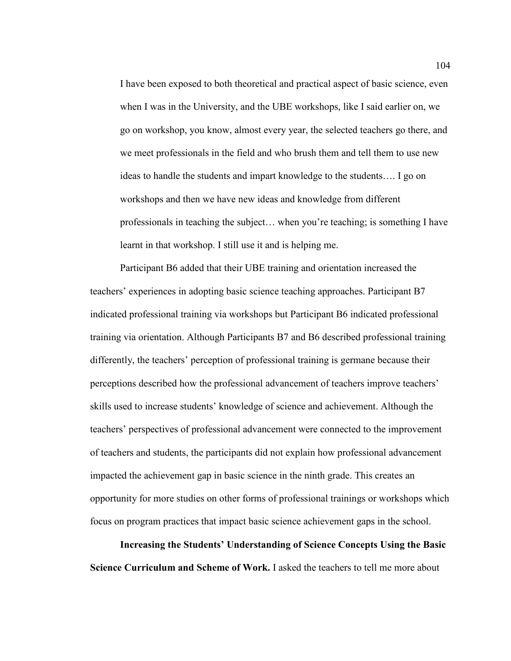I have been exposed to both theoretical and practical aspect of basic science, even when I was in the University, and the UBE workshops, like I said earlier on, we go on workshop, you know, almost every year, the selected teachers go there, and we meet professionals in the field and who brush them and tell them to use new ideas to handle the students and impart knowledge to the students…. I go on workshops and then we have new ideas and knowledge from different professionals in teaching the subject… when you're teaching; is something I have learnt in that workshop. I still use it and is helping me.

Participant B6 added that their UBE training and orientation increased the teachers' experiences in adopting basic science teaching approaches. Participant B7 indicated professional training via workshops but Participant B6 indicated professional training via orientation. Although Participants B7 and B6 described professional training differently, the teachers' perception of professional training is germane because their perceptions described how the professional advancement of teachers improve teachers' skills used to increase students' knowledge of science and achievement. Although the teachers' perspectives of professional advancement were connected to the improvement of teachers and students, the participants did not explain how professional advancement impacted the achievement gap in basic science in the ninth grade. This creates an opportunity for more studies on other forms of professional trainings or workshops which focus on program practices that impact basic science achievement gaps in the school.

**Increasing the Students' Understanding of Science Concepts Using the Basic Science Curriculum and Scheme of Work.** I asked the teachers to tell me more about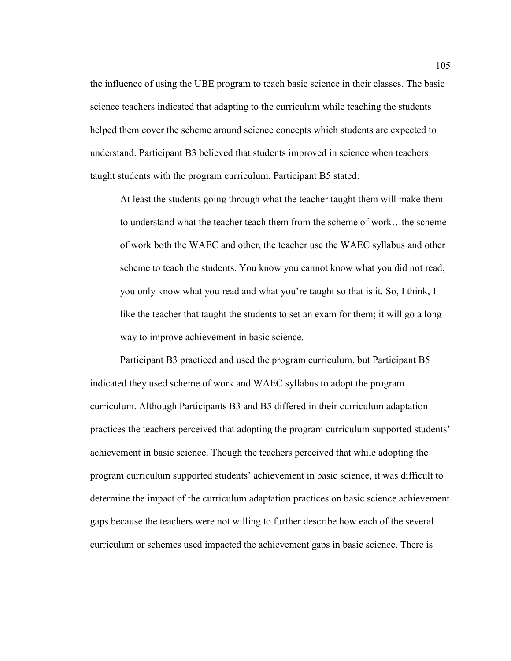the influence of using the UBE program to teach basic science in their classes. The basic science teachers indicated that adapting to the curriculum while teaching the students helped them cover the scheme around science concepts which students are expected to understand. Participant B3 believed that students improved in science when teachers taught students with the program curriculum. Participant B5 stated:

At least the students going through what the teacher taught them will make them to understand what the teacher teach them from the scheme of work…the scheme of work both the WAEC and other, the teacher use the WAEC syllabus and other scheme to teach the students. You know you cannot know what you did not read, you only know what you read and what you're taught so that is it. So, I think, I like the teacher that taught the students to set an exam for them; it will go a long way to improve achievement in basic science.

Participant B3 practiced and used the program curriculum, but Participant B5 indicated they used scheme of work and WAEC syllabus to adopt the program curriculum. Although Participants B3 and B5 differed in their curriculum adaptation practices the teachers perceived that adopting the program curriculum supported students' achievement in basic science. Though the teachers perceived that while adopting the program curriculum supported students' achievement in basic science, it was difficult to determine the impact of the curriculum adaptation practices on basic science achievement gaps because the teachers were not willing to further describe how each of the several curriculum or schemes used impacted the achievement gaps in basic science. There is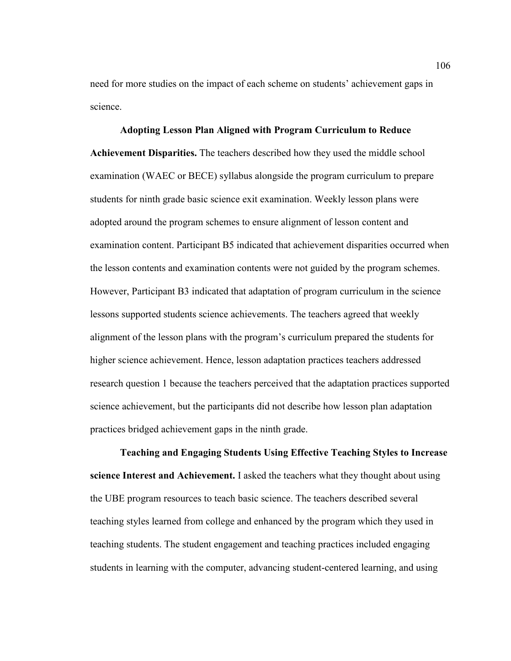need for more studies on the impact of each scheme on students' achievement gaps in science.

**Adopting Lesson Plan Aligned with Program Curriculum to Reduce Achievement Disparities.** The teachers described how they used the middle school examination (WAEC or BECE) syllabus alongside the program curriculum to prepare students for ninth grade basic science exit examination. Weekly lesson plans were adopted around the program schemes to ensure alignment of lesson content and examination content. Participant B5 indicated that achievement disparities occurred when the lesson contents and examination contents were not guided by the program schemes. However, Participant B3 indicated that adaptation of program curriculum in the science lessons supported students science achievements. The teachers agreed that weekly alignment of the lesson plans with the program's curriculum prepared the students for higher science achievement. Hence, lesson adaptation practices teachers addressed research question 1 because the teachers perceived that the adaptation practices supported science achievement, but the participants did not describe how lesson plan adaptation practices bridged achievement gaps in the ninth grade.

**Teaching and Engaging Students Using Effective Teaching Styles to Increase science Interest and Achievement.** I asked the teachers what they thought about using the UBE program resources to teach basic science. The teachers described several teaching styles learned from college and enhanced by the program which they used in teaching students. The student engagement and teaching practices included engaging students in learning with the computer, advancing student-centered learning, and using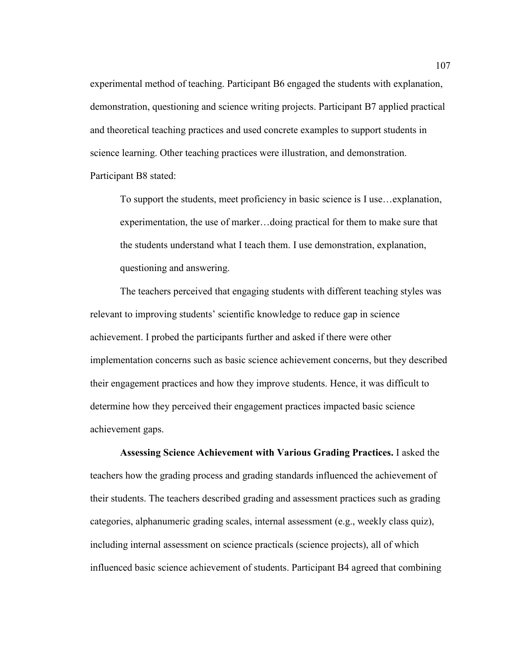experimental method of teaching. Participant B6 engaged the students with explanation, demonstration, questioning and science writing projects. Participant B7 applied practical and theoretical teaching practices and used concrete examples to support students in science learning. Other teaching practices were illustration, and demonstration. Participant B8 stated:

To support the students, meet proficiency in basic science is I use…explanation, experimentation, the use of marker…doing practical for them to make sure that the students understand what I teach them. I use demonstration, explanation, questioning and answering.

The teachers perceived that engaging students with different teaching styles was relevant to improving students' scientific knowledge to reduce gap in science achievement. I probed the participants further and asked if there were other implementation concerns such as basic science achievement concerns, but they described their engagement practices and how they improve students. Hence, it was difficult to determine how they perceived their engagement practices impacted basic science achievement gaps.

**Assessing Science Achievement with Various Grading Practices.** I asked the teachers how the grading process and grading standards influenced the achievement of their students. The teachers described grading and assessment practices such as grading categories, alphanumeric grading scales, internal assessment (e.g., weekly class quiz), including internal assessment on science practicals (science projects), all of which influenced basic science achievement of students. Participant B4 agreed that combining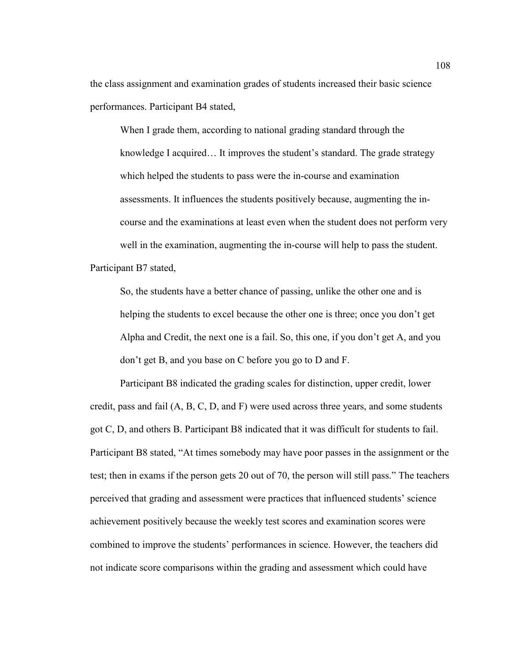the class assignment and examination grades of students increased their basic science performances. Participant B4 stated,

When I grade them, according to national grading standard through the knowledge I acquired… It improves the student's standard. The grade strategy which helped the students to pass were the in-course and examination assessments. It influences the students positively because, augmenting the incourse and the examinations at least even when the student does not perform very well in the examination, augmenting the in-course will help to pass the student. Participant B7 stated,

So, the students have a better chance of passing, unlike the other one and is helping the students to excel because the other one is three; once you don't get Alpha and Credit, the next one is a fail. So, this one, if you don't get A, and you don't get B, and you base on C before you go to D and F.

Participant B8 indicated the grading scales for distinction, upper credit, lower credit, pass and fail (A, B, C, D, and F) were used across three years, and some students got C, D, and others B. Participant B8 indicated that it was difficult for students to fail. Participant B8 stated, "At times somebody may have poor passes in the assignment or the test; then in exams if the person gets 20 out of 70, the person will still pass." The teachers perceived that grading and assessment were practices that influenced students' science achievement positively because the weekly test scores and examination scores were combined to improve the students' performances in science. However, the teachers did not indicate score comparisons within the grading and assessment which could have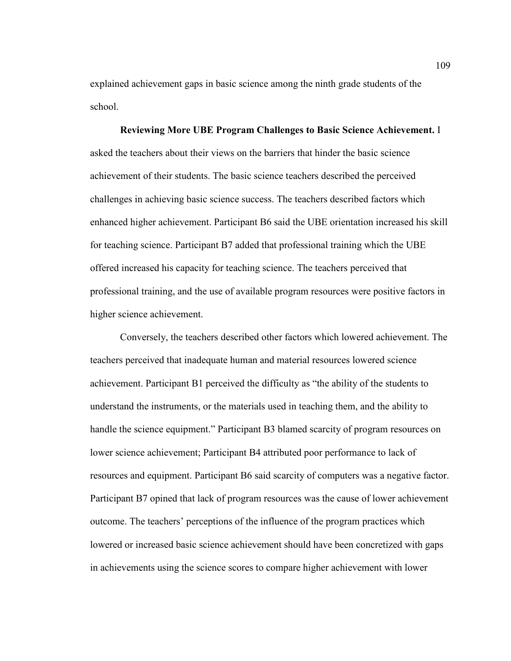explained achievement gaps in basic science among the ninth grade students of the school.

**Reviewing More UBE Program Challenges to Basic Science Achievement.** I asked the teachers about their views on the barriers that hinder the basic science achievement of their students. The basic science teachers described the perceived challenges in achieving basic science success. The teachers described factors which enhanced higher achievement. Participant B6 said the UBE orientation increased his skill for teaching science. Participant B7 added that professional training which the UBE offered increased his capacity for teaching science. The teachers perceived that professional training, and the use of available program resources were positive factors in higher science achievement.

Conversely, the teachers described other factors which lowered achievement. The teachers perceived that inadequate human and material resources lowered science achievement. Participant B1 perceived the difficulty as "the ability of the students to understand the instruments, or the materials used in teaching them, and the ability to handle the science equipment." Participant B3 blamed scarcity of program resources on lower science achievement; Participant B4 attributed poor performance to lack of resources and equipment. Participant B6 said scarcity of computers was a negative factor. Participant B7 opined that lack of program resources was the cause of lower achievement outcome. The teachers' perceptions of the influence of the program practices which lowered or increased basic science achievement should have been concretized with gaps in achievements using the science scores to compare higher achievement with lower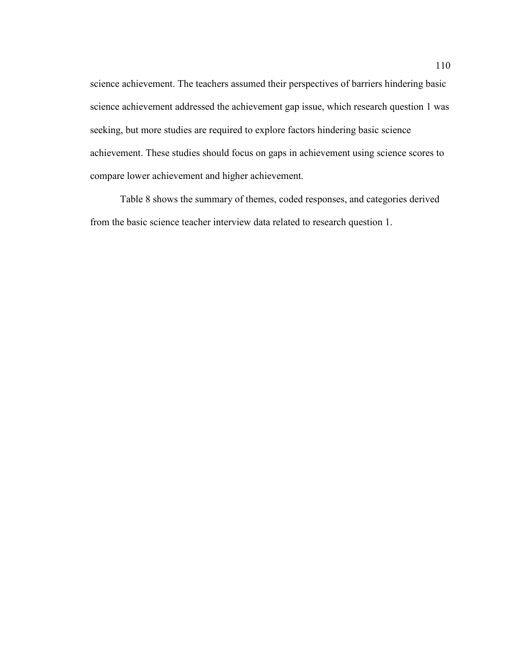science achievement. The teachers assumed their perspectives of barriers hindering basic science achievement addressed the achievement gap issue, which research question 1 was seeking, but more studies are required to explore factors hindering basic science achievement. These studies should focus on gaps in achievement using science scores to compare lower achievement and higher achievement.

Table 8 shows the summary of themes, coded responses, and categories derived from the basic science teacher interview data related to research question 1.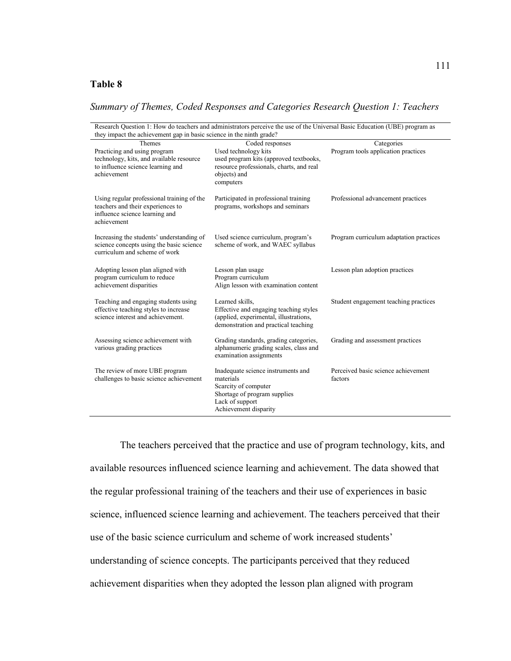# **Table 8**

# *Summary of Themes, Coded Responses and Categories Research Question 1: Teachers*

| they impact the achievement gap in basic science in the ninth grade?                                                                   | Research Question 1: How do teachers and administrators perceive the use of the Universal Basic Education (UBE) program as                                 |                                                   |
|----------------------------------------------------------------------------------------------------------------------------------------|------------------------------------------------------------------------------------------------------------------------------------------------------------|---------------------------------------------------|
| Themes<br>Practicing and using program<br>technology, kits, and available resource<br>to influence science learning and<br>achievement | Coded responses<br>Used technology kits<br>used program kits (approved textbooks,<br>resource professionals, charts, and real<br>objects) and<br>computers | Categories<br>Program tools application practices |
| Using regular professional training of the<br>teachers and their experiences to<br>influence science learning and<br>achievement       | Participated in professional training<br>programs, workshops and seminars                                                                                  | Professional advancement practices                |
| Increasing the students' understanding of<br>science concepts using the basic science<br>curriculum and scheme of work                 | Used science curriculum, program's<br>scheme of work, and WAEC syllabus                                                                                    | Program curriculum adaptation practices           |
| Adopting lesson plan aligned with<br>program curriculum to reduce<br>achievement disparities                                           | Lesson plan usage<br>Program curriculum<br>Align lesson with examination content                                                                           | Lesson plan adoption practices                    |
| Teaching and engaging students using<br>effective teaching styles to increase<br>science interest and achievement.                     | Learned skills.<br>Effective and engaging teaching styles<br>(applied, experimental, illustrations,<br>demonstration and practical teaching                | Student engagement teaching practices             |
| Assessing science achievement with<br>various grading practices                                                                        | Grading standards, grading categories,<br>alphanumeric grading scales, class and<br>examination assignments                                                | Grading and assessment practices                  |
| The review of more UBE program<br>challenges to basic science achievement                                                              | Inadequate science instruments and<br>materials<br>Scarcity of computer<br>Shortage of program supplies<br>Lack of support<br>Achievement disparity        | Perceived basic science achievement<br>factors    |

The teachers perceived that the practice and use of program technology, kits, and available resources influenced science learning and achievement. The data showed that the regular professional training of the teachers and their use of experiences in basic science, influenced science learning and achievement. The teachers perceived that their use of the basic science curriculum and scheme of work increased students' understanding of science concepts. The participants perceived that they reduced achievement disparities when they adopted the lesson plan aligned with program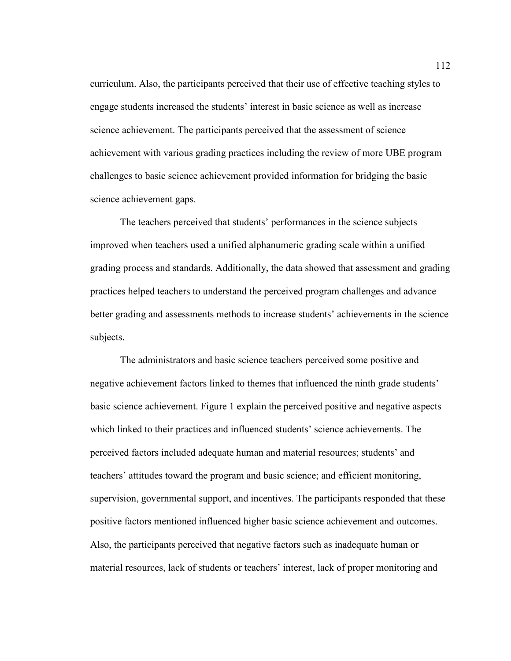curriculum. Also, the participants perceived that their use of effective teaching styles to engage students increased the students' interest in basic science as well as increase science achievement. The participants perceived that the assessment of science achievement with various grading practices including the review of more UBE program challenges to basic science achievement provided information for bridging the basic science achievement gaps.

The teachers perceived that students' performances in the science subjects improved when teachers used a unified alphanumeric grading scale within a unified grading process and standards. Additionally, the data showed that assessment and grading practices helped teachers to understand the perceived program challenges and advance better grading and assessments methods to increase students' achievements in the science subjects.

The administrators and basic science teachers perceived some positive and negative achievement factors linked to themes that influenced the ninth grade students' basic science achievement. Figure 1 explain the perceived positive and negative aspects which linked to their practices and influenced students' science achievements. The perceived factors included adequate human and material resources; students' and teachers' attitudes toward the program and basic science; and efficient monitoring, supervision, governmental support, and incentives. The participants responded that these positive factors mentioned influenced higher basic science achievement and outcomes. Also, the participants perceived that negative factors such as inadequate human or material resources, lack of students or teachers' interest, lack of proper monitoring and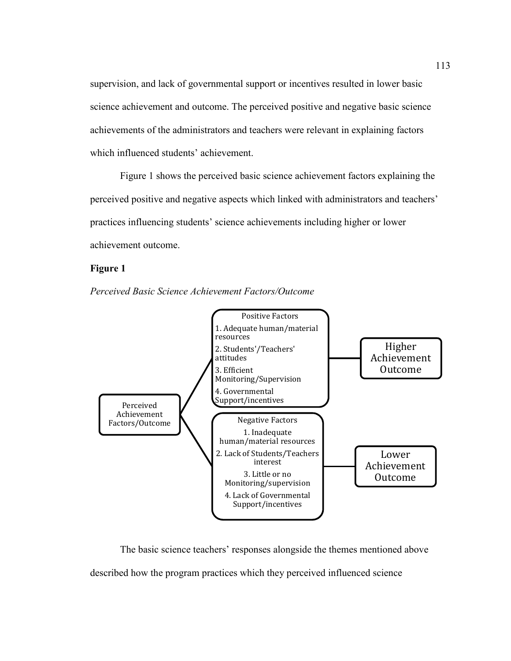supervision, and lack of governmental support or incentives resulted in lower basic science achievement and outcome. The perceived positive and negative basic science achievements of the administrators and teachers were relevant in explaining factors which influenced students' achievement.

Figure 1 shows the perceived basic science achievement factors explaining the perceived positive and negative aspects which linked with administrators and teachers' practices influencing students' science achievements including higher or lower achievement outcome.

#### **Figure 1**

*Perceived Basic Science Achievement Factors/Outcome*



The basic science teachers' responses alongside the themes mentioned above described how the program practices which they perceived influenced science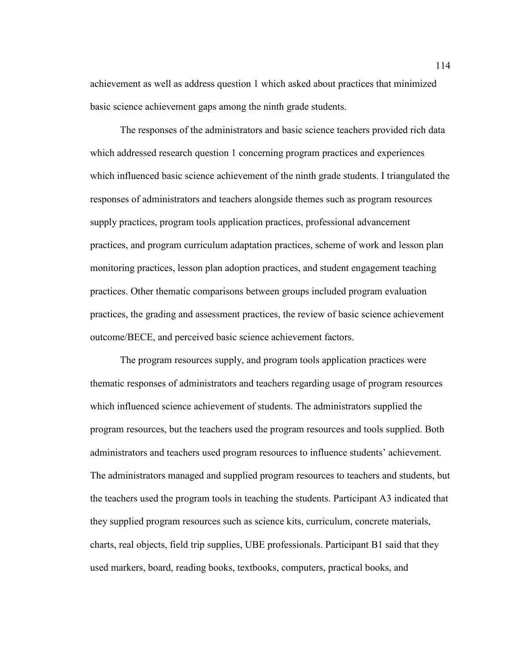achievement as well as address question 1 which asked about practices that minimized basic science achievement gaps among the ninth grade students.

The responses of the administrators and basic science teachers provided rich data which addressed research question 1 concerning program practices and experiences which influenced basic science achievement of the ninth grade students. I triangulated the responses of administrators and teachers alongside themes such as program resources supply practices, program tools application practices, professional advancement practices, and program curriculum adaptation practices, scheme of work and lesson plan monitoring practices, lesson plan adoption practices, and student engagement teaching practices. Other thematic comparisons between groups included program evaluation practices, the grading and assessment practices, the review of basic science achievement outcome/BECE, and perceived basic science achievement factors.

The program resources supply, and program tools application practices were thematic responses of administrators and teachers regarding usage of program resources which influenced science achievement of students. The administrators supplied the program resources, but the teachers used the program resources and tools supplied. Both administrators and teachers used program resources to influence students' achievement. The administrators managed and supplied program resources to teachers and students, but the teachers used the program tools in teaching the students. Participant A3 indicated that they supplied program resources such as science kits, curriculum, concrete materials, charts, real objects, field trip supplies, UBE professionals. Participant B1 said that they used markers, board, reading books, textbooks, computers, practical books, and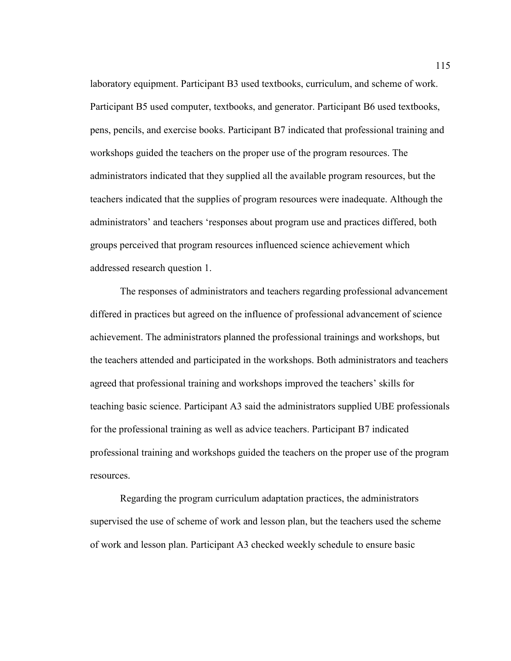laboratory equipment. Participant B3 used textbooks, curriculum, and scheme of work. Participant B5 used computer, textbooks, and generator. Participant B6 used textbooks, pens, pencils, and exercise books. Participant B7 indicated that professional training and workshops guided the teachers on the proper use of the program resources. The administrators indicated that they supplied all the available program resources, but the teachers indicated that the supplies of program resources were inadequate. Although the administrators' and teachers 'responses about program use and practices differed, both groups perceived that program resources influenced science achievement which addressed research question 1.

The responses of administrators and teachers regarding professional advancement differed in practices but agreed on the influence of professional advancement of science achievement. The administrators planned the professional trainings and workshops, but the teachers attended and participated in the workshops. Both administrators and teachers agreed that professional training and workshops improved the teachers' skills for teaching basic science. Participant A3 said the administrators supplied UBE professionals for the professional training as well as advice teachers. Participant B7 indicated professional training and workshops guided the teachers on the proper use of the program resources.

Regarding the program curriculum adaptation practices, the administrators supervised the use of scheme of work and lesson plan, but the teachers used the scheme of work and lesson plan. Participant A3 checked weekly schedule to ensure basic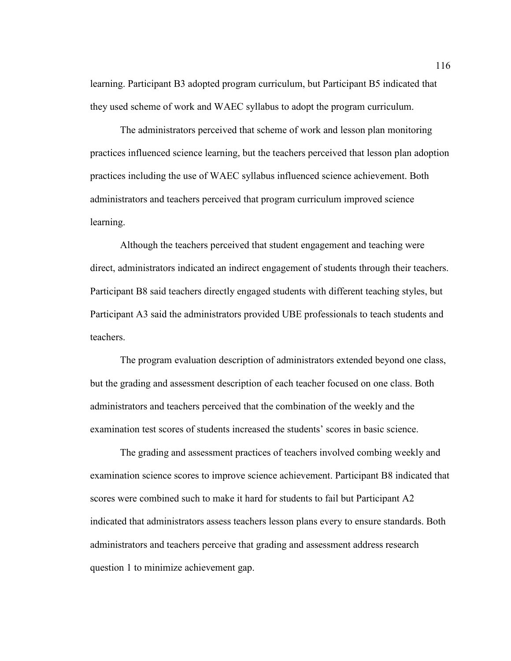learning. Participant B3 adopted program curriculum, but Participant B5 indicated that they used scheme of work and WAEC syllabus to adopt the program curriculum.

The administrators perceived that scheme of work and lesson plan monitoring practices influenced science learning, but the teachers perceived that lesson plan adoption practices including the use of WAEC syllabus influenced science achievement. Both administrators and teachers perceived that program curriculum improved science learning.

Although the teachers perceived that student engagement and teaching were direct, administrators indicated an indirect engagement of students through their teachers. Participant B8 said teachers directly engaged students with different teaching styles, but Participant A3 said the administrators provided UBE professionals to teach students and teachers.

The program evaluation description of administrators extended beyond one class, but the grading and assessment description of each teacher focused on one class. Both administrators and teachers perceived that the combination of the weekly and the examination test scores of students increased the students' scores in basic science.

The grading and assessment practices of teachers involved combing weekly and examination science scores to improve science achievement. Participant B8 indicated that scores were combined such to make it hard for students to fail but Participant A2 indicated that administrators assess teachers lesson plans every to ensure standards. Both administrators and teachers perceive that grading and assessment address research question 1 to minimize achievement gap.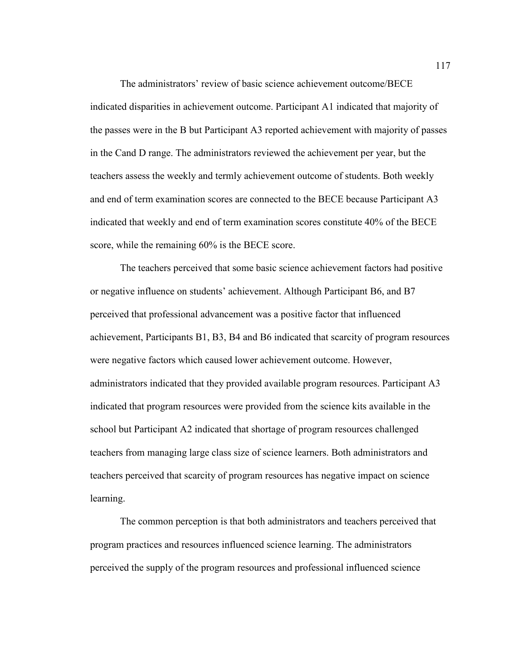The administrators' review of basic science achievement outcome/BECE indicated disparities in achievement outcome. Participant A1 indicated that majority of the passes were in the B but Participant A3 reported achievement with majority of passes in the Cand D range. The administrators reviewed the achievement per year, but the teachers assess the weekly and termly achievement outcome of students. Both weekly and end of term examination scores are connected to the BECE because Participant A3 indicated that weekly and end of term examination scores constitute 40% of the BECE score, while the remaining 60% is the BECE score.

The teachers perceived that some basic science achievement factors had positive or negative influence on students' achievement. Although Participant B6, and B7 perceived that professional advancement was a positive factor that influenced achievement, Participants B1, B3, B4 and B6 indicated that scarcity of program resources were negative factors which caused lower achievement outcome. However, administrators indicated that they provided available program resources. Participant A3 indicated that program resources were provided from the science kits available in the school but Participant A2 indicated that shortage of program resources challenged teachers from managing large class size of science learners. Both administrators and teachers perceived that scarcity of program resources has negative impact on science learning.

The common perception is that both administrators and teachers perceived that program practices and resources influenced science learning. The administrators perceived the supply of the program resources and professional influenced science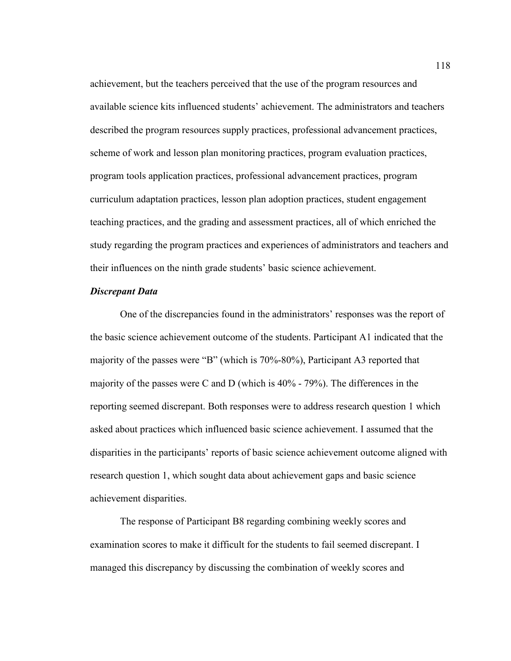achievement, but the teachers perceived that the use of the program resources and available science kits influenced students' achievement. The administrators and teachers described the program resources supply practices, professional advancement practices, scheme of work and lesson plan monitoring practices, program evaluation practices, program tools application practices, professional advancement practices, program curriculum adaptation practices, lesson plan adoption practices, student engagement teaching practices, and the grading and assessment practices, all of which enriched the study regarding the program practices and experiences of administrators and teachers and their influences on the ninth grade students' basic science achievement.

#### *Discrepant Data*

One of the discrepancies found in the administrators' responses was the report of the basic science achievement outcome of the students. Participant A1 indicated that the majority of the passes were "B" (which is 70%-80%), Participant A3 reported that majority of the passes were C and D (which is 40% - 79%). The differences in the reporting seemed discrepant. Both responses were to address research question 1 which asked about practices which influenced basic science achievement. I assumed that the disparities in the participants' reports of basic science achievement outcome aligned with research question 1, which sought data about achievement gaps and basic science achievement disparities.

The response of Participant B8 regarding combining weekly scores and examination scores to make it difficult for the students to fail seemed discrepant. I managed this discrepancy by discussing the combination of weekly scores and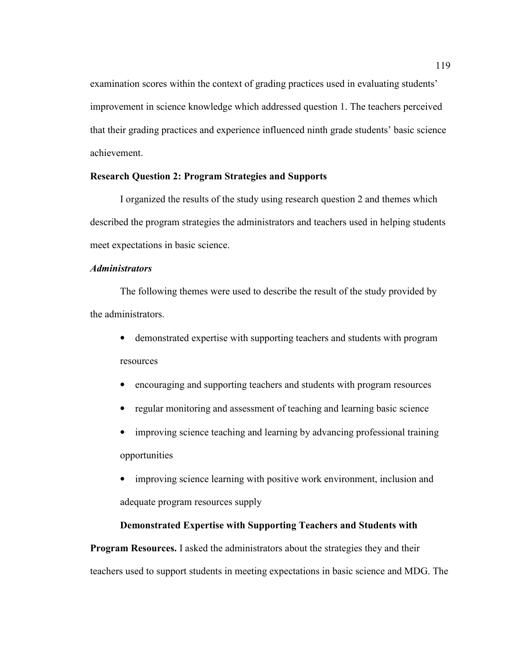examination scores within the context of grading practices used in evaluating students' improvement in science knowledge which addressed question 1. The teachers perceived that their grading practices and experience influenced ninth grade students' basic science achievement.

#### **Research Question 2: Program Strategies and Supports**

I organized the results of the study using research question 2 and themes which described the program strategies the administrators and teachers used in helping students meet expectations in basic science.

# *Administrators*

The following themes were used to describe the result of the study provided by the administrators.

- demonstrated expertise with supporting teachers and students with program resources
- encouraging and supporting teachers and students with program resources
- regular monitoring and assessment of teaching and learning basic science
- improving science teaching and learning by advancing professional training opportunities
- improving science learning with positive work environment, inclusion and adequate program resources supply

#### **Demonstrated Expertise with Supporting Teachers and Students with**

**Program Resources.** I asked the administrators about the strategies they and their teachers used to support students in meeting expectations in basic science and MDG. The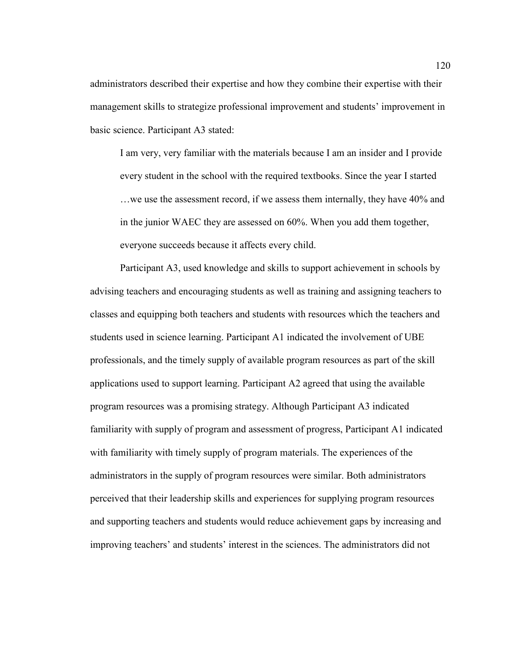administrators described their expertise and how they combine their expertise with their management skills to strategize professional improvement and students' improvement in basic science. Participant A3 stated:

I am very, very familiar with the materials because I am an insider and I provide every student in the school with the required textbooks. Since the year I started …we use the assessment record, if we assess them internally, they have 40% and in the junior WAEC they are assessed on 60%. When you add them together, everyone succeeds because it affects every child.

Participant A3, used knowledge and skills to support achievement in schools by advising teachers and encouraging students as well as training and assigning teachers to classes and equipping both teachers and students with resources which the teachers and students used in science learning. Participant A1 indicated the involvement of UBE professionals, and the timely supply of available program resources as part of the skill applications used to support learning. Participant A2 agreed that using the available program resources was a promising strategy. Although Participant A3 indicated familiarity with supply of program and assessment of progress, Participant A1 indicated with familiarity with timely supply of program materials. The experiences of the administrators in the supply of program resources were similar. Both administrators perceived that their leadership skills and experiences for supplying program resources and supporting teachers and students would reduce achievement gaps by increasing and improving teachers' and students' interest in the sciences. The administrators did not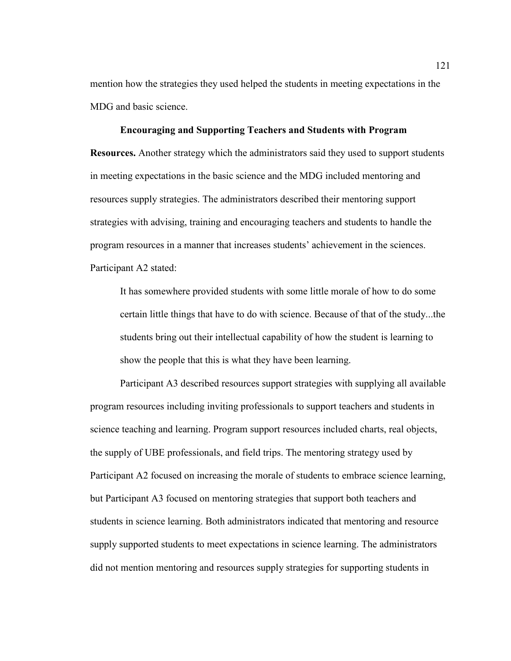mention how the strategies they used helped the students in meeting expectations in the MDG and basic science.

#### **Encouraging and Supporting Teachers and Students with Program**

**Resources.** Another strategy which the administrators said they used to support students in meeting expectations in the basic science and the MDG included mentoring and resources supply strategies. The administrators described their mentoring support strategies with advising, training and encouraging teachers and students to handle the program resources in a manner that increases students' achievement in the sciences. Participant A2 stated:

It has somewhere provided students with some little morale of how to do some certain little things that have to do with science. Because of that of the study...the students bring out their intellectual capability of how the student is learning to show the people that this is what they have been learning.

Participant A3 described resources support strategies with supplying all available program resources including inviting professionals to support teachers and students in science teaching and learning. Program support resources included charts, real objects, the supply of UBE professionals, and field trips. The mentoring strategy used by Participant A2 focused on increasing the morale of students to embrace science learning, but Participant A3 focused on mentoring strategies that support both teachers and students in science learning. Both administrators indicated that mentoring and resource supply supported students to meet expectations in science learning. The administrators did not mention mentoring and resources supply strategies for supporting students in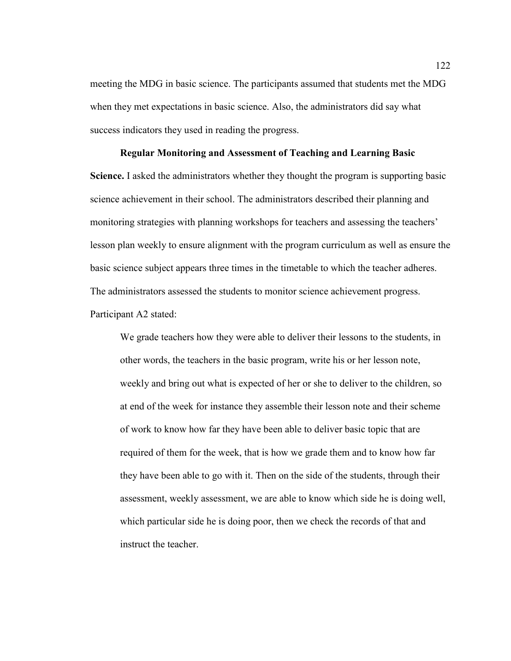meeting the MDG in basic science. The participants assumed that students met the MDG when they met expectations in basic science. Also, the administrators did say what success indicators they used in reading the progress.

# **Regular Monitoring and Assessment of Teaching and Learning Basic**

**Science.** I asked the administrators whether they thought the program is supporting basic science achievement in their school. The administrators described their planning and monitoring strategies with planning workshops for teachers and assessing the teachers' lesson plan weekly to ensure alignment with the program curriculum as well as ensure the basic science subject appears three times in the timetable to which the teacher adheres. The administrators assessed the students to monitor science achievement progress. Participant A2 stated:

We grade teachers how they were able to deliver their lessons to the students, in other words, the teachers in the basic program, write his or her lesson note, weekly and bring out what is expected of her or she to deliver to the children, so at end of the week for instance they assemble their lesson note and their scheme of work to know how far they have been able to deliver basic topic that are required of them for the week, that is how we grade them and to know how far they have been able to go with it. Then on the side of the students, through their assessment, weekly assessment, we are able to know which side he is doing well, which particular side he is doing poor, then we check the records of that and instruct the teacher.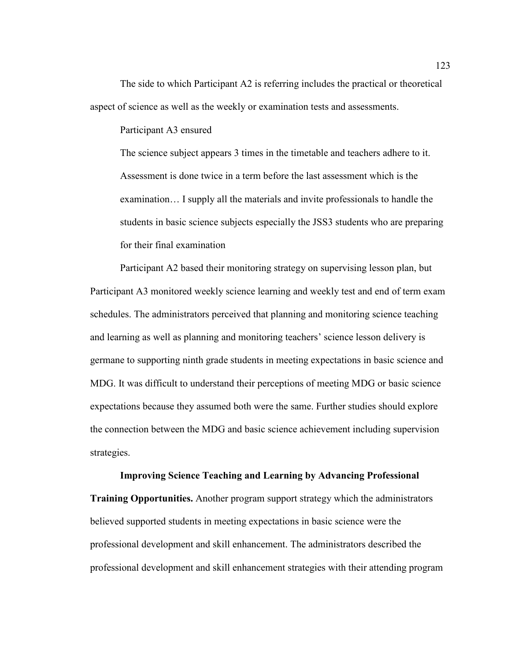The side to which Participant A2 is referring includes the practical or theoretical aspect of science as well as the weekly or examination tests and assessments.

Participant A3 ensured

The science subject appears 3 times in the timetable and teachers adhere to it. Assessment is done twice in a term before the last assessment which is the examination… I supply all the materials and invite professionals to handle the students in basic science subjects especially the JSS3 students who are preparing for their final examination

Participant A2 based their monitoring strategy on supervising lesson plan, but Participant A3 monitored weekly science learning and weekly test and end of term exam schedules. The administrators perceived that planning and monitoring science teaching and learning as well as planning and monitoring teachers' science lesson delivery is germane to supporting ninth grade students in meeting expectations in basic science and MDG. It was difficult to understand their perceptions of meeting MDG or basic science expectations because they assumed both were the same. Further studies should explore the connection between the MDG and basic science achievement including supervision strategies.

**Improving Science Teaching and Learning by Advancing Professional Training Opportunities.** Another program support strategy which the administrators believed supported students in meeting expectations in basic science were the professional development and skill enhancement. The administrators described the professional development and skill enhancement strategies with their attending program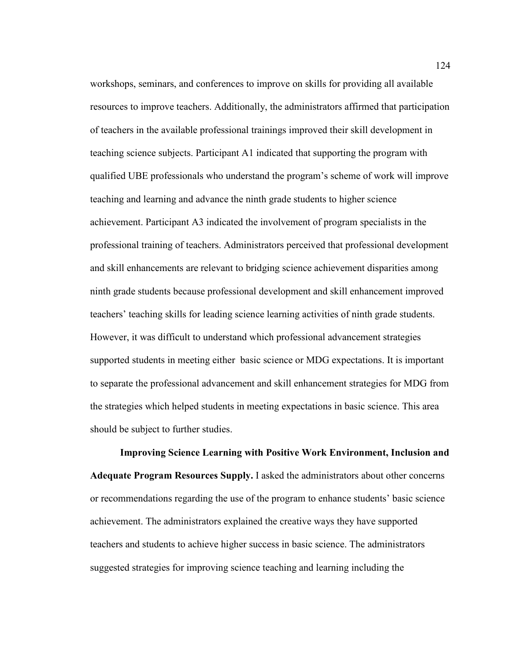workshops, seminars, and conferences to improve on skills for providing all available resources to improve teachers. Additionally, the administrators affirmed that participation of teachers in the available professional trainings improved their skill development in teaching science subjects. Participant A1 indicated that supporting the program with qualified UBE professionals who understand the program's scheme of work will improve teaching and learning and advance the ninth grade students to higher science achievement. Participant A3 indicated the involvement of program specialists in the professional training of teachers. Administrators perceived that professional development and skill enhancements are relevant to bridging science achievement disparities among ninth grade students because professional development and skill enhancement improved teachers' teaching skills for leading science learning activities of ninth grade students. However, it was difficult to understand which professional advancement strategies supported students in meeting either basic science or MDG expectations. It is important to separate the professional advancement and skill enhancement strategies for MDG from the strategies which helped students in meeting expectations in basic science. This area should be subject to further studies.

**Improving Science Learning with Positive Work Environment, Inclusion and Adequate Program Resources Supply.** I asked the administrators about other concerns or recommendations regarding the use of the program to enhance students' basic science achievement. The administrators explained the creative ways they have supported teachers and students to achieve higher success in basic science. The administrators suggested strategies for improving science teaching and learning including the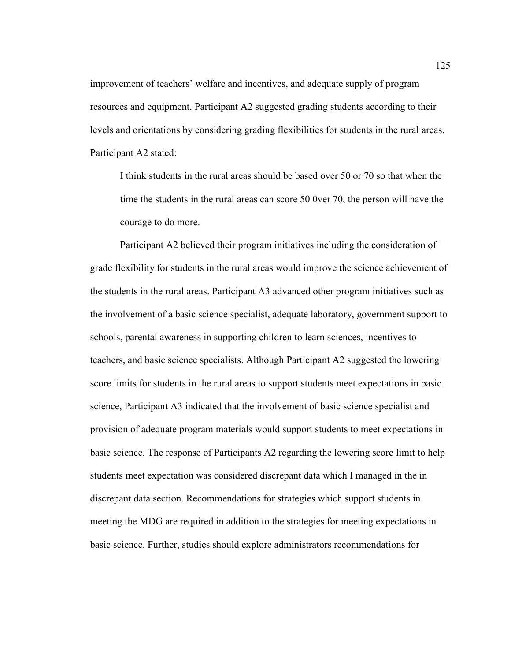improvement of teachers' welfare and incentives, and adequate supply of program resources and equipment. Participant A2 suggested grading students according to their levels and orientations by considering grading flexibilities for students in the rural areas. Participant A2 stated:

I think students in the rural areas should be based over 50 or 70 so that when the time the students in the rural areas can score 50 0ver 70, the person will have the courage to do more.

Participant A2 believed their program initiatives including the consideration of grade flexibility for students in the rural areas would improve the science achievement of the students in the rural areas. Participant A3 advanced other program initiatives such as the involvement of a basic science specialist, adequate laboratory, government support to schools, parental awareness in supporting children to learn sciences, incentives to teachers, and basic science specialists. Although Participant A2 suggested the lowering score limits for students in the rural areas to support students meet expectations in basic science, Participant A3 indicated that the involvement of basic science specialist and provision of adequate program materials would support students to meet expectations in basic science. The response of Participants A2 regarding the lowering score limit to help students meet expectation was considered discrepant data which I managed in the in discrepant data section. Recommendations for strategies which support students in meeting the MDG are required in addition to the strategies for meeting expectations in basic science. Further, studies should explore administrators recommendations for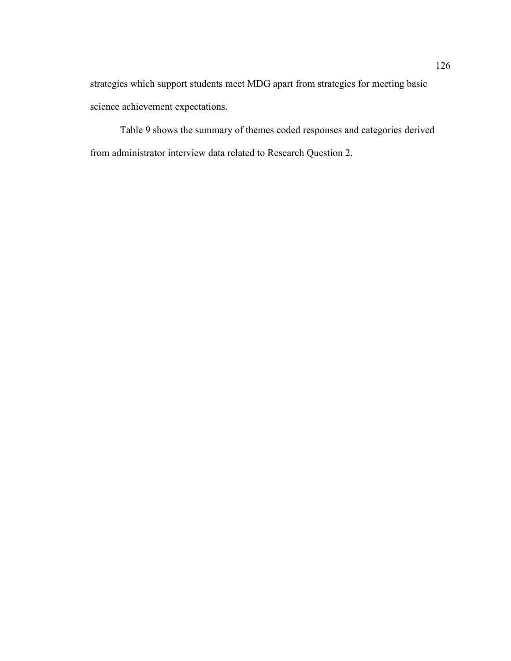strategies which support students meet MDG apart from strategies for meeting basic science achievement expectations.

Table 9 shows the summary of themes coded responses and categories derived from administrator interview data related to Research Question 2.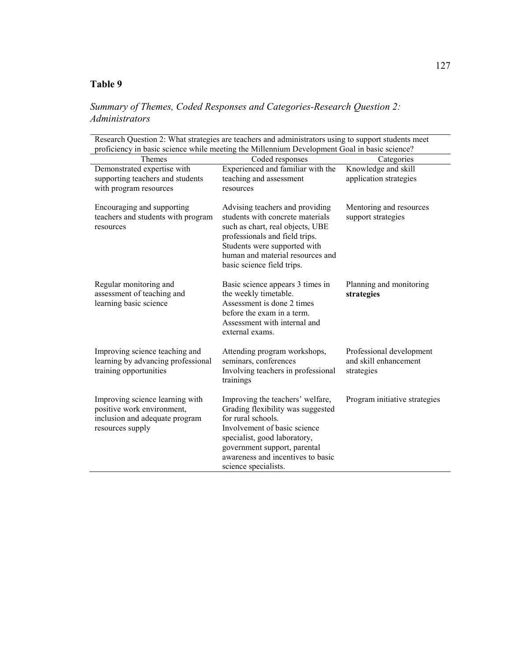# **Table 9**

# *Summary of Themes, Coded Responses and Categories-Research Question 2: Administrators*

| <b>Themes</b>                                                                                                       | Coded responses                                                                                                                                                                                                                                          | Categories                                                      |
|---------------------------------------------------------------------------------------------------------------------|----------------------------------------------------------------------------------------------------------------------------------------------------------------------------------------------------------------------------------------------------------|-----------------------------------------------------------------|
| Demonstrated expertise with<br>supporting teachers and students<br>with program resources                           | Experienced and familiar with the<br>teaching and assessment<br>resources                                                                                                                                                                                | Knowledge and skill<br>application strategies                   |
| Encouraging and supporting<br>teachers and students with program<br>resources                                       | Advising teachers and providing<br>students with concrete materials<br>such as chart, real objects, UBE<br>professionals and field trips.<br>Students were supported with<br>human and material resources and<br>basic science field trips.              | Mentoring and resources<br>support strategies                   |
| Regular monitoring and<br>assessment of teaching and<br>learning basic science                                      | Basic science appears 3 times in<br>the weekly timetable.<br>Assessment is done 2 times<br>before the exam in a term.<br>Assessment with internal and<br>external exams.                                                                                 | Planning and monitoring<br>strategies                           |
| Improving science teaching and<br>learning by advancing professional<br>training opportunities                      | Attending program workshops,<br>seminars, conferences<br>Involving teachers in professional<br>trainings                                                                                                                                                 | Professional development<br>and skill enhancement<br>strategies |
| Improving science learning with<br>positive work environment,<br>inclusion and adequate program<br>resources supply | Improving the teachers' welfare,<br>Grading flexibility was suggested<br>for rural schools.<br>Involvement of basic science<br>specialist, good laboratory,<br>government support, parental<br>awareness and incentives to basic<br>science specialists. | Program initiative strategies                                   |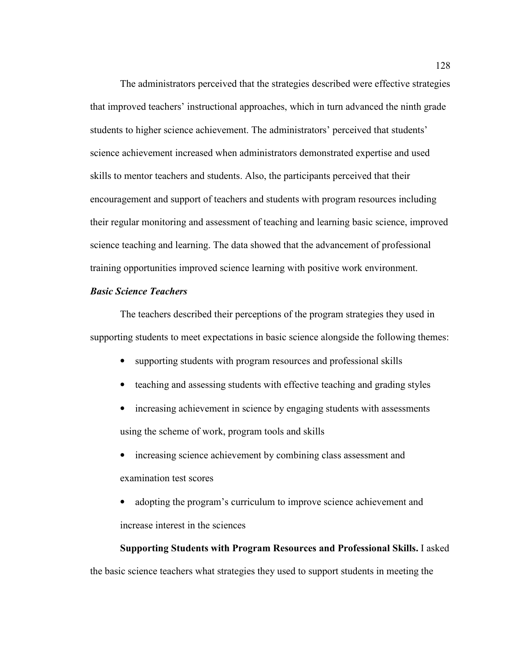The administrators perceived that the strategies described were effective strategies that improved teachers' instructional approaches, which in turn advanced the ninth grade students to higher science achievement. The administrators' perceived that students' science achievement increased when administrators demonstrated expertise and used skills to mentor teachers and students. Also, the participants perceived that their encouragement and support of teachers and students with program resources including their regular monitoring and assessment of teaching and learning basic science, improved science teaching and learning. The data showed that the advancement of professional training opportunities improved science learning with positive work environment.

# *Basic Science Teachers*

The teachers described their perceptions of the program strategies they used in supporting students to meet expectations in basic science alongside the following themes:

- supporting students with program resources and professional skills
- teaching and assessing students with effective teaching and grading styles
- increasing achievement in science by engaging students with assessments using the scheme of work, program tools and skills
- increasing science achievement by combining class assessment and examination test scores
- adopting the program's curriculum to improve science achievement and increase interest in the sciences

# **Supporting Students with Program Resources and Professional Skills.** I asked the basic science teachers what strategies they used to support students in meeting the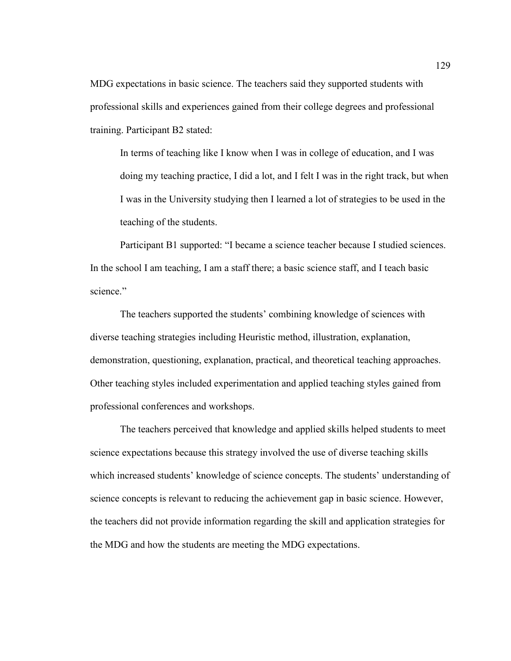MDG expectations in basic science. The teachers said they supported students with professional skills and experiences gained from their college degrees and professional training. Participant B2 stated:

In terms of teaching like I know when I was in college of education, and I was doing my teaching practice, I did a lot, and I felt I was in the right track, but when I was in the University studying then I learned a lot of strategies to be used in the teaching of the students.

Participant B1 supported: "I became a science teacher because I studied sciences. In the school I am teaching, I am a staff there; a basic science staff, and I teach basic science."

The teachers supported the students' combining knowledge of sciences with diverse teaching strategies including Heuristic method, illustration, explanation, demonstration, questioning, explanation, practical, and theoretical teaching approaches. Other teaching styles included experimentation and applied teaching styles gained from professional conferences and workshops.

The teachers perceived that knowledge and applied skills helped students to meet science expectations because this strategy involved the use of diverse teaching skills which increased students' knowledge of science concepts. The students' understanding of science concepts is relevant to reducing the achievement gap in basic science. However, the teachers did not provide information regarding the skill and application strategies for the MDG and how the students are meeting the MDG expectations.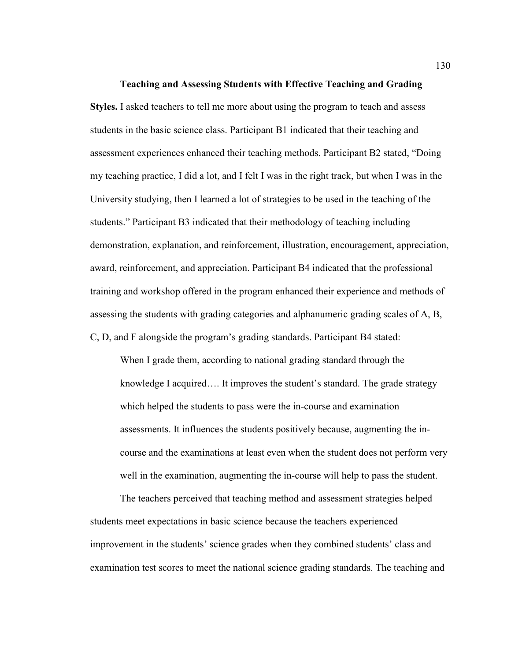**Teaching and Assessing Students with Effective Teaching and Grading Styles.** I asked teachers to tell me more about using the program to teach and assess students in the basic science class. Participant B1 indicated that their teaching and assessment experiences enhanced their teaching methods. Participant B2 stated, "Doing my teaching practice, I did a lot, and I felt I was in the right track, but when I was in the University studying, then I learned a lot of strategies to be used in the teaching of the students." Participant B3 indicated that their methodology of teaching including demonstration, explanation, and reinforcement, illustration, encouragement, appreciation, award, reinforcement, and appreciation. Participant B4 indicated that the professional training and workshop offered in the program enhanced their experience and methods of assessing the students with grading categories and alphanumeric grading scales of A, B, C, D, and F alongside the program's grading standards. Participant B4 stated:

When I grade them, according to national grading standard through the knowledge I acquired…. It improves the student's standard. The grade strategy which helped the students to pass were the in-course and examination assessments. It influences the students positively because, augmenting the incourse and the examinations at least even when the student does not perform very well in the examination, augmenting the in-course will help to pass the student.

The teachers perceived that teaching method and assessment strategies helped students meet expectations in basic science because the teachers experienced improvement in the students' science grades when they combined students' class and examination test scores to meet the national science grading standards. The teaching and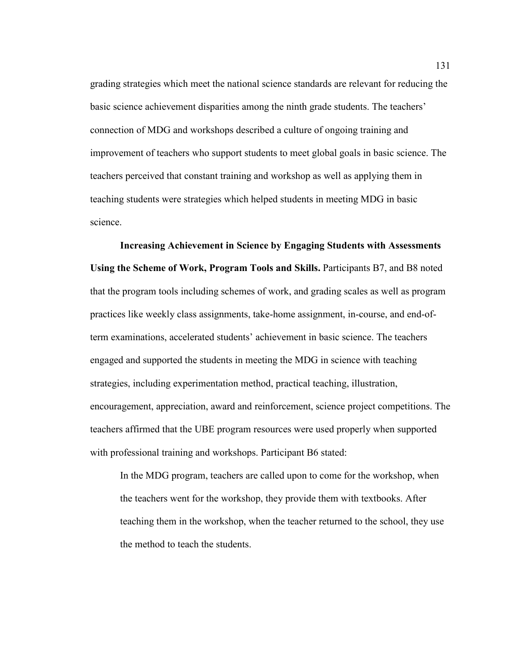grading strategies which meet the national science standards are relevant for reducing the basic science achievement disparities among the ninth grade students. The teachers' connection of MDG and workshops described a culture of ongoing training and improvement of teachers who support students to meet global goals in basic science. The teachers perceived that constant training and workshop as well as applying them in teaching students were strategies which helped students in meeting MDG in basic science.

**Increasing Achievement in Science by Engaging Students with Assessments Using the Scheme of Work, Program Tools and Skills.** Participants B7, and B8 noted that the program tools including schemes of work, and grading scales as well as program practices like weekly class assignments, take-home assignment, in-course, and end-ofterm examinations, accelerated students' achievement in basic science. The teachers engaged and supported the students in meeting the MDG in science with teaching strategies, including experimentation method, practical teaching, illustration, encouragement, appreciation, award and reinforcement, science project competitions. The teachers affirmed that the UBE program resources were used properly when supported with professional training and workshops. Participant B6 stated:

In the MDG program, teachers are called upon to come for the workshop, when the teachers went for the workshop, they provide them with textbooks. After teaching them in the workshop, when the teacher returned to the school, they use the method to teach the students.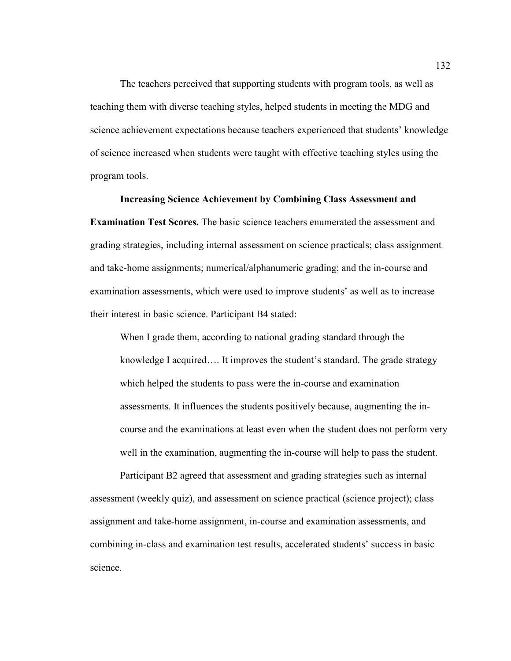The teachers perceived that supporting students with program tools, as well as teaching them with diverse teaching styles, helped students in meeting the MDG and science achievement expectations because teachers experienced that students' knowledge of science increased when students were taught with effective teaching styles using the program tools.

# **Increasing Science Achievement by Combining Class Assessment and**

**Examination Test Scores.** The basic science teachers enumerated the assessment and grading strategies, including internal assessment on science practicals; class assignment and take-home assignments; numerical/alphanumeric grading; and the in-course and examination assessments, which were used to improve students' as well as to increase their interest in basic science. Participant B4 stated:

When I grade them, according to national grading standard through the knowledge I acquired…. It improves the student's standard. The grade strategy which helped the students to pass were the in-course and examination assessments. It influences the students positively because, augmenting the incourse and the examinations at least even when the student does not perform very well in the examination, augmenting the in-course will help to pass the student.

Participant B2 agreed that assessment and grading strategies such as internal assessment (weekly quiz), and assessment on science practical (science project); class assignment and take-home assignment, in-course and examination assessments, and combining in-class and examination test results, accelerated students' success in basic science.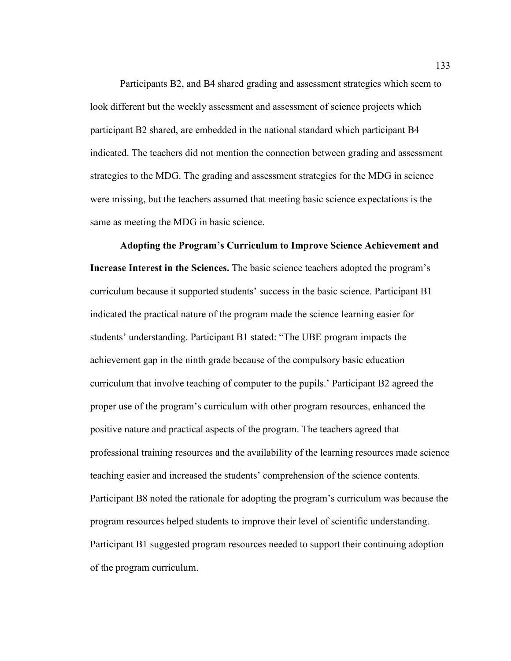Participants B2, and B4 shared grading and assessment strategies which seem to look different but the weekly assessment and assessment of science projects which participant B2 shared, are embedded in the national standard which participant B4 indicated. The teachers did not mention the connection between grading and assessment strategies to the MDG. The grading and assessment strategies for the MDG in science were missing, but the teachers assumed that meeting basic science expectations is the same as meeting the MDG in basic science.

**Adopting the Program's Curriculum to Improve Science Achievement and Increase Interest in the Sciences.** The basic science teachers adopted the program's curriculum because it supported students' success in the basic science. Participant B1 indicated the practical nature of the program made the science learning easier for students' understanding. Participant B1 stated: "The UBE program impacts the achievement gap in the ninth grade because of the compulsory basic education curriculum that involve teaching of computer to the pupils.' Participant B2 agreed the proper use of the program's curriculum with other program resources, enhanced the positive nature and practical aspects of the program. The teachers agreed that professional training resources and the availability of the learning resources made science teaching easier and increased the students' comprehension of the science contents. Participant B8 noted the rationale for adopting the program's curriculum was because the program resources helped students to improve their level of scientific understanding. Participant B1 suggested program resources needed to support their continuing adoption of the program curriculum.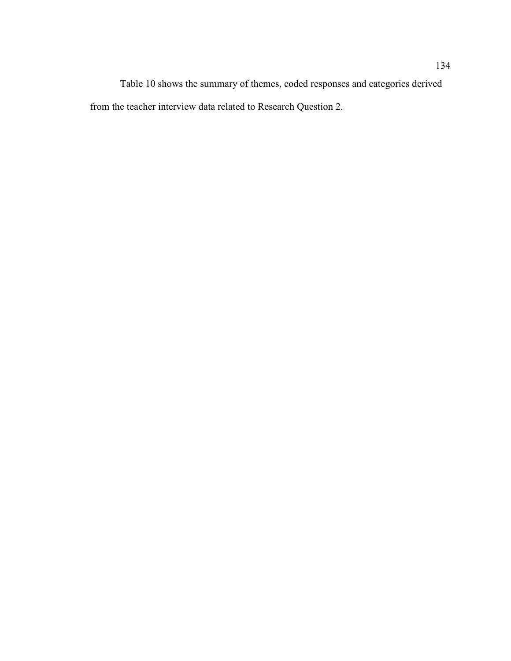Table 10 shows the summary of themes, coded responses and categories derived from the teacher interview data related to Research Question 2.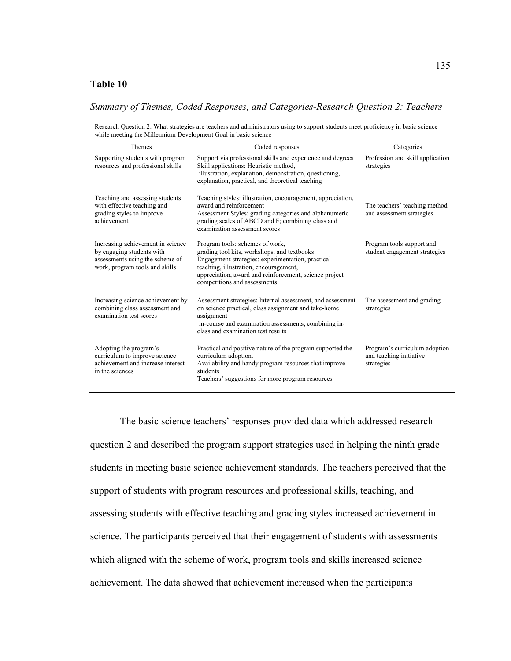# **Table 10**

# *Summary of Themes, Coded Responses, and Categories-Research Question 2: Teachers*

Research Question 2: What strategies are teachers and administrators using to support students meet proficiency in basic science

| while meeting the Millennium Development Goal in basic science                                                                      |                                                                                                                                                                                                                                                                         |                                                                        |
|-------------------------------------------------------------------------------------------------------------------------------------|-------------------------------------------------------------------------------------------------------------------------------------------------------------------------------------------------------------------------------------------------------------------------|------------------------------------------------------------------------|
| Themes                                                                                                                              | Coded responses                                                                                                                                                                                                                                                         | Categories                                                             |
| Supporting students with program<br>resources and professional skills                                                               | Support via professional skills and experience and degrees<br>Skill applications: Heuristic method,<br>illustration, explanation, demonstration, questioning,<br>explanation, practical, and theoretical teaching                                                       | Profession and skill application<br>strategies                         |
| Teaching and assessing students<br>with effective teaching and<br>grading styles to improve<br>achievement                          | Teaching styles: illustration, encouragement, appreciation,<br>award and reinforcement<br>Assessment Styles: grading categories and alphanumeric<br>grading scales of ABCD and F; combining class and<br>examination assessment scores                                  | The teachers' teaching method<br>and assessment strategies             |
| Increasing achievement in science<br>by engaging students with<br>assessments using the scheme of<br>work, program tools and skills | Program tools: schemes of work,<br>grading tool kits, workshops, and textbooks<br>Engagement strategies: experimentation, practical<br>teaching, illustration, encouragement,<br>appreciation, award and reinforcement, science project<br>competitions and assessments | Program tools support and<br>student engagement strategies             |
| Increasing science achievement by<br>combining class assessment and<br>examination test scores                                      | Assessment strategies: Internal assessment, and assessment<br>on science practical, class assignment and take-home<br>assignment<br>in-course and examination assessments, combining in-<br>class and examination test results                                          | The assessment and grading<br>strategies                               |
| Adopting the program's<br>curriculum to improve science<br>achievement and increase interest<br>in the sciences                     | Practical and positive nature of the program supported the<br>curriculum adoption.<br>Availability and handy program resources that improve<br>students<br>Teachers' suggestions for more program resources                                                             | Program's curriculum adoption<br>and teaching initiative<br>strategies |

The basic science teachers' responses provided data which addressed research question 2 and described the program support strategies used in helping the ninth grade students in meeting basic science achievement standards. The teachers perceived that the support of students with program resources and professional skills, teaching, and assessing students with effective teaching and grading styles increased achievement in science. The participants perceived that their engagement of students with assessments which aligned with the scheme of work, program tools and skills increased science achievement. The data showed that achievement increased when the participants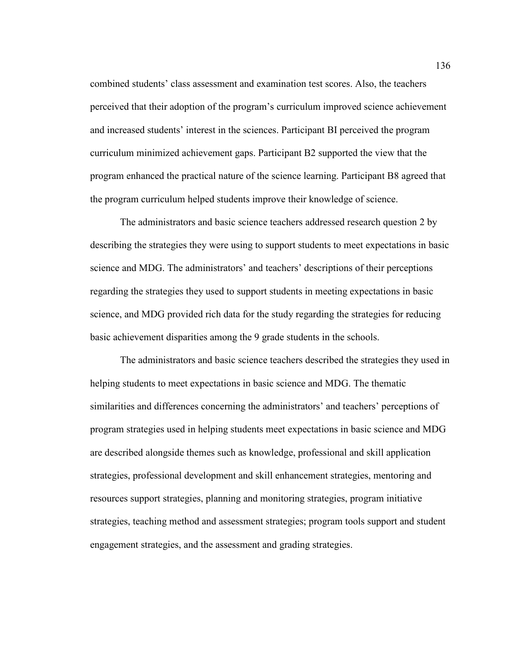combined students' class assessment and examination test scores. Also, the teachers perceived that their adoption of the program's curriculum improved science achievement and increased students' interest in the sciences. Participant BI perceived the program curriculum minimized achievement gaps. Participant B2 supported the view that the program enhanced the practical nature of the science learning. Participant B8 agreed that the program curriculum helped students improve their knowledge of science.

The administrators and basic science teachers addressed research question 2 by describing the strategies they were using to support students to meet expectations in basic science and MDG. The administrators' and teachers' descriptions of their perceptions regarding the strategies they used to support students in meeting expectations in basic science, and MDG provided rich data for the study regarding the strategies for reducing basic achievement disparities among the 9 grade students in the schools.

The administrators and basic science teachers described the strategies they used in helping students to meet expectations in basic science and MDG. The thematic similarities and differences concerning the administrators' and teachers' perceptions of program strategies used in helping students meet expectations in basic science and MDG are described alongside themes such as knowledge, professional and skill application strategies, professional development and skill enhancement strategies, mentoring and resources support strategies, planning and monitoring strategies, program initiative strategies, teaching method and assessment strategies; program tools support and student engagement strategies, and the assessment and grading strategies.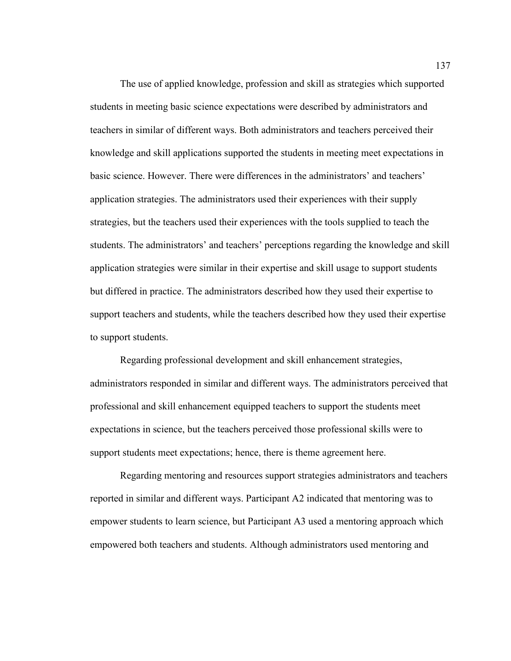The use of applied knowledge, profession and skill as strategies which supported students in meeting basic science expectations were described by administrators and teachers in similar of different ways. Both administrators and teachers perceived their knowledge and skill applications supported the students in meeting meet expectations in basic science. However. There were differences in the administrators' and teachers' application strategies. The administrators used their experiences with their supply strategies, but the teachers used their experiences with the tools supplied to teach the students. The administrators' and teachers' perceptions regarding the knowledge and skill application strategies were similar in their expertise and skill usage to support students but differed in practice. The administrators described how they used their expertise to support teachers and students, while the teachers described how they used their expertise to support students.

Regarding professional development and skill enhancement strategies, administrators responded in similar and different ways. The administrators perceived that professional and skill enhancement equipped teachers to support the students meet expectations in science, but the teachers perceived those professional skills were to support students meet expectations; hence, there is theme agreement here.

Regarding mentoring and resources support strategies administrators and teachers reported in similar and different ways. Participant A2 indicated that mentoring was to empower students to learn science, but Participant A3 used a mentoring approach which empowered both teachers and students. Although administrators used mentoring and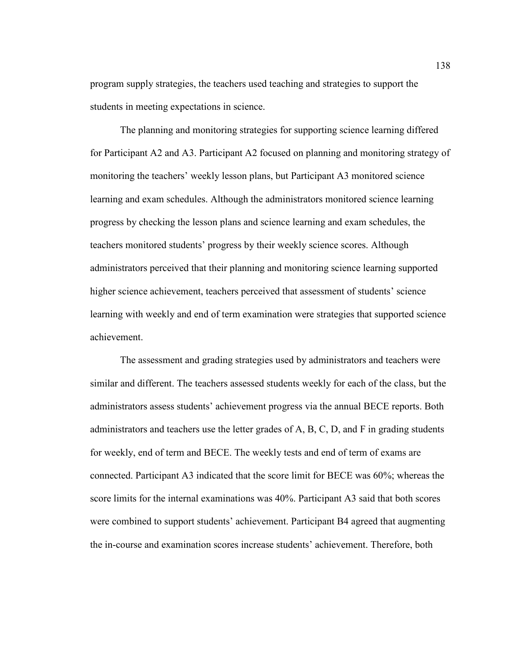program supply strategies, the teachers used teaching and strategies to support the students in meeting expectations in science.

The planning and monitoring strategies for supporting science learning differed for Participant A2 and A3. Participant A2 focused on planning and monitoring strategy of monitoring the teachers' weekly lesson plans, but Participant A3 monitored science learning and exam schedules. Although the administrators monitored science learning progress by checking the lesson plans and science learning and exam schedules, the teachers monitored students' progress by their weekly science scores. Although administrators perceived that their planning and monitoring science learning supported higher science achievement, teachers perceived that assessment of students' science learning with weekly and end of term examination were strategies that supported science achievement.

The assessment and grading strategies used by administrators and teachers were similar and different. The teachers assessed students weekly for each of the class, but the administrators assess students' achievement progress via the annual BECE reports. Both administrators and teachers use the letter grades of A, B, C, D, and F in grading students for weekly, end of term and BECE. The weekly tests and end of term of exams are connected. Participant A3 indicated that the score limit for BECE was 60%; whereas the score limits for the internal examinations was 40%. Participant A3 said that both scores were combined to support students' achievement. Participant B4 agreed that augmenting the in-course and examination scores increase students' achievement. Therefore, both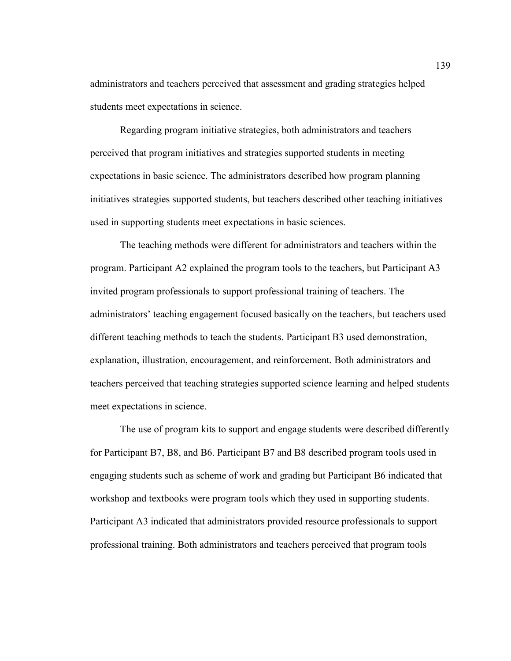administrators and teachers perceived that assessment and grading strategies helped students meet expectations in science.

Regarding program initiative strategies, both administrators and teachers perceived that program initiatives and strategies supported students in meeting expectations in basic science. The administrators described how program planning initiatives strategies supported students, but teachers described other teaching initiatives used in supporting students meet expectations in basic sciences.

The teaching methods were different for administrators and teachers within the program. Participant A2 explained the program tools to the teachers, but Participant A3 invited program professionals to support professional training of teachers. The administrators' teaching engagement focused basically on the teachers, but teachers used different teaching methods to teach the students. Participant B3 used demonstration, explanation, illustration, encouragement, and reinforcement. Both administrators and teachers perceived that teaching strategies supported science learning and helped students meet expectations in science.

The use of program kits to support and engage students were described differently for Participant B7, B8, and B6. Participant B7 and B8 described program tools used in engaging students such as scheme of work and grading but Participant B6 indicated that workshop and textbooks were program tools which they used in supporting students. Participant A3 indicated that administrators provided resource professionals to support professional training. Both administrators and teachers perceived that program tools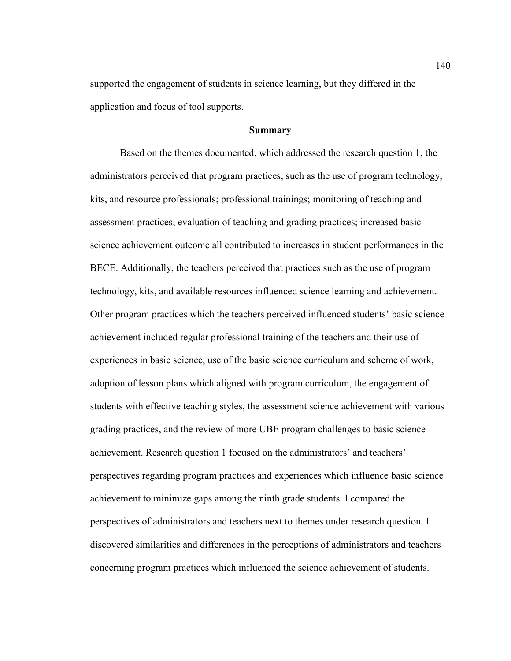supported the engagement of students in science learning, but they differed in the application and focus of tool supports.

# **Summary**

Based on the themes documented, which addressed the research question 1, the administrators perceived that program practices, such as the use of program technology, kits, and resource professionals; professional trainings; monitoring of teaching and assessment practices; evaluation of teaching and grading practices; increased basic science achievement outcome all contributed to increases in student performances in the BECE. Additionally, the teachers perceived that practices such as the use of program technology, kits, and available resources influenced science learning and achievement. Other program practices which the teachers perceived influenced students' basic science achievement included regular professional training of the teachers and their use of experiences in basic science, use of the basic science curriculum and scheme of work, adoption of lesson plans which aligned with program curriculum, the engagement of students with effective teaching styles, the assessment science achievement with various grading practices, and the review of more UBE program challenges to basic science achievement. Research question 1 focused on the administrators' and teachers' perspectives regarding program practices and experiences which influence basic science achievement to minimize gaps among the ninth grade students. I compared the perspectives of administrators and teachers next to themes under research question. I discovered similarities and differences in the perceptions of administrators and teachers concerning program practices which influenced the science achievement of students.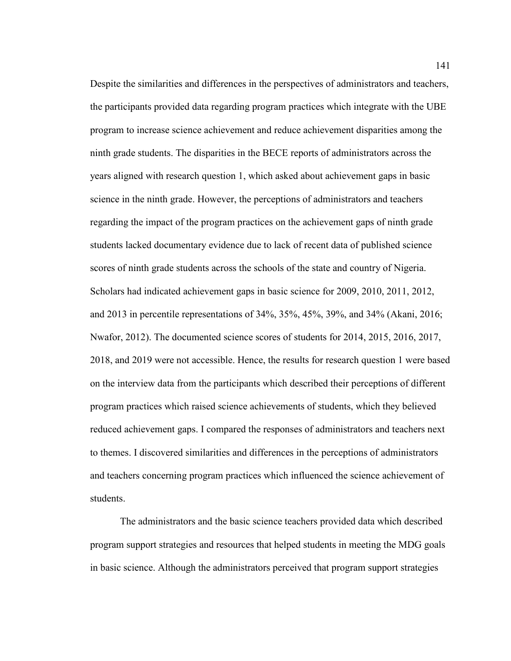Despite the similarities and differences in the perspectives of administrators and teachers, the participants provided data regarding program practices which integrate with the UBE program to increase science achievement and reduce achievement disparities among the ninth grade students. The disparities in the BECE reports of administrators across the years aligned with research question 1, which asked about achievement gaps in basic science in the ninth grade. However, the perceptions of administrators and teachers regarding the impact of the program practices on the achievement gaps of ninth grade students lacked documentary evidence due to lack of recent data of published science scores of ninth grade students across the schools of the state and country of Nigeria. Scholars had indicated achievement gaps in basic science for 2009, 2010, 2011, 2012, and 2013 in percentile representations of 34%, 35%, 45%, 39%, and 34% (Akani, 2016; Nwafor, 2012). The documented science scores of students for 2014, 2015, 2016, 2017, 2018, and 2019 were not accessible. Hence, the results for research question 1 were based on the interview data from the participants which described their perceptions of different program practices which raised science achievements of students, which they believed reduced achievement gaps. I compared the responses of administrators and teachers next to themes. I discovered similarities and differences in the perceptions of administrators and teachers concerning program practices which influenced the science achievement of students.

The administrators and the basic science teachers provided data which described program support strategies and resources that helped students in meeting the MDG goals in basic science. Although the administrators perceived that program support strategies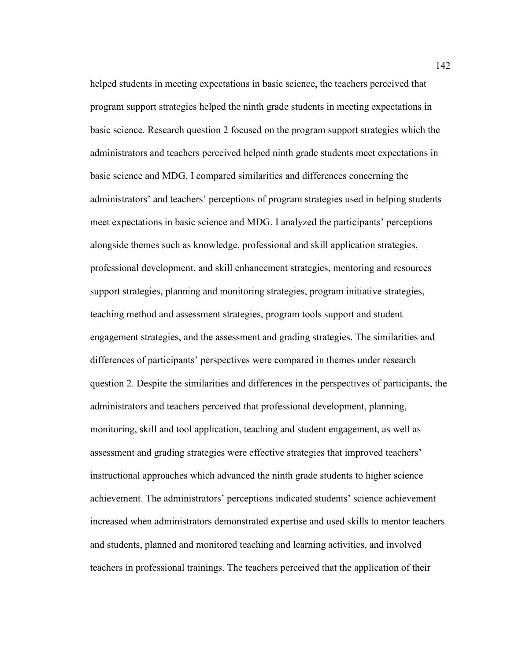helped students in meeting expectations in basic science, the teachers perceived that program support strategies helped the ninth grade students in meeting expectations in basic science. Research question 2 focused on the program support strategies which the administrators and teachers perceived helped ninth grade students meet expectations in basic science and MDG. I compared similarities and differences concerning the administrators' and teachers' perceptions of program strategies used in helping students meet expectations in basic science and MDG. I analyzed the participants' perceptions alongside themes such as knowledge, professional and skill application strategies, professional development, and skill enhancement strategies, mentoring and resources support strategies, planning and monitoring strategies, program initiative strategies, teaching method and assessment strategies, program tools support and student engagement strategies, and the assessment and grading strategies. The similarities and differences of participants' perspectives were compared in themes under research question 2. Despite the similarities and differences in the perspectives of participants, the administrators and teachers perceived that professional development, planning, monitoring, skill and tool application, teaching and student engagement, as well as assessment and grading strategies were effective strategies that improved teachers' instructional approaches which advanced the ninth grade students to higher science achievement. The administrators' perceptions indicated students' science achievement increased when administrators demonstrated expertise and used skills to mentor teachers and students, planned and monitored teaching and learning activities, and involved teachers in professional trainings. The teachers perceived that the application of their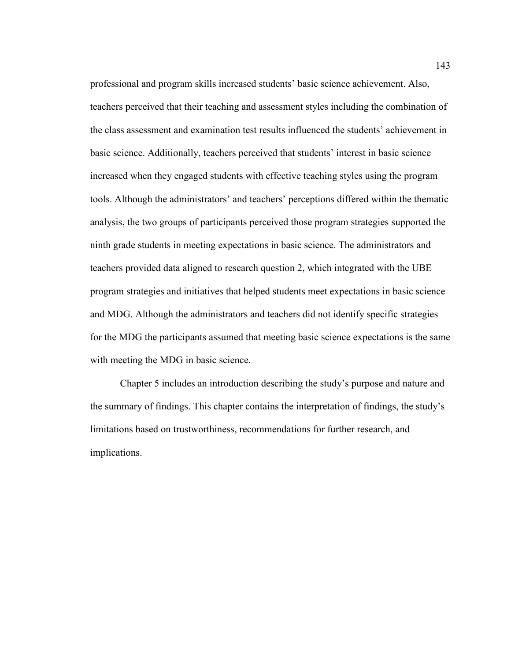professional and program skills increased students' basic science achievement. Also, teachers perceived that their teaching and assessment styles including the combination of the class assessment and examination test results influenced the students' achievement in basic science. Additionally, teachers perceived that students' interest in basic science increased when they engaged students with effective teaching styles using the program tools. Although the administrators' and teachers' perceptions differed within the thematic analysis, the two groups of participants perceived those program strategies supported the ninth grade students in meeting expectations in basic science. The administrators and teachers provided data aligned to research question 2, which integrated with the UBE program strategies and initiatives that helped students meet expectations in basic science and MDG. Although the administrators and teachers did not identify specific strategies for the MDG the participants assumed that meeting basic science expectations is the same with meeting the MDG in basic science.

Chapter 5 includes an introduction describing the study's purpose and nature and the summary of findings. This chapter contains the interpretation of findings, the study's limitations based on trustworthiness, recommendations for further research, and implications.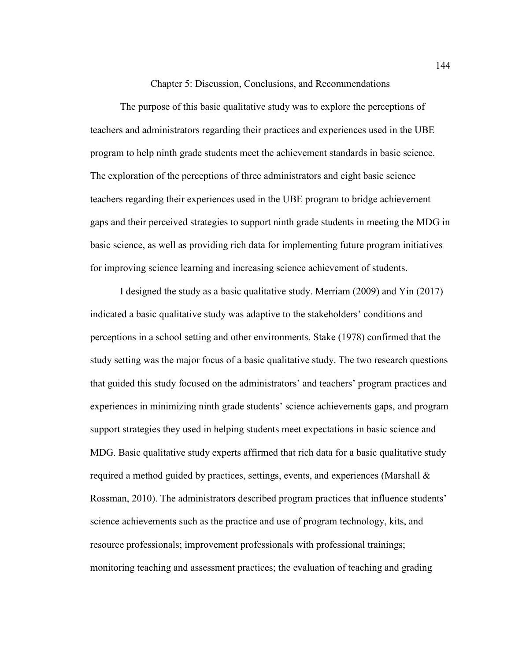Chapter 5: Discussion, Conclusions, and Recommendations

The purpose of this basic qualitative study was to explore the perceptions of teachers and administrators regarding their practices and experiences used in the UBE program to help ninth grade students meet the achievement standards in basic science. The exploration of the perceptions of three administrators and eight basic science teachers regarding their experiences used in the UBE program to bridge achievement gaps and their perceived strategies to support ninth grade students in meeting the MDG in basic science, as well as providing rich data for implementing future program initiatives for improving science learning and increasing science achievement of students.

I designed the study as a basic qualitative study. Merriam (2009) and Yin (2017) indicated a basic qualitative study was adaptive to the stakeholders' conditions and perceptions in a school setting and other environments. Stake (1978) confirmed that the study setting was the major focus of a basic qualitative study. The two research questions that guided this study focused on the administrators' and teachers' program practices and experiences in minimizing ninth grade students' science achievements gaps, and program support strategies they used in helping students meet expectations in basic science and MDG. Basic qualitative study experts affirmed that rich data for a basic qualitative study required a method guided by practices, settings, events, and experiences (Marshall  $\&$ Rossman, 2010). The administrators described program practices that influence students' science achievements such as the practice and use of program technology, kits, and resource professionals; improvement professionals with professional trainings; monitoring teaching and assessment practices; the evaluation of teaching and grading

144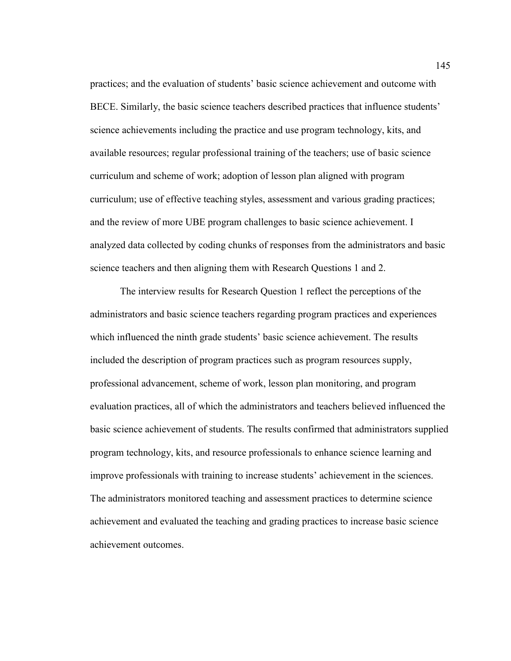practices; and the evaluation of students' basic science achievement and outcome with BECE. Similarly, the basic science teachers described practices that influence students' science achievements including the practice and use program technology, kits, and available resources; regular professional training of the teachers; use of basic science curriculum and scheme of work; adoption of lesson plan aligned with program curriculum; use of effective teaching styles, assessment and various grading practices; and the review of more UBE program challenges to basic science achievement. I analyzed data collected by coding chunks of responses from the administrators and basic science teachers and then aligning them with Research Questions 1 and 2.

The interview results for Research Question 1 reflect the perceptions of the administrators and basic science teachers regarding program practices and experiences which influenced the ninth grade students' basic science achievement. The results included the description of program practices such as program resources supply, professional advancement, scheme of work, lesson plan monitoring, and program evaluation practices, all of which the administrators and teachers believed influenced the basic science achievement of students. The results confirmed that administrators supplied program technology, kits, and resource professionals to enhance science learning and improve professionals with training to increase students' achievement in the sciences. The administrators monitored teaching and assessment practices to determine science achievement and evaluated the teaching and grading practices to increase basic science achievement outcomes.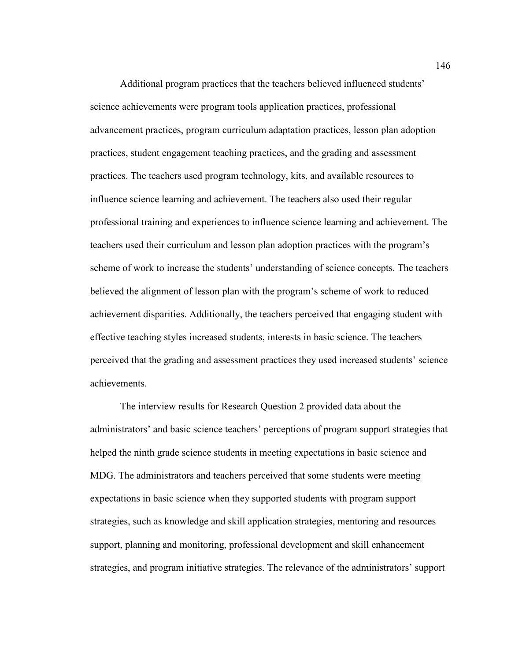Additional program practices that the teachers believed influenced students' science achievements were program tools application practices, professional advancement practices, program curriculum adaptation practices, lesson plan adoption practices, student engagement teaching practices, and the grading and assessment practices. The teachers used program technology, kits, and available resources to influence science learning and achievement. The teachers also used their regular professional training and experiences to influence science learning and achievement. The teachers used their curriculum and lesson plan adoption practices with the program's scheme of work to increase the students' understanding of science concepts. The teachers believed the alignment of lesson plan with the program's scheme of work to reduced achievement disparities. Additionally, the teachers perceived that engaging student with effective teaching styles increased students, interests in basic science. The teachers perceived that the grading and assessment practices they used increased students' science achievements.

The interview results for Research Question 2 provided data about the administrators' and basic science teachers' perceptions of program support strategies that helped the ninth grade science students in meeting expectations in basic science and MDG. The administrators and teachers perceived that some students were meeting expectations in basic science when they supported students with program support strategies, such as knowledge and skill application strategies, mentoring and resources support, planning and monitoring, professional development and skill enhancement strategies, and program initiative strategies. The relevance of the administrators' support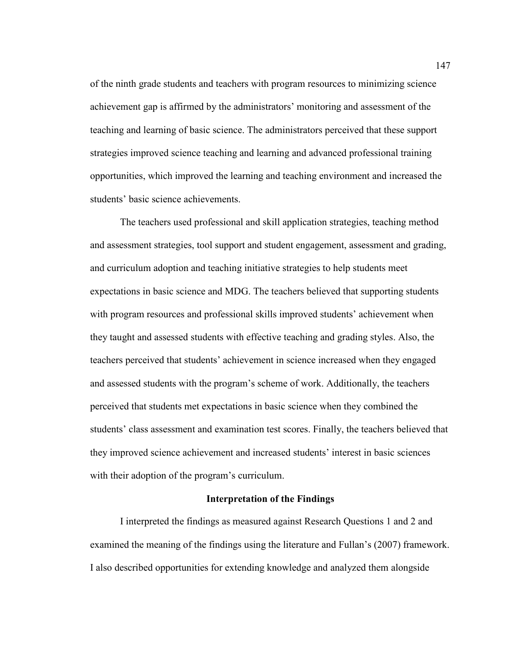of the ninth grade students and teachers with program resources to minimizing science achievement gap is affirmed by the administrators' monitoring and assessment of the teaching and learning of basic science. The administrators perceived that these support strategies improved science teaching and learning and advanced professional training opportunities, which improved the learning and teaching environment and increased the students' basic science achievements.

The teachers used professional and skill application strategies, teaching method and assessment strategies, tool support and student engagement, assessment and grading, and curriculum adoption and teaching initiative strategies to help students meet expectations in basic science and MDG. The teachers believed that supporting students with program resources and professional skills improved students' achievement when they taught and assessed students with effective teaching and grading styles. Also, the teachers perceived that students' achievement in science increased when they engaged and assessed students with the program's scheme of work. Additionally, the teachers perceived that students met expectations in basic science when they combined the students' class assessment and examination test scores. Finally, the teachers believed that they improved science achievement and increased students' interest in basic sciences with their adoption of the program's curriculum.

#### **Interpretation of the Findings**

I interpreted the findings as measured against Research Questions 1 and 2 and examined the meaning of the findings using the literature and Fullan's (2007) framework. I also described opportunities for extending knowledge and analyzed them alongside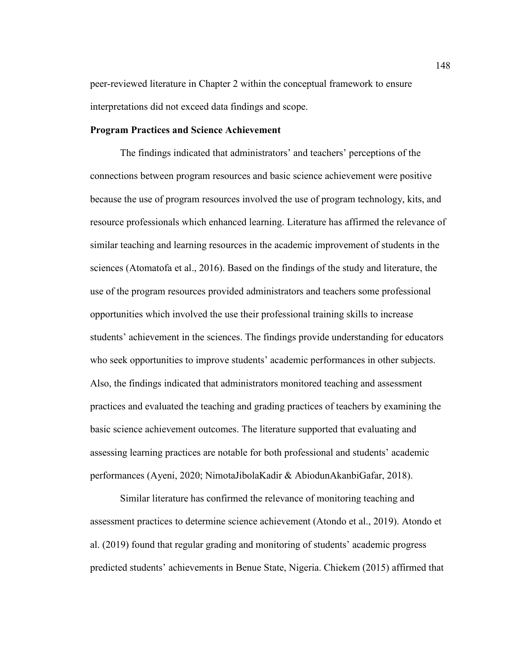peer-reviewed literature in Chapter 2 within the conceptual framework to ensure interpretations did not exceed data findings and scope.

### **Program Practices and Science Achievement**

The findings indicated that administrators' and teachers' perceptions of the connections between program resources and basic science achievement were positive because the use of program resources involved the use of program technology, kits, and resource professionals which enhanced learning. Literature has affirmed the relevance of similar teaching and learning resources in the academic improvement of students in the sciences (Atomatofa et al., 2016). Based on the findings of the study and literature, the use of the program resources provided administrators and teachers some professional opportunities which involved the use their professional training skills to increase students' achievement in the sciences. The findings provide understanding for educators who seek opportunities to improve students' academic performances in other subjects. Also, the findings indicated that administrators monitored teaching and assessment practices and evaluated the teaching and grading practices of teachers by examining the basic science achievement outcomes. The literature supported that evaluating and assessing learning practices are notable for both professional and students' academic performances (Ayeni, 2020; NimotaJibolaKadir & AbiodunAkanbiGafar, 2018).

Similar literature has confirmed the relevance of monitoring teaching and assessment practices to determine science achievement (Atondo et al., 2019). Atondo et al. (2019) found that regular grading and monitoring of students' academic progress predicted students' achievements in Benue State, Nigeria. Chiekem (2015) affirmed that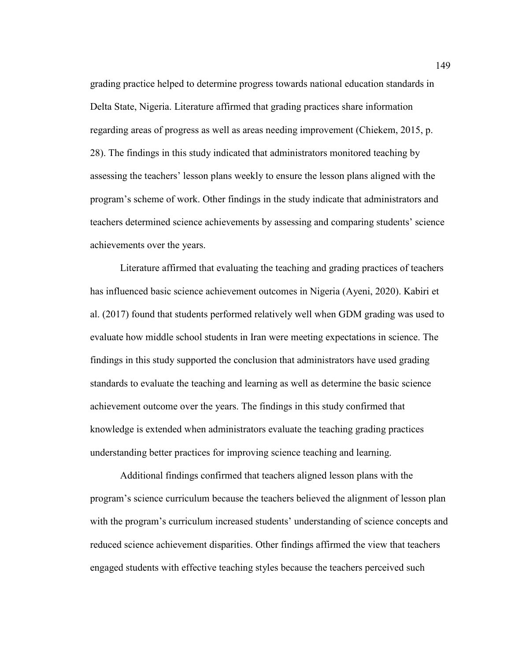grading practice helped to determine progress towards national education standards in Delta State, Nigeria. Literature affirmed that grading practices share information regarding areas of progress as well as areas needing improvement (Chiekem, 2015, p. 28). The findings in this study indicated that administrators monitored teaching by assessing the teachers' lesson plans weekly to ensure the lesson plans aligned with the program's scheme of work. Other findings in the study indicate that administrators and teachers determined science achievements by assessing and comparing students' science achievements over the years.

Literature affirmed that evaluating the teaching and grading practices of teachers has influenced basic science achievement outcomes in Nigeria (Ayeni, 2020). Kabiri et al. (2017) found that students performed relatively well when GDM grading was used to evaluate how middle school students in Iran were meeting expectations in science. The findings in this study supported the conclusion that administrators have used grading standards to evaluate the teaching and learning as well as determine the basic science achievement outcome over the years. The findings in this study confirmed that knowledge is extended when administrators evaluate the teaching grading practices understanding better practices for improving science teaching and learning.

Additional findings confirmed that teachers aligned lesson plans with the program's science curriculum because the teachers believed the alignment of lesson plan with the program's curriculum increased students' understanding of science concepts and reduced science achievement disparities. Other findings affirmed the view that teachers engaged students with effective teaching styles because the teachers perceived such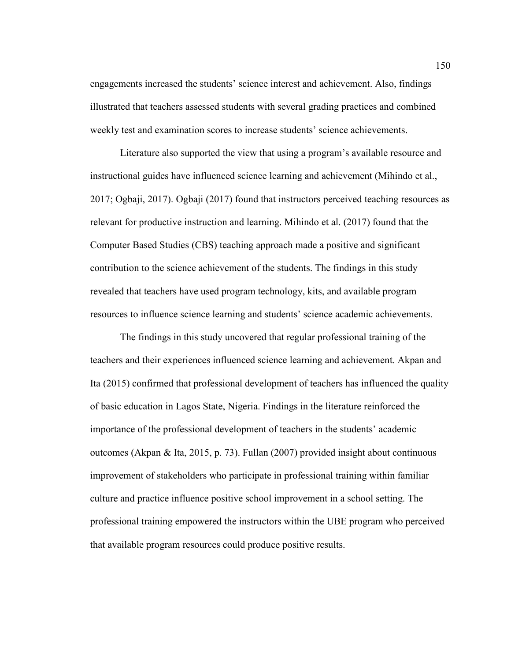engagements increased the students' science interest and achievement. Also, findings illustrated that teachers assessed students with several grading practices and combined weekly test and examination scores to increase students' science achievements.

Literature also supported the view that using a program's available resource and instructional guides have influenced science learning and achievement (Mihindo et al., 2017; Ogbaji, 2017). Ogbaji (2017) found that instructors perceived teaching resources as relevant for productive instruction and learning. Mihindo et al. (2017) found that the Computer Based Studies (CBS) teaching approach made a positive and significant contribution to the science achievement of the students. The findings in this study revealed that teachers have used program technology, kits, and available program resources to influence science learning and students' science academic achievements.

The findings in this study uncovered that regular professional training of the teachers and their experiences influenced science learning and achievement. Akpan and Ita (2015) confirmed that professional development of teachers has influenced the quality of basic education in Lagos State, Nigeria. Findings in the literature reinforced the importance of the professional development of teachers in the students' academic outcomes (Akpan & Ita, 2015, p. 73). Fullan (2007) provided insight about continuous improvement of stakeholders who participate in professional training within familiar culture and practice influence positive school improvement in a school setting. The professional training empowered the instructors within the UBE program who perceived that available program resources could produce positive results.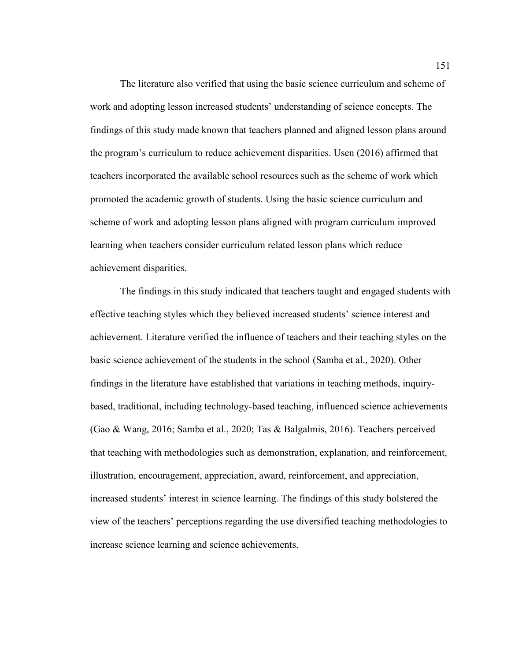The literature also verified that using the basic science curriculum and scheme of work and adopting lesson increased students' understanding of science concepts. The findings of this study made known that teachers planned and aligned lesson plans around the program's curriculum to reduce achievement disparities. Usen (2016) affirmed that teachers incorporated the available school resources such as the scheme of work which promoted the academic growth of students. Using the basic science curriculum and scheme of work and adopting lesson plans aligned with program curriculum improved learning when teachers consider curriculum related lesson plans which reduce achievement disparities.

The findings in this study indicated that teachers taught and engaged students with effective teaching styles which they believed increased students' science interest and achievement. Literature verified the influence of teachers and their teaching styles on the basic science achievement of the students in the school (Samba et al., 2020). Other findings in the literature have established that variations in teaching methods, inquirybased, traditional, including technology-based teaching, influenced science achievements (Gao & Wang, 2016; Samba et al., 2020; Tas & Balgalmis, 2016). Teachers perceived that teaching with methodologies such as demonstration, explanation, and reinforcement, illustration, encouragement, appreciation, award, reinforcement, and appreciation, increased students' interest in science learning. The findings of this study bolstered the view of the teachers' perceptions regarding the use diversified teaching methodologies to increase science learning and science achievements.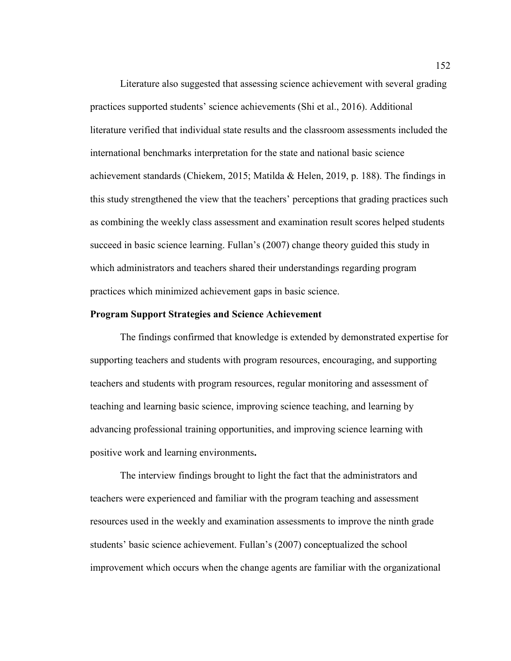Literature also suggested that assessing science achievement with several grading practices supported students' science achievements (Shi et al., 2016). Additional literature verified that individual state results and the classroom assessments included the international benchmarks interpretation for the state and national basic science achievement standards (Chiekem, 2015; Matilda & Helen, 2019, p. 188). The findings in this study strengthened the view that the teachers' perceptions that grading practices such as combining the weekly class assessment and examination result scores helped students succeed in basic science learning. Fullan's (2007) change theory guided this study in which administrators and teachers shared their understandings regarding program practices which minimized achievement gaps in basic science.

## **Program Support Strategies and Science Achievement**

The findings confirmed that knowledge is extended by demonstrated expertise for supporting teachers and students with program resources, encouraging, and supporting teachers and students with program resources, regular monitoring and assessment of teaching and learning basic science, improving science teaching, and learning by advancing professional training opportunities, and improving science learning with positive work and learning environments**.**

The interview findings brought to light the fact that the administrators and teachers were experienced and familiar with the program teaching and assessment resources used in the weekly and examination assessments to improve the ninth grade students' basic science achievement. Fullan's (2007) conceptualized the school improvement which occurs when the change agents are familiar with the organizational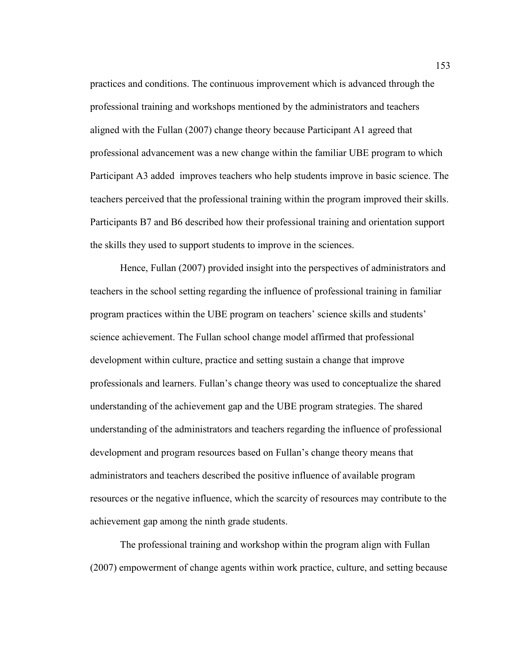practices and conditions. The continuous improvement which is advanced through the professional training and workshops mentioned by the administrators and teachers aligned with the Fullan (2007) change theory because Participant A1 agreed that professional advancement was a new change within the familiar UBE program to which Participant A3 added improves teachers who help students improve in basic science. The teachers perceived that the professional training within the program improved their skills. Participants B7 and B6 described how their professional training and orientation support the skills they used to support students to improve in the sciences.

Hence, Fullan (2007) provided insight into the perspectives of administrators and teachers in the school setting regarding the influence of professional training in familiar program practices within the UBE program on teachers' science skills and students' science achievement. The Fullan school change model affirmed that professional development within culture, practice and setting sustain a change that improve professionals and learners. Fullan's change theory was used to conceptualize the shared understanding of the achievement gap and the UBE program strategies. The shared understanding of the administrators and teachers regarding the influence of professional development and program resources based on Fullan's change theory means that administrators and teachers described the positive influence of available program resources or the negative influence, which the scarcity of resources may contribute to the achievement gap among the ninth grade students.

The professional training and workshop within the program align with Fullan (2007) empowerment of change agents within work practice, culture, and setting because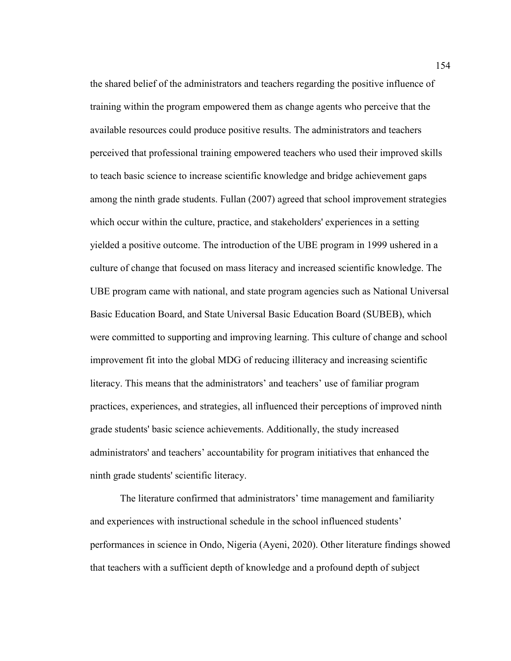the shared belief of the administrators and teachers regarding the positive influence of training within the program empowered them as change agents who perceive that the available resources could produce positive results. The administrators and teachers perceived that professional training empowered teachers who used their improved skills to teach basic science to increase scientific knowledge and bridge achievement gaps among the ninth grade students. Fullan (2007) agreed that school improvement strategies which occur within the culture, practice, and stakeholders' experiences in a setting yielded a positive outcome. The introduction of the UBE program in 1999 ushered in a culture of change that focused on mass literacy and increased scientific knowledge. The UBE program came with national, and state program agencies such as National Universal Basic Education Board, and State Universal Basic Education Board (SUBEB), which were committed to supporting and improving learning. This culture of change and school improvement fit into the global MDG of reducing illiteracy and increasing scientific literacy. This means that the administrators' and teachers' use of familiar program practices, experiences, and strategies, all influenced their perceptions of improved ninth grade students' basic science achievements. Additionally, the study increased administrators' and teachers' accountability for program initiatives that enhanced the ninth grade students' scientific literacy.

The literature confirmed that administrators' time management and familiarity and experiences with instructional schedule in the school influenced students' performances in science in Ondo, Nigeria (Ayeni, 2020). Other literature findings showed that teachers with a sufficient depth of knowledge and a profound depth of subject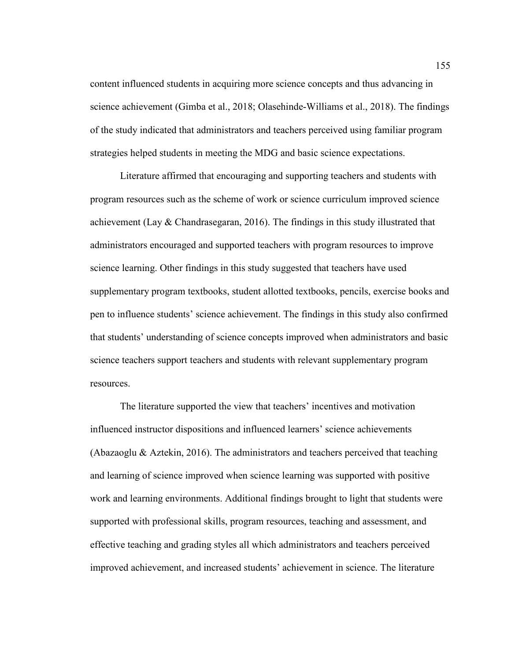content influenced students in acquiring more science concepts and thus advancing in science achievement (Gimba et al., 2018; Olasehinde-Williams et al., 2018). The findings of the study indicated that administrators and teachers perceived using familiar program strategies helped students in meeting the MDG and basic science expectations.

Literature affirmed that encouraging and supporting teachers and students with program resources such as the scheme of work or science curriculum improved science achievement (Lay  $&$  Chandrasegaran, 2016). The findings in this study illustrated that administrators encouraged and supported teachers with program resources to improve science learning. Other findings in this study suggested that teachers have used supplementary program textbooks, student allotted textbooks, pencils, exercise books and pen to influence students' science achievement. The findings in this study also confirmed that students' understanding of science concepts improved when administrators and basic science teachers support teachers and students with relevant supplementary program resources.

The literature supported the view that teachers' incentives and motivation influenced instructor dispositions and influenced learners' science achievements (Abazaoglu & Aztekin, 2016). The administrators and teachers perceived that teaching and learning of science improved when science learning was supported with positive work and learning environments. Additional findings brought to light that students were supported with professional skills, program resources, teaching and assessment, and effective teaching and grading styles all which administrators and teachers perceived improved achievement, and increased students' achievement in science. The literature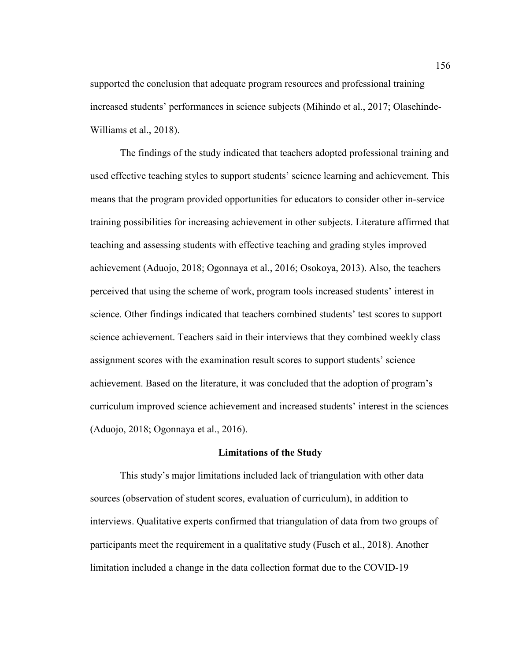supported the conclusion that adequate program resources and professional training increased students' performances in science subjects (Mihindo et al., 2017; Olasehinde-Williams et al., 2018).

The findings of the study indicated that teachers adopted professional training and used effective teaching styles to support students' science learning and achievement. This means that the program provided opportunities for educators to consider other in-service training possibilities for increasing achievement in other subjects. Literature affirmed that teaching and assessing students with effective teaching and grading styles improved achievement (Aduojo, 2018; Ogonnaya et al., 2016; Osokoya, 2013). Also, the teachers perceived that using the scheme of work, program tools increased students' interest in science. Other findings indicated that teachers combined students' test scores to support science achievement. Teachers said in their interviews that they combined weekly class assignment scores with the examination result scores to support students' science achievement. Based on the literature, it was concluded that the adoption of program's curriculum improved science achievement and increased students' interest in the sciences (Aduojo, 2018; Ogonnaya et al., 2016).

# **Limitations of the Study**

This study's major limitations included lack of triangulation with other data sources (observation of student scores, evaluation of curriculum), in addition to interviews. Qualitative experts confirmed that triangulation of data from two groups of participants meet the requirement in a qualitative study (Fusch et al., 2018). Another limitation included a change in the data collection format due to the COVID-19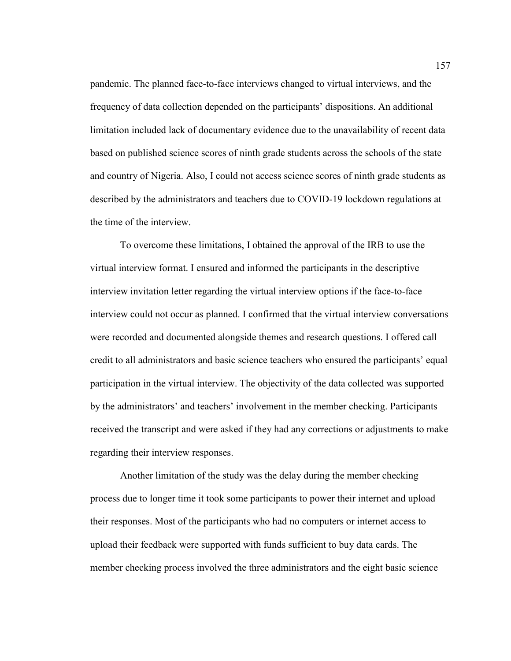pandemic. The planned face-to-face interviews changed to virtual interviews, and the frequency of data collection depended on the participants' dispositions. An additional limitation included lack of documentary evidence due to the unavailability of recent data based on published science scores of ninth grade students across the schools of the state and country of Nigeria. Also, I could not access science scores of ninth grade students as described by the administrators and teachers due to COVID-19 lockdown regulations at the time of the interview.

To overcome these limitations, I obtained the approval of the IRB to use the virtual interview format. I ensured and informed the participants in the descriptive interview invitation letter regarding the virtual interview options if the face-to-face interview could not occur as planned. I confirmed that the virtual interview conversations were recorded and documented alongside themes and research questions. I offered call credit to all administrators and basic science teachers who ensured the participants' equal participation in the virtual interview. The objectivity of the data collected was supported by the administrators' and teachers' involvement in the member checking. Participants received the transcript and were asked if they had any corrections or adjustments to make regarding their interview responses.

Another limitation of the study was the delay during the member checking process due to longer time it took some participants to power their internet and upload their responses. Most of the participants who had no computers or internet access to upload their feedback were supported with funds sufficient to buy data cards. The member checking process involved the three administrators and the eight basic science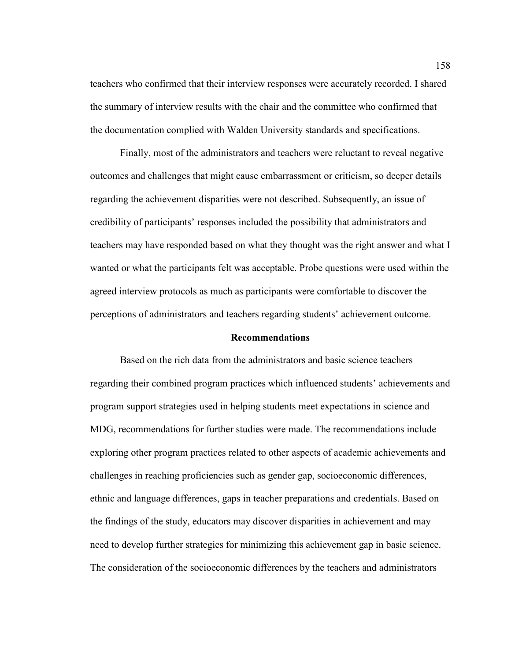teachers who confirmed that their interview responses were accurately recorded. I shared the summary of interview results with the chair and the committee who confirmed that the documentation complied with Walden University standards and specifications.

Finally, most of the administrators and teachers were reluctant to reveal negative outcomes and challenges that might cause embarrassment or criticism, so deeper details regarding the achievement disparities were not described. Subsequently, an issue of credibility of participants' responses included the possibility that administrators and teachers may have responded based on what they thought was the right answer and what I wanted or what the participants felt was acceptable. Probe questions were used within the agreed interview protocols as much as participants were comfortable to discover the perceptions of administrators and teachers regarding students' achievement outcome.

#### **Recommendations**

Based on the rich data from the administrators and basic science teachers regarding their combined program practices which influenced students' achievements and program support strategies used in helping students meet expectations in science and MDG, recommendations for further studies were made. The recommendations include exploring other program practices related to other aspects of academic achievements and challenges in reaching proficiencies such as gender gap, socioeconomic differences, ethnic and language differences, gaps in teacher preparations and credentials. Based on the findings of the study, educators may discover disparities in achievement and may need to develop further strategies for minimizing this achievement gap in basic science. The consideration of the socioeconomic differences by the teachers and administrators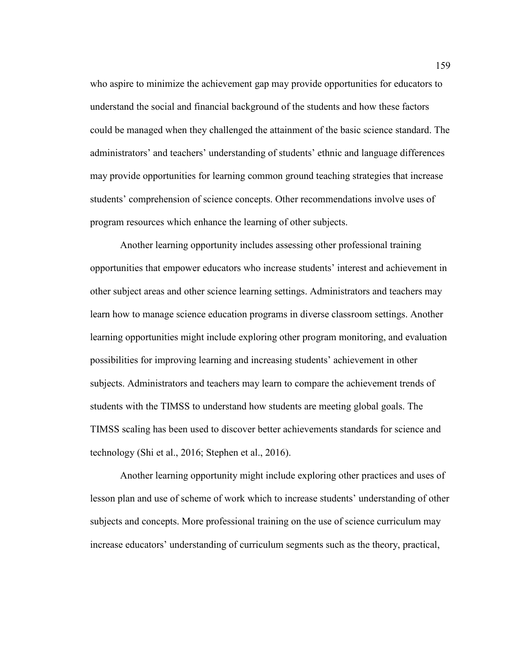who aspire to minimize the achievement gap may provide opportunities for educators to understand the social and financial background of the students and how these factors could be managed when they challenged the attainment of the basic science standard. The administrators' and teachers' understanding of students' ethnic and language differences may provide opportunities for learning common ground teaching strategies that increase students' comprehension of science concepts. Other recommendations involve uses of program resources which enhance the learning of other subjects.

Another learning opportunity includes assessing other professional training opportunities that empower educators who increase students' interest and achievement in other subject areas and other science learning settings. Administrators and teachers may learn how to manage science education programs in diverse classroom settings. Another learning opportunities might include exploring other program monitoring, and evaluation possibilities for improving learning and increasing students' achievement in other subjects. Administrators and teachers may learn to compare the achievement trends of students with the TIMSS to understand how students are meeting global goals. The TIMSS scaling has been used to discover better achievements standards for science and technology (Shi et al., 2016; Stephen et al., 2016).

Another learning opportunity might include exploring other practices and uses of lesson plan and use of scheme of work which to increase students' understanding of other subjects and concepts. More professional training on the use of science curriculum may increase educators' understanding of curriculum segments such as the theory, practical,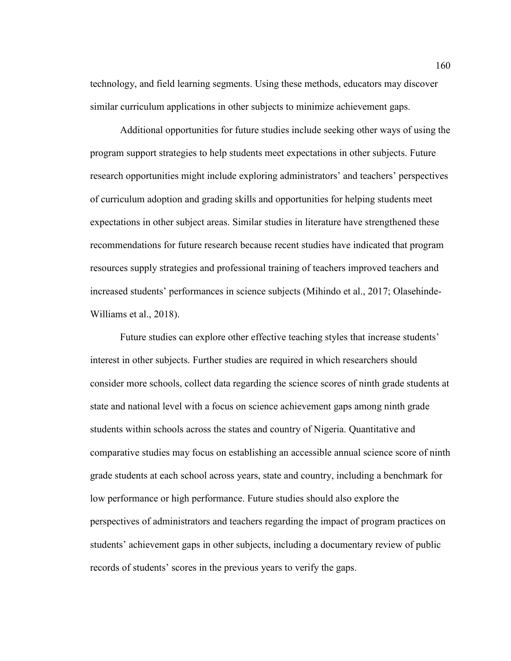technology, and field learning segments. Using these methods, educators may discover similar curriculum applications in other subjects to minimize achievement gaps.

Additional opportunities for future studies include seeking other ways of using the program support strategies to help students meet expectations in other subjects. Future research opportunities might include exploring administrators' and teachers' perspectives of curriculum adoption and grading skills and opportunities for helping students meet expectations in other subject areas. Similar studies in literature have strengthened these recommendations for future research because recent studies have indicated that program resources supply strategies and professional training of teachers improved teachers and increased students' performances in science subjects (Mihindo et al., 2017; Olasehinde-Williams et al., 2018).

Future studies can explore other effective teaching styles that increase students' interest in other subjects. Further studies are required in which researchers should consider more schools, collect data regarding the science scores of ninth grade students at state and national level with a focus on science achievement gaps among ninth grade students within schools across the states and country of Nigeria. Quantitative and comparative studies may focus on establishing an accessible annual science score of ninth grade students at each school across years, state and country, including a benchmark for low performance or high performance. Future studies should also explore the perspectives of administrators and teachers regarding the impact of program practices on students' achievement gaps in other subjects, including a documentary review of public records of students' scores in the previous years to verify the gaps.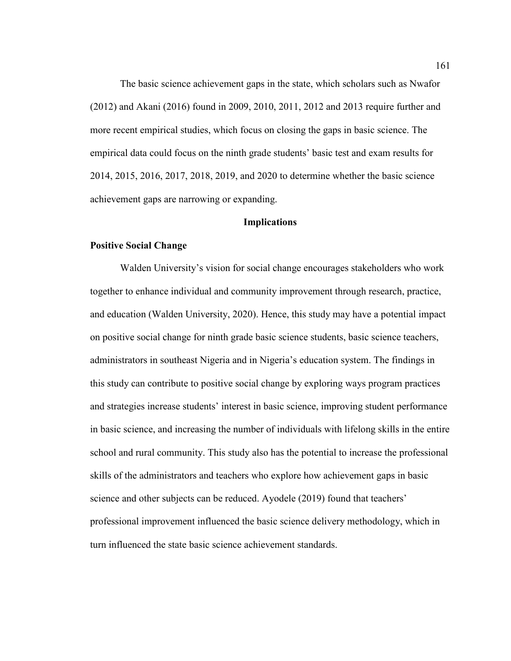The basic science achievement gaps in the state, which scholars such as Nwafor (2012) and Akani (2016) found in 2009, 2010, 2011, 2012 and 2013 require further and more recent empirical studies, which focus on closing the gaps in basic science. The empirical data could focus on the ninth grade students' basic test and exam results for 2014, 2015, 2016, 2017, 2018, 2019, and 2020 to determine whether the basic science achievement gaps are narrowing or expanding.

## **Implications**

## **Positive Social Change**

Walden University's vision for social change encourages stakeholders who work together to enhance individual and community improvement through research, practice, and education (Walden University, 2020). Hence, this study may have a potential impact on positive social change for ninth grade basic science students, basic science teachers, administrators in southeast Nigeria and in Nigeria's education system. The findings in this study can contribute to positive social change by exploring ways program practices and strategies increase students' interest in basic science, improving student performance in basic science, and increasing the number of individuals with lifelong skills in the entire school and rural community. This study also has the potential to increase the professional skills of the administrators and teachers who explore how achievement gaps in basic science and other subjects can be reduced. Ayodele (2019) found that teachers' professional improvement influenced the basic science delivery methodology, which in turn influenced the state basic science achievement standards.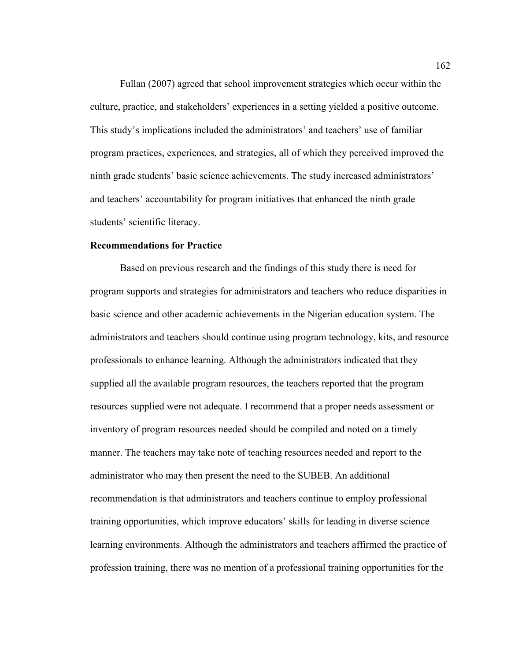Fullan (2007) agreed that school improvement strategies which occur within the culture, practice, and stakeholders' experiences in a setting yielded a positive outcome. This study's implications included the administrators' and teachers' use of familiar program practices, experiences, and strategies, all of which they perceived improved the ninth grade students' basic science achievements. The study increased administrators' and teachers' accountability for program initiatives that enhanced the ninth grade students' scientific literacy.

### **Recommendations for Practice**

Based on previous research and the findings of this study there is need for program supports and strategies for administrators and teachers who reduce disparities in basic science and other academic achievements in the Nigerian education system. The administrators and teachers should continue using program technology, kits, and resource professionals to enhance learning. Although the administrators indicated that they supplied all the available program resources, the teachers reported that the program resources supplied were not adequate. I recommend that a proper needs assessment or inventory of program resources needed should be compiled and noted on a timely manner. The teachers may take note of teaching resources needed and report to the administrator who may then present the need to the SUBEB. An additional recommendation is that administrators and teachers continue to employ professional training opportunities, which improve educators' skills for leading in diverse science learning environments. Although the administrators and teachers affirmed the practice of profession training, there was no mention of a professional training opportunities for the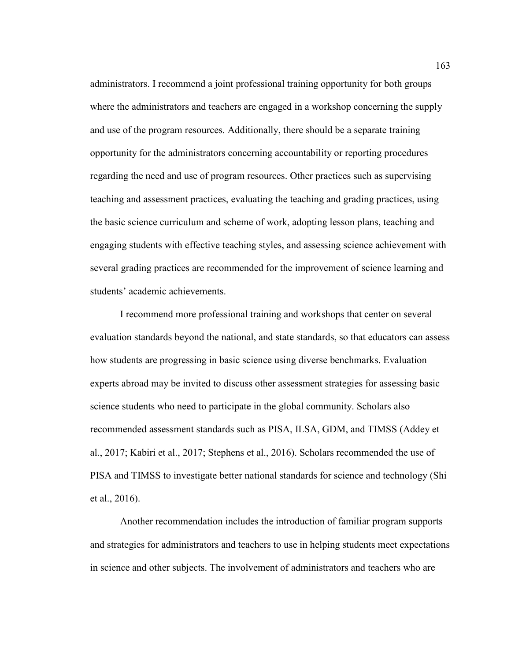administrators. I recommend a joint professional training opportunity for both groups where the administrators and teachers are engaged in a workshop concerning the supply and use of the program resources. Additionally, there should be a separate training opportunity for the administrators concerning accountability or reporting procedures regarding the need and use of program resources. Other practices such as supervising teaching and assessment practices, evaluating the teaching and grading practices, using the basic science curriculum and scheme of work, adopting lesson plans, teaching and engaging students with effective teaching styles, and assessing science achievement with several grading practices are recommended for the improvement of science learning and students' academic achievements.

I recommend more professional training and workshops that center on several evaluation standards beyond the national, and state standards, so that educators can assess how students are progressing in basic science using diverse benchmarks. Evaluation experts abroad may be invited to discuss other assessment strategies for assessing basic science students who need to participate in the global community. Scholars also recommended assessment standards such as PISA, ILSA, GDM, and TIMSS (Addey et al., 2017; Kabiri et al., 2017; Stephens et al., 2016). Scholars recommended the use of PISA and TIMSS to investigate better national standards for science and technology (Shi et al., 2016).

Another recommendation includes the introduction of familiar program supports and strategies for administrators and teachers to use in helping students meet expectations in science and other subjects. The involvement of administrators and teachers who are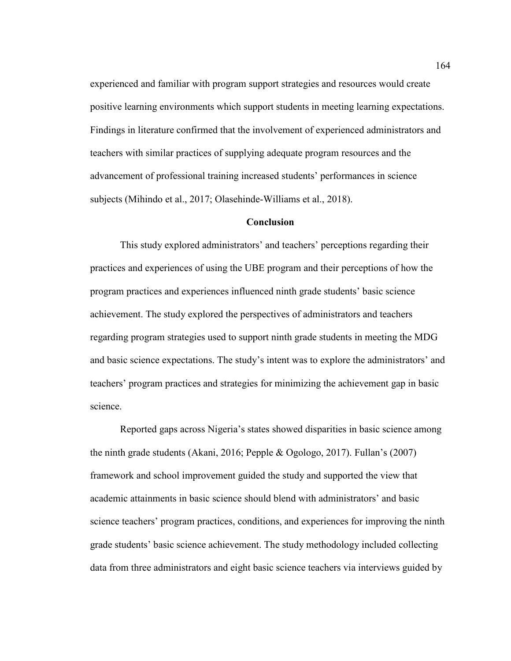experienced and familiar with program support strategies and resources would create positive learning environments which support students in meeting learning expectations. Findings in literature confirmed that the involvement of experienced administrators and teachers with similar practices of supplying adequate program resources and the advancement of professional training increased students' performances in science subjects (Mihindo et al., 2017; Olasehinde-Williams et al., 2018).

# **Conclusion**

This study explored administrators' and teachers' perceptions regarding their practices and experiences of using the UBE program and their perceptions of how the program practices and experiences influenced ninth grade students' basic science achievement. The study explored the perspectives of administrators and teachers regarding program strategies used to support ninth grade students in meeting the MDG and basic science expectations. The study's intent was to explore the administrators' and teachers' program practices and strategies for minimizing the achievement gap in basic science.

Reported gaps across Nigeria's states showed disparities in basic science among the ninth grade students (Akani, 2016; Pepple & Ogologo, 2017). Fullan's (2007) framework and school improvement guided the study and supported the view that academic attainments in basic science should blend with administrators' and basic science teachers' program practices, conditions, and experiences for improving the ninth grade students' basic science achievement. The study methodology included collecting data from three administrators and eight basic science teachers via interviews guided by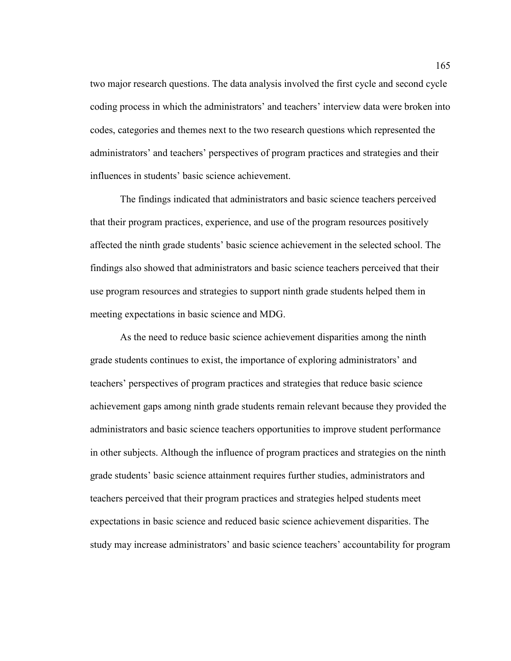two major research questions. The data analysis involved the first cycle and second cycle coding process in which the administrators' and teachers' interview data were broken into codes, categories and themes next to the two research questions which represented the administrators' and teachers' perspectives of program practices and strategies and their influences in students' basic science achievement.

The findings indicated that administrators and basic science teachers perceived that their program practices, experience, and use of the program resources positively affected the ninth grade students' basic science achievement in the selected school. The findings also showed that administrators and basic science teachers perceived that their use program resources and strategies to support ninth grade students helped them in meeting expectations in basic science and MDG.

As the need to reduce basic science achievement disparities among the ninth grade students continues to exist, the importance of exploring administrators' and teachers' perspectives of program practices and strategies that reduce basic science achievement gaps among ninth grade students remain relevant because they provided the administrators and basic science teachers opportunities to improve student performance in other subjects. Although the influence of program practices and strategies on the ninth grade students' basic science attainment requires further studies, administrators and teachers perceived that their program practices and strategies helped students meet expectations in basic science and reduced basic science achievement disparities. The study may increase administrators' and basic science teachers' accountability for program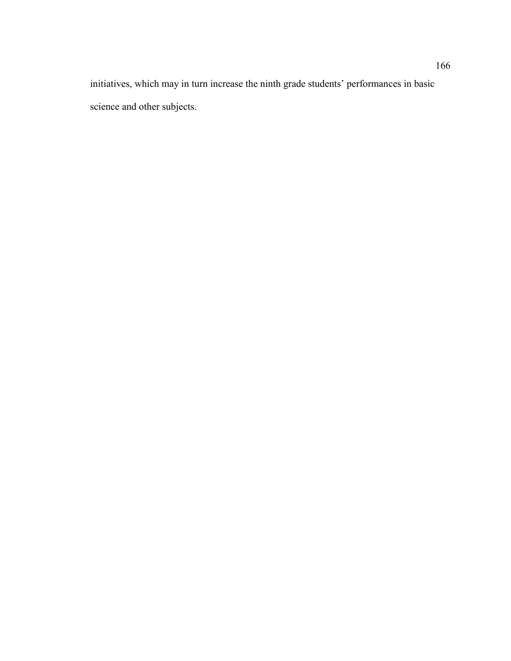initiatives, which may in turn increase the ninth grade students' performances in basic science and other subjects.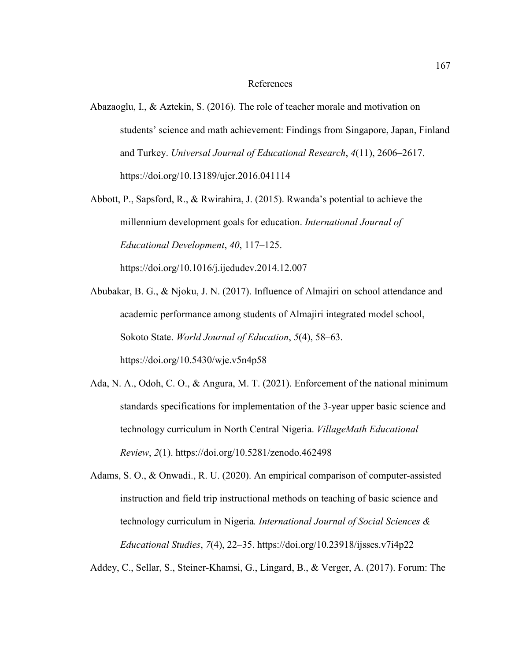## References

- Abazaoglu, I., & Aztekin, S. (2016). The role of teacher morale and motivation on students' science and math achievement: Findings from Singapore, Japan, Finland and Turkey. *Universal Journal of Educational Research*, *4*(11), 2606–2617. https://doi.org/10.13189/ujer.2016.041114
- Abbott, P., Sapsford, R., & Rwirahira, J. (2015). Rwanda's potential to achieve the millennium development goals for education. *International Journal of Educational Development*, *40*, 117–125.

https://doi.org/10.1016/j.ijedudev.2014.12.007

- Abubakar, B. G., & Njoku, J. N. (2017). Influence of Almajiri on school attendance and academic performance among students of Almajiri integrated model school, Sokoto State. *World Journal of Education*, *5*(4), 58–63. https://doi.org/10.5430/wje.v5n4p58
- Ada, N. A., Odoh, C. O., & Angura, M. T. (2021). Enforcement of the national minimum standards specifications for implementation of the 3-year upper basic science and technology curriculum in North Central Nigeria. *VillageMath Educational Review*, *2*(1). https://doi.org/10.5281/zenodo.462498

Adams, S. O., & Onwadi., R. U. (2020). An empirical comparison of computer-assisted instruction and field trip instructional methods on teaching of basic science and technology curriculum in Nigeria*. International Journal of Social Sciences & Educational Studies*, *7*(4), 22–35. https://doi.org/10.23918/ijsses.v7i4p22

Addey, C., Sellar, S., Steiner-Khamsi, G., Lingard, B., & Verger, A. (2017). Forum: The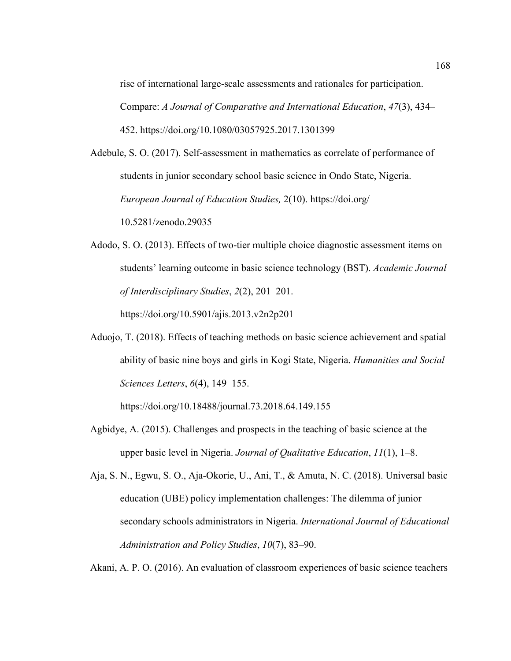rise of international large-scale assessments and rationales for participation. Compare: *A Journal of Comparative and International Education*, *47*(3), 434– 452. https://doi.org/10.1080/03057925.2017.1301399

Adebule, S. O. (2017). Self-assessment in mathematics as correlate of performance of students in junior secondary school basic science in Ondo State, Nigeria. *European Journal of Education Studies,* 2(10). https://doi.org/ 10.5281/zenodo.29035

Adodo, S. O. (2013). Effects of two-tier multiple choice diagnostic assessment items on students' learning outcome in basic science technology (BST). *Academic Journal of Interdisciplinary Studies*, *2*(2), 201–201.

https://doi.org/10.5901/ajis.2013.v2n2p201

Aduojo, T. (2018). Effects of teaching methods on basic science achievement and spatial ability of basic nine boys and girls in Kogi State, Nigeria. *Humanities and Social Sciences Letters*, *6*(4), 149–155.

https://doi.org/10.18488/journal.73.2018.64.149.155

- Agbidye, A. (2015). Challenges and prospects in the teaching of basic science at the upper basic level in Nigeria. *Journal of Qualitative Education*, *11*(1), 1–8.
- Aja, S. N., Egwu, S. O., Aja-Okorie, U., Ani, T., & Amuta, N. C. (2018). Universal basic education (UBE) policy implementation challenges: The dilemma of junior secondary schools administrators in Nigeria. *International Journal of Educational Administration and Policy Studies*, *10*(7), 83–90.

Akani, A. P. O. (2016). An evaluation of classroom experiences of basic science teachers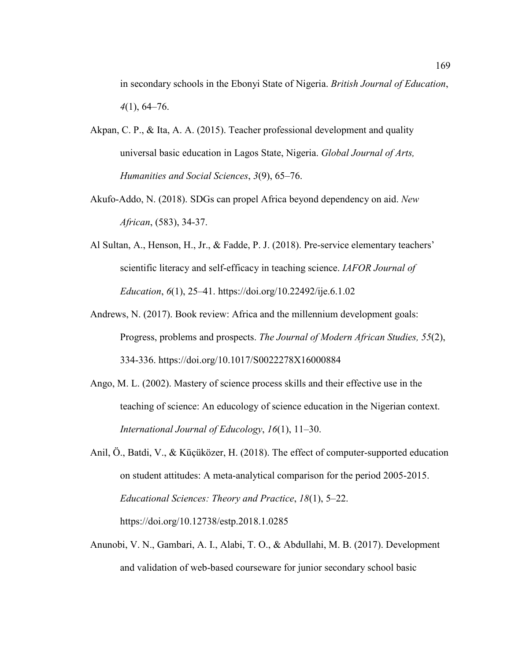in secondary schools in the Ebonyi State of Nigeria. *British Journal of Education*, *4*(1), 64–76.

- Akpan, C. P., & Ita, A. A. (2015). Teacher professional development and quality universal basic education in Lagos State, Nigeria. *Global Journal of Arts, Humanities and Social Sciences*, *3*(9), 65–76.
- Akufo-Addo, N. (2018). SDGs can propel Africa beyond dependency on aid. *New African*, (583), 34-37.
- Al Sultan, A., Henson, H., Jr., & Fadde, P. J. (2018). Pre-service elementary teachers' scientific literacy and self-efficacy in teaching science. *IAFOR Journal of Education*, *6*(1), 25–41. https://doi.org/10.22492/ije.6.1.02
- Andrews, N. (2017). Book review: Africa and the millennium development goals: Progress, problems and prospects. *The Journal of Modern African Studies, 55*(2), 334-336. https://doi.org/10.1017/S0022278X16000884
- Ango, M. L. (2002). Mastery of science process skills and their effective use in the teaching of science: An educology of science education in the Nigerian context. *International Journal of Educology*, *16*(1), 11–30.
- Anil, Ö., Batdi, V., & Küçüközer, H. (2018). The effect of computer-supported education on student attitudes: A meta-analytical comparison for the period 2005-2015. *Educational Sciences: Theory and Practice*, *18*(1), 5–22. https://doi.org/10.12738/estp.2018.1.0285
- Anunobi, V. N., Gambari, A. I., Alabi, T. O., & Abdullahi, M. B. (2017). Development and validation of web-based courseware for junior secondary school basic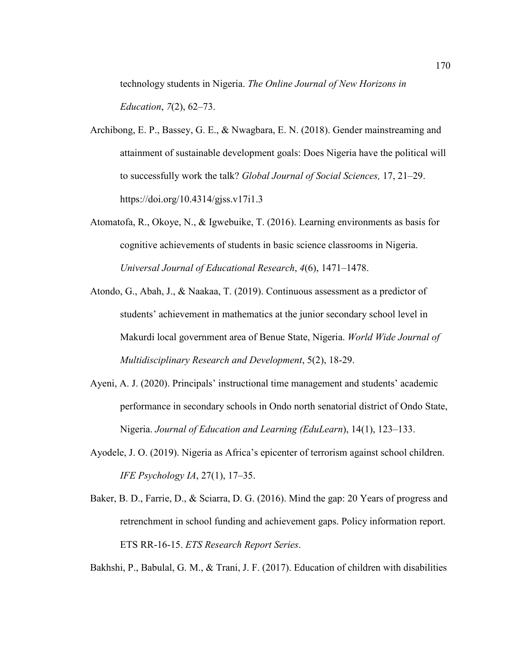technology students in Nigeria. *The Online Journal of New Horizons in Education*, *7*(2), 62–73.

- Archibong, E. P., Bassey, G. E., & Nwagbara, E. N. (2018). Gender mainstreaming and attainment of sustainable development goals: Does Nigeria have the political will to successfully work the talk? *Global Journal of Social Sciences,* 17, 21–29. https://doi.org/10.4314/gjss.v17i1.3
- Atomatofa, R., Okoye, N., & Igwebuike, T. (2016). Learning environments as basis for cognitive achievements of students in basic science classrooms in Nigeria. *Universal Journal of Educational Research*, *4*(6), 1471–1478.
- Atondo, G., Abah, J., & Naakaa, T. (2019). Continuous assessment as a predictor of students' achievement in mathematics at the junior secondary school level in Makurdi local government area of Benue State, Nigeria. *World Wide Journal of Multidisciplinary Research and Development*, 5(2), 18-29.
- Ayeni, A. J. (2020). Principals' instructional time management and students' academic performance in secondary schools in Ondo north senatorial district of Ondo State, Nigeria. *Journal of Education and Learning (EduLearn*), 14(1), 123–133.
- Ayodele, J. O. (2019). Nigeria as Africa's epicenter of terrorism against school children. *IFE Psychology IA*, 27(1), 17–35.
- Baker, B. D., Farrie, D., & Sciarra, D. G. (2016). Mind the gap: 20 Years of progress and retrenchment in school funding and achievement gaps. Policy information report. ETS RR-16-15. *ETS Research Report Series*.

Bakhshi, P., Babulal, G. M., & Trani, J. F. (2017). Education of children with disabilities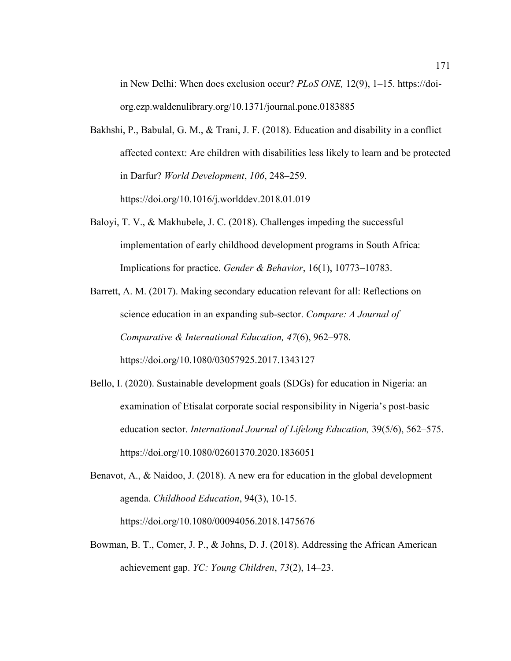in New Delhi: When does exclusion occur? *PLoS ONE,* 12(9), 1–15. https://doiorg.ezp.waldenulibrary.org/10.1371/journal.pone.0183885

- Bakhshi, P., Babulal, G. M., & Trani, J. F. (2018). Education and disability in a conflict affected context: Are children with disabilities less likely to learn and be protected in Darfur? *World Development*, *106*, 248–259. https://doi.org/10.1016/j.worlddev.2018.01.019
- Baloyi, T. V., & Makhubele, J. C. (2018). Challenges impeding the successful implementation of early childhood development programs in South Africa: Implications for practice. *Gender & Behavior*, 16(1), 10773–10783.

Barrett, A. M. (2017). Making secondary education relevant for all: Reflections on science education in an expanding sub-sector. *Compare: A Journal of Comparative & International Education, 47*(6), 962–978. https://doi.org/10.1080/03057925.2017.1343127

Bello, I. (2020). Sustainable development goals (SDGs) for education in Nigeria: an examination of Etisalat corporate social responsibility in Nigeria's post-basic education sector. *International Journal of Lifelong Education,* 39(5/6), 562–575. https://doi.org/10.1080/02601370.2020.1836051

Benavot, A., & Naidoo, J. (2018). A new era for education in the global development agenda. *Childhood Education*, 94(3), 10-15. https://doi.org/10.1080/00094056.2018.1475676

Bowman, B. T., Comer, J. P., & Johns, D. J. (2018). Addressing the African American achievement gap. *YC: Young Children*, *73*(2), 14–23.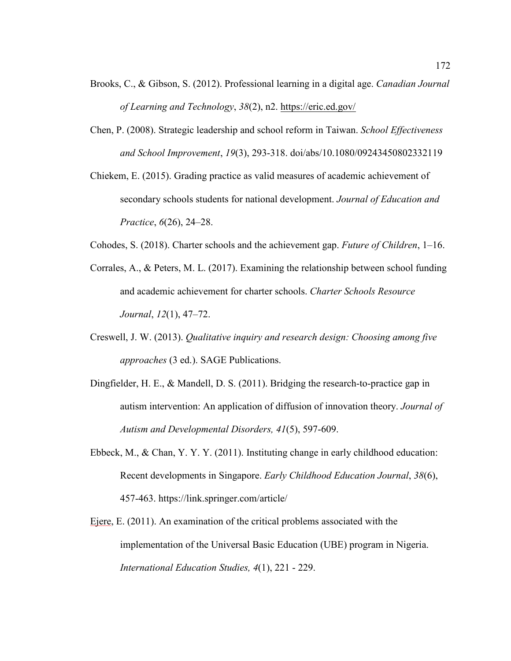- Brooks, C., & Gibson, S. (2012). Professional learning in a digital age. *Canadian Journal of Learning and Technology*, *38*(2), n2. https://eric.ed.gov/
- Chen, P. (2008). Strategic leadership and school reform in Taiwan. *School Effectiveness and School Improvement*, *19*(3), 293-318. doi/abs/10.1080/09243450802332119
- Chiekem, E. (2015). Grading practice as valid measures of academic achievement of secondary schools students for national development. *Journal of Education and Practice*, *6*(26), 24–28.
- Cohodes, S. (2018). Charter schools and the achievement gap. *Future of Children*, 1–16.
- Corrales, A., & Peters, M. L. (2017). Examining the relationship between school funding and academic achievement for charter schools. *Charter Schools Resource Journal*, *12*(1), 47–72.
- Creswell, J. W. (2013). *Qualitative inquiry and research design: Choosing among five approaches* (3 ed.). SAGE Publications.
- Dingfielder, H. E., & Mandell, D. S. (2011). Bridging the research-to-practice gap in autism intervention: An application of diffusion of innovation theory. *Journal of Autism and Developmental Disorders, 41*(5), 597-609.
- Ebbeck, M., & Chan, Y. Y. Y. (2011). Instituting change in early childhood education: Recent developments in Singapore. *Early Childhood Education Journal*, *38*(6), 457-463. https://link.springer.com/article/
- Ejere, E. (2011). An examination of the critical problems associated with the implementation of the Universal Basic Education (UBE) program in Nigeria. *International Education Studies, 4*(1), 221 - 229.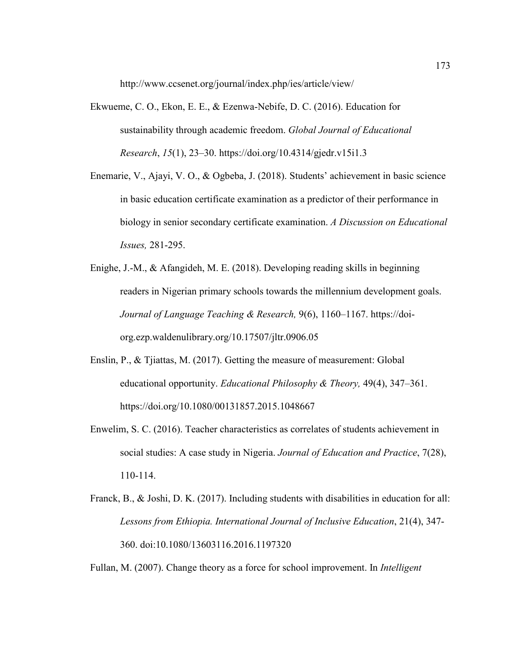http://www.ccsenet.org/journal/index.php/ies/article/view/

- Ekwueme, C. O., Ekon, E. E., & Ezenwa-Nebife, D. C. (2016). Education for sustainability through academic freedom. *Global Journal of Educational Research*, *15*(1), 23–30. https://doi.org/10.4314/gjedr.v15i1.3
- Enemarie, V., Ajayi, V. O., & Ogbeba, J. (2018). Students' achievement in basic science in basic education certificate examination as a predictor of their performance in biology in senior secondary certificate examination. *A Discussion on Educational Issues,* 281-295.
- Enighe, J.-M., & Afangideh, M. E. (2018). Developing reading skills in beginning readers in Nigerian primary schools towards the millennium development goals. *Journal of Language Teaching & Research,* 9(6), 1160–1167. https://doiorg.ezp.waldenulibrary.org/10.17507/jltr.0906.05
- Enslin, P., & Tjiattas, M. (2017). Getting the measure of measurement: Global educational opportunity. *Educational Philosophy & Theory,* 49(4), 347–361. https://doi.org/10.1080/00131857.2015.1048667
- Enwelim, S. C. (2016). Teacher characteristics as correlates of students achievement in social studies: A case study in Nigeria. *Journal of Education and Practice*, 7(28), 110-114.
- Franck, B., & Joshi, D. K. (2017). Including students with disabilities in education for all: *Lessons from Ethiopia. International Journal of Inclusive Education*, 21(4), 347- 360. doi:10.1080/13603116.2016.1197320

Fullan, M. (2007). Change theory as a force for school improvement. In *Intelligent*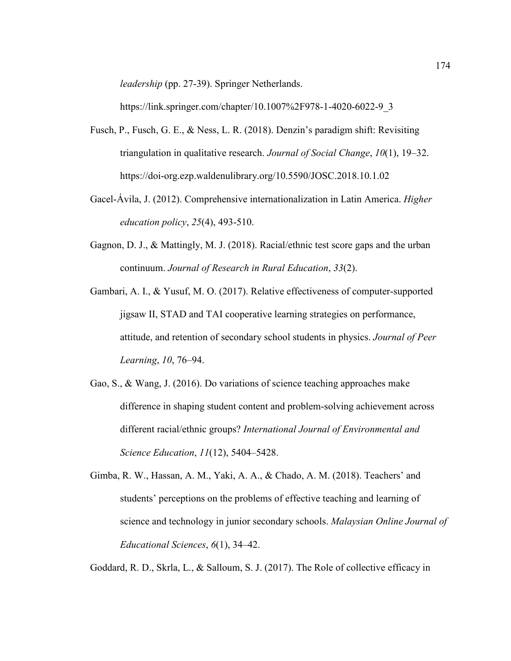*leadership* (pp. 27-39). Springer Netherlands.

https://link.springer.com/chapter/10.1007%2F978-1-4020-6022-9\_3

- Fusch, P., Fusch, G. E., & Ness, L. R. (2018). Denzin's paradigm shift: Revisiting triangulation in qualitative research. *Journal of Social Change*, *10*(1), 19–32. https://doi-org.ezp.waldenulibrary.org/10.5590/JOSC.2018.10.1.02
- Gacel-Ávila, J. (2012). Comprehensive internationalization in Latin America. *Higher education policy*, *25*(4), 493-510.
- Gagnon, D. J., & Mattingly, M. J. (2018). Racial/ethnic test score gaps and the urban continuum. *Journal of Research in Rural Education*, *33*(2).
- Gambari, A. I., & Yusuf, M. O. (2017). Relative effectiveness of computer-supported jigsaw II, STAD and TAI cooperative learning strategies on performance, attitude, and retention of secondary school students in physics. *Journal of Peer Learning*, *10*, 76–94.
- Gao, S., & Wang, J. (2016). Do variations of science teaching approaches make difference in shaping student content and problem-solving achievement across different racial/ethnic groups? *International Journal of Environmental and Science Education*, *11*(12), 5404–5428.
- Gimba, R. W., Hassan, A. M., Yaki, A. A., & Chado, A. M. (2018). Teachers' and students' perceptions on the problems of effective teaching and learning of science and technology in junior secondary schools. *Malaysian Online Journal of Educational Sciences*, *6*(1), 34–42.

Goddard, R. D., Skrla, L., & Salloum, S. J. (2017). The Role of collective efficacy in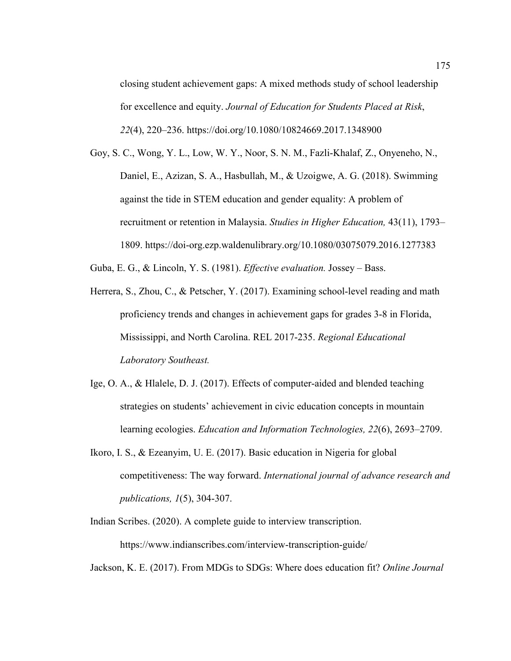closing student achievement gaps: A mixed methods study of school leadership for excellence and equity. *Journal of Education for Students Placed at Risk*, *22*(4), 220–236. https://doi.org/10.1080/10824669.2017.1348900

Goy, S. C., Wong, Y. L., Low, W. Y., Noor, S. N. M., Fazli-Khalaf, Z., Onyeneho, N., Daniel, E., Azizan, S. A., Hasbullah, M., & Uzoigwe, A. G. (2018). Swimming against the tide in STEM education and gender equality: A problem of recruitment or retention in Malaysia. *Studies in Higher Education,* 43(11), 1793– 1809. https://doi-org.ezp.waldenulibrary.org/10.1080/03075079.2016.1277383

Guba, E. G., & Lincoln, Y. S. (1981). *Effective evaluation.* Jossey – Bass.

- Herrera, S., Zhou, C., & Petscher, Y. (2017). Examining school-level reading and math proficiency trends and changes in achievement gaps for grades 3-8 in Florida, Mississippi, and North Carolina. REL 2017-235. *Regional Educational Laboratory Southeast.*
- Ige, O. A., & Hlalele, D. J. (2017). Effects of computer-aided and blended teaching strategies on students' achievement in civic education concepts in mountain learning ecologies. *Education and Information Technologies, 22*(6), 2693–2709.
- Ikoro, I. S., & Ezeanyim, U. E. (2017). Basic education in Nigeria for global competitiveness: The way forward. *International journal of advance research and publications, 1*(5), 304-307.

Indian Scribes. (2020). A complete guide to interview transcription. https://www.indianscribes.com/interview-transcription-guide/

Jackson, K. E. (2017). From MDGs to SDGs: Where does education fit? *Online Journal*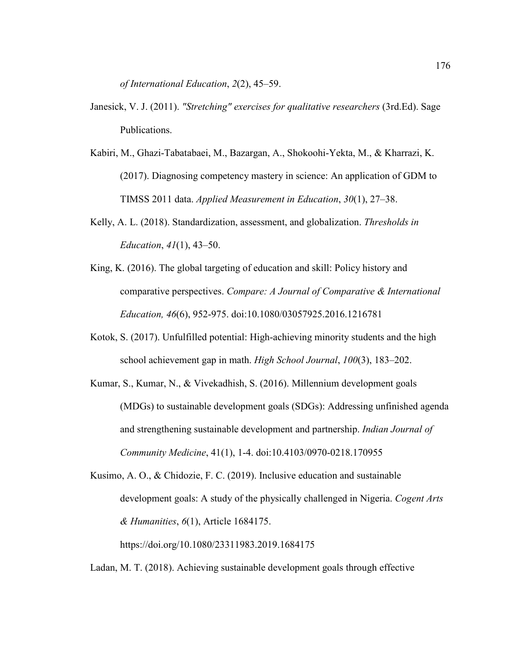*of International Education*, *2*(2), 45–59.

- Janesick, V. J. (2011). *"Stretching" exercises for qualitative researchers* (3rd.Ed). Sage Publications.
- Kabiri, M., Ghazi-Tabatabaei, M., Bazargan, A., Shokoohi-Yekta, M., & Kharrazi, K. (2017). Diagnosing competency mastery in science: An application of GDM to TIMSS 2011 data. *Applied Measurement in Education*, *30*(1), 27–38.
- Kelly, A. L. (2018). Standardization, assessment, and globalization. *Thresholds in Education*, *41*(1), 43–50.
- King, K. (2016). The global targeting of education and skill: Policy history and comparative perspectives. *Compare: A Journal of Comparative & International Education, 46*(6), 952-975. doi:10.1080/03057925.2016.1216781
- Kotok, S. (2017). Unfulfilled potential: High-achieving minority students and the high school achievement gap in math. *High School Journal*, *100*(3), 183–202.
- Kumar, S., Kumar, N., & Vivekadhish, S. (2016). Millennium development goals (MDGs) to sustainable development goals (SDGs): Addressing unfinished agenda and strengthening sustainable development and partnership. *Indian Journal of Community Medicine*, 41(1), 1-4. doi:10.4103/0970-0218.170955
- Kusimo, A. O., & Chidozie, F. C. (2019). Inclusive education and sustainable development goals: A study of the physically challenged in Nigeria. *Cogent Arts & Humanities*, *6*(1), Article 1684175. https://doi.org/10.1080/23311983.2019.1684175
- Ladan, M. T. (2018). Achieving sustainable development goals through effective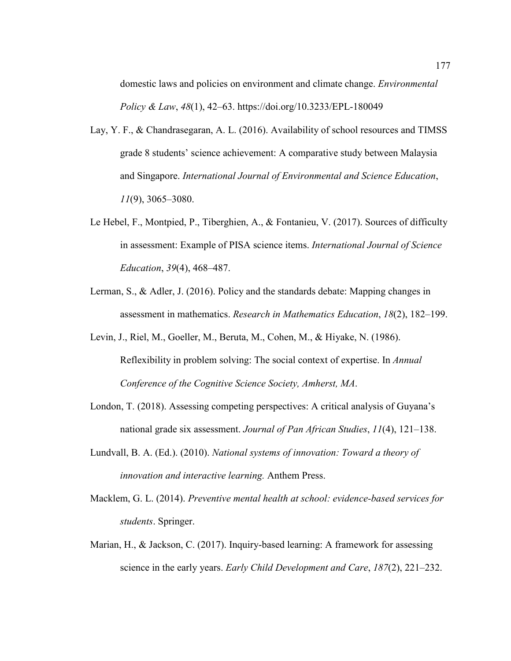domestic laws and policies on environment and climate change. *Environmental Policy & Law*, *48*(1), 42–63. https://doi.org/10.3233/EPL-180049

- Lay, Y. F., & Chandrasegaran, A. L. (2016). Availability of school resources and TIMSS grade 8 students' science achievement: A comparative study between Malaysia and Singapore. *International Journal of Environmental and Science Education*, *11*(9), 3065–3080.
- Le Hebel, F., Montpied, P., Tiberghien, A., & Fontanieu, V. (2017). Sources of difficulty in assessment: Example of PISA science items. *International Journal of Science Education*, *39*(4), 468–487.
- Lerman, S., & Adler, J. (2016). Policy and the standards debate: Mapping changes in assessment in mathematics. *Research in Mathematics Education*, *18*(2), 182–199.
- Levin, J., Riel, M., Goeller, M., Beruta, M., Cohen, M., & Hiyake, N. (1986). Reflexibility in problem solving: The social context of expertise. In *Annual Conference of the Cognitive Science Society, Amherst, MA*.
- London, T. (2018). Assessing competing perspectives: A critical analysis of Guyana's national grade six assessment. *Journal of Pan African Studies*, *11*(4), 121–138.
- Lundvall, B. A. (Ed.). (2010). *National systems of innovation: Toward a theory of innovation and interactive learning.* Anthem Press.
- Macklem, G. L. (2014). *Preventive mental health at school: evidence-based services for students*. Springer.
- Marian, H., & Jackson, C. (2017). Inquiry-based learning: A framework for assessing science in the early years. *Early Child Development and Care*, *187*(2), 221–232.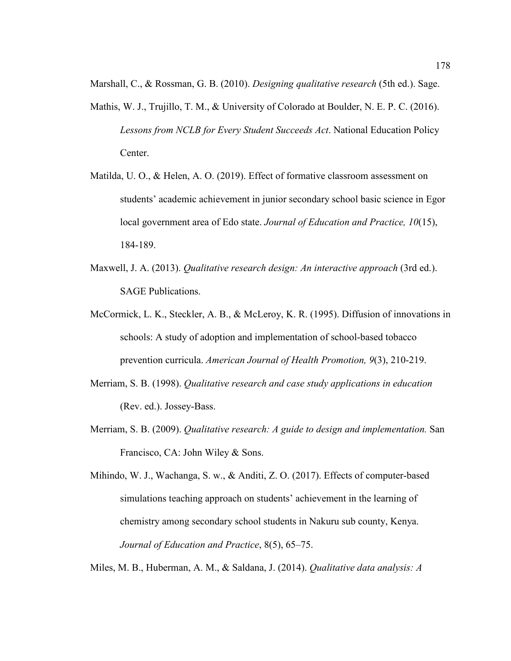Marshall, C., & Rossman, G. B. (2010). *Designing qualitative research* (5th ed.). Sage.

- Mathis, W. J., Trujillo, T. M., & University of Colorado at Boulder, N. E. P. C. (2016). *Lessons from NCLB for Every Student Succeeds Act*. National Education Policy Center.
- Matilda, U. O., & Helen, A. O. (2019). Effect of formative classroom assessment on students' academic achievement in junior secondary school basic science in Egor local government area of Edo state. *Journal of Education and Practice, 10*(15), 184-189.
- Maxwell, J. A. (2013). *Qualitative research design: An interactive approach* (3rd ed.). SAGE Publications.
- McCormick, L. K., Steckler, A. B., & McLeroy, K. R. (1995). Diffusion of innovations in schools: A study of adoption and implementation of school-based tobacco prevention curricula. *American Journal of Health Promotion, 9*(3), 210-219.
- Merriam, S. B. (1998). *Qualitative research and case study applications in education* (Rev. ed.). Jossey-Bass.
- Merriam, S. B. (2009). *Qualitative research: A guide to design and implementation.* San Francisco, CA: John Wiley & Sons.
- Mihindo, W. J., Wachanga, S. w., & Anditi, Z. O. (2017). Effects of computer-based simulations teaching approach on students' achievement in the learning of chemistry among secondary school students in Nakuru sub county, Kenya. *Journal of Education and Practice*, 8(5), 65–75.

Miles, M. B., Huberman, A. M., & Saldana, J. (2014). *Qualitative data analysis: A*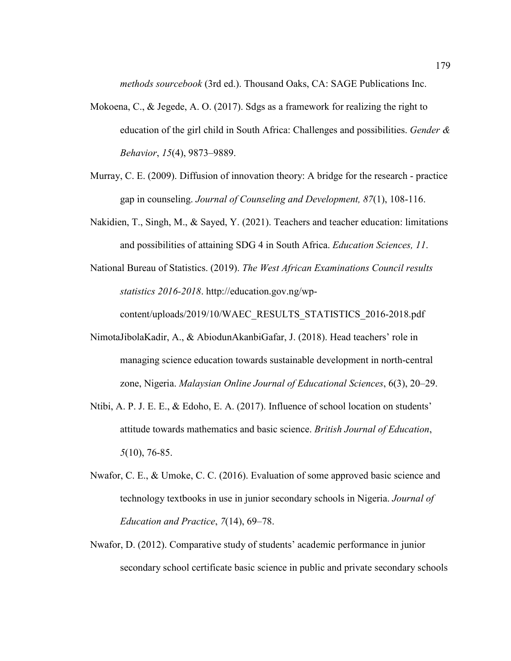*methods sourcebook* (3rd ed.). Thousand Oaks, CA: SAGE Publications Inc.

- Mokoena, C.,  $\&$  Jegede, A. O. (2017). Sdgs as a framework for realizing the right to education of the girl child in South Africa: Challenges and possibilities. *Gender & Behavior*, *15*(4), 9873–9889.
- Murray, C. E. (2009). Diffusion of innovation theory: A bridge for the research practice gap in counseling. *Journal of Counseling and Development, 87*(1), 108-116.
- Nakidien, T., Singh, M., & Sayed, Y. (2021). Teachers and teacher education: limitations and possibilities of attaining SDG 4 in South Africa. *Education Sciences, 11*.
- National Bureau of Statistics. (2019). *The West African Examinations Council results statistics 2016-2018*. http://education.gov.ng/wp-

content/uploads/2019/10/WAEC\_RESULTS\_STATISTICS\_2016-2018.pdf

- NimotaJibolaKadir, A., & AbiodunAkanbiGafar, J. (2018). Head teachers' role in managing science education towards sustainable development in north-central zone, Nigeria. *Malaysian Online Journal of Educational Sciences*, 6(3), 20–29.
- Ntibi, A. P. J. E. E., & Edoho, E. A. (2017). Influence of school location on students' attitude towards mathematics and basic science. *British Journal of Education*, *5*(10), 76-85.
- Nwafor, C. E., & Umoke, C. C. (2016). Evaluation of some approved basic science and technology textbooks in use in junior secondary schools in Nigeria. *Journal of Education and Practice*, *7*(14), 69–78.
- Nwafor, D. (2012). Comparative study of students' academic performance in junior secondary school certificate basic science in public and private secondary schools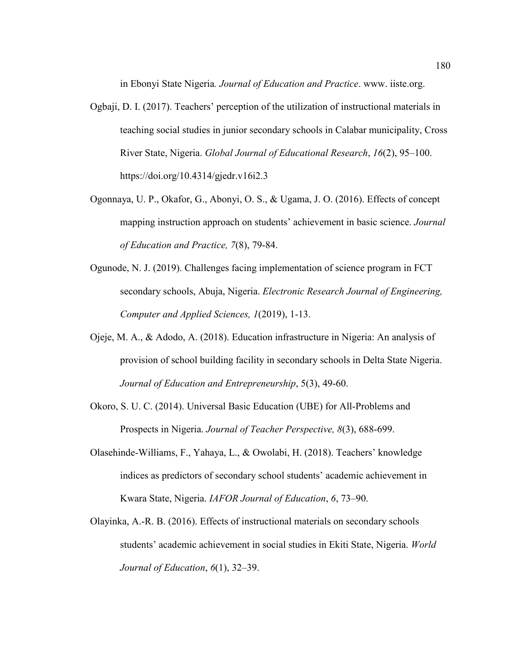in Ebonyi State Nigeria*. Journal of Education and Practice*. www. iiste.org.

- Ogbaji, D. I. (2017). Teachers' perception of the utilization of instructional materials in teaching social studies in junior secondary schools in Calabar municipality, Cross River State, Nigeria. *Global Journal of Educational Research*, *16*(2), 95–100. https://doi.org/10.4314/gjedr.v16i2.3
- Ogonnaya, U. P., Okafor, G., Abonyi, O. S., & Ugama, J. O. (2016). Effects of concept mapping instruction approach on students' achievement in basic science. *Journal of Education and Practice, 7*(8), 79-84.
- Ogunode, N. J. (2019). Challenges facing implementation of science program in FCT secondary schools, Abuja, Nigeria. *Electronic Research Journal of Engineering, Computer and Applied Sciences, 1*(2019), 1-13.
- Ojeje, M. A., & Adodo, A. (2018). Education infrastructure in Nigeria: An analysis of provision of school building facility in secondary schools in Delta State Nigeria. *Journal of Education and Entrepreneurship*, 5(3), 49-60.
- Okoro, S. U. C. (2014). Universal Basic Education (UBE) for All-Problems and Prospects in Nigeria. *Journal of Teacher Perspective, 8*(3), 688-699.
- Olasehinde-Williams, F., Yahaya, L., & Owolabi, H. (2018). Teachers' knowledge indices as predictors of secondary school students' academic achievement in Kwara State, Nigeria. *IAFOR Journal of Education*, *6*, 73–90.
- Olayinka, A.-R. B. (2016). Effects of instructional materials on secondary schools students' academic achievement in social studies in Ekiti State, Nigeria. *World Journal of Education*, *6*(1), 32–39.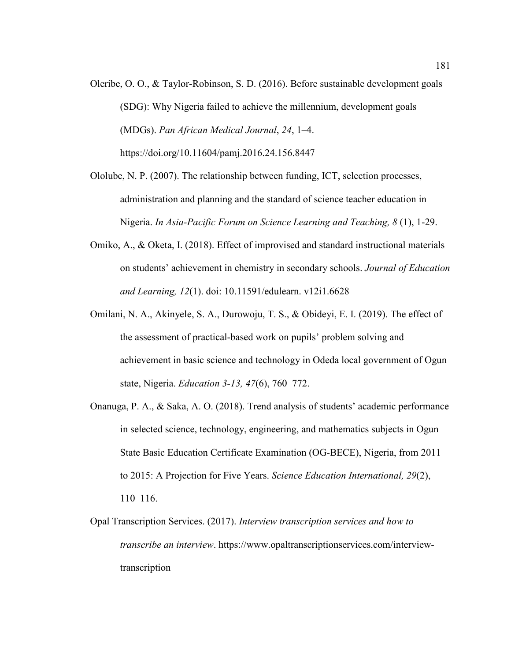Oleribe, O. O., & Taylor-Robinson, S. D. (2016). Before sustainable development goals (SDG): Why Nigeria failed to achieve the millennium, development goals (MDGs). *Pan African Medical Journal*, *24*, 1–4. https://doi.org/10.11604/pamj.2016.24.156.8447

Ololube, N. P. (2007). The relationship between funding, ICT, selection processes, administration and planning and the standard of science teacher education in Nigeria. *In Asia-Pacific Forum on Science Learning and Teaching, 8* (1), 1-29.

- Omiko, A., & Oketa, I. (2018). Effect of improvised and standard instructional materials on students' achievement in chemistry in secondary schools. *Journal of Education and Learning, 12*(1). doi: 10.11591/edulearn. v12i1.6628
- Omilani, N. A., Akinyele, S. A., Durowoju, T. S., & Obideyi, E. I. (2019). The effect of the assessment of practical-based work on pupils' problem solving and achievement in basic science and technology in Odeda local government of Ogun state, Nigeria. *Education 3-13, 47*(6), 760–772.
- Onanuga, P. A., & Saka, A. O. (2018). Trend analysis of students' academic performance in selected science, technology, engineering, and mathematics subjects in Ogun State Basic Education Certificate Examination (OG-BECE), Nigeria, from 2011 to 2015: A Projection for Five Years. *Science Education International, 29*(2), 110–116.
- Opal Transcription Services. (2017). *Interview transcription services and how to transcribe an interview*. https://www.opaltranscriptionservices.com/interviewtranscription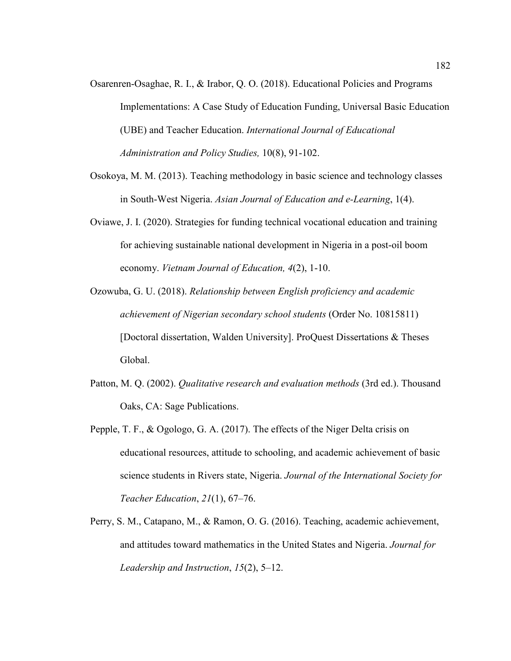- Osarenren-Osaghae, R. I., & Irabor, Q. O. (2018). Educational Policies and Programs Implementations: A Case Study of Education Funding, Universal Basic Education (UBE) and Teacher Education. *International Journal of Educational Administration and Policy Studies,* 10(8), 91-102.
- Osokoya, M. M. (2013). Teaching methodology in basic science and technology classes in South-West Nigeria. *Asian Journal of Education and e-Learning*, 1(4).
- Oviawe, J. I. (2020). Strategies for funding technical vocational education and training for achieving sustainable national development in Nigeria in a post-oil boom economy. *Vietnam Journal of Education, 4*(2), 1-10.
- Ozowuba, G. U. (2018). *Relationship between English proficiency and academic achievement of Nigerian secondary school students* (Order No. 10815811) [Doctoral dissertation, Walden University]. ProQuest Dissertations & Theses Global.
- Patton, M. Q. (2002). *Qualitative research and evaluation methods* (3rd ed.). Thousand Oaks, CA: Sage Publications.
- Pepple, T. F., & Ogologo, G. A. (2017). The effects of the Niger Delta crisis on educational resources, attitude to schooling, and academic achievement of basic science students in Rivers state, Nigeria. *Journal of the International Society for Teacher Education*, *21*(1), 67–76.
- Perry, S. M., Catapano, M., & Ramon, O. G. (2016). Teaching, academic achievement, and attitudes toward mathematics in the United States and Nigeria. *Journal for Leadership and Instruction*, *15*(2), 5–12.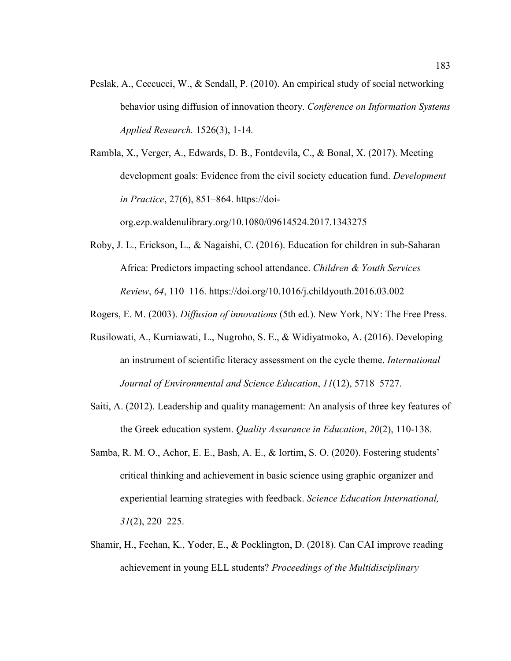Peslak, A., Ceccucci, W., & Sendall, P. (2010). An empirical study of social networking behavior using diffusion of innovation theory. *Conference on Information Systems Applied Research.* 1526(3), 1-14*.*

Rambla, X., Verger, A., Edwards, D. B., Fontdevila, C., & Bonal, X. (2017). Meeting development goals: Evidence from the civil society education fund. *Development in Practice*, 27(6), 851–864. https://doiorg.ezp.waldenulibrary.org/10.1080/09614524.2017.1343275

- Roby, J. L., Erickson, L., & Nagaishi, C. (2016). Education for children in sub-Saharan Africa: Predictors impacting school attendance. *Children & Youth Services Review*, *64*, 110–116. https://doi.org/10.1016/j.childyouth.2016.03.002
- Rogers, E. M. (2003). *Diffusion of innovations* (5th ed.). New York, NY: The Free Press.
- Rusilowati, A., Kurniawati, L., Nugroho, S. E., & Widiyatmoko, A. (2016). Developing an instrument of scientific literacy assessment on the cycle theme. *International Journal of Environmental and Science Education*, *11*(12), 5718–5727.
- Saiti, A. (2012). Leadership and quality management: An analysis of three key features of the Greek education system. *Quality Assurance in Education*, *20*(2), 110-138.
- Samba, R. M. O., Achor, E. E., Bash, A. E., & Iortim, S. O. (2020). Fostering students' critical thinking and achievement in basic science using graphic organizer and experiential learning strategies with feedback. *Science Education International, 31*(2), 220–225.
- Shamir, H., Feehan, K., Yoder, E., & Pocklington, D. (2018). Can CAI improve reading achievement in young ELL students? *Proceedings of the Multidisciplinary*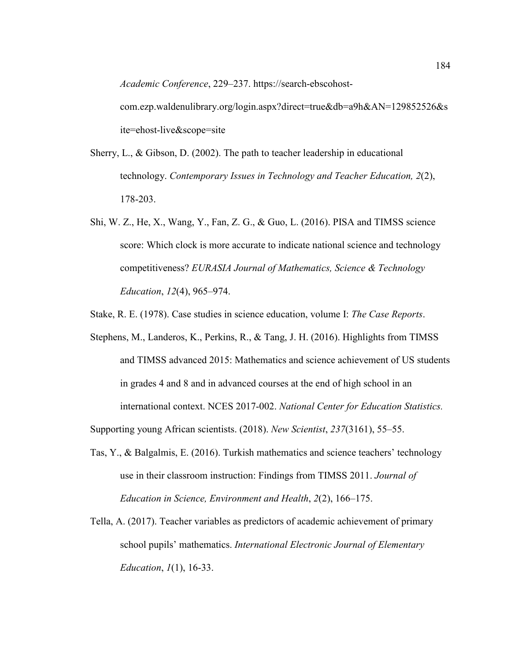*Academic Conference*, 229–237. https://search-ebscohost-

com.ezp.waldenulibrary.org/login.aspx?direct=true&db=a9h&AN=129852526&s ite=ehost-live&scope=site

- Sherry, L., & Gibson, D. (2002). The path to teacher leadership in educational technology. *Contemporary Issues in Technology and Teacher Education, 2*(2), 178-203.
- Shi, W. Z., He, X., Wang, Y., Fan, Z. G., & Guo, L. (2016). PISA and TIMSS science score: Which clock is more accurate to indicate national science and technology competitiveness? *EURASIA Journal of Mathematics, Science & Technology Education*, *12*(4), 965–974.
- Stake, R. E. (1978). Case studies in science education, volume I: *The Case Reports*.
- Stephens, M., Landeros, K., Perkins, R., & Tang, J. H. (2016). Highlights from TIMSS and TIMSS advanced 2015: Mathematics and science achievement of US students in grades 4 and 8 and in advanced courses at the end of high school in an international context. NCES 2017-002. *National Center for Education Statistics.*

Supporting young African scientists. (2018). *New Scientist*, *237*(3161), 55–55.

- Tas, Y., & Balgalmis, E. (2016). Turkish mathematics and science teachers' technology use in their classroom instruction: Findings from TIMSS 2011. *Journal of Education in Science, Environment and Health*, *2*(2), 166–175.
- Tella, A. (2017). Teacher variables as predictors of academic achievement of primary school pupils' mathematics. *International Electronic Journal of Elementary Education*, *1*(1), 16-33.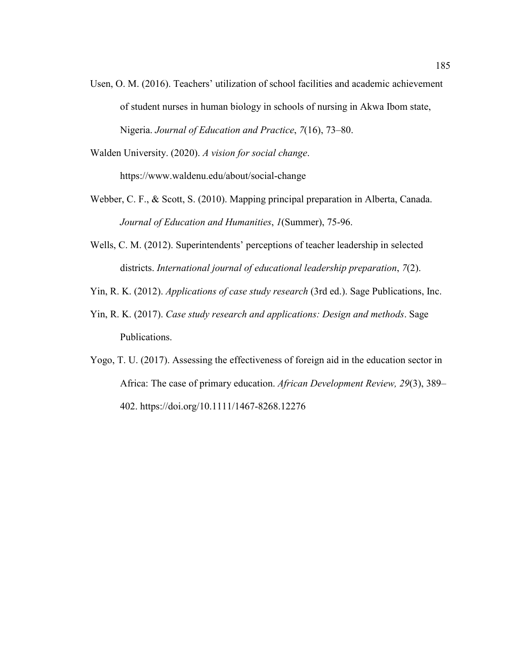Usen, O. M. (2016). Teachers' utilization of school facilities and academic achievement of student nurses in human biology in schools of nursing in Akwa Ibom state, Nigeria. *Journal of Education and Practice*, *7*(16), 73–80.

Walden University. (2020). *A vision for social change*.

https://www.waldenu.edu/about/social-change

- Webber, C. F., & Scott, S. (2010). Mapping principal preparation in Alberta, Canada. *Journal of Education and Humanities*, *1*(Summer), 75-96.
- Wells, C. M. (2012). Superintendents' perceptions of teacher leadership in selected districts. *International journal of educational leadership preparation*, *7*(2).

Yin, R. K. (2012). *Applications of case study research* (3rd ed.). Sage Publications, Inc.

- Yin, R. K. (2017). *Case study research and applications: Design and methods*. Sage Publications.
- Yogo, T. U. (2017). Assessing the effectiveness of foreign aid in the education sector in Africa: The case of primary education. *African Development Review, 29*(3), 389– 402. https://doi.org/10.1111/1467-8268.12276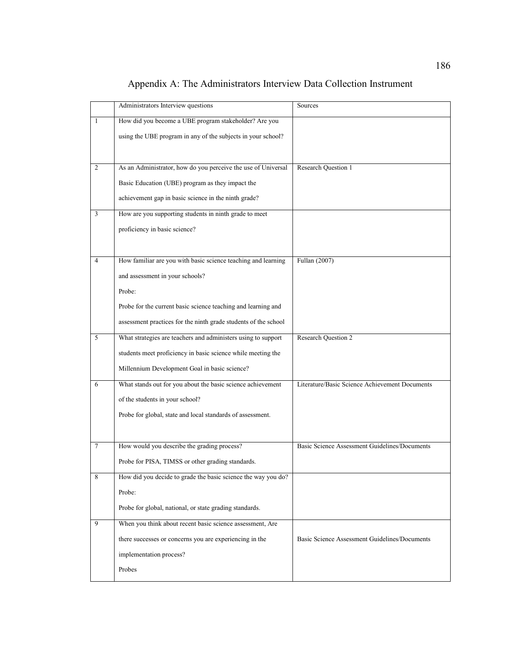|   | Administrators Interview questions                              | Sources                                        |
|---|-----------------------------------------------------------------|------------------------------------------------|
| 1 | How did you become a UBE program stakeholder? Are you           |                                                |
|   | using the UBE program in any of the subjects in your school?    |                                                |
|   |                                                                 |                                                |
| 2 | As an Administrator, how do you perceive the use of Universal   | Research Question 1                            |
|   | Basic Education (UBE) program as they impact the                |                                                |
|   | achievement gap in basic science in the ninth grade?            |                                                |
| 3 | How are you supporting students in ninth grade to meet          |                                                |
|   | proficiency in basic science?                                   |                                                |
|   |                                                                 |                                                |
| 4 | How familiar are you with basic science teaching and learning   | Fullan (2007)                                  |
|   | and assessment in your schools?                                 |                                                |
|   | Probe:                                                          |                                                |
|   | Probe for the current basic science teaching and learning and   |                                                |
|   | assessment practices for the ninth grade students of the school |                                                |
| 5 | What strategies are teachers and administers using to support   | <b>Research Question 2</b>                     |
|   | students meet proficiency in basic science while meeting the    |                                                |
|   | Millennium Development Goal in basic science?                   |                                                |
| 6 | What stands out for you about the basic science achievement     | Literature/Basic Science Achievement Documents |
|   | of the students in your school?                                 |                                                |
|   | Probe for global, state and local standards of assessment.      |                                                |
|   |                                                                 |                                                |
|   |                                                                 |                                                |
| 7 | How would you describe the grading process?                     | Basic Science Assessment Guidelines/Documents  |
|   | Probe for PISA, TIMSS or other grading standards.               |                                                |
| 8 | How did you decide to grade the basic science the way you do?   |                                                |
|   | Probe:                                                          |                                                |
|   | Probe for global, national, or state grading standards.         |                                                |
| 9 | When you think about recent basic science assessment, Are       |                                                |
|   | there successes or concerns you are experiencing in the         | Basic Science Assessment Guidelines/Documents  |
|   | implementation process?                                         |                                                |
|   | Probes                                                          |                                                |
|   |                                                                 |                                                |

## Appendix A: The Administrators Interview Data Collection Instrument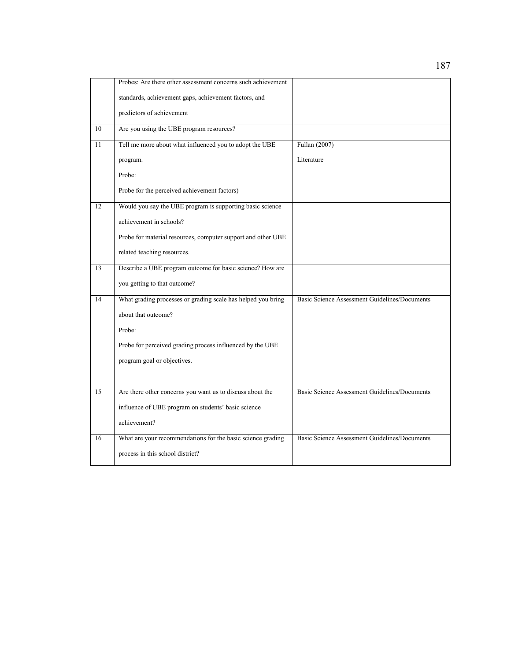|    | Probes: Are there other assessment concerns such achievement |                                               |
|----|--------------------------------------------------------------|-----------------------------------------------|
|    | standards, achievement gaps, achievement factors, and        |                                               |
|    | predictors of achievement                                    |                                               |
| 10 | Are you using the UBE program resources?                     |                                               |
| 11 | Tell me more about what influenced you to adopt the UBE      | Fullan (2007)                                 |
|    | program.                                                     | Literature                                    |
|    | Probe:                                                       |                                               |
|    | Probe for the perceived achievement factors)                 |                                               |
| 12 | Would you say the UBE program is supporting basic science    |                                               |
|    | achievement in schools?                                      |                                               |
|    | Probe for material resources, computer support and other UBE |                                               |
|    | related teaching resources.                                  |                                               |
| 13 | Describe a UBE program outcome for basic science? How are    |                                               |
|    | you getting to that outcome?                                 |                                               |
| 14 | What grading processes or grading scale has helped you bring | Basic Science Assessment Guidelines/Documents |
|    | about that outcome?                                          |                                               |
|    | Probe:                                                       |                                               |
|    | Probe for perceived grading process influenced by the UBE    |                                               |
|    | program goal or objectives.                                  |                                               |
|    |                                                              |                                               |
| 15 | Are there other concerns you want us to discuss about the    | Basic Science Assessment Guidelines/Documents |
|    | influence of UBE program on students' basic science          |                                               |
|    | achievement?                                                 |                                               |
| 16 | What are your recommendations for the basic science grading  | Basic Science Assessment Guidelines/Documents |
|    | process in this school district?                             |                                               |
|    |                                                              |                                               |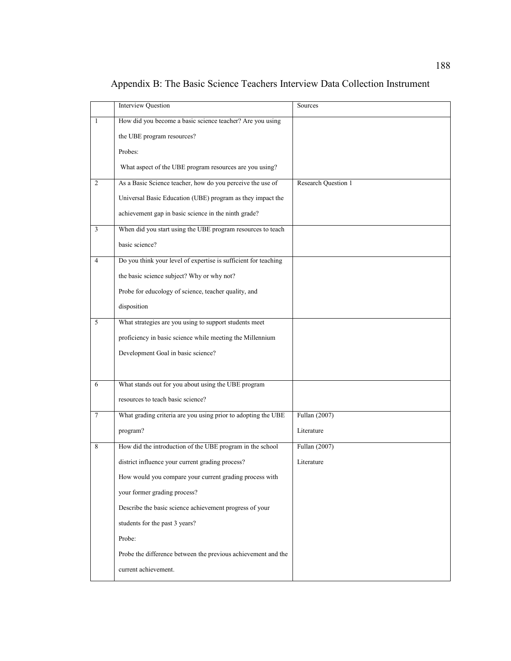|                | <b>Interview Question</b>                                       | Sources             |
|----------------|-----------------------------------------------------------------|---------------------|
| $\mathbf{1}$   | How did you become a basic science teacher? Are you using       |                     |
|                | the UBE program resources?                                      |                     |
|                | Probes:                                                         |                     |
|                | What aspect of the UBE program resources are you using?         |                     |
| 2              | As a Basic Science teacher, how do you perceive the use of      | Research Question 1 |
|                | Universal Basic Education (UBE) program as they impact the      |                     |
|                | achievement gap in basic science in the ninth grade?            |                     |
| $\overline{3}$ | When did you start using the UBE program resources to teach     |                     |
|                | basic science?                                                  |                     |
| $\overline{4}$ | Do you think your level of expertise is sufficient for teaching |                     |
|                | the basic science subject? Why or why not?                      |                     |
|                | Probe for educology of science, teacher quality, and            |                     |
|                | disposition                                                     |                     |
| 5              | What strategies are you using to support students meet          |                     |
|                | proficiency in basic science while meeting the Millennium       |                     |
|                | Development Goal in basic science?                              |                     |
|                |                                                                 |                     |
| 6              | What stands out for you about using the UBE program             |                     |
|                | resources to teach basic science?                               |                     |
| 7              | What grading criteria are you using prior to adopting the UBE   | Fullan (2007)       |
|                | program?                                                        | Literature          |
| 8              | How did the introduction of the UBE program in the school       | Fullan (2007)       |
|                | district influence your current grading process?                | Literature          |
|                | How would you compare your current grading process with         |                     |
|                | your former grading process?                                    |                     |
|                | Describe the basic science achievement progress of your         |                     |
|                | students for the past 3 years?                                  |                     |
|                | Probe:                                                          |                     |
|                | Probe the difference between the previous achievement and the   |                     |
|                | current achievement.                                            |                     |
|                |                                                                 |                     |

Appendix B: The Basic Science Teachers Interview Data Collection Instrument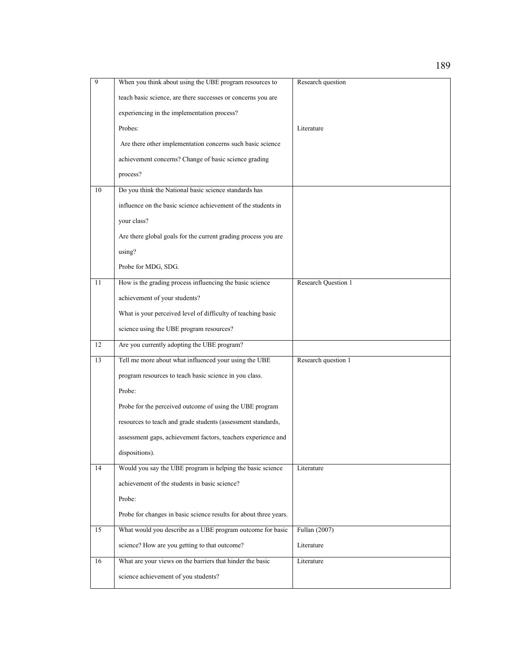| 9  | When you think about using the UBE program resources to           | Research question          |
|----|-------------------------------------------------------------------|----------------------------|
|    | teach basic science, are there successes or concerns you are      |                            |
|    | experiencing in the implementation process?                       |                            |
|    | Probes:                                                           | Literature                 |
|    | Are there other implementation concerns such basic science        |                            |
|    | achievement concerns? Change of basic science grading             |                            |
|    | process?                                                          |                            |
| 10 | Do you think the National basic science standards has             |                            |
|    | influence on the basic science achievement of the students in     |                            |
|    | your class?                                                       |                            |
|    | Are there global goals for the current grading process you are    |                            |
|    | using?                                                            |                            |
|    | Probe for MDG, SDG.                                               |                            |
| 11 | How is the grading process influencing the basic science          | <b>Research Question 1</b> |
|    | achievement of your students?                                     |                            |
|    | What is your perceived level of difficulty of teaching basic      |                            |
|    | science using the UBE program resources?                          |                            |
| 12 | Are you currently adopting the UBE program?                       |                            |
| 13 | Tell me more about what influenced your using the UBE             | Research question 1        |
|    | program resources to teach basic science in you class.            |                            |
|    | Probe:                                                            |                            |
|    | Probe for the perceived outcome of using the UBE program          |                            |
|    | resources to teach and grade students (assessment standards,      |                            |
|    | assessment gaps, achievement factors, teachers experience and     |                            |
|    | dispositions).                                                    |                            |
| 14 | Would you say the UBE program is helping the basic science        | Literature                 |
|    | achievement of the students in basic science?                     |                            |
|    | Probe:                                                            |                            |
|    | Probe for changes in basic science results for about three years. |                            |
| 15 | What would you describe as a UBE program outcome for basic        | Fullan (2007)              |
|    | science? How are you getting to that outcome?                     | Literature                 |
| 16 | What are your views on the barriers that hinder the basic         | Literature                 |
|    | science achievement of you students?                              |                            |